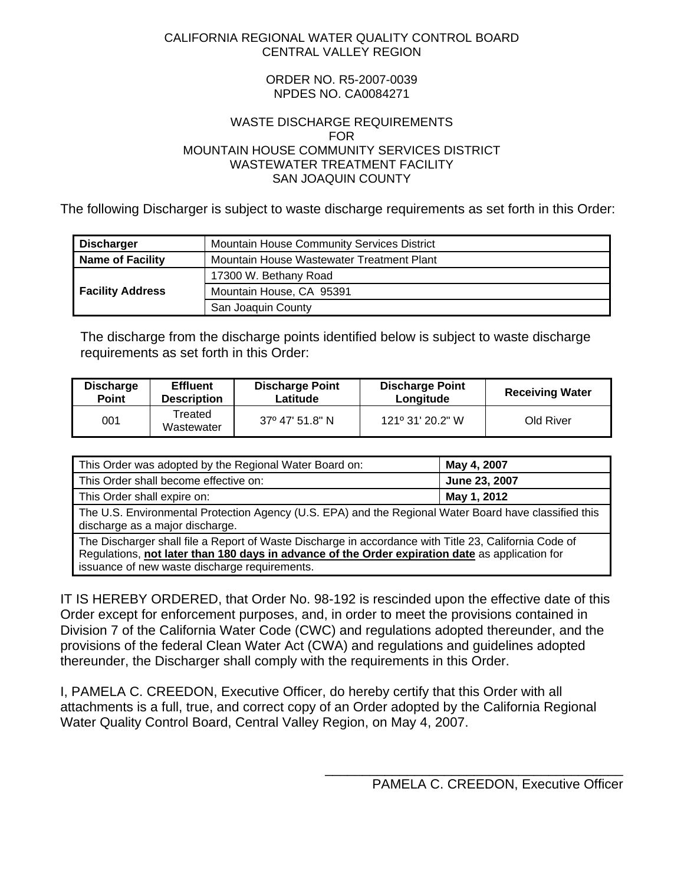#### <span id="page-0-0"></span>CALIFORNIA REGIONAL WATER QUALITY CONTROL BOARD CENTRAL VALLEY REGION

#### ORDER NO. R5-2007-0039 NPDES NO. CA0084271

#### WASTE DISCHARGE REQUIREMENTS FOR MOUNTAIN HOUSE COMMUNITY SERVICES DISTRICT WASTEWATER TREATMENT FACILITY SAN JOAQUIN COUNTY

The following Discharger is subject to waste discharge requirements as set forth in this Order:

| Mountain House Community Services District<br><b>Discharger</b>      |                          |  |  |
|----------------------------------------------------------------------|--------------------------|--|--|
| Mountain House Wastewater Treatment Plant<br><b>Name of Facility</b> |                          |  |  |
|                                                                      | 17300 W. Bethany Road    |  |  |
| <b>Facility Address</b>                                              | Mountain House, CA 95391 |  |  |
|                                                                      | San Joaquin County       |  |  |

The discharge from the discharge points identified below is subject to waste discharge requirements as set forth in this Order:

| <b>Discharge</b> | <b>Effluent</b>       | <b>Discharge Point</b> | <b>Discharge Point</b>    | <b>Receiving Water</b> |
|------------------|-----------------------|------------------------|---------------------------|------------------------|
| <b>Point</b>     | <b>Description</b>    | Latitude               | Longitude                 |                        |
| 001              | Treated<br>Wastewater | 37° 47′ 51.8″ N        | $121^{\circ}$ 31' 20.2" W | Old River              |

| This Order was adopted by the Regional Water Board on:                                                                                                                                                   | May 4, 2007   |  |  |  |
|----------------------------------------------------------------------------------------------------------------------------------------------------------------------------------------------------------|---------------|--|--|--|
| This Order shall become effective on:                                                                                                                                                                    | June 23, 2007 |  |  |  |
| This Order shall expire on:                                                                                                                                                                              | May 1, 2012   |  |  |  |
| The U.S. Environmental Protection Agency (U.S. EPA) and the Regional Water Board have classified this<br>discharge as a major discharge.                                                                 |               |  |  |  |
| The Discharger shall file a Report of Waste Discharge in accordance with Title 23, California Code of<br>Regulations, not later than 180 days in advance of the Order expiration date as application for |               |  |  |  |

issuance of new waste discharge requirements.

IT IS HEREBY ORDERED, that Order No. 98-192 is rescinded upon the effective date of this Order except for enforcement purposes, and, in order to meet the provisions contained in Division 7 of the California Water Code (CWC) and regulations adopted thereunder, and the provisions of the federal Clean Water Act (CWA) and regulations and guidelines adopted thereunder, the Discharger shall comply with the requirements in this Order.

I, PAMELA C. CREEDON, Executive Officer, do hereby certify that this Order with all attachments is a full, true, and correct copy of an Order adopted by the California Regional Water Quality Control Board, Central Valley Region, on May 4, 2007.

\_\_\_\_\_\_\_\_\_\_\_\_\_\_\_\_\_\_\_\_\_\_\_\_\_\_\_\_\_\_\_\_\_\_\_\_\_\_\_\_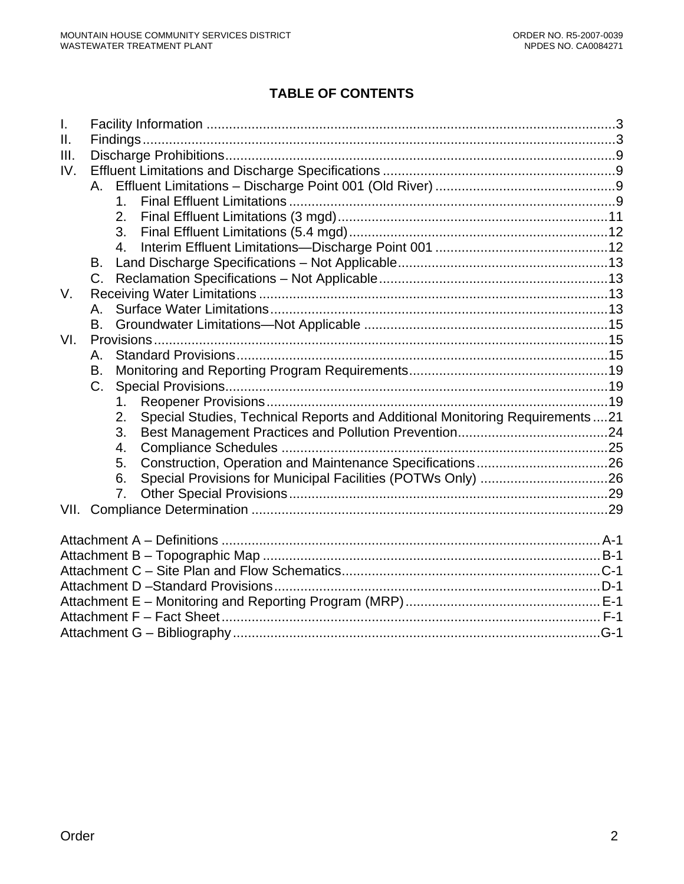# **TABLE OF CONTENTS**

| Τ.              |             |                |                                                                              |  |
|-----------------|-------------|----------------|------------------------------------------------------------------------------|--|
| $\mathbf{II}$ . |             |                |                                                                              |  |
| III.            |             |                |                                                                              |  |
| IV.             |             |                |                                                                              |  |
|                 |             |                |                                                                              |  |
|                 |             | $1_{-}$        |                                                                              |  |
|                 |             | 2.             |                                                                              |  |
|                 |             | 3 <sub>1</sub> |                                                                              |  |
|                 |             | $4_{\cdot}$    |                                                                              |  |
|                 | B.          |                |                                                                              |  |
|                 |             |                |                                                                              |  |
| $V_{\cdot}$     |             |                |                                                                              |  |
|                 | А.          |                |                                                                              |  |
|                 | <b>B.</b>   |                |                                                                              |  |
| VI.             |             |                |                                                                              |  |
|                 | Α.          |                |                                                                              |  |
|                 | B.          |                |                                                                              |  |
|                 | $C_{\cdot}$ |                |                                                                              |  |
|                 |             | 1.             |                                                                              |  |
|                 |             | 2.             | Special Studies, Technical Reports and Additional Monitoring Requirements 21 |  |
|                 |             | 3.             |                                                                              |  |
|                 |             | 4.             |                                                                              |  |
|                 |             | 5.             |                                                                              |  |
|                 |             | 6.             |                                                                              |  |
|                 |             | 7.             |                                                                              |  |
|                 |             |                |                                                                              |  |
|                 |             |                |                                                                              |  |
|                 |             |                |                                                                              |  |
|                 |             |                |                                                                              |  |
|                 |             |                |                                                                              |  |
|                 |             |                |                                                                              |  |
|                 |             |                |                                                                              |  |
|                 |             |                |                                                                              |  |
|                 |             |                |                                                                              |  |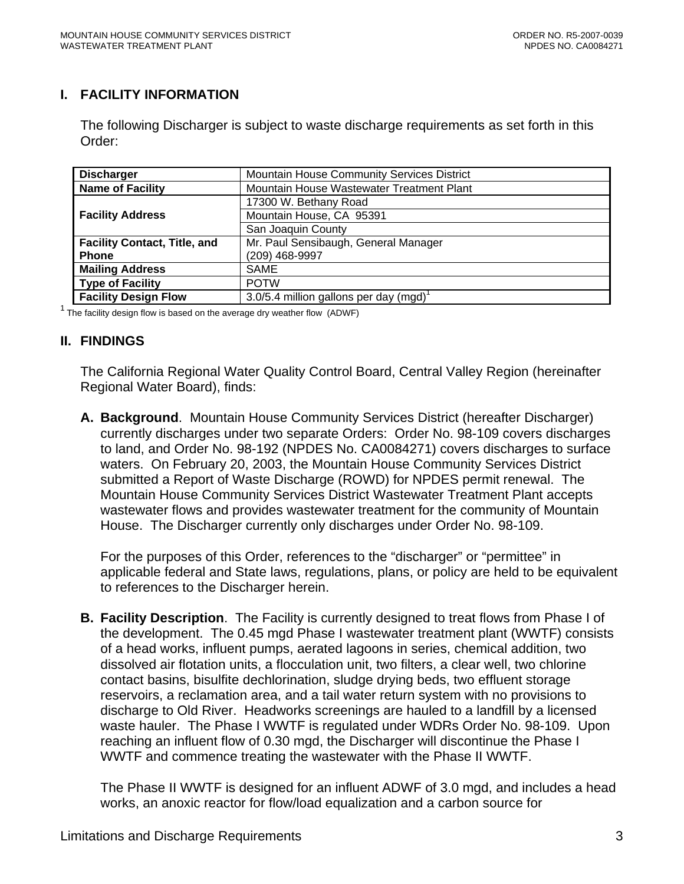# <span id="page-2-0"></span>**I. FACILITY INFORMATION**

The following Discharger is subject to waste discharge requirements as set forth in this Order:

| <b>Discharger</b>                                                           | Mountain House Community Services District |  |  |
|-----------------------------------------------------------------------------|--------------------------------------------|--|--|
| <b>Name of Facility</b><br>Mountain House Wastewater Treatment Plant        |                                            |  |  |
|                                                                             | 17300 W. Bethany Road                      |  |  |
| <b>Facility Address</b>                                                     | Mountain House, CA 95391                   |  |  |
|                                                                             | San Joaquin County                         |  |  |
| Mr. Paul Sensibaugh, General Manager<br><b>Facility Contact, Title, and</b> |                                            |  |  |
| <b>Phone</b>                                                                | (209) 468-9997                             |  |  |
| <b>Mailing Address</b>                                                      | <b>SAME</b>                                |  |  |
| <b>Type of Facility</b>                                                     | <b>POTW</b>                                |  |  |
| <b>Facility Design Flow</b>                                                 | 3.0/5.4 million gallons per day (mgd)      |  |  |

 $1$  The facility design flow is based on the average dry weather flow (ADWF)

#### **II. FINDINGS**

The California Regional Water Quality Control Board, Central Valley Region (hereinafter Regional Water Board), finds:

**A. Background**. Mountain House Community Services District (hereafter Discharger) currently discharges under two separate Orders: Order No. 98-109 covers discharges to land, and Order No. 98-192 (NPDES No. CA0084271) covers discharges to surface waters. On February 20, 2003, the Mountain House Community Services District submitted a Report of Waste Discharge (ROWD) for NPDES permit renewal. The Mountain House Community Services District Wastewater Treatment Plant accepts wastewater flows and provides wastewater treatment for the community of Mountain House. The Discharger currently only discharges under Order No. 98-109.

For the purposes of this Order, references to the "discharger" or "permittee" in applicable federal and State laws, regulations, plans, or policy are held to be equivalent to references to the Discharger herein.

**B. Facility Description**. The Facility is currently designed to treat flows from Phase I of the development. The 0.45 mgd Phase I wastewater treatment plant (WWTF) consists of a head works, influent pumps, aerated lagoons in series, chemical addition, two dissolved air flotation units, a flocculation unit, two filters, a clear well, two chlorine contact basins, bisulfite dechlorination, sludge drying beds, two effluent storage reservoirs, a reclamation area, and a tail water return system with no provisions to discharge to Old River. Headworks screenings are hauled to a landfill by a licensed waste hauler. The Phase I WWTF is regulated under WDRs Order No. 98-109. Upon reaching an influent flow of 0.30 mgd, the Discharger will discontinue the Phase I WWTF and commence treating the wastewater with the Phase II WWTF.

The Phase II WWTF is designed for an influent ADWF of 3.0 mgd, and includes a head works, an anoxic reactor for flow/load equalization and a carbon source for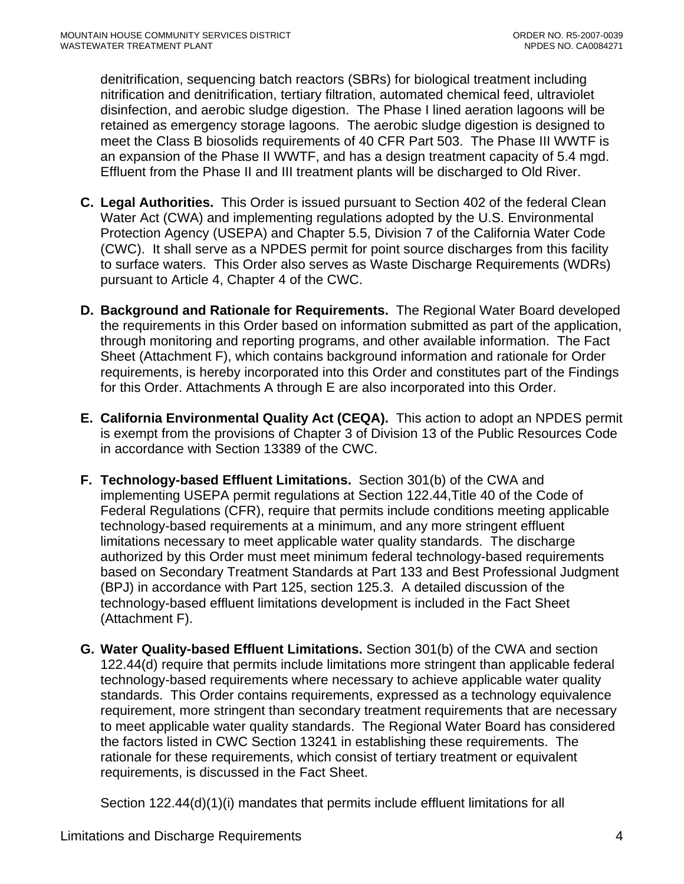denitrification, sequencing batch reactors (SBRs) for biological treatment including nitrification and denitrification, tertiary filtration, automated chemical feed, ultraviolet disinfection, and aerobic sludge digestion. The Phase I lined aeration lagoons will be retained as emergency storage lagoons. The aerobic sludge digestion is designed to meet the Class B biosolids requirements of 40 CFR Part 503. The Phase III WWTF is an expansion of the Phase II WWTF, and has a design treatment capacity of 5.4 mgd. Effluent from the Phase II and III treatment plants will be discharged to Old River.

- **C. Legal Authorities.** This Order is issued pursuant to Section 402 of the federal Clean Water Act (CWA) and implementing regulations adopted by the U.S. Environmental Protection Agency (USEPA) and Chapter 5.5, Division 7 of the California Water Code (CWC). It shall serve as a NPDES permit for point source discharges from this facility to surface waters. This Order also serves as Waste Discharge Requirements (WDRs) pursuant to Article 4, Chapter 4 of the CWC.
- **D. Background and Rationale for Requirements.** The Regional Water Board developed the requirements in this Order based on information submitted as part of the application, through monitoring and reporting programs, and other available information. The Fact Sheet (Attachment F), which contains background information and rationale for Order requirements, is hereby incorporated into this Order and constitutes part of the Findings for this Order. Attachments A through E are also incorporated into this Order.
- **E. California Environmental Quality Act (CEQA).** This action to adopt an NPDES permit is exempt from the provisions of Chapter 3 of Division 13 of the Public Resources Code in accordance with Section 13389 of the CWC.
- **F. Technology-based Effluent Limitations.** Section 301(b) of the CWA and implementing USEPA permit regulations at Section 122.44,Title 40 of the Code of Federal Regulations (CFR), require that permits include conditions meeting applicable technology-based requirements at a minimum, and any more stringent effluent limitations necessary to meet applicable water quality standards. The discharge authorized by this Order must meet minimum federal technology-based requirements based on Secondary Treatment Standards at Part 133 and Best Professional Judgment (BPJ) in accordance with Part 125, section 125.3. A detailed discussion of the technology-based effluent limitations development is included in the Fact Sheet (Attachment F).
- **G. Water Quality-based Effluent Limitations.** Section 301(b) of the CWA and section 122.44(d) require that permits include limitations more stringent than applicable federal technology-based requirements where necessary to achieve applicable water quality standards. This Order contains requirements, expressed as a technology equivalence requirement, more stringent than secondary treatment requirements that are necessary to meet applicable water quality standards. The Regional Water Board has considered the factors listed in CWC Section 13241 in establishing these requirements. The rationale for these requirements, which consist of tertiary treatment or equivalent requirements, is discussed in the Fact Sheet.

Section 122.44(d)(1)(i) mandates that permits include effluent limitations for all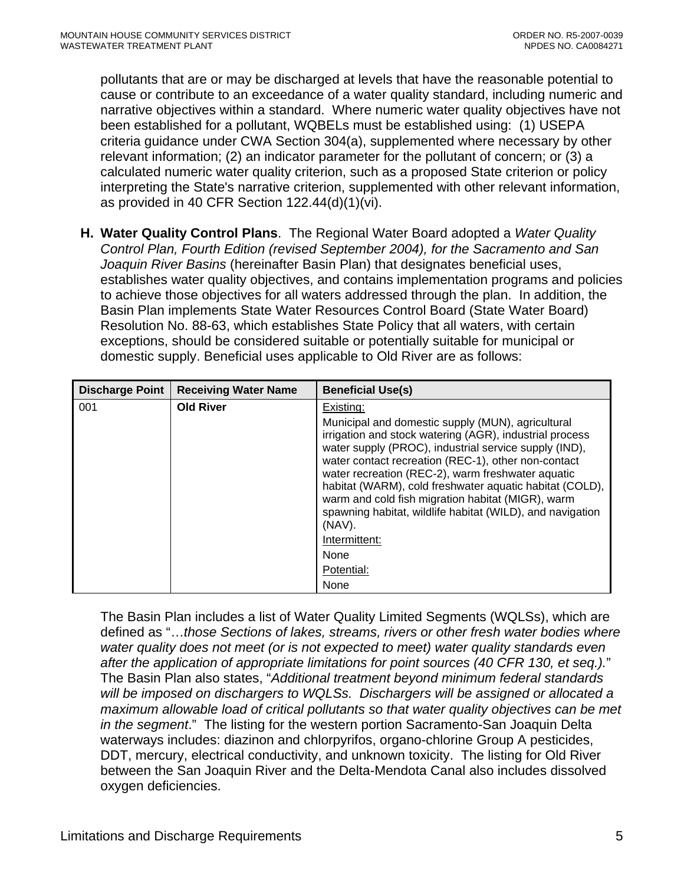pollutants that are or may be discharged at levels that have the reasonable potential to cause or contribute to an exceedance of a water quality standard, including numeric and narrative objectives within a standard. Where numeric water quality objectives have not been established for a pollutant, WQBELs must be established using: (1) USEPA criteria guidance under CWA Section 304(a), supplemented where necessary by other relevant information; (2) an indicator parameter for the pollutant of concern; or (3) a calculated numeric water quality criterion, such as a proposed State criterion or policy interpreting the State's narrative criterion, supplemented with other relevant information, as provided in 40 CFR Section 122.44(d)(1)(vi).

**H. Water Quality Control Plans**. The Regional Water Board adopted a *Water Quality Control Plan, Fourth Edition (revised September 2004), for the Sacramento and San Joaquin River Basins* (hereinafter Basin Plan) that designates beneficial uses, establishes water quality objectives, and contains implementation programs and policies to achieve those objectives for all waters addressed through the plan. In addition, the Basin Plan implements State Water Resources Control Board (State Water Board) Resolution No. 88-63, which establishes State Policy that all waters, with certain exceptions, should be considered suitable or potentially suitable for municipal or domestic supply. Beneficial uses applicable to Old River are as follows:

| <b>Discharge Point</b> | <b>Receiving Water Name</b> | <b>Beneficial Use(s)</b>                                                                                                                                                                                                                                                                                                                                                                                                                                                 |
|------------------------|-----------------------------|--------------------------------------------------------------------------------------------------------------------------------------------------------------------------------------------------------------------------------------------------------------------------------------------------------------------------------------------------------------------------------------------------------------------------------------------------------------------------|
| 001                    | <b>Old River</b>            | Existing:                                                                                                                                                                                                                                                                                                                                                                                                                                                                |
|                        |                             | Municipal and domestic supply (MUN), agricultural<br>irrigation and stock watering (AGR), industrial process<br>water supply (PROC), industrial service supply (IND),<br>water contact recreation (REC-1), other non-contact<br>water recreation (REC-2), warm freshwater aquatic<br>habitat (WARM), cold freshwater aquatic habitat (COLD),<br>warm and cold fish migration habitat (MIGR), warm<br>spawning habitat, wildlife habitat (WILD), and navigation<br>(NAV). |
|                        |                             | Intermittent:                                                                                                                                                                                                                                                                                                                                                                                                                                                            |
|                        |                             | None                                                                                                                                                                                                                                                                                                                                                                                                                                                                     |
|                        |                             | Potential:                                                                                                                                                                                                                                                                                                                                                                                                                                                               |
|                        |                             | None                                                                                                                                                                                                                                                                                                                                                                                                                                                                     |

The Basin Plan includes a list of Water Quality Limited Segments (WQLSs), which are defined as "…*those Sections of lakes, streams, rivers or other fresh water bodies where water quality does not meet (or is not expected to meet) water quality standards even after the application of appropriate limitations for point sources (40 CFR 130, et seq.).*" The Basin Plan also states, "*Additional treatment beyond minimum federal standards will be imposed on dischargers to WQLSs. Dischargers will be assigned or allocated a maximum allowable load of critical pollutants so that water quality objectives can be met in the segment*." The listing for the western portion Sacramento-San Joaquin Delta waterways includes: diazinon and chlorpyrifos, organo-chlorine Group A pesticides, DDT, mercury, electrical conductivity, and unknown toxicity. The listing for Old River between the San Joaquin River and the Delta-Mendota Canal also includes dissolved oxygen deficiencies.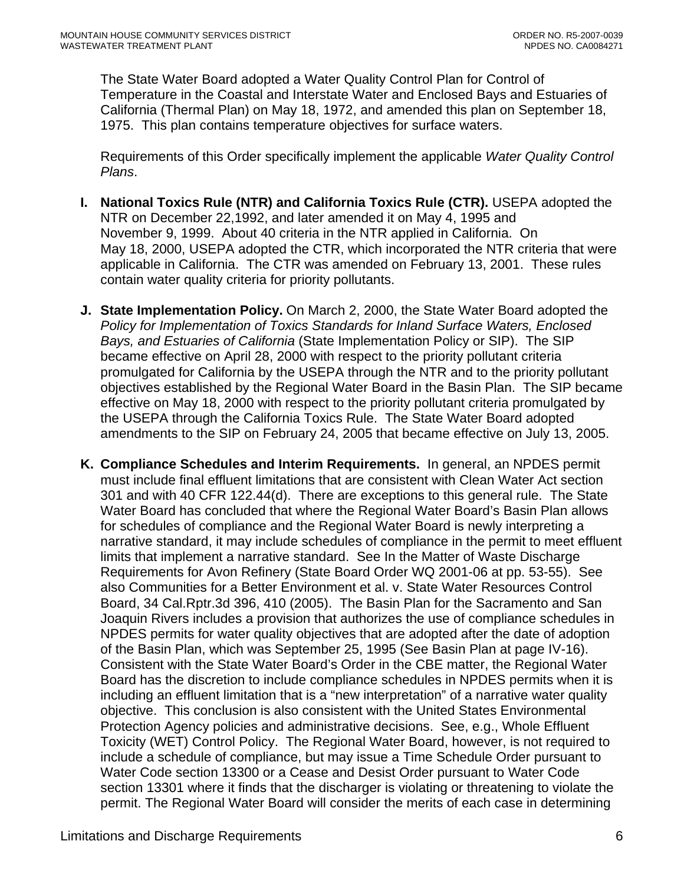The State Water Board adopted a Water Quality Control Plan for Control of Temperature in the Coastal and Interstate Water and Enclosed Bays and Estuaries of California (Thermal Plan) on May 18, 1972, and amended this plan on September 18, 1975. This plan contains temperature objectives for surface waters.

Requirements of this Order specifically implement the applicable *Water Quality Control Plans*.

- **I. National Toxics Rule (NTR) and California Toxics Rule (CTR).** USEPA adopted the NTR on December 22,1992, and later amended it on May 4, 1995 and November 9, 1999. About 40 criteria in the NTR applied in California. On May 18, 2000, USEPA adopted the CTR, which incorporated the NTR criteria that were applicable in California. The CTR was amended on February 13, 2001. These rules contain water quality criteria for priority pollutants.
- **J. State Implementation Policy.** On March 2, 2000, the State Water Board adopted the *Policy for Implementation of Toxics Standards for Inland Surface Waters, Enclosed Bays, and Estuaries of California* (State Implementation Policy or SIP). The SIP became effective on April 28, 2000 with respect to the priority pollutant criteria promulgated for California by the USEPA through the NTR and to the priority pollutant objectives established by the Regional Water Board in the Basin Plan. The SIP became effective on May 18, 2000 with respect to the priority pollutant criteria promulgated by the USEPA through the California Toxics Rule. The State Water Board adopted amendments to the SIP on February 24, 2005 that became effective on July 13, 2005.
- **K. Compliance Schedules and Interim Requirements.** In general, an NPDES permit must include final effluent limitations that are consistent with Clean Water Act section 301 and with 40 CFR 122.44(d). There are exceptions to this general rule. The State Water Board has concluded that where the Regional Water Board's Basin Plan allows for schedules of compliance and the Regional Water Board is newly interpreting a narrative standard, it may include schedules of compliance in the permit to meet effluent limits that implement a narrative standard. See In the Matter of Waste Discharge Requirements for Avon Refinery (State Board Order WQ 2001-06 at pp. 53-55). See also Communities for a Better Environment et al. v. State Water Resources Control Board, 34 Cal.Rptr.3d 396, 410 (2005). The Basin Plan for the Sacramento and San Joaquin Rivers includes a provision that authorizes the use of compliance schedules in NPDES permits for water quality objectives that are adopted after the date of adoption of the Basin Plan, which was September 25, 1995 (See Basin Plan at page IV-16). Consistent with the State Water Board's Order in the CBE matter, the Regional Water Board has the discretion to include compliance schedules in NPDES permits when it is including an effluent limitation that is a "new interpretation" of a narrative water quality objective. This conclusion is also consistent with the United States Environmental Protection Agency policies and administrative decisions. See, e.g., Whole Effluent Toxicity (WET) Control Policy. The Regional Water Board, however, is not required to include a schedule of compliance, but may issue a Time Schedule Order pursuant to Water Code section 13300 or a Cease and Desist Order pursuant to Water Code section 13301 where it finds that the discharger is violating or threatening to violate the permit. The Regional Water Board will consider the merits of each case in determining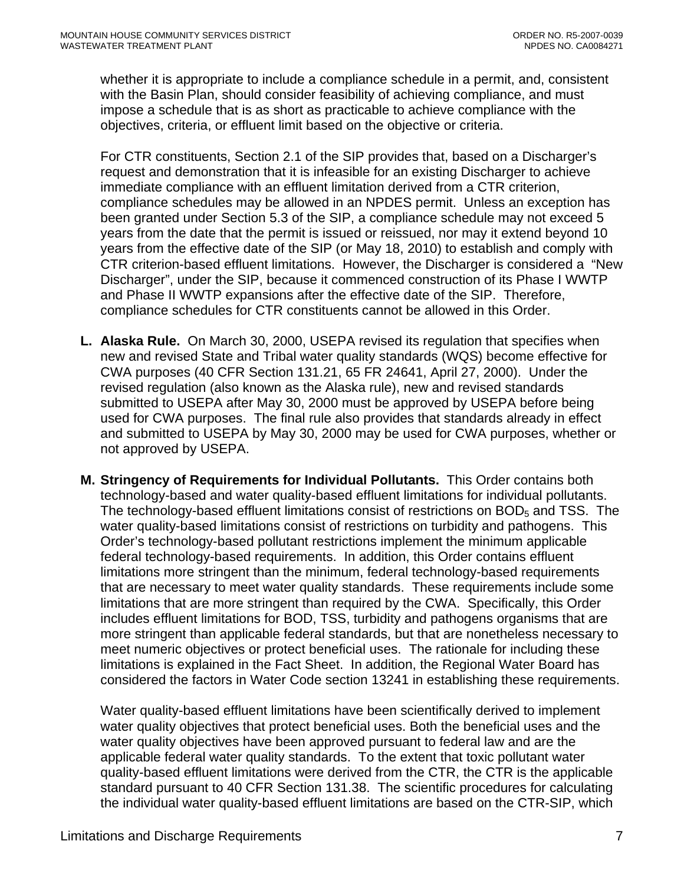whether it is appropriate to include a compliance schedule in a permit, and, consistent with the Basin Plan, should consider feasibility of achieving compliance, and must impose a schedule that is as short as practicable to achieve compliance with the objectives, criteria, or effluent limit based on the objective or criteria.

For CTR constituents, Section 2.1 of the SIP provides that, based on a Discharger's request and demonstration that it is infeasible for an existing Discharger to achieve immediate compliance with an effluent limitation derived from a CTR criterion, compliance schedules may be allowed in an NPDES permit. Unless an exception has been granted under Section 5.3 of the SIP, a compliance schedule may not exceed 5 years from the date that the permit is issued or reissued, nor may it extend beyond 10 years from the effective date of the SIP (or May 18, 2010) to establish and comply with CTR criterion-based effluent limitations. However, the Discharger is considered a "New Discharger", under the SIP, because it commenced construction of its Phase I WWTP and Phase II WWTP expansions after the effective date of the SIP. Therefore, compliance schedules for CTR constituents cannot be allowed in this Order.

- **L. Alaska Rule.** On March 30, 2000, USEPA revised its regulation that specifies when new and revised State and Tribal water quality standards (WQS) become effective for CWA purposes (40 CFR Section 131.21, 65 FR 24641, April 27, 2000). Under the revised regulation (also known as the Alaska rule), new and revised standards submitted to USEPA after May 30, 2000 must be approved by USEPA before being used for CWA purposes. The final rule also provides that standards already in effect and submitted to USEPA by May 30, 2000 may be used for CWA purposes, whether or not approved by USEPA.
- **M. Stringency of Requirements for Individual Pollutants.** This Order contains both technology-based and water quality-based effluent limitations for individual pollutants. The technology-based effluent limitations consist of restrictions on  $BOD<sub>5</sub>$  and TSS. The water quality-based limitations consist of restrictions on turbidity and pathogens. This Order's technology-based pollutant restrictions implement the minimum applicable federal technology-based requirements. In addition, this Order contains effluent limitations more stringent than the minimum, federal technology-based requirements that are necessary to meet water quality standards. These requirements include some limitations that are more stringent than required by the CWA. Specifically, this Order includes effluent limitations for BOD, TSS, turbidity and pathogens organisms that are more stringent than applicable federal standards, but that are nonetheless necessary to meet numeric objectives or protect beneficial uses. The rationale for including these limitations is explained in the Fact Sheet. In addition, the Regional Water Board has considered the factors in Water Code section 13241 in establishing these requirements.

Water quality-based effluent limitations have been scientifically derived to implement water quality objectives that protect beneficial uses. Both the beneficial uses and the water quality objectives have been approved pursuant to federal law and are the applicable federal water quality standards. To the extent that toxic pollutant water quality-based effluent limitations were derived from the CTR, the CTR is the applicable standard pursuant to 40 CFR Section 131.38. The scientific procedures for calculating the individual water quality-based effluent limitations are based on the CTR-SIP, which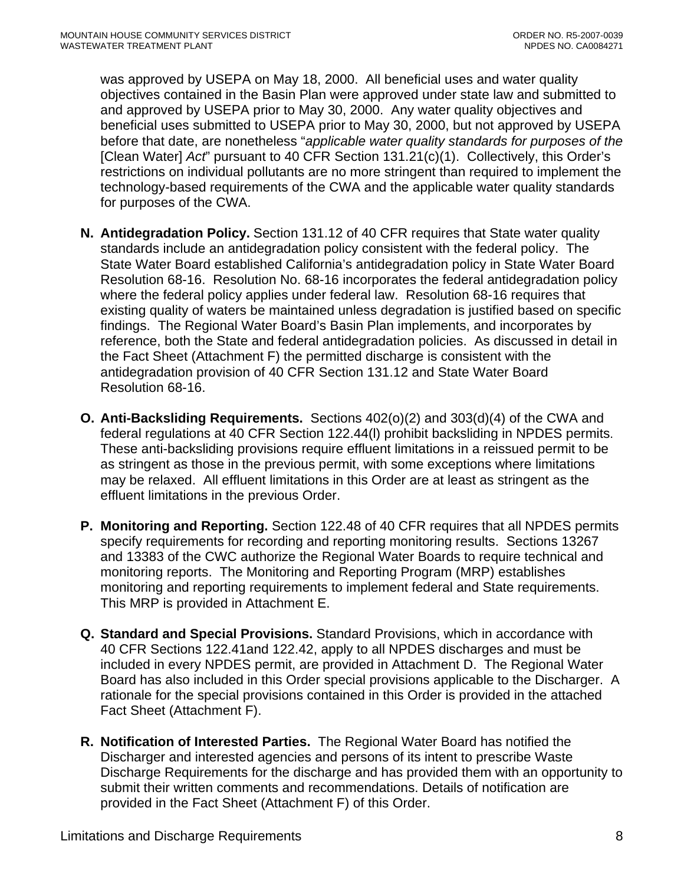was approved by USEPA on May 18, 2000. All beneficial uses and water quality objectives contained in the Basin Plan were approved under state law and submitted to and approved by USEPA prior to May 30, 2000. Any water quality objectives and beneficial uses submitted to USEPA prior to May 30, 2000, but not approved by USEPA before that date, are nonetheless "*applicable water quality standards for purposes of the*  [Clean Water] *Act*" pursuant to 40 CFR Section 131.21(c)(1). Collectively, this Order's restrictions on individual pollutants are no more stringent than required to implement the technology-based requirements of the CWA and the applicable water quality standards for purposes of the CWA.

- **N. Antidegradation Policy.** Section 131.12 of 40 CFR requires that State water quality standards include an antidegradation policy consistent with the federal policy. The State Water Board established California's antidegradation policy in State Water Board Resolution 68-16. Resolution No. 68-16 incorporates the federal antidegradation policy where the federal policy applies under federal law. Resolution 68-16 requires that existing quality of waters be maintained unless degradation is justified based on specific findings. The Regional Water Board's Basin Plan implements, and incorporates by reference, both the State and federal antidegradation policies. As discussed in detail in the Fact Sheet (Attachment F) the permitted discharge is consistent with the antidegradation provision of 40 CFR Section 131.12 and State Water Board Resolution 68-16.
- **O. Anti-Backsliding Requirements.** Sections 402(o)(2) and 303(d)(4) of the CWA and federal regulations at 40 CFR Section 122.44(l) prohibit backsliding in NPDES permits. These anti-backsliding provisions require effluent limitations in a reissued permit to be as stringent as those in the previous permit, with some exceptions where limitations may be relaxed. All effluent limitations in this Order are at least as stringent as the effluent limitations in the previous Order.
- **P. Monitoring and Reporting.** Section 122.48 of 40 CFR requires that all NPDES permits specify requirements for recording and reporting monitoring results. Sections 13267 and 13383 of the CWC authorize the Regional Water Boards to require technical and monitoring reports. The Monitoring and Reporting Program (MRP) establishes monitoring and reporting requirements to implement federal and State requirements. This MRP is provided in Attachment E.
- **Q. Standard and Special Provisions.** Standard Provisions, which in accordance with 40 CFR Sections 122.41and 122.42, apply to all NPDES discharges and must be included in every NPDES permit, are provided in Attachment D. The Regional Water Board has also included in this Order special provisions applicable to the Discharger. A rationale for the special provisions contained in this Order is provided in the attached Fact Sheet (Attachment F).
- **R. Notification of Interested Parties.** The Regional Water Board has notified the Discharger and interested agencies and persons of its intent to prescribe Waste Discharge Requirements for the discharge and has provided them with an opportunity to submit their written comments and recommendations. Details of notification are provided in the Fact Sheet (Attachment F) of this Order.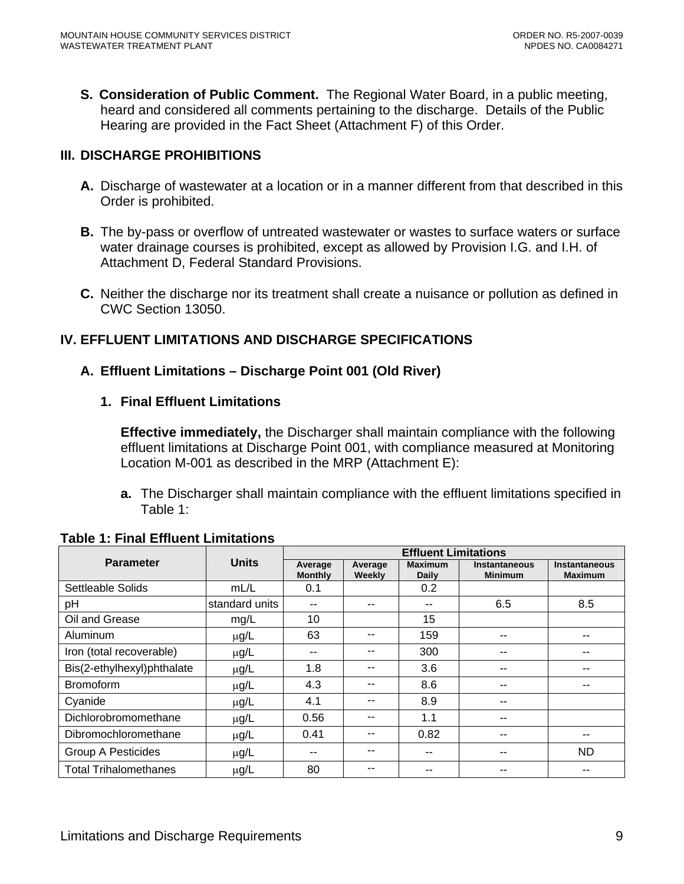<span id="page-8-0"></span>**S. Consideration of Public Comment.** The Regional Water Board, in a public meeting, heard and considered all comments pertaining to the discharge. Details of the Public Hearing are provided in the Fact Sheet (Attachment F) of this Order.

# **III. DISCHARGE PROHIBITIONS**

- **A.** Discharge of wastewater at a location or in a manner different from that described in this Order is prohibited.
- **B.** The by-pass or overflow of untreated wastewater or wastes to surface waters or surface water drainage courses is prohibited, except as allowed by Provision I.G. and I.H. of Attachment D, Federal Standard Provisions.
- **C.** Neither the discharge nor its treatment shall create a nuisance or pollution as defined in CWC Section 13050.

# **IV. EFFLUENT LIMITATIONS AND DISCHARGE SPECIFICATIONS**

# **A. Effluent Limitations – Discharge Point 001 (Old River)**

#### **1. Final Effluent Limitations**

**Effective immediately,** the Discharger shall maintain compliance with the following effluent limitations at Discharge Point 001, with compliance measured at Monitoring Location M-001 as described in the MRP (Attachment E):

**a.** The Discharger shall maintain compliance with the effluent limitations specified in Table 1:

|                              |                | <b>Effluent Limitations</b> |                   |                         |                                        |                                        |
|------------------------------|----------------|-----------------------------|-------------------|-------------------------|----------------------------------------|----------------------------------------|
| <b>Parameter</b>             | <b>Units</b>   | Average<br><b>Monthly</b>   | Average<br>Weekly | <b>Maximum</b><br>Daily | <b>Instantaneous</b><br><b>Minimum</b> | <b>Instantaneous</b><br><b>Maximum</b> |
| Settleable Solids            | mL/L           | 0.1                         |                   | 0.2                     |                                        |                                        |
| pH                           | standard units | --                          | --                | $- -$                   | 6.5                                    | 8.5                                    |
| Oil and Grease               | mg/L           | 10                          |                   | 15                      |                                        |                                        |
| Aluminum                     | $\mu$ g/L      | 63                          | --                | 159                     | --                                     |                                        |
| Iron (total recoverable)     | $\mu$ g/L      | --                          | --                | 300                     | --                                     | --                                     |
| Bis(2-ethylhexyl)phthalate   | $\mu$ g/L      | 1.8                         | --                | 3.6                     | --                                     | --                                     |
| <b>Bromoform</b>             | $\mu$ g/L      | 4.3                         | --                | 8.6                     | --                                     |                                        |
| Cyanide                      | $\mu$ g/L      | 4.1                         | --                | 8.9                     | --                                     |                                        |
| Dichlorobromomethane         | $\mu$ g/L      | 0.56                        | --                | 1.1                     | --                                     |                                        |
| Dibromochloromethane         | $\mu$ g/L      | 0.41                        | --                | 0.82                    | --                                     |                                        |
| <b>Group A Pesticides</b>    | $\mu$ g/L      | --                          |                   | --                      | --                                     | <b>ND</b>                              |
| <b>Total Trihalomethanes</b> | $\mu$ g/L      | 80                          | --                |                         |                                        |                                        |

#### **Table 1: Final Effluent Limitations**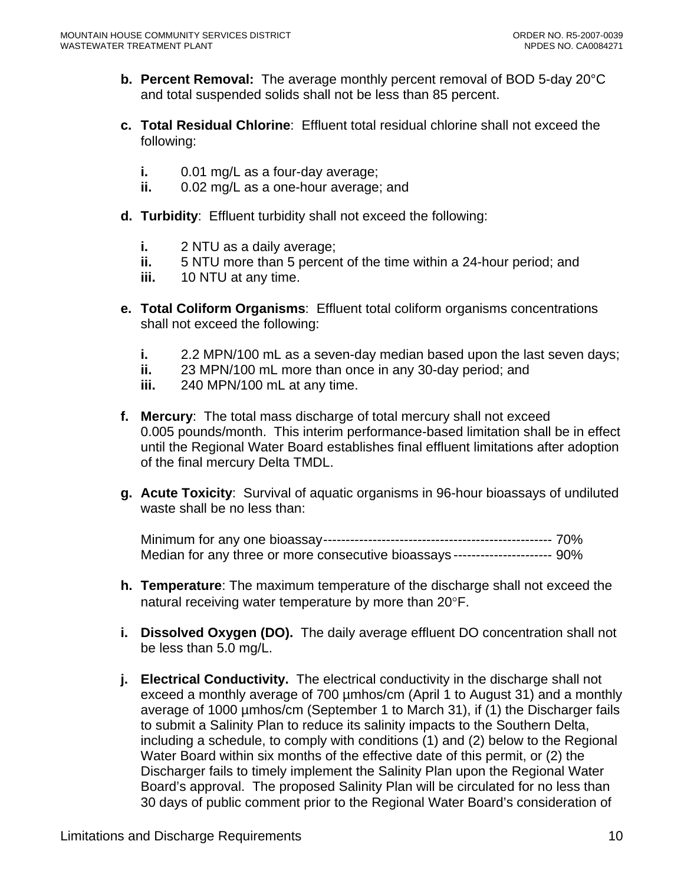- **b. Percent Removal:** The average monthly percent removal of BOD 5-day 20°C and total suspended solids shall not be less than 85 percent.
- **c. Total Residual Chlorine**: Effluent total residual chlorine shall not exceed the following:
	- **i.** 0.01 mg/L as a four-day average;
	- **ii.** 0.02 mg/L as a one-hour average; and
- **d. Turbidity**: Effluent turbidity shall not exceed the following:
	- **i.** 2 NTU as a daily average;
	- **ii.** 5 NTU more than 5 percent of the time within a 24-hour period; and
	- **iii.** 10 NTU at any time.
- **e. Total Coliform Organisms**: Effluent total coliform organisms concentrations shall not exceed the following:
	- **i.** 2.2 MPN/100 mL as a seven-day median based upon the last seven days;
	- **ii.** 23 MPN/100 mL more than once in any 30-day period; and
	- **iii.** 240 MPN/100 mL at any time.
- **f. Mercury**: The total mass discharge of total mercury shall not exceed 0.005 pounds/month. This interim performance-based limitation shall be in effect until the Regional Water Board establishes final effluent limitations after adoption of the final mercury Delta TMDL.
- **g. Acute Toxicity**: Survival of aquatic organisms in 96-hour bioassays of undiluted waste shall be no less than:

Minimum for any one bioassay--------------------------------------------------- 70% Median for any three or more consecutive bioassays ---------------------- 90%

- **h. Temperature**: The maximum temperature of the discharge shall not exceed the natural receiving water temperature by more than 20°F.
- **i. Dissolved Oxygen (DO).** The daily average effluent DO concentration shall not be less than 5.0 mg/L.
- **j. Electrical Conductivity.** The electrical conductivity in the discharge shall not exceed a monthly average of 700 µmhos/cm (April 1 to August 31) and a monthly average of 1000 µmhos/cm (September 1 to March 31), if (1) the Discharger fails to submit a Salinity Plan to reduce its salinity impacts to the Southern Delta, including a schedule, to comply with conditions (1) and (2) below to the Regional Water Board within six months of the effective date of this permit, or (2) the Discharger fails to timely implement the Salinity Plan upon the Regional Water Board's approval. The proposed Salinity Plan will be circulated for no less than 30 days of public comment prior to the Regional Water Board's consideration of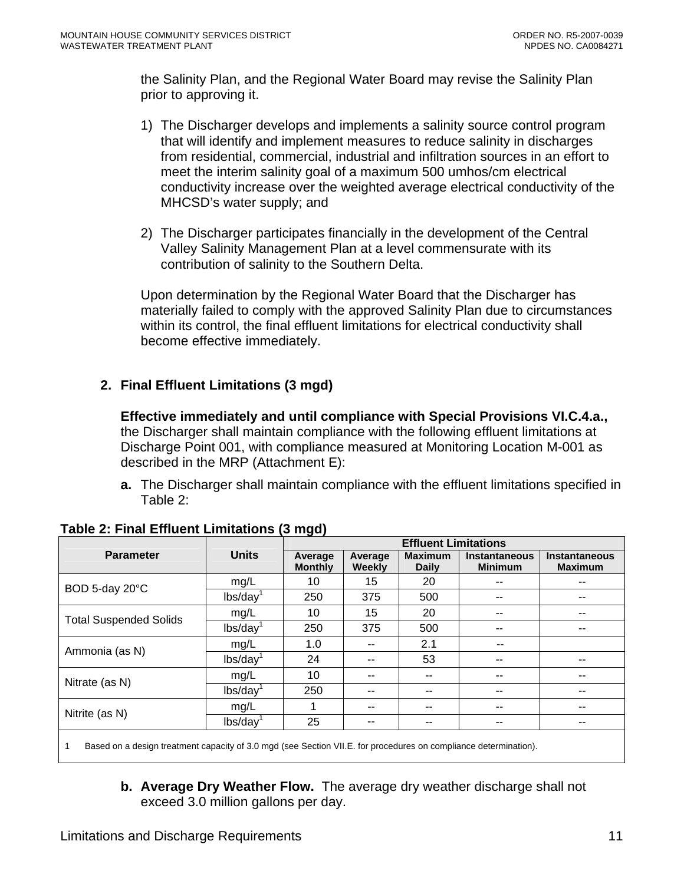<span id="page-10-0"></span>the Salinity Plan, and the Regional Water Board may revise the Salinity Plan prior to approving it.

- 1) The Discharger develops and implements a salinity source control program that will identify and implement measures to reduce salinity in discharges from residential, commercial, industrial and infiltration sources in an effort to meet the interim salinity goal of a maximum 500 umhos/cm electrical conductivity increase over the weighted average electrical conductivity of the MHCSD's water supply; and
- 2) The Discharger participates financially in the development of the Central Valley Salinity Management Plan at a level commensurate with its contribution of salinity to the Southern Delta.

Upon determination by the Regional Water Board that the Discharger has materially failed to comply with the approved Salinity Plan due to circumstances within its control, the final effluent limitations for electrical conductivity shall become effective immediately.

# **2. Final Effluent Limitations (3 mgd)**

**Effective immediately and until compliance with Special Provisions VI.C.4.a.,**  the Discharger shall maintain compliance with the following effluent limitations at Discharge Point 001, with compliance measured at Monitoring Location M-001 as described in the MRP (Attachment E):

**a.** The Discharger shall maintain compliance with the effluent limitations specified in Table 2:

|                               |                        | <b>Effluent Limitations</b> |                   |                                |                                 |                                        |
|-------------------------------|------------------------|-----------------------------|-------------------|--------------------------------|---------------------------------|----------------------------------------|
| <b>Parameter</b>              | <b>Units</b>           | Average<br><b>Monthly</b>   | Average<br>Weekly | <b>Maximum</b><br><b>Daily</b> | Instantaneous<br><b>Minimum</b> | <b>Instantaneous</b><br><b>Maximum</b> |
| BOD 5-day 20°C                | mg/L                   | 10                          | 15                | 20                             | --                              | --                                     |
|                               | lbs/day                | 250                         | 375               | 500                            | --                              |                                        |
| <b>Total Suspended Solids</b> | mg/L                   | 10                          | 15                | 20                             | --                              |                                        |
|                               | lbs/day <sup>1</sup>   | 250                         | 375               | 500                            | --                              | --                                     |
|                               | mg/L                   | 1.0                         | --                | 2.1                            | --                              |                                        |
| Ammonia (as N)                | lbs/day <sup>1</sup>   | 24                          | --                | 53                             | --                              |                                        |
| Nitrate (as N)                | mg/L                   | 10                          | --                | $- -$                          | --                              | --                                     |
|                               | lbs/day                | 250                         | --                | --                             | --                              | --                                     |
|                               | mg/L                   |                             | --                | --                             | --                              |                                        |
| Nitrite (as N)                | $lbs/day$ <sup>1</sup> | 25                          | --                | $- -$                          | --                              | --                                     |
|                               |                        |                             |                   |                                |                                 |                                        |

# **Table 2: Final Effluent Limitations (3 mgd)**

1 Based on a design treatment capacity of 3.0 mgd (see Section VII.E. for procedures on compliance determination).

**b. Average Dry Weather Flow.** The average dry weather discharge shall not exceed 3.0 million gallons per day.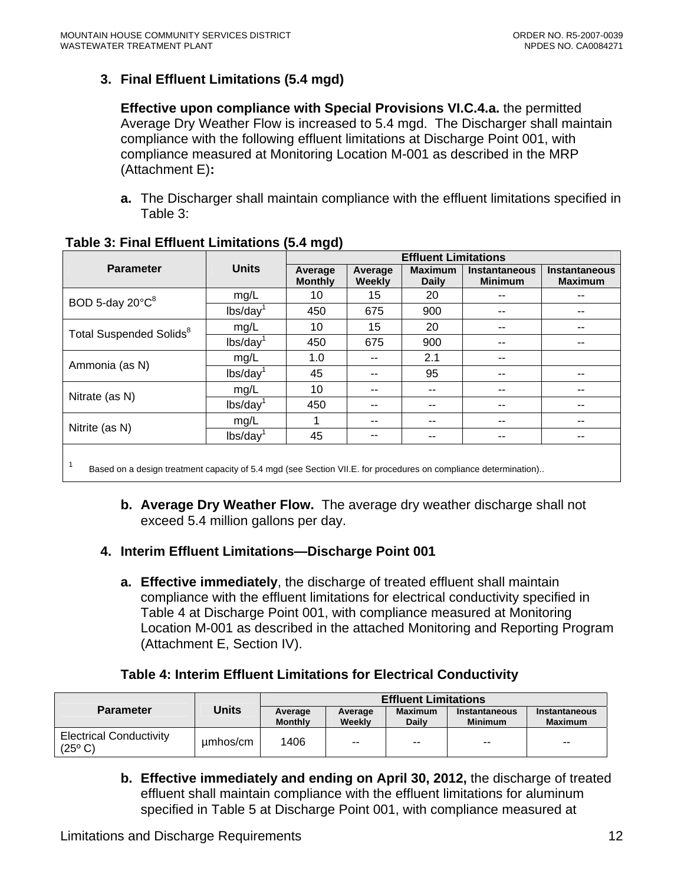# <span id="page-11-0"></span>**3. Final Effluent Limitations (5.4 mgd)**

**Effective upon compliance with Special Provisions VI.C.4.a.** the permitted Average Dry Weather Flow is increased to 5.4 mgd. The Discharger shall maintain compliance with the following effluent limitations at Discharge Point 001, with compliance measured at Monitoring Location M-001 as described in the MRP (Attachment E)**:** 

**a.** The Discharger shall maintain compliance with the effluent limitations specified in Table 3:

|                                                                                                                 |                                          | <b>Effluent Limitations</b> |                   |                                |                                 |                                 |  |
|-----------------------------------------------------------------------------------------------------------------|------------------------------------------|-----------------------------|-------------------|--------------------------------|---------------------------------|---------------------------------|--|
| <b>Parameter</b>                                                                                                | <b>Units</b>                             | Average<br><b>Monthly</b>   | Average<br>Weekly | <b>Maximum</b><br><b>Daily</b> | Instantaneous<br><b>Minimum</b> | Instantaneous<br><b>Maximum</b> |  |
| BOD 5-day $20^{\circ}C^8$                                                                                       | mg/L                                     | 10                          | 15                | 20                             |                                 |                                 |  |
|                                                                                                                 | $\mathsf{lbs}/\mathsf{day}^{\mathsf{d}}$ | 450                         | 675               | 900                            |                                 |                                 |  |
| Total Suspended Solids <sup>8</sup>                                                                             | mg/L                                     | 10                          | 15                | 20                             |                                 |                                 |  |
|                                                                                                                 | $lbs/day$ <sup>1</sup>                   | 450                         | 675               | 900                            | --                              | --                              |  |
|                                                                                                                 | mg/L                                     | 1.0                         |                   | 2.1                            | --                              |                                 |  |
| Ammonia (as N)                                                                                                  | $lbs/day$ <sup>1</sup>                   | 45                          |                   | 95                             | --                              | --                              |  |
|                                                                                                                 | mg/L                                     | 10                          |                   | --                             |                                 | --                              |  |
| Nitrate (as N)                                                                                                  | lbs/day <sup>1</sup>                     | 450                         |                   | --                             | --                              | --                              |  |
|                                                                                                                 | mg/L                                     |                             |                   | --                             | --                              | --                              |  |
| Nitrite (as N)                                                                                                  | lbs/day                                  | 45                          | --                | --                             | --                              | --                              |  |
| Based on a design treatment capacity of 5.4 mgd (see Section VII.E. for procedures on compliance determination) |                                          |                             |                   |                                |                                 |                                 |  |

# **Table 3: Final Effluent Limitations (5.4 mgd)**

**b. Average Dry Weather Flow.** The average dry weather discharge shall not exceed 5.4 million gallons per day.

# **4. Interim Effluent Limitations—Discharge Point 001**

**a. Effective immediately**, the discharge of treated effluent shall maintain compliance with the effluent limitations for electrical conductivity specified in Table 4 at Discharge Point 001, with compliance measured at Monitoring Location M-001 as described in the attached Monitoring and Reporting Program (Attachment E, Section IV).

# **Table 4: Interim Effluent Limitations for Electrical Conductivity**

|                                                    |          | <b>Effluent Limitations</b> |                   |                                |                                                                    |       |  |  |
|----------------------------------------------------|----------|-----------------------------|-------------------|--------------------------------|--------------------------------------------------------------------|-------|--|--|
| <b>Parameter</b>                                   | Units    | Average<br><b>Monthly</b>   | Average<br>Weekly | <b>Maximum</b><br><b>Daily</b> | Instantaneous<br>Instantaneous<br><b>Maximum</b><br><b>Minimum</b> |       |  |  |
| <b>Electrical Conductivity</b><br>$(25^{\circ} C)$ | umhos/cm | 1406                        | $- -$             | $- -$                          | $- -$                                                              | $- -$ |  |  |

**b. Effective immediately and ending on April 30, 2012,** the discharge of treated effluent shall maintain compliance with the effluent limitations for aluminum specified in Table 5 at Discharge Point 001, with compliance measured at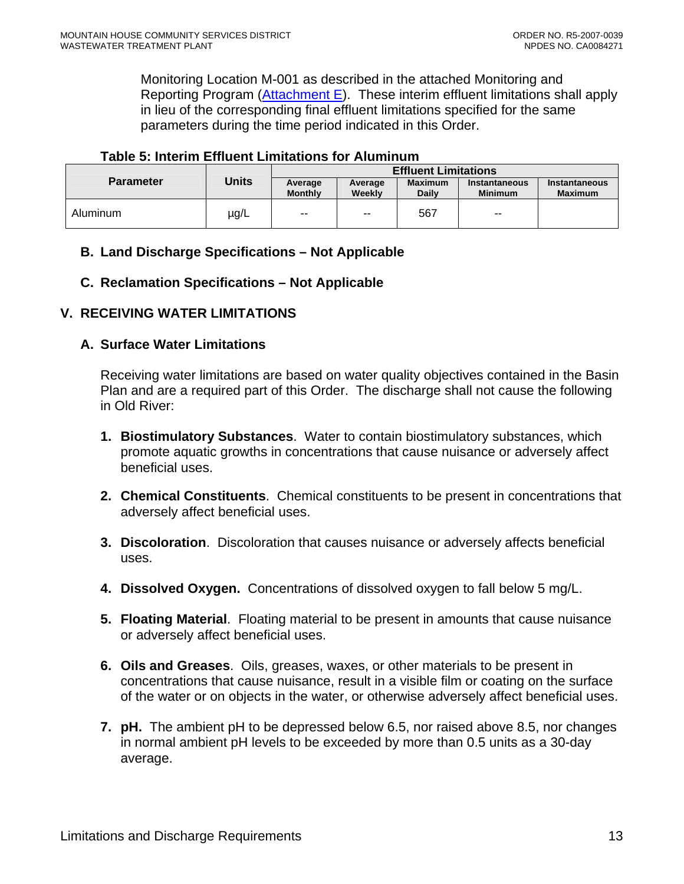<span id="page-12-0"></span>Monitoring Location M-001 as described in the attached Monitoring and Reporting Program ([Attachment E\)](#page-0-0). These interim effluent limitations shall apply in lieu of the corresponding final effluent limitations specified for the same parameters during the time period indicated in this Order.

#### **Table 5: Interim Effluent Limitations for Aluminum**

|                  |           |                           |                          | <b>Effluent Limitations</b>    |                                                   |                      |
|------------------|-----------|---------------------------|--------------------------|--------------------------------|---------------------------------------------------|----------------------|
| <b>Parameter</b> | Units     | Average<br><b>Monthly</b> | Average<br>Weekly        | <b>Maximum</b><br><b>Daily</b> | Instantaneous<br><b>Maximum</b><br><b>Minimum</b> | <b>Instantaneous</b> |
| Aluminum         | $\mu$ g/L | $\overline{\phantom{m}}$  | $\overline{\phantom{a}}$ | 567                            | $\overline{\phantom{a}}$                          |                      |

# **B. Land Discharge Specifications – Not Applicable**

#### **C. Reclamation Specifications – Not Applicable**

#### **V. RECEIVING WATER LIMITATIONS**

#### **A. Surface Water Limitations**

Receiving water limitations are based on water quality objectives contained in the Basin Plan and are a required part of this Order. The discharge shall not cause the following in Old River:

- **1. Biostimulatory Substances**. Water to contain biostimulatory substances, which promote aquatic growths in concentrations that cause nuisance or adversely affect beneficial uses.
- **2. Chemical Constituents**. Chemical constituents to be present in concentrations that adversely affect beneficial uses.
- **3. Discoloration**. Discoloration that causes nuisance or adversely affects beneficial uses.
- **4. Dissolved Oxygen.** Concentrations of dissolved oxygen to fall below 5 mg/L.
- **5. Floating Material**. Floating material to be present in amounts that cause nuisance or adversely affect beneficial uses.
- **6. Oils and Greases**. Oils, greases, waxes, or other materials to be present in concentrations that cause nuisance, result in a visible film or coating on the surface of the water or on objects in the water, or otherwise adversely affect beneficial uses.
- **7. pH.** The ambient pH to be depressed below 6.5, nor raised above 8.5, nor changes in normal ambient pH levels to be exceeded by more than 0.5 units as a 30-day average.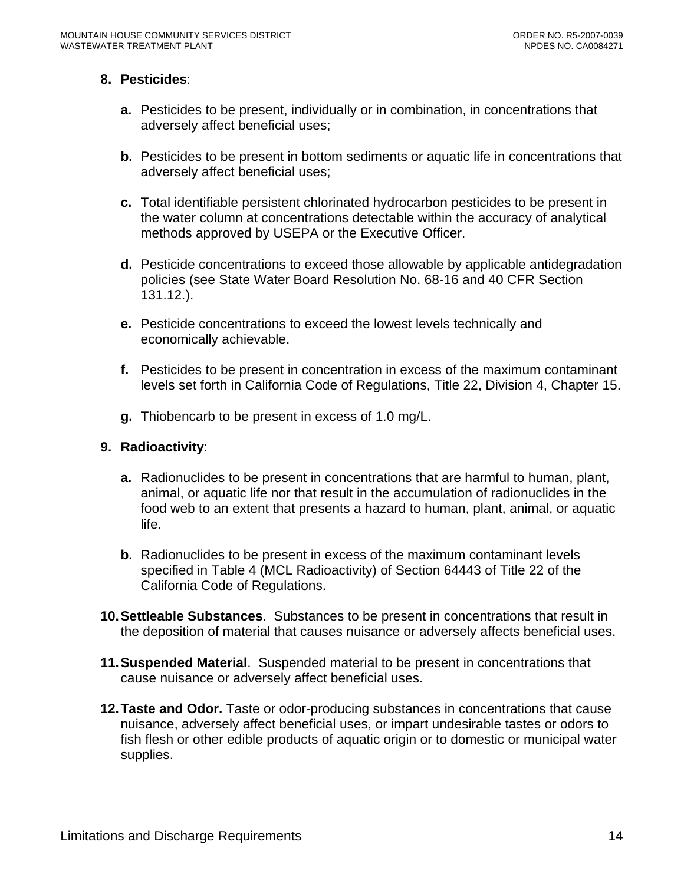#### **8. Pesticides**:

- **a.** Pesticides to be present, individually or in combination, in concentrations that adversely affect beneficial uses;
- **b.** Pesticides to be present in bottom sediments or aquatic life in concentrations that adversely affect beneficial uses;
- **c.** Total identifiable persistent chlorinated hydrocarbon pesticides to be present in the water column at concentrations detectable within the accuracy of analytical methods approved by USEPA or the Executive Officer.
- **d.** Pesticide concentrations to exceed those allowable by applicable antidegradation policies (see State Water Board Resolution No. 68-16 and 40 CFR Section 131.12.).
- **e.** Pesticide concentrations to exceed the lowest levels technically and economically achievable.
- **f.** Pesticides to be present in concentration in excess of the maximum contaminant levels set forth in California Code of Regulations, Title 22, Division 4, Chapter 15.
- **g.** Thiobencarb to be present in excess of 1.0 mg/L.

#### **9. Radioactivity**:

- **a.** Radionuclides to be present in concentrations that are harmful to human, plant, animal, or aquatic life nor that result in the accumulation of radionuclides in the food web to an extent that presents a hazard to human, plant, animal, or aquatic life.
- **b.** Radionuclides to be present in excess of the maximum contaminant levels specified in Table 4 (MCL Radioactivity) of Section 64443 of Title 22 of the California Code of Regulations.
- **10. Settleable Substances**. Substances to be present in concentrations that result in the deposition of material that causes nuisance or adversely affects beneficial uses.
- **11. Suspended Material**. Suspended material to be present in concentrations that cause nuisance or adversely affect beneficial uses.
- **12. Taste and Odor.** Taste or odor-producing substances in concentrations that cause nuisance, adversely affect beneficial uses, or impart undesirable tastes or odors to fish flesh or other edible products of aquatic origin or to domestic or municipal water supplies.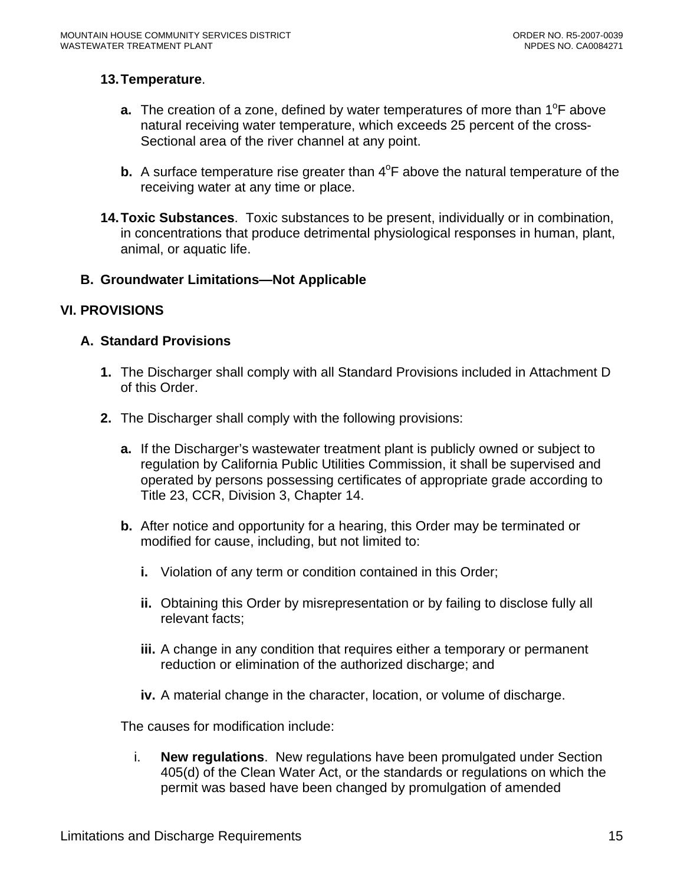#### <span id="page-14-0"></span>**13. Temperature**.

- **a.** The creation of a zone, defined by water temperatures of more than 1<sup>o</sup>F above natural receiving water temperature, which exceeds 25 percent of the cross-Sectional area of the river channel at any point.
- **b.** A surface temperature rise greater than 4<sup>o</sup>F above the natural temperature of the receiving water at any time or place.
- **14. Toxic Substances**. Toxic substances to be present, individually or in combination, in concentrations that produce detrimental physiological responses in human, plant, animal, or aquatic life.

#### **B. Groundwater Limitations—Not Applicable**

# **VI. PROVISIONS**

#### **A. Standard Provisions**

- **1.** The Discharger shall comply with all Standard Provisions included in Attachment D of this Order.
- **2.** The Discharger shall comply with the following provisions:
	- **a.** If the Discharger's wastewater treatment plant is publicly owned or subject to regulation by California Public Utilities Commission, it shall be supervised and operated by persons possessing certificates of appropriate grade according to Title 23, CCR, Division 3, Chapter 14.
	- **b.** After notice and opportunity for a hearing, this Order may be terminated or modified for cause, including, but not limited to:
		- **i.** Violation of any term or condition contained in this Order;
		- **ii.** Obtaining this Order by misrepresentation or by failing to disclose fully all relevant facts;
		- **iii.** A change in any condition that requires either a temporary or permanent reduction or elimination of the authorized discharge; and
		- **iv.** A material change in the character, location, or volume of discharge.

The causes for modification include:

i. **New regulations**. New regulations have been promulgated under Section 405(d) of the Clean Water Act, or the standards or regulations on which the permit was based have been changed by promulgation of amended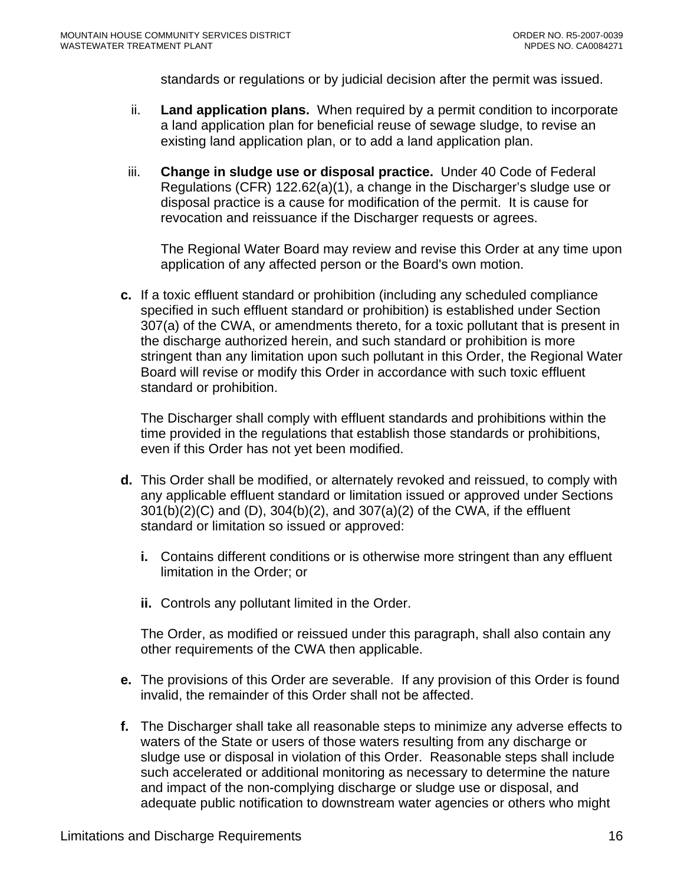standards or regulations or by judicial decision after the permit was issued.

- ii. **Land application plans.** When required by a permit condition to incorporate a land application plan for beneficial reuse of sewage sludge, to revise an existing land application plan, or to add a land application plan.
- iii. **Change in sludge use or disposal practice.** Under 40 Code of Federal Regulations (CFR) 122.62(a)(1), a change in the Discharger's sludge use or disposal practice is a cause for modification of the permit. It is cause for revocation and reissuance if the Discharger requests or agrees.

The Regional Water Board may review and revise this Order at any time upon application of any affected person or the Board's own motion.

**c.** If a toxic effluent standard or prohibition (including any scheduled compliance specified in such effluent standard or prohibition) is established under Section 307(a) of the CWA, or amendments thereto, for a toxic pollutant that is present in the discharge authorized herein, and such standard or prohibition is more stringent than any limitation upon such pollutant in this Order, the Regional Water Board will revise or modify this Order in accordance with such toxic effluent standard or prohibition.

The Discharger shall comply with effluent standards and prohibitions within the time provided in the regulations that establish those standards or prohibitions, even if this Order has not yet been modified.

- **d.** This Order shall be modified, or alternately revoked and reissued, to comply with any applicable effluent standard or limitation issued or approved under Sections 301(b)(2)(C) and (D), 304(b)(2), and 307(a)(2) of the CWA, if the effluent standard or limitation so issued or approved:
	- **i.** Contains different conditions or is otherwise more stringent than any effluent limitation in the Order; or
	- **ii.** Controls any pollutant limited in the Order.

The Order, as modified or reissued under this paragraph, shall also contain any other requirements of the CWA then applicable.

- **e.** The provisions of this Order are severable. If any provision of this Order is found invalid, the remainder of this Order shall not be affected.
- **f.** The Discharger shall take all reasonable steps to minimize any adverse effects to waters of the State or users of those waters resulting from any discharge or sludge use or disposal in violation of this Order. Reasonable steps shall include such accelerated or additional monitoring as necessary to determine the nature and impact of the non-complying discharge or sludge use or disposal, and adequate public notification to downstream water agencies or others who might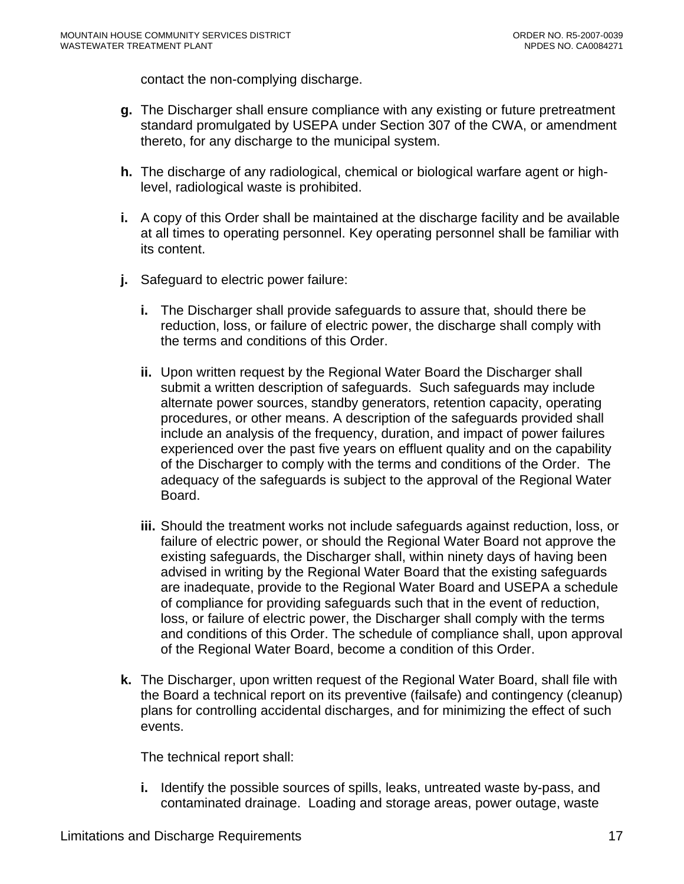contact the non-complying discharge.

- **g.** The Discharger shall ensure compliance with any existing or future pretreatment standard promulgated by USEPA under Section 307 of the CWA, or amendment thereto, for any discharge to the municipal system.
- **h.** The discharge of any radiological, chemical or biological warfare agent or highlevel, radiological waste is prohibited.
- **i.** A copy of this Order shall be maintained at the discharge facility and be available at all times to operating personnel. Key operating personnel shall be familiar with its content.
- **j.** Safeguard to electric power failure:
	- **i.** The Discharger shall provide safeguards to assure that, should there be reduction, loss, or failure of electric power, the discharge shall comply with the terms and conditions of this Order.
	- **ii.** Upon written request by the Regional Water Board the Discharger shall submit a written description of safeguards. Such safeguards may include alternate power sources, standby generators, retention capacity, operating procedures, or other means. A description of the safeguards provided shall include an analysis of the frequency, duration, and impact of power failures experienced over the past five years on effluent quality and on the capability of the Discharger to comply with the terms and conditions of the Order. The adequacy of the safeguards is subject to the approval of the Regional Water Board.
	- **iii.** Should the treatment works not include safeguards against reduction, loss, or failure of electric power, or should the Regional Water Board not approve the existing safeguards, the Discharger shall, within ninety days of having been advised in writing by the Regional Water Board that the existing safeguards are inadequate, provide to the Regional Water Board and USEPA a schedule of compliance for providing safeguards such that in the event of reduction, loss, or failure of electric power, the Discharger shall comply with the terms and conditions of this Order. The schedule of compliance shall, upon approval of the Regional Water Board, become a condition of this Order.
- **k.** The Discharger, upon written request of the Regional Water Board, shall file with the Board a technical report on its preventive (failsafe) and contingency (cleanup) plans for controlling accidental discharges, and for minimizing the effect of such events.

The technical report shall:

**i.** Identify the possible sources of spills, leaks, untreated waste by-pass, and contaminated drainage. Loading and storage areas, power outage, waste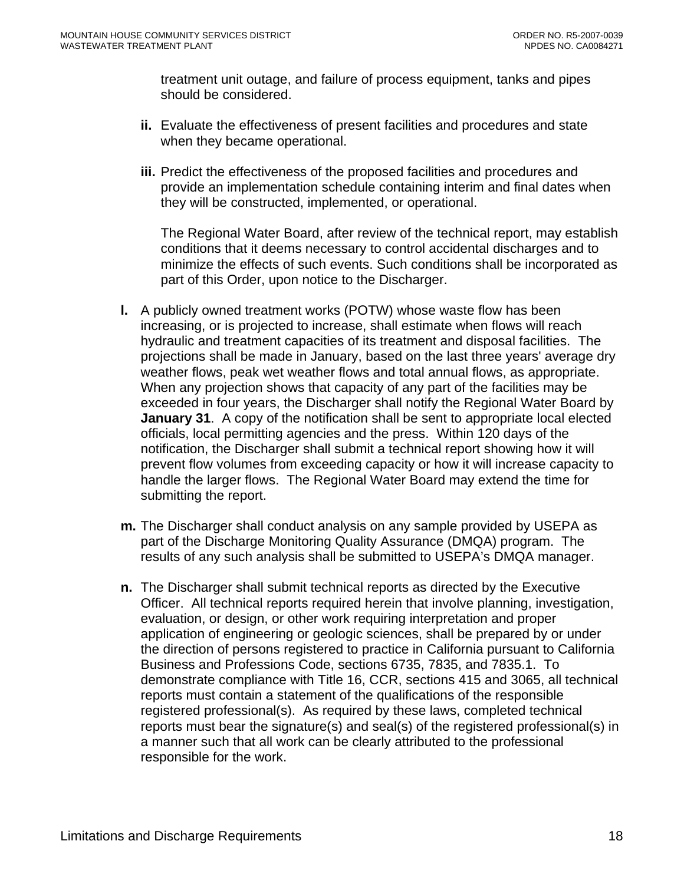treatment unit outage, and failure of process equipment, tanks and pipes should be considered.

- **ii.** Evaluate the effectiveness of present facilities and procedures and state when they became operational.
- **iii.** Predict the effectiveness of the proposed facilities and procedures and provide an implementation schedule containing interim and final dates when they will be constructed, implemented, or operational.

The Regional Water Board, after review of the technical report, may establish conditions that it deems necessary to control accidental discharges and to minimize the effects of such events. Such conditions shall be incorporated as part of this Order, upon notice to the Discharger.

- **l.** A publicly owned treatment works (POTW) whose waste flow has been increasing, or is projected to increase, shall estimate when flows will reach hydraulic and treatment capacities of its treatment and disposal facilities. The projections shall be made in January, based on the last three years' average dry weather flows, peak wet weather flows and total annual flows, as appropriate. When any projection shows that capacity of any part of the facilities may be exceeded in four years, the Discharger shall notify the Regional Water Board by **January 31.** A copy of the notification shall be sent to appropriate local elected officials, local permitting agencies and the press. Within 120 days of the notification, the Discharger shall submit a technical report showing how it will prevent flow volumes from exceeding capacity or how it will increase capacity to handle the larger flows. The Regional Water Board may extend the time for submitting the report.
- **m.** The Discharger shall conduct analysis on any sample provided by USEPA as part of the Discharge Monitoring Quality Assurance (DMQA) program. The results of any such analysis shall be submitted to USEPA's DMQA manager.
- **n.** The Discharger shall submit technical reports as directed by the Executive Officer. All technical reports required herein that involve planning, investigation, evaluation, or design, or other work requiring interpretation and proper application of engineering or geologic sciences, shall be prepared by or under the direction of persons registered to practice in California pursuant to California Business and Professions Code, sections 6735, 7835, and 7835.1. To demonstrate compliance with Title 16, CCR, sections 415 and 3065, all technical reports must contain a statement of the qualifications of the responsible registered professional(s). As required by these laws, completed technical reports must bear the signature(s) and seal(s) of the registered professional(s) in a manner such that all work can be clearly attributed to the professional responsible for the work.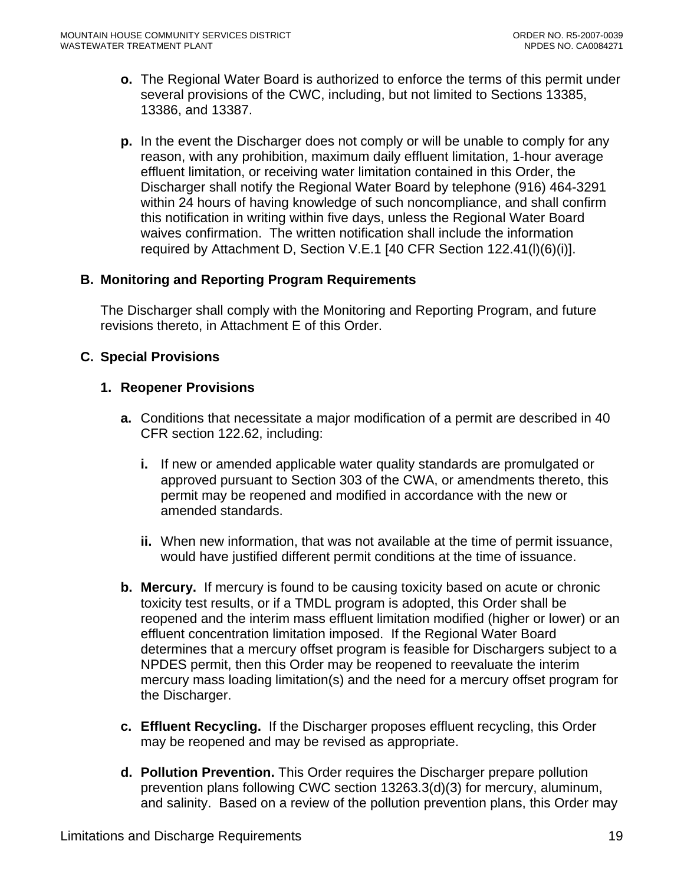- <span id="page-18-0"></span>**o.** The Regional Water Board is authorized to enforce the terms of this permit under several provisions of the CWC, including, but not limited to Sections 13385, 13386, and 13387.
- **p.** In the event the Discharger does not comply or will be unable to comply for any reason, with any prohibition, maximum daily effluent limitation, 1-hour average effluent limitation, or receiving water limitation contained in this Order, the Discharger shall notify the Regional Water Board by telephone (916) 464-3291 within 24 hours of having knowledge of such noncompliance, and shall confirm this notification in writing within five days, unless the Regional Water Board waives confirmation. The written notification shall include the information required by Attachment D, Section V.E.1 [40 CFR Section 122.41(l)(6)(i)].

# **B. Monitoring and Reporting Program Requirements**

The Discharger shall comply with the Monitoring and Reporting Program, and future revisions thereto, in Attachment E of this Order.

#### **C. Special Provisions**

#### **1. Reopener Provisions**

- **a.** Conditions that necessitate a major modification of a permit are described in 40 CFR section 122.62, including:
	- **i.** If new or amended applicable water quality standards are promulgated or approved pursuant to Section 303 of the CWA, or amendments thereto, this permit may be reopened and modified in accordance with the new or amended standards.
	- **ii.** When new information, that was not available at the time of permit issuance, would have justified different permit conditions at the time of issuance.
- **b. Mercury.** If mercury is found to be causing toxicity based on acute or chronic toxicity test results, or if a TMDL program is adopted, this Order shall be reopened and the interim mass effluent limitation modified (higher or lower) or an effluent concentration limitation imposed. If the Regional Water Board determines that a mercury offset program is feasible for Dischargers subject to a NPDES permit, then this Order may be reopened to reevaluate the interim mercury mass loading limitation(s) and the need for a mercury offset program for the Discharger.
- **c. Effluent Recycling.** If the Discharger proposes effluent recycling, this Order may be reopened and may be revised as appropriate.
- **d. Pollution Prevention.** This Order requires the Discharger prepare pollution prevention plans following CWC section 13263.3(d)(3) for mercury, aluminum, and salinity. Based on a review of the pollution prevention plans, this Order may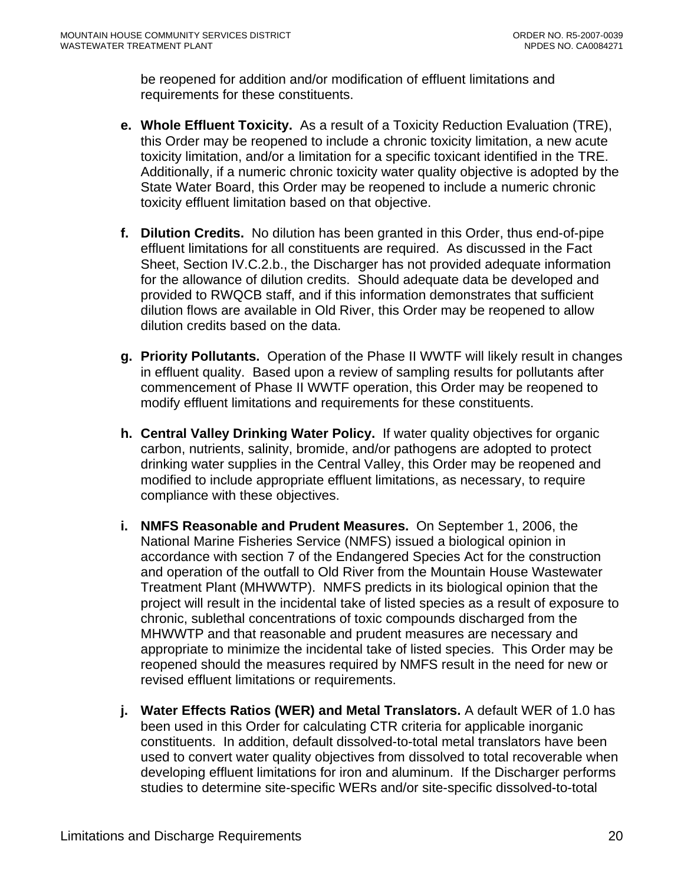be reopened for addition and/or modification of effluent limitations and requirements for these constituents.

- **e. Whole Effluent Toxicity.** As a result of a Toxicity Reduction Evaluation (TRE), this Order may be reopened to include a chronic toxicity limitation, a new acute toxicity limitation, and/or a limitation for a specific toxicant identified in the TRE. Additionally, if a numeric chronic toxicity water quality objective is adopted by the State Water Board, this Order may be reopened to include a numeric chronic toxicity effluent limitation based on that objective.
- **f. Dilution Credits.** No dilution has been granted in this Order, thus end-of-pipe effluent limitations for all constituents are required. As discussed in the Fact Sheet, Section IV.C.2.b., the Discharger has not provided adequate information for the allowance of dilution credits. Should adequate data be developed and provided to RWQCB staff, and if this information demonstrates that sufficient dilution flows are available in Old River, this Order may be reopened to allow dilution credits based on the data.
- **g. Priority Pollutants.** Operation of the Phase II WWTF will likely result in changes in effluent quality. Based upon a review of sampling results for pollutants after commencement of Phase II WWTF operation, this Order may be reopened to modify effluent limitations and requirements for these constituents.
- **h. Central Valley Drinking Water Policy.** If water quality objectives for organic carbon, nutrients, salinity, bromide, and/or pathogens are adopted to protect drinking water supplies in the Central Valley, this Order may be reopened and modified to include appropriate effluent limitations, as necessary, to require compliance with these objectives.
- **i. NMFS Reasonable and Prudent Measures.** On September 1, 2006, the National Marine Fisheries Service (NMFS) issued a biological opinion in accordance with section 7 of the Endangered Species Act for the construction and operation of the outfall to Old River from the Mountain House Wastewater Treatment Plant (MHWWTP). NMFS predicts in its biological opinion that the project will result in the incidental take of listed species as a result of exposure to chronic, sublethal concentrations of toxic compounds discharged from the MHWWTP and that reasonable and prudent measures are necessary and appropriate to minimize the incidental take of listed species. This Order may be reopened should the measures required by NMFS result in the need for new or revised effluent limitations or requirements.
- **j. Water Effects Ratios (WER) and Metal Translators.** A default WER of 1.0 has been used in this Order for calculating CTR criteria for applicable inorganic constituents.In addition, default dissolved-to-total metal translators have been used to convert water quality objectives from dissolved to total recoverable when developing effluent limitations for iron and aluminum. If the Discharger performs studies to determine site-specific WERs and/or site-specific dissolved-to-total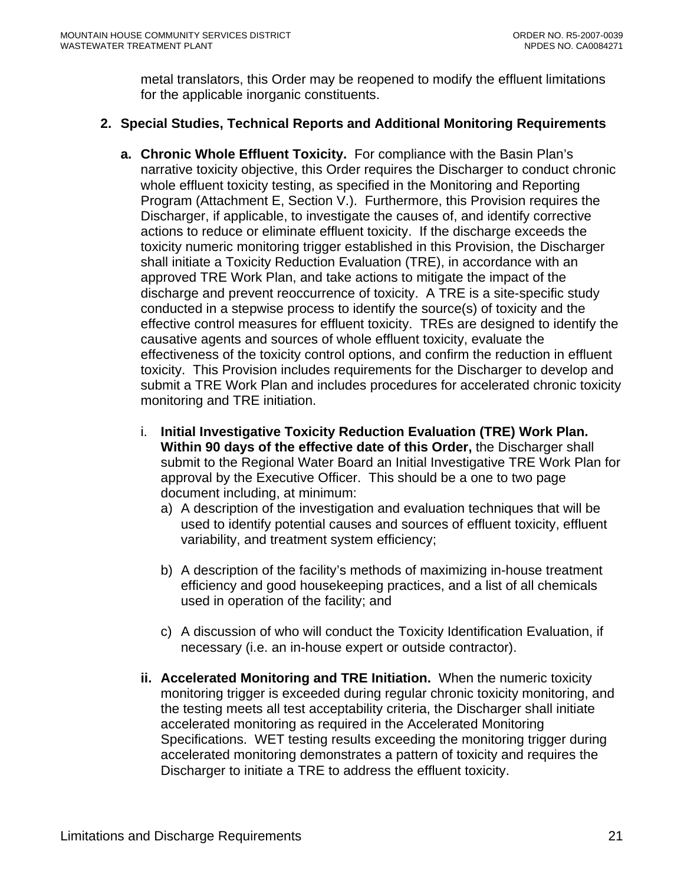metal translators, this Order may be reopened to modify the effluent limitations for the applicable inorganic constituents.

# <span id="page-20-0"></span>**2. Special Studies, Technical Reports and Additional Monitoring Requirements**

- **a. Chronic Whole Effluent Toxicity.** For compliance with the Basin Plan's narrative toxicity objective, this Order requires the Discharger to conduct chronic whole effluent toxicity testing, as specified in the Monitoring and Reporting Program (Attachment E, Section V.). Furthermore, this Provision requires the Discharger, if applicable, to investigate the causes of, and identify corrective actions to reduce or eliminate effluent toxicity. If the discharge exceeds the toxicity numeric monitoring trigger established in this Provision, the Discharger shall initiate a Toxicity Reduction Evaluation (TRE), in accordance with an approved TRE Work Plan, and take actions to mitigate the impact of the discharge and prevent reoccurrence of toxicity. A TRE is a site-specific study conducted in a stepwise process to identify the source(s) of toxicity and the effective control measures for effluent toxicity. TREs are designed to identify the causative agents and sources of whole effluent toxicity, evaluate the effectiveness of the toxicity control options, and confirm the reduction in effluent toxicity. This Provision includes requirements for the Discharger to develop and submit a TRE Work Plan and includes procedures for accelerated chronic toxicity monitoring and TRE initiation.
	- i. **Initial Investigative Toxicity Reduction Evaluation (TRE) Work Plan. Within 90 days of the effective date of this Order,** the Discharger shall submit to the Regional Water Board an Initial Investigative TRE Work Plan for approval by the Executive Officer. This should be a one to two page document including, at minimum:
		- a) A description of the investigation and evaluation techniques that will be used to identify potential causes and sources of effluent toxicity, effluent variability, and treatment system efficiency;
		- b) A description of the facility's methods of maximizing in-house treatment efficiency and good housekeeping practices, and a list of all chemicals used in operation of the facility; and
		- c) A discussion of who will conduct the Toxicity Identification Evaluation, if necessary (i.e. an in-house expert or outside contractor).
	- **ii. Accelerated Monitoring and TRE Initiation.** When the numeric toxicity monitoring trigger is exceeded during regular chronic toxicity monitoring, and the testing meets all test acceptability criteria, the Discharger shall initiate accelerated monitoring as required in the Accelerated Monitoring Specifications. WET testing results exceeding the monitoring trigger during accelerated monitoring demonstrates a pattern of toxicity and requires the Discharger to initiate a TRE to address the effluent toxicity.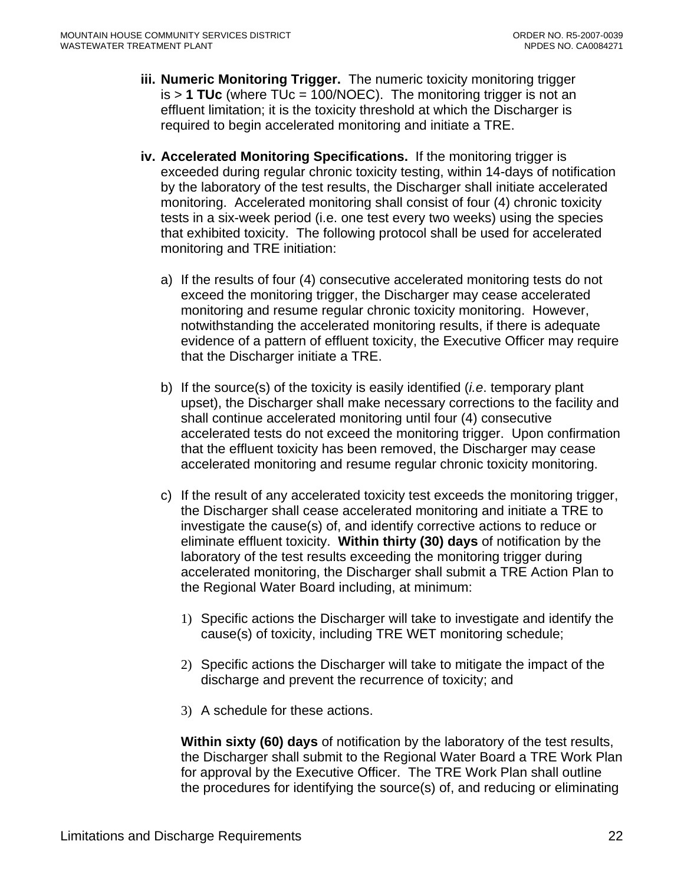- **iii. Numeric Monitoring Trigger.** The numeric toxicity monitoring trigger is > **1 TUc** (where TUc = 100/NOEC). The monitoring trigger is not an effluent limitation; it is the toxicity threshold at which the Discharger is required to begin accelerated monitoring and initiate a TRE.
- **iv. Accelerated Monitoring Specifications.** If the monitoring trigger is exceeded during regular chronic toxicity testing, within 14-days of notification by the laboratory of the test results, the Discharger shall initiate accelerated monitoring. Accelerated monitoring shall consist of four (4) chronic toxicity tests in a six-week period (i.e. one test every two weeks) using the species that exhibited toxicity. The following protocol shall be used for accelerated monitoring and TRE initiation:
	- a) If the results of four (4) consecutive accelerated monitoring tests do not exceed the monitoring trigger, the Discharger may cease accelerated monitoring and resume regular chronic toxicity monitoring. However, notwithstanding the accelerated monitoring results, if there is adequate evidence of a pattern of effluent toxicity, the Executive Officer may require that the Discharger initiate a TRE.
	- b) If the source(s) of the toxicity is easily identified (*i.e*. temporary plant upset), the Discharger shall make necessary corrections to the facility and shall continue accelerated monitoring until four (4) consecutive accelerated tests do not exceed the monitoring trigger. Upon confirmation that the effluent toxicity has been removed, the Discharger may cease accelerated monitoring and resume regular chronic toxicity monitoring.
	- c) If the result of any accelerated toxicity test exceeds the monitoring trigger, the Discharger shall cease accelerated monitoring and initiate a TRE to investigate the cause(s) of, and identify corrective actions to reduce or eliminate effluent toxicity. **Within thirty (30) days** of notification by the laboratory of the test results exceeding the monitoring trigger during accelerated monitoring, the Discharger shall submit a TRE Action Plan to the Regional Water Board including, at minimum:
		- 1) Specific actions the Discharger will take to investigate and identify the cause(s) of toxicity, including TRE WET monitoring schedule;
		- 2) Specific actions the Discharger will take to mitigate the impact of the discharge and prevent the recurrence of toxicity; and
		- 3) A schedule for these actions.

**Within sixty (60) days** of notification by the laboratory of the test results, the Discharger shall submit to the Regional Water Board a TRE Work Plan for approval by the Executive Officer. The TRE Work Plan shall outline the procedures for identifying the source(s) of, and reducing or eliminating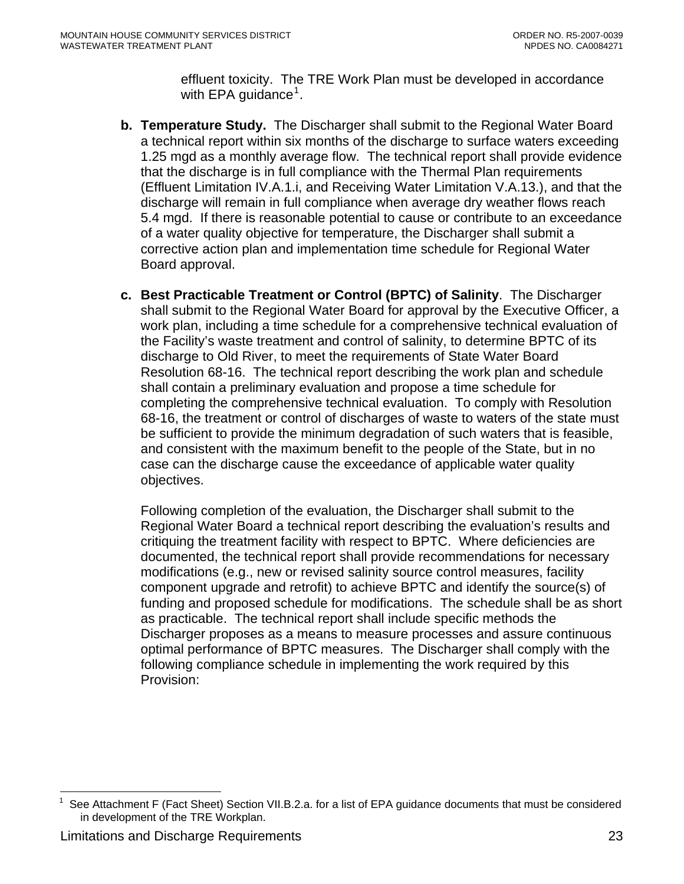effluent toxicity. The TRE Work Plan must be developed in accordance with EPA guidance<sup>[1](#page-22-0)</sup>.

- <span id="page-22-0"></span>**b. Temperature Study.** The Discharger shall submit to the Regional Water Board a technical report within six months of the discharge to surface waters exceeding 1.25 mgd as a monthly average flow. The technical report shall provide evidence that the discharge is in full compliance with the Thermal Plan requirements (Effluent Limitation IV.A.1.i, and Receiving Water Limitation V.A.13.), and that the discharge will remain in full compliance when average dry weather flows reach 5.4 mgd. If there is reasonable potential to cause or contribute to an exceedance of a water quality objective for temperature, the Discharger shall submit a corrective action plan and implementation time schedule for Regional Water Board approval.
- **c. Best Practicable Treatment or Control (BPTC) of Salinity**. The Discharger shall submit to the Regional Water Board for approval by the Executive Officer, a work plan, including a time schedule for a comprehensive technical evaluation of the Facility's waste treatment and control of salinity, to determine BPTC of its discharge to Old River, to meet the requirements of State Water Board Resolution 68-16. The technical report describing the work plan and schedule shall contain a preliminary evaluation and propose a time schedule for completing the comprehensive technical evaluation. To comply with Resolution 68-16, the treatment or control of discharges of waste to waters of the state must be sufficient to provide the minimum degradation of such waters that is feasible, and consistent with the maximum benefit to the people of the State, but in no case can the discharge cause the exceedance of applicable water quality objectives.

Following completion of the evaluation, the Discharger shall submit to the Regional Water Board a technical report describing the evaluation's results and critiquing the treatment facility with respect to BPTC. Where deficiencies are documented, the technical report shall provide recommendations for necessary modifications (e.g., new or revised salinity source control measures, facility component upgrade and retrofit) to achieve BPTC and identify the source(s) of funding and proposed schedule for modifications. The schedule shall be as short as practicable. The technical report shall include specific methods the Discharger proposes as a means to measure processes and assure continuous optimal performance of BPTC measures. The Discharger shall comply with the following compliance schedule in implementing the work required by this Provision:

 $\overline{a}$ See Attachment F (Fact Sheet) Section VII.B.2.a. for a list of EPA guidance documents that must be considered in development of the TRE Workplan.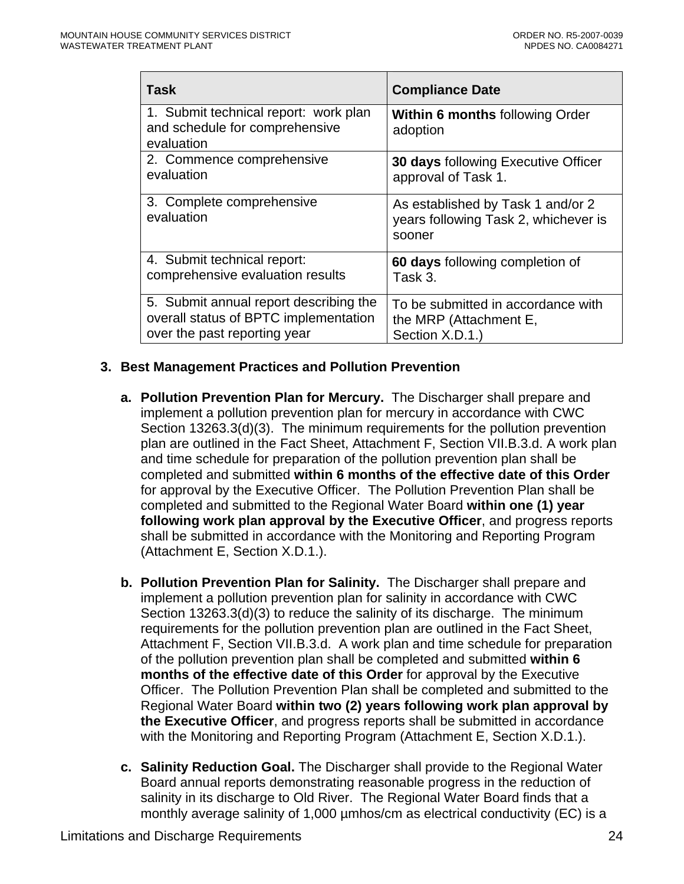<span id="page-23-0"></span>

| <b>Task</b>                                                                           | <b>Compliance Date</b>                                                              |
|---------------------------------------------------------------------------------------|-------------------------------------------------------------------------------------|
| 1. Submit technical report: work plan<br>and schedule for comprehensive<br>evaluation | <b>Within 6 months following Order</b><br>adoption                                  |
| 2. Commence comprehensive                                                             | <b>30 days following Executive Officer</b>                                          |
| evaluation                                                                            | approval of Task 1.                                                                 |
| 3. Complete comprehensive<br>evaluation                                               | As established by Task 1 and/or 2<br>years following Task 2, whichever is<br>sooner |
| 4. Submit technical report:                                                           | 60 days following completion of                                                     |
| comprehensive evaluation results                                                      | Task 3.                                                                             |
| 5. Submit annual report describing the                                                | To be submitted in accordance with                                                  |
| overall status of BPTC implementation                                                 | the MRP (Attachment E,                                                              |
| over the past reporting year                                                          | Section X.D.1.)                                                                     |

#### **3. Best Management Practices and Pollution Prevention**

- **a. Pollution Prevention Plan for Mercury.** The Discharger shall prepare and implement a pollution prevention plan for mercury in accordance with CWC Section 13263.3(d)(3). The minimum requirements for the pollution prevention plan are outlined in the Fact Sheet, Attachment F, Section VII.B.3.d. A work plan and time schedule for preparation of the pollution prevention plan shall be completed and submitted **within 6 months of the effective date of this Order**  for approval by the Executive Officer. The Pollution Prevention Plan shall be completed and submitted to the Regional Water Board **within one (1) year following work plan approval by the Executive Officer**, and progress reports shall be submitted in accordance with the Monitoring and Reporting Program (Attachment E, Section X.D.1.).
- **b. Pollution Prevention Plan for Salinity.** The Discharger shall prepare and implement a pollution prevention plan for salinity in accordance with CWC Section 13263.3(d)(3) to reduce the salinity of its discharge. The minimum requirements for the pollution prevention plan are outlined in the Fact Sheet, Attachment F, Section VII.B.3.d. A work plan and time schedule for preparation of the pollution prevention plan shall be completed and submitted **within 6 months of the effective date of this Order** for approval by the Executive Officer. The Pollution Prevention Plan shall be completed and submitted to the Regional Water Board **within two (2) years following work plan approval by the Executive Officer**, and progress reports shall be submitted in accordance with the Monitoring and Reporting Program (Attachment E, Section X.D.1.).
- **c. Salinity Reduction Goal.** The Discharger shall provide to the Regional Water Board annual reports demonstrating reasonable progress in the reduction of salinity in its discharge to Old River. The Regional Water Board finds that a monthly average salinity of 1,000 µmhos/cm as electrical conductivity (EC) is a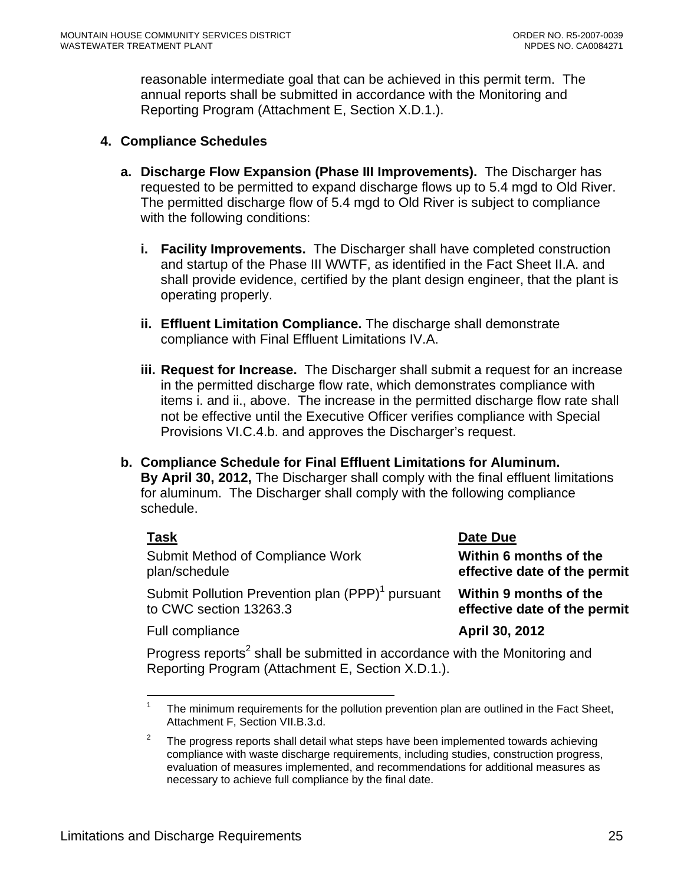<span id="page-24-0"></span>reasonable intermediate goal that can be achieved in this permit term. The annual reports shall be submitted in accordance with the Monitoring and Reporting Program (Attachment E, Section X.D.1.).

#### **4. Compliance Schedules**

- **a. Discharge Flow Expansion (Phase III Improvements).** The Discharger has requested to be permitted to expand discharge flows up to 5.4 mgd to Old River. The permitted discharge flow of 5.4 mgd to Old River is subject to compliance with the following conditions:
	- **i. Facility Improvements.** The Discharger shall have completed construction and startup of the Phase III WWTF, as identified in the Fact Sheet II.A. and shall provide evidence, certified by the plant design engineer, that the plant is operating properly.
	- **ii. Effluent Limitation Compliance.** The discharge shall demonstrate compliance with Final Effluent Limitations IV.A.
	- **iii. Request for Increase.** The Discharger shall submit a request for an increase in the permitted discharge flow rate, which demonstrates compliance with items i. and ii., above. The increase in the permitted discharge flow rate shall not be effective until the Executive Officer verifies compliance with Special Provisions VI.C.4.b. and approves the Discharger's request.
- **b. Compliance Schedule for Final Effluent Limitations for Aluminum. By April 30, 2012,** The Discharger shall comply with the final effluent limitations for aluminum. The Discharger shall comply with the following compliance schedule.

| <b>Task</b>                                                  | Date Due                     |
|--------------------------------------------------------------|------------------------------|
| Submit Method of Compliance Work                             | Within 6 months of the       |
| plan/schedule                                                | effective date of the permit |
| Submit Pollution Prevention plan (PPP) <sup>1</sup> pursuant | Within 9 months of the       |
| to CWC section 13263.3                                       | effective date of the permit |
| Full compliance                                              | April 30, 2012               |

Progress reports<sup>2</sup> shall be submitted in accordance with the Monitoring and Reporting Program (Attachment E, Section X.D.1.).

<sup>1</sup> The minimum requirements for the pollution prevention plan are outlined in the Fact Sheet, Attachment F, Section VII.B.3.d.

<sup>2</sup> The progress reports shall detail what steps have been implemented towards achieving compliance with waste discharge requirements, including studies, construction progress, evaluation of measures implemented, and recommendations for additional measures as necessary to achieve full compliance by the final date.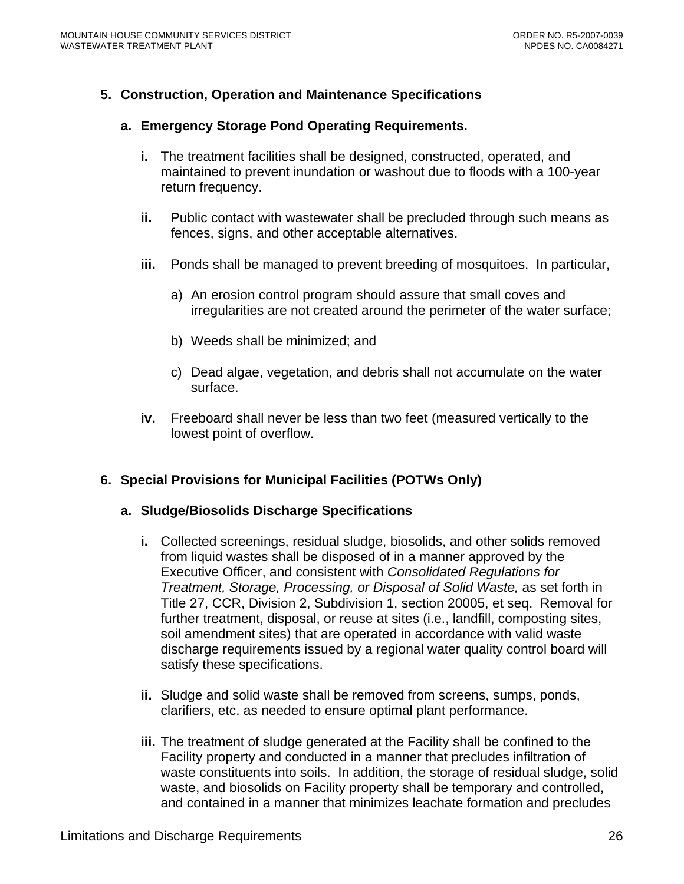# <span id="page-25-0"></span>**5. Construction, Operation and Maintenance Specifications**

#### **a. Emergency Storage Pond Operating Requirements.**

- **i.** The treatment facilities shall be designed, constructed, operated, and maintained to prevent inundation or washout due to floods with a 100-year return frequency.
- **ii.** Public contact with wastewater shall be precluded through such means as fences, signs, and other acceptable alternatives.
- **iii.** Ponds shall be managed to prevent breeding of mosquitoes. In particular,
	- a) An erosion control program should assure that small coves and irregularities are not created around the perimeter of the water surface;
	- b) Weeds shall be minimized; and
	- c) Dead algae, vegetation, and debris shall not accumulate on the water surface.
- **iv.** Freeboard shall never be less than two feet (measured vertically to the lowest point of overflow.

#### **6. Special Provisions for Municipal Facilities (POTWs Only)**

#### **a. Sludge/Biosolids Discharge Specifications**

- **i.** Collected screenings, residual sludge, biosolids, and other solids removed from liquid wastes shall be disposed of in a manner approved by the Executive Officer, and consistent with *Consolidated Regulations for Treatment, Storage, Processing, or Disposal of Solid Waste,* as set forth in Title 27, CCR, Division 2, Subdivision 1, section 20005, et seq. Removal for further treatment, disposal, or reuse at sites (i.e., landfill, composting sites, soil amendment sites) that are operated in accordance with valid waste discharge requirements issued by a regional water quality control board will satisfy these specifications.
- **ii.** Sludge and solid waste shall be removed from screens, sumps, ponds, clarifiers, etc. as needed to ensure optimal plant performance.
- **iii.** The treatment of sludge generated at the Facility shall be confined to the Facility property and conducted in a manner that precludes infiltration of waste constituents into soils. In addition, the storage of residual sludge, solid waste, and biosolids on Facility property shall be temporary and controlled, and contained in a manner that minimizes leachate formation and precludes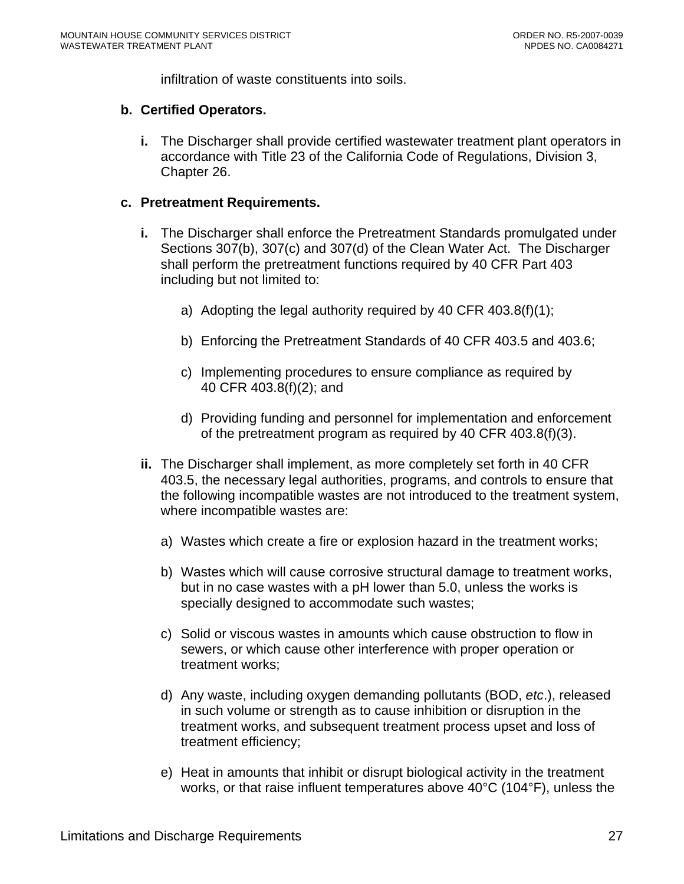infiltration of waste constituents into soils.

#### **b. Certified Operators.**

**i.** The Discharger shall provide certified wastewater treatment plant operators in accordance with Title 23 of the California Code of Regulations, Division 3, Chapter 26.

#### **c. Pretreatment Requirements.**

- **i.** The Discharger shall enforce the Pretreatment Standards promulgated under Sections 307(b), 307(c) and 307(d) of the Clean Water Act. The Discharger shall perform the pretreatment functions required by 40 CFR Part 403 including but not limited to:
	- a) Adopting the legal authority required by 40 CFR 403.8(f)(1);
	- b) Enforcing the Pretreatment Standards of 40 CFR 403.5 and 403.6;
	- c) Implementing procedures to ensure compliance as required by 40 CFR 403.8(f)(2); and
	- d) Providing funding and personnel for implementation and enforcement of the pretreatment program as required by 40 CFR 403.8(f)(3).
- **ii.** The Discharger shall implement, as more completely set forth in 40 CFR 403.5, the necessary legal authorities, programs, and controls to ensure that the following incompatible wastes are not introduced to the treatment system, where incompatible wastes are:
	- a) Wastes which create a fire or explosion hazard in the treatment works;
	- b) Wastes which will cause corrosive structural damage to treatment works, but in no case wastes with a pH lower than 5.0, unless the works is specially designed to accommodate such wastes;
	- c) Solid or viscous wastes in amounts which cause obstruction to flow in sewers, or which cause other interference with proper operation or treatment works;
	- d) Any waste, including oxygen demanding pollutants (BOD, *etc*.), released in such volume or strength as to cause inhibition or disruption in the treatment works, and subsequent treatment process upset and loss of treatment efficiency;
	- e) Heat in amounts that inhibit or disrupt biological activity in the treatment works, or that raise influent temperatures above 40°C (104°F), unless the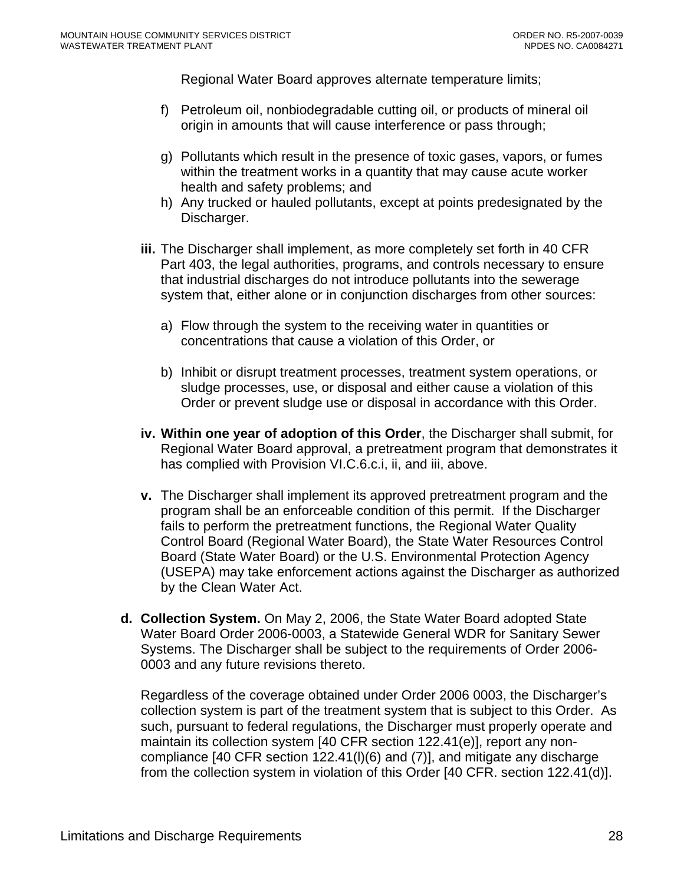Regional Water Board approves alternate temperature limits;

- f) Petroleum oil, nonbiodegradable cutting oil, or products of mineral oil origin in amounts that will cause interference or pass through;
- g) Pollutants which result in the presence of toxic gases, vapors, or fumes within the treatment works in a quantity that may cause acute worker health and safety problems; and
- h) Any trucked or hauled pollutants, except at points predesignated by the Discharger.
- **iii.** The Discharger shall implement, as more completely set forth in 40 CFR Part 403, the legal authorities, programs, and controls necessary to ensure that industrial discharges do not introduce pollutants into the sewerage system that, either alone or in conjunction discharges from other sources:
	- a) Flow through the system to the receiving water in quantities or concentrations that cause a violation of this Order, or
	- b) Inhibit or disrupt treatment processes, treatment system operations, or sludge processes, use, or disposal and either cause a violation of this Order or prevent sludge use or disposal in accordance with this Order.
- **iv. Within one year of adoption of this Order**, the Discharger shall submit, for Regional Water Board approval, a pretreatment program that demonstrates it has complied with Provision VI.C.6.c.i, ii, and iii, above.
- **v.** The Discharger shall implement its approved pretreatment program and the program shall be an enforceable condition of this permit. If the Discharger fails to perform the pretreatment functions, the Regional Water Quality Control Board (Regional Water Board), the State Water Resources Control Board (State Water Board) or the U.S. Environmental Protection Agency (USEPA) may take enforcement actions against the Discharger as authorized by the Clean Water Act.
- **d. Collection System.** On May 2, 2006, the State Water Board adopted State Water Board Order 2006-0003, a Statewide General WDR for Sanitary Sewer Systems. The Discharger shall be subject to the requirements of Order 2006- 0003 and any future revisions thereto.

Regardless of the coverage obtained under Order 2006 0003, the Discharger's collection system is part of the treatment system that is subject to this Order. As such, pursuant to federal regulations, the Discharger must properly operate and maintain its collection system [40 CFR section 122.41(e)], report any noncompliance [40 CFR section 122.41(l)(6) and (7)], and mitigate any discharge from the collection system in violation of this Order [40 CFR. section 122.41(d)].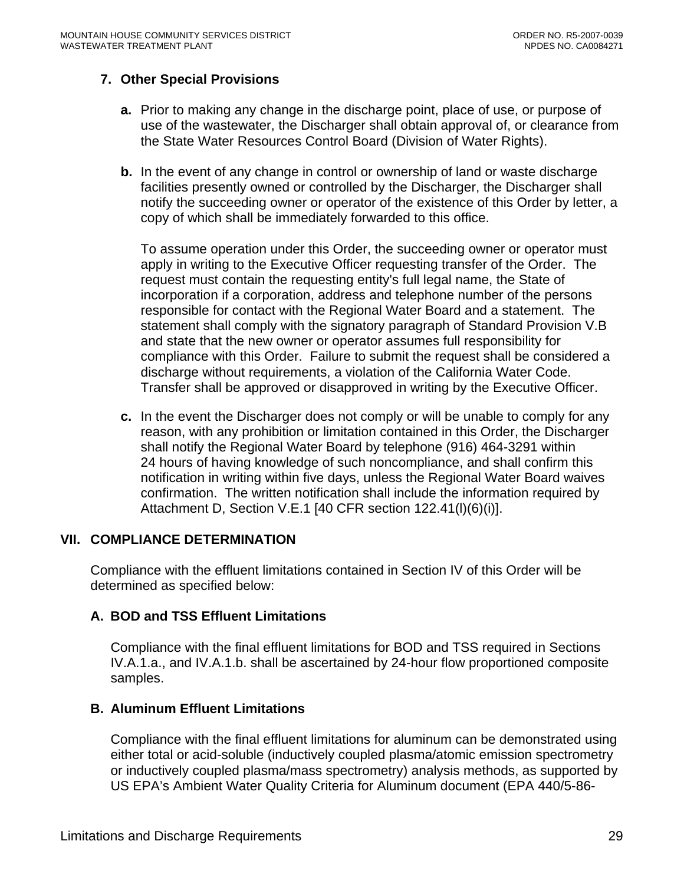# <span id="page-28-0"></span>**7. Other Special Provisions**

- **a.** Prior to making any change in the discharge point, place of use, or purpose of use of the wastewater, the Discharger shall obtain approval of, or clearance from the State Water Resources Control Board (Division of Water Rights).
- **b.** In the event of any change in control or ownership of land or waste discharge facilities presently owned or controlled by the Discharger, the Discharger shall notify the succeeding owner or operator of the existence of this Order by letter, a copy of which shall be immediately forwarded to this office.

To assume operation under this Order, the succeeding owner or operator must apply in writing to the Executive Officer requesting transfer of the Order. The request must contain the requesting entity's full legal name, the State of incorporation if a corporation, address and telephone number of the persons responsible for contact with the Regional Water Board and a statement. The statement shall comply with the signatory paragraph of Standard Provision V.B and state that the new owner or operator assumes full responsibility for compliance with this Order. Failure to submit the request shall be considered a discharge without requirements, a violation of the California Water Code. Transfer shall be approved or disapproved in writing by the Executive Officer.

**c.** In the event the Discharger does not comply or will be unable to comply for any reason, with any prohibition or limitation contained in this Order, the Discharger shall notify the Regional Water Board by telephone (916) 464-3291 within 24 hours of having knowledge of such noncompliance, and shall confirm this notification in writing within five days, unless the Regional Water Board waives confirmation. The written notification shall include the information required by Attachment D, Section V.E.1 [40 CFR section 122.41(l)(6)(i)].

#### **VII. COMPLIANCE DETERMINATION**

Compliance with the effluent limitations contained in Section IV of this Order will be determined as specified below:

#### **A. BOD and TSS Effluent Limitations**

Compliance with the final effluent limitations for BOD and TSS required in Sections IV.A.1.a., and IV.A.1.b. shall be ascertained by 24-hour flow proportioned composite samples.

#### **B. Aluminum Effluent Limitations**

Compliance with the final effluent limitations for aluminum can be demonstrated using either total or acid-soluble (inductively coupled plasma/atomic emission spectrometry or inductively coupled plasma/mass spectrometry) analysis methods, as supported by US EPA's Ambient Water Quality Criteria for Aluminum document (EPA 440/5-86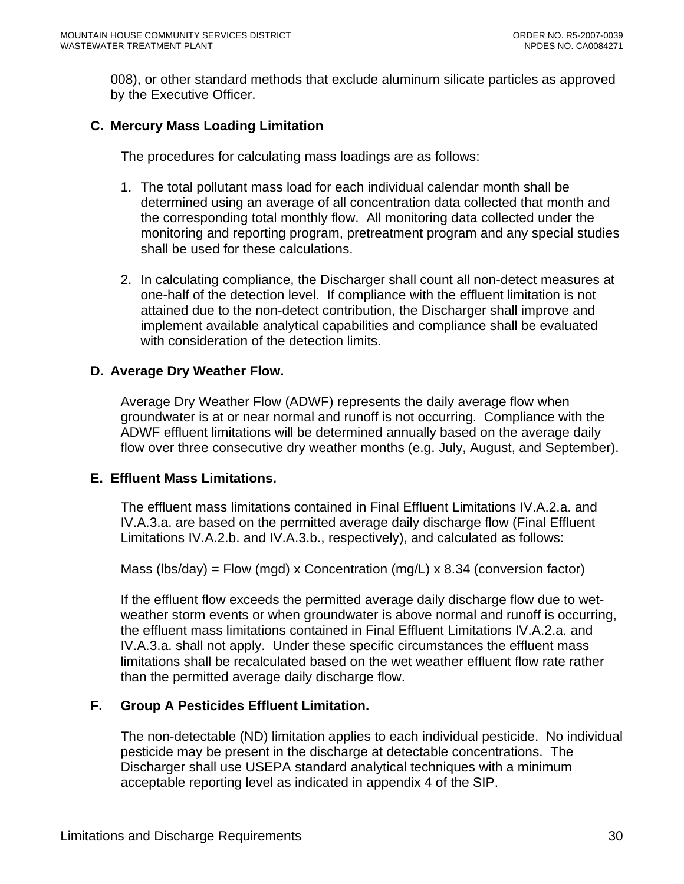008), or other standard methods that exclude aluminum silicate particles as approved by the Executive Officer.

# **C. Mercury Mass Loading Limitation**

The procedures for calculating mass loadings are as follows:

- 1. The total pollutant mass load for each individual calendar month shall be determined using an average of all concentration data collected that month and the corresponding total monthly flow. All monitoring data collected under the monitoring and reporting program, pretreatment program and any special studies shall be used for these calculations.
- 2. In calculating compliance, the Discharger shall count all non-detect measures at one-half of the detection level. If compliance with the effluent limitation is not attained due to the non-detect contribution, the Discharger shall improve and implement available analytical capabilities and compliance shall be evaluated with consideration of the detection limits.

#### **D. Average Dry Weather Flow.**

Average Dry Weather Flow (ADWF) represents the daily average flow when groundwater is at or near normal and runoff is not occurring. Compliance with the ADWF effluent limitations will be determined annually based on the average daily flow over three consecutive dry weather months (e.g. July, August, and September).

#### **E. Effluent Mass Limitations.**

The effluent mass limitations contained in Final Effluent Limitations IV.A.2.a. and IV.A.3.a. are based on the permitted average daily discharge flow (Final Effluent Limitations IV.A.2.b. and IV.A.3.b., respectively), and calculated as follows:

Mass (lbs/day) = Flow (mgd) x Concentration (mg/L) x 8.34 (conversion factor)

If the effluent flow exceeds the permitted average daily discharge flow due to wetweather storm events or when groundwater is above normal and runoff is occurring, the effluent mass limitations contained in Final Effluent Limitations IV.A.2.a. and IV.A.3.a. shall not apply. Under these specific circumstances the effluent mass limitations shall be recalculated based on the wet weather effluent flow rate rather than the permitted average daily discharge flow.

#### **F. Group A Pesticides Effluent Limitation.**

The non-detectable (ND) limitation applies to each individual pesticide. No individual pesticide may be present in the discharge at detectable concentrations. The Discharger shall use USEPA standard analytical techniques with a minimum acceptable reporting level as indicated in appendix 4 of the SIP.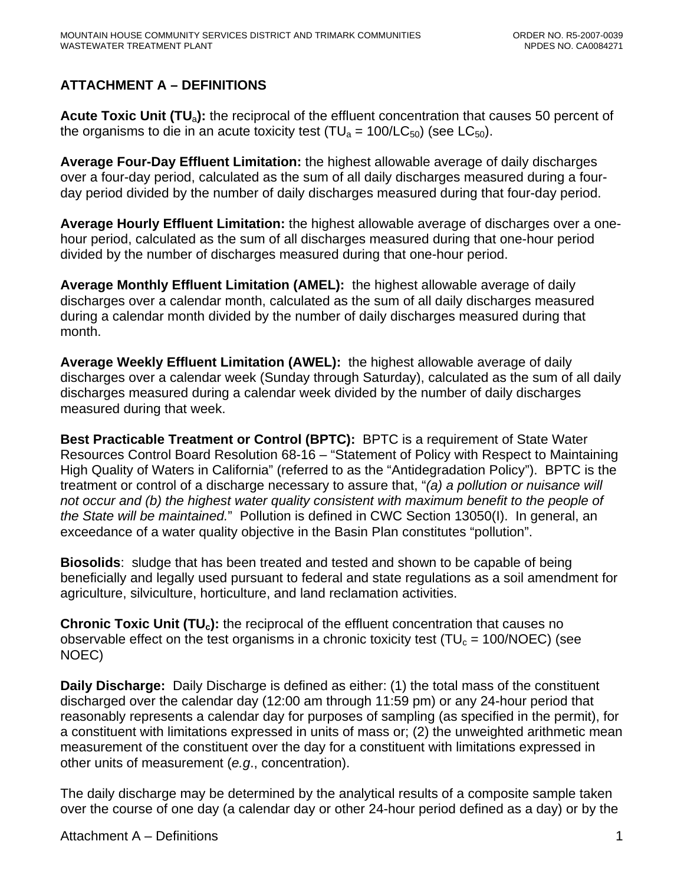# <span id="page-30-0"></span>**ATTACHMENT A – DEFINITIONS**

**Acute Toxic Unit (TU**a**):** the reciprocal of the effluent concentration that causes 50 percent of the organisms to die in an acute toxicity test (TU<sub>a</sub> = 100/LC<sub>50</sub>) (see LC<sub>50</sub>).

**Average Four-Day Effluent Limitation:** the highest allowable average of daily discharges over a four-day period, calculated as the sum of all daily discharges measured during a fourday period divided by the number of daily discharges measured during that four-day period.

**Average Hourly Effluent Limitation:** the highest allowable average of discharges over a onehour period, calculated as the sum of all discharges measured during that one-hour period divided by the number of discharges measured during that one-hour period.

**Average Monthly Effluent Limitation (AMEL):** the highest allowable average of daily discharges over a calendar month, calculated as the sum of all daily discharges measured during a calendar month divided by the number of daily discharges measured during that month.

**Average Weekly Effluent Limitation (AWEL):** the highest allowable average of daily discharges over a calendar week (Sunday through Saturday), calculated as the sum of all daily discharges measured during a calendar week divided by the number of daily discharges measured during that week.

**Best Practicable Treatment or Control (BPTC):** BPTC is a requirement of State Water Resources Control Board Resolution 68-16 – "Statement of Policy with Respect to Maintaining High Quality of Waters in California" (referred to as the "Antidegradation Policy"). BPTC is the treatment or control of a discharge necessary to assure that, "*(a) a pollution or nuisance will not occur and (b) the highest water quality consistent with maximum benefit to the people of the State will be maintained.*" Pollution is defined in CWC Section 13050(I). In general, an exceedance of a water quality objective in the Basin Plan constitutes "pollution".

**Biosolids**: sludge that has been treated and tested and shown to be capable of being beneficially and legally used pursuant to federal and state regulations as a soil amendment for agriculture, silviculture, horticulture, and land reclamation activities.

**Chronic Toxic Unit (TU<sub>c</sub>):** the reciprocal of the effluent concentration that causes no observable effect on the test organisms in a chronic toxicity test ( $TU_c = 100/NOEC$ ) (see NOEC)

**Daily Discharge:** Daily Discharge is defined as either: (1) the total mass of the constituent discharged over the calendar day (12:00 am through 11:59 pm) or any 24-hour period that reasonably represents a calendar day for purposes of sampling (as specified in the permit), for a constituent with limitations expressed in units of mass or; (2) the unweighted arithmetic mean measurement of the constituent over the day for a constituent with limitations expressed in other units of measurement (*e.g*., concentration).

The daily discharge may be determined by the analytical results of a composite sample taken over the course of one day (a calendar day or other 24-hour period defined as a day) or by the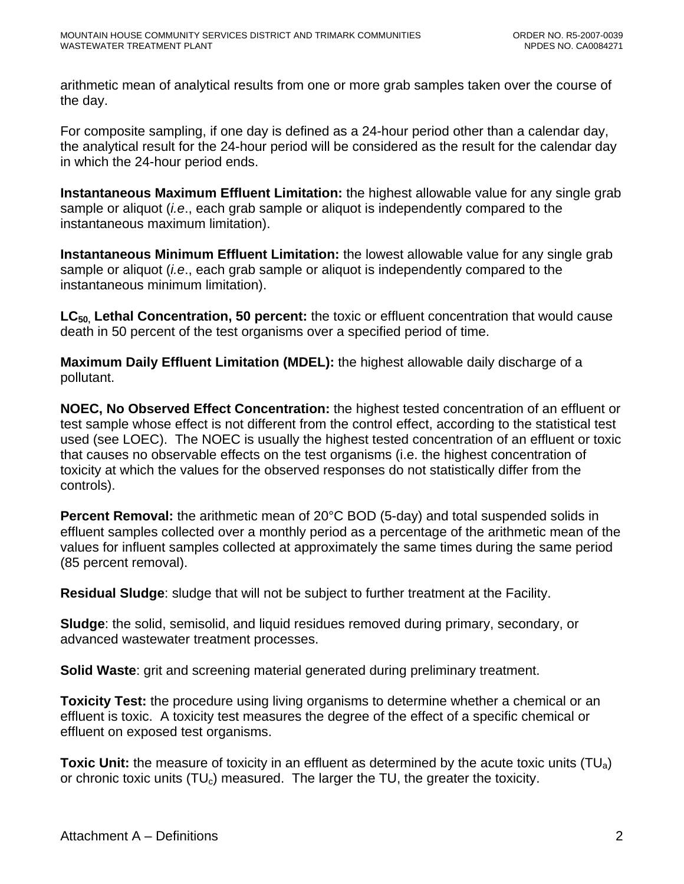arithmetic mean of analytical results from one or more grab samples taken over the course of the day.

For composite sampling, if one day is defined as a 24-hour period other than a calendar day, the analytical result for the 24-hour period will be considered as the result for the calendar day in which the 24-hour period ends.

**Instantaneous Maximum Effluent Limitation:** the highest allowable value for any single grab sample or aliquot (*i.e*., each grab sample or aliquot is independently compared to the instantaneous maximum limitation).

**Instantaneous Minimum Effluent Limitation:** the lowest allowable value for any single grab sample or aliquot (*i.e*., each grab sample or aliquot is independently compared to the instantaneous minimum limitation).

LC<sub>50</sub>, Lethal Concentration, 50 percent: the toxic or effluent concentration that would cause death in 50 percent of the test organisms over a specified period of time.

**Maximum Daily Effluent Limitation (MDEL):** the highest allowable daily discharge of a pollutant.

**NOEC, No Observed Effect Concentration:** the highest tested concentration of an effluent or test sample whose effect is not different from the control effect, according to the statistical test used (see LOEC). The NOEC is usually the highest tested concentration of an effluent or toxic that causes no observable effects on the test organisms (i.e. the highest concentration of toxicity at which the values for the observed responses do not statistically differ from the controls).

**Percent Removal:** the arithmetic mean of 20°C BOD (5-day) and total suspended solids in effluent samples collected over a monthly period as a percentage of the arithmetic mean of the values for influent samples collected at approximately the same times during the same period (85 percent removal).

**Residual Sludge**: sludge that will not be subject to further treatment at the Facility.

**Sludge**: the solid, semisolid, and liquid residues removed during primary, secondary, or advanced wastewater treatment processes.

**Solid Waste**: grit and screening material generated during preliminary treatment.

**Toxicity Test:** the procedure using living organisms to determine whether a chemical or an effluent is toxic. A toxicity test measures the degree of the effect of a specific chemical or effluent on exposed test organisms.

**Toxic Unit:** the measure of toxicity in an effluent as determined by the acute toxic units (TU<sub>a</sub>) or chronic toxic units  $(TU_c)$  measured. The larger the TU, the greater the toxicity.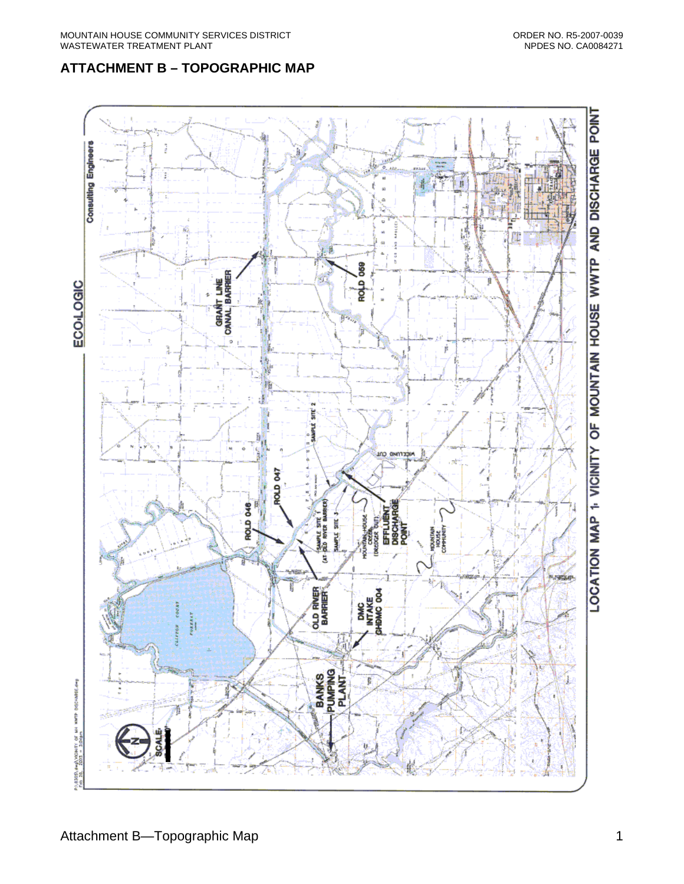# <span id="page-32-0"></span>**ATTACHMENT B – TOPOGRAPHIC MAP**

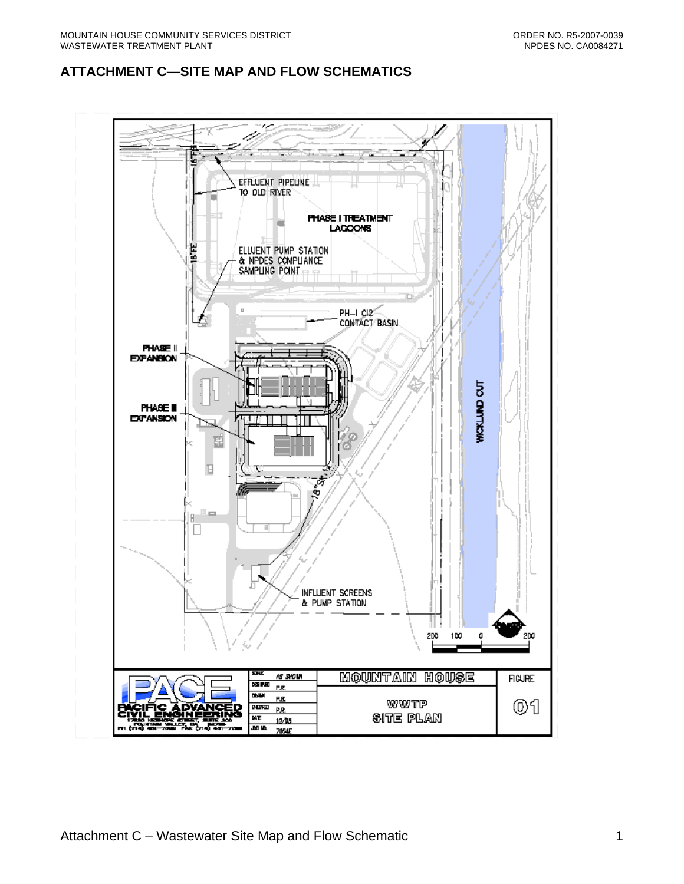# <span id="page-33-0"></span>**ATTACHMENT C—SITE MAP AND FLOW SCHEMATICS**

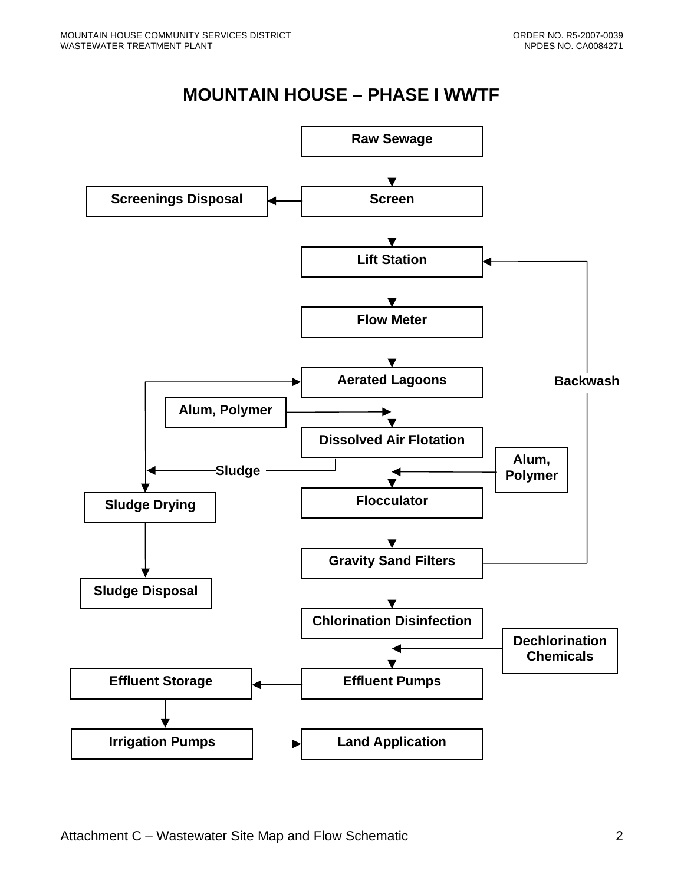# **MOUNTAIN HOUSE – PHASE I WWTF**

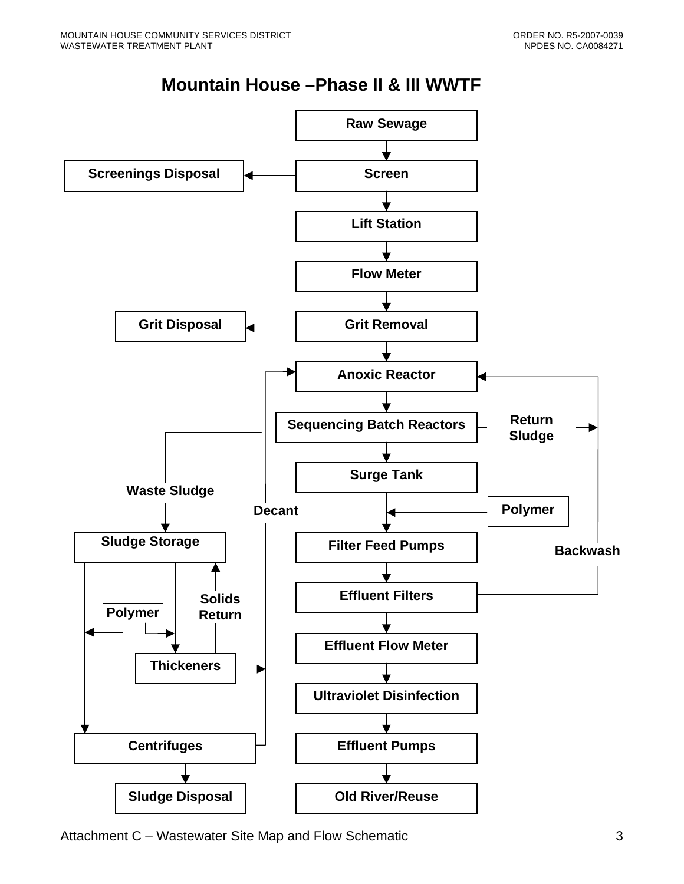# **Mountain House –Phase II & III WWTF**



Attachment C – Wastewater Site Map and Flow Schematic 33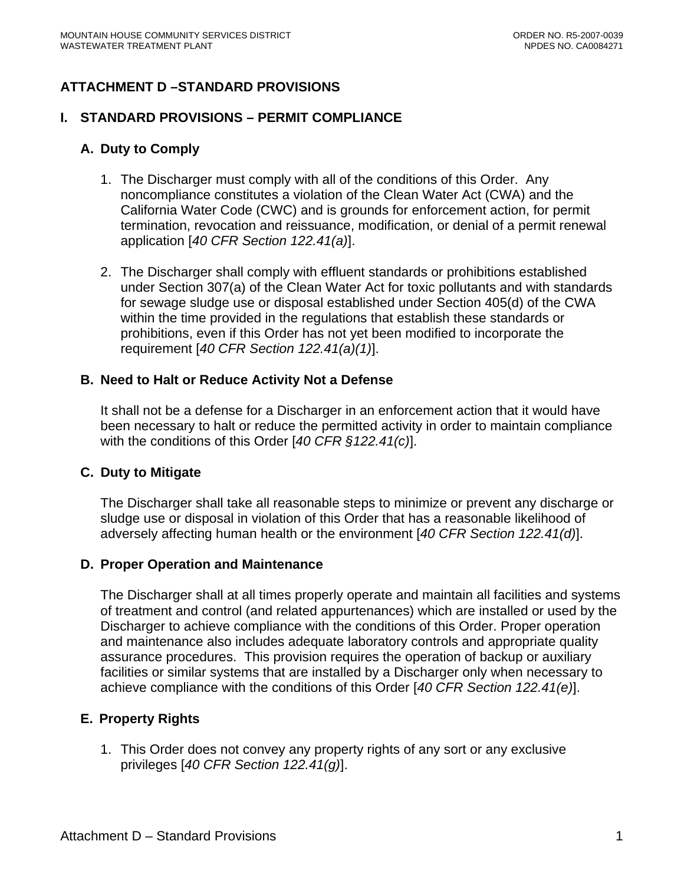# **ATTACHMENT D –STANDARD PROVISIONS**

#### **I. STANDARD PROVISIONS – PERMIT COMPLIANCE**

### **A. Duty to Comply**

- 1. The Discharger must comply with all of the conditions of this Order. Any noncompliance constitutes a violation of the Clean Water Act (CWA) and the California Water Code (CWC) and is grounds for enforcement action, for permit termination, revocation and reissuance, modification, or denial of a permit renewal application [*40 CFR Section 122.41(a)*].
- 2. The Discharger shall comply with effluent standards or prohibitions established under Section 307(a) of the Clean Water Act for toxic pollutants and with standards for sewage sludge use or disposal established under Section 405(d) of the CWA within the time provided in the regulations that establish these standards or prohibitions, even if this Order has not yet been modified to incorporate the requirement [*40 CFR Section 122.41(a)(1)*].

### **B. Need to Halt or Reduce Activity Not a Defense**

It shall not be a defense for a Discharger in an enforcement action that it would have been necessary to halt or reduce the permitted activity in order to maintain compliance with the conditions of this Order [*40 CFR §122.41(c)*].

#### **C. Duty to Mitigate**

The Discharger shall take all reasonable steps to minimize or prevent any discharge or sludge use or disposal in violation of this Order that has a reasonable likelihood of adversely affecting human health or the environment [*40 CFR Section 122.41(d)*].

#### **D. Proper Operation and Maintenance**

The Discharger shall at all times properly operate and maintain all facilities and systems of treatment and control (and related appurtenances) which are installed or used by the Discharger to achieve compliance with the conditions of this Order. Proper operation and maintenance also includes adequate laboratory controls and appropriate quality assurance procedures. This provision requires the operation of backup or auxiliary facilities or similar systems that are installed by a Discharger only when necessary to achieve compliance with the conditions of this Order [*40 CFR Section 122.41(e)*].

# **E. Property Rights**

1. This Order does not convey any property rights of any sort or any exclusive privileges [*40 CFR Section 122.41(g)*].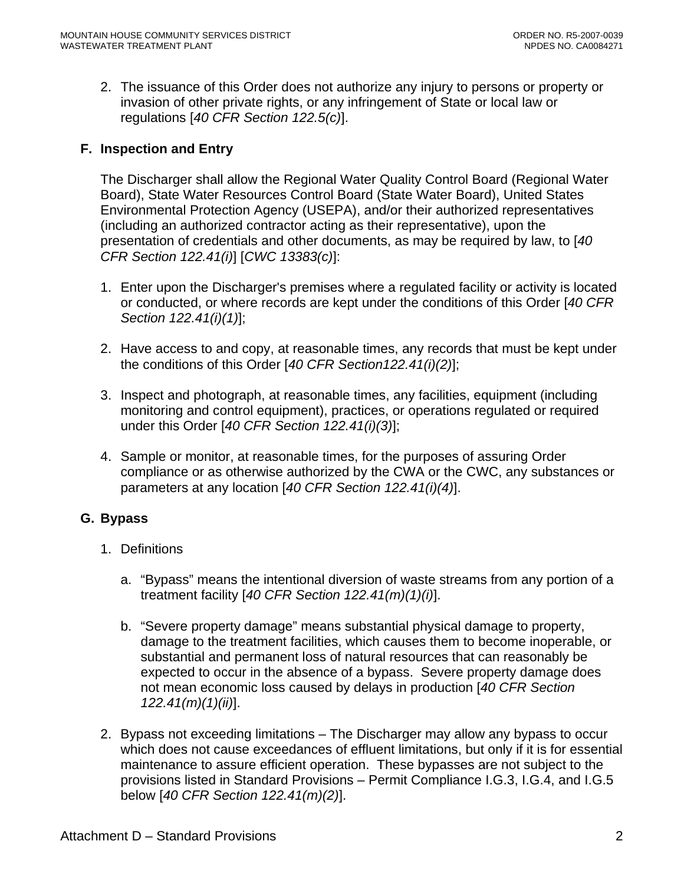2. The issuance of this Order does not authorize any injury to persons or property or invasion of other private rights, or any infringement of State or local law or regulations [*40 CFR Section 122.5(c)*].

### **F. Inspection and Entry**

The Discharger shall allow the Regional Water Quality Control Board (Regional Water Board), State Water Resources Control Board (State Water Board), United States Environmental Protection Agency (USEPA), and/or their authorized representatives (including an authorized contractor acting as their representative), upon the presentation of credentials and other documents, as may be required by law, to [*40 CFR Section 122.41(i)*] [*CWC 13383(c)*]:

- 1. Enter upon the Discharger's premises where a regulated facility or activity is located or conducted, or where records are kept under the conditions of this Order [*40 CFR Section 122.41(i)(1)*];
- 2. Have access to and copy, at reasonable times, any records that must be kept under the conditions of this Order [*40 CFR Section122.41(i)(2)*];
- 3. Inspect and photograph, at reasonable times, any facilities, equipment (including monitoring and control equipment), practices, or operations regulated or required under this Order [*40 CFR Section 122.41(i)(3)*];
- 4. Sample or monitor, at reasonable times, for the purposes of assuring Order compliance or as otherwise authorized by the CWA or the CWC, any substances or parameters at any location [*40 CFR Section 122.41(i)(4)*].

#### **G. Bypass**

- 1. Definitions
	- a. "Bypass" means the intentional diversion of waste streams from any portion of a treatment facility [*40 CFR Section 122.41(m)(1)(i)*].
	- b. "Severe property damage" means substantial physical damage to property, damage to the treatment facilities, which causes them to become inoperable, or substantial and permanent loss of natural resources that can reasonably be expected to occur in the absence of a bypass. Severe property damage does not mean economic loss caused by delays in production [*40 CFR Section 122.41(m)(1)(ii)*].
- 2. Bypass not exceeding limitations The Discharger may allow any bypass to occur which does not cause exceedances of effluent limitations, but only if it is for essential maintenance to assure efficient operation. These bypasses are not subject to the provisions listed in Standard Provisions – Permit Compliance I.G.3, I.G.4, and I.G.5 below [*40 CFR Section 122.41(m)(2)*].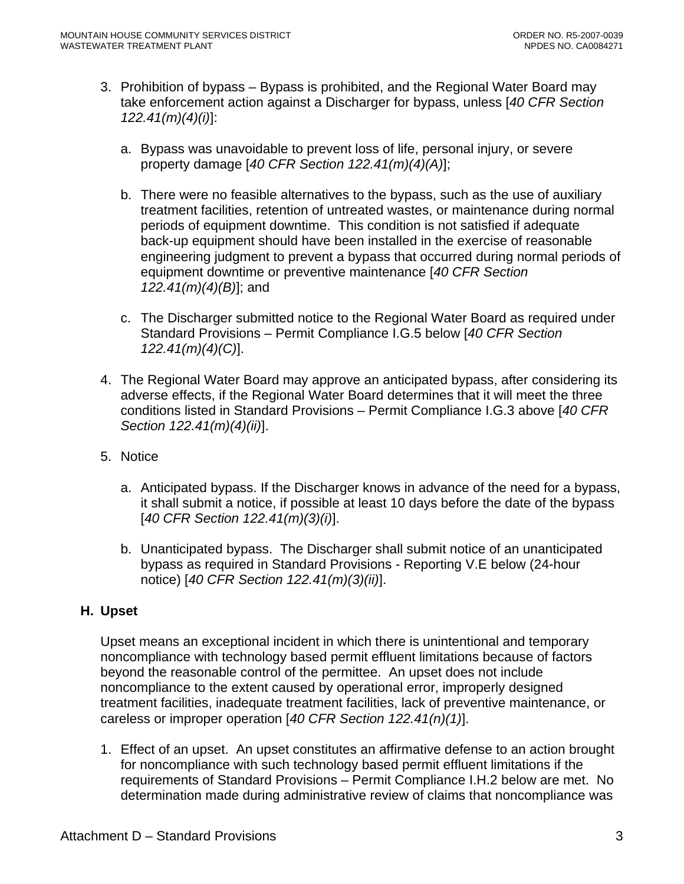- 3. Prohibition of bypass Bypass is prohibited, and the Regional Water Board may take enforcement action against a Discharger for bypass, unless [*40 CFR Section 122.41(m)(4)(i)*]:
	- a. Bypass was unavoidable to prevent loss of life, personal injury, or severe property damage [*40 CFR Section 122.41(m)(4)(A)*];
	- b. There were no feasible alternatives to the bypass, such as the use of auxiliary treatment facilities, retention of untreated wastes, or maintenance during normal periods of equipment downtime. This condition is not satisfied if adequate back-up equipment should have been installed in the exercise of reasonable engineering judgment to prevent a bypass that occurred during normal periods of equipment downtime or preventive maintenance [*40 CFR Section 122.41(m)(4)(B)*]; and
	- c. The Discharger submitted notice to the Regional Water Board as required under Standard Provisions – Permit Compliance I.G.5 below [*40 CFR Section 122.41(m)(4)(C)*].
- 4. The Regional Water Board may approve an anticipated bypass, after considering its adverse effects, if the Regional Water Board determines that it will meet the three conditions listed in Standard Provisions – Permit Compliance I.G.3 above [*40 CFR Section 122.41(m)(4)(ii)*].
- 5. Notice
	- a. Anticipated bypass. If the Discharger knows in advance of the need for a bypass, it shall submit a notice, if possible at least 10 days before the date of the bypass [*40 CFR Section 122.41(m)(3)(i)*].
	- b. Unanticipated bypass. The Discharger shall submit notice of an unanticipated bypass as required in Standard Provisions - Reporting V.E below (24-hour notice) [*40 CFR Section 122.41(m)(3)(ii)*].

#### **H. Upset**

Upset means an exceptional incident in which there is unintentional and temporary noncompliance with technology based permit effluent limitations because of factors beyond the reasonable control of the permittee. An upset does not include noncompliance to the extent caused by operational error, improperly designed treatment facilities, inadequate treatment facilities, lack of preventive maintenance, or careless or improper operation [*40 CFR Section 122.41(n)(1)*].

1. Effect of an upset. An upset constitutes an affirmative defense to an action brought for noncompliance with such technology based permit effluent limitations if the requirements of Standard Provisions – Permit Compliance I.H.2 below are met. No determination made during administrative review of claims that noncompliance was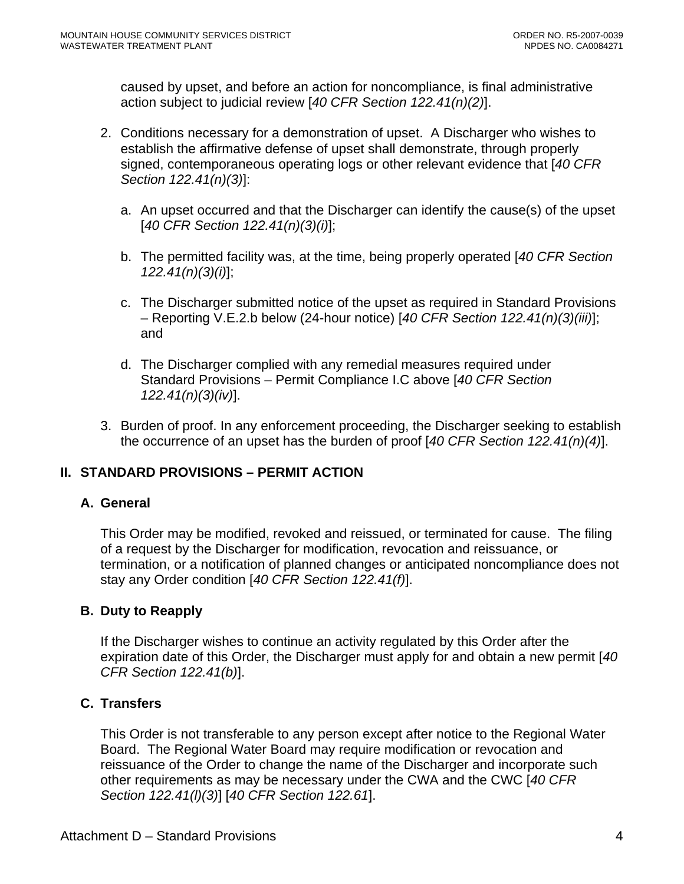caused by upset, and before an action for noncompliance, is final administrative action subject to judicial review [*40 CFR Section 122.41(n)(2)*].

- 2. Conditions necessary for a demonstration of upset. A Discharger who wishes to establish the affirmative defense of upset shall demonstrate, through properly signed, contemporaneous operating logs or other relevant evidence that [*40 CFR Section 122.41(n)(3)*]:
	- a. An upset occurred and that the Discharger can identify the cause(s) of the upset [*40 CFR Section 122.41(n)(3)(i)*];
	- b. The permitted facility was, at the time, being properly operated [*40 CFR Section 122.41(n)(3)(i)*];
	- c. The Discharger submitted notice of the upset as required in Standard Provisions – Reporting V.E.2.b below (24-hour notice) [*40 CFR Section 122.41(n)(3)(iii)*]; and
	- d. The Discharger complied with any remedial measures required under Standard Provisions – Permit Compliance I.C above [*40 CFR Section 122.41(n)(3)(iv)*].
- 3. Burden of proof. In any enforcement proceeding, the Discharger seeking to establish the occurrence of an upset has the burden of proof [*40 CFR Section 122.41(n)(4)*].

# **II. STANDARD PROVISIONS – PERMIT ACTION**

#### **A. General**

This Order may be modified, revoked and reissued, or terminated for cause. The filing of a request by the Discharger for modification, revocation and reissuance, or termination, or a notification of planned changes or anticipated noncompliance does not stay any Order condition [*40 CFR Section 122.41(f)*].

# **B. Duty to Reapply**

If the Discharger wishes to continue an activity regulated by this Order after the expiration date of this Order, the Discharger must apply for and obtain a new permit [*40 CFR Section 122.41(b)*].

# **C. Transfers**

This Order is not transferable to any person except after notice to the Regional Water Board. The Regional Water Board may require modification or revocation and reissuance of the Order to change the name of the Discharger and incorporate such other requirements as may be necessary under the CWA and the CWC [*40 CFR Section 122.41(l)(3)*] [*40 CFR Section 122.61*].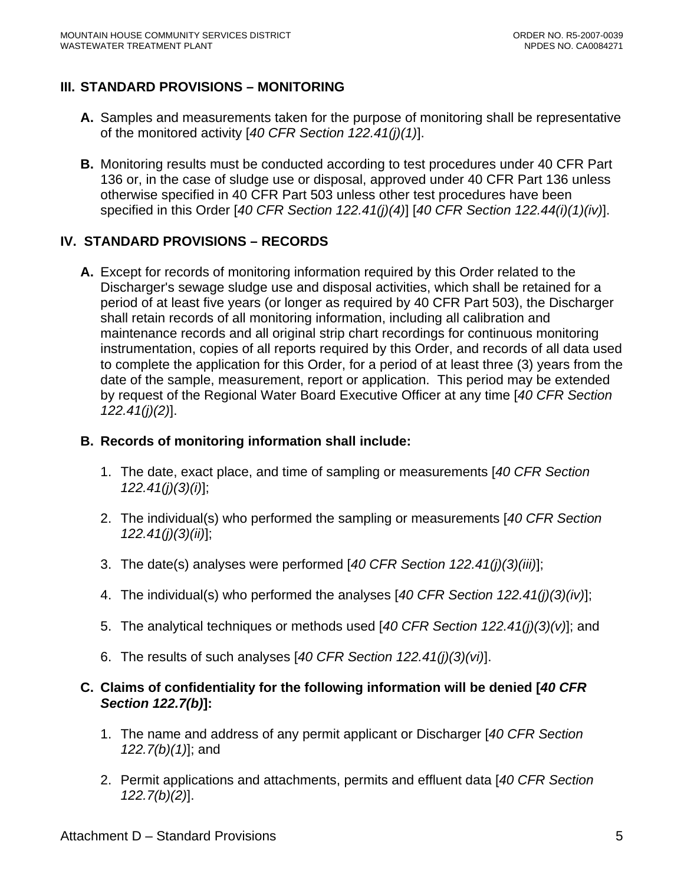# **III. STANDARD PROVISIONS – MONITORING**

- **A.** Samples and measurements taken for the purpose of monitoring shall be representative of the monitored activity [*40 CFR Section 122.41(j)(1)*].
- **B.** Monitoring results must be conducted according to test procedures under 40 CFR Part 136 or, in the case of sludge use or disposal, approved under 40 CFR Part 136 unless otherwise specified in 40 CFR Part 503 unless other test procedures have been specified in this Order [*40 CFR Section 122.41(j)(4)*] [*40 CFR Section 122.44(i)(1)(iv)*].

# **IV. STANDARD PROVISIONS – RECORDS**

**A.** Except for records of monitoring information required by this Order related to the Discharger's sewage sludge use and disposal activities, which shall be retained for a period of at least five years (or longer as required by 40 CFR Part 503), the Discharger shall retain records of all monitoring information, including all calibration and maintenance records and all original strip chart recordings for continuous monitoring instrumentation, copies of all reports required by this Order, and records of all data used to complete the application for this Order, for a period of at least three (3) years from the date of the sample, measurement, report or application. This period may be extended by request of the Regional Water Board Executive Officer at any time [*40 CFR Section 122.41(j)(2)*].

### **B. Records of monitoring information shall include:**

- 1. The date, exact place, and time of sampling or measurements [*40 CFR Section 122.41(j)(3)(i)*];
- 2. The individual(s) who performed the sampling or measurements [*40 CFR Section 122.41(j)(3)(ii)*];
- 3. The date(s) analyses were performed [*40 CFR Section 122.41(j)(3)(iii)*];
- 4. The individual(s) who performed the analyses [*40 CFR Section 122.41(j)(3)(iv)*];
- 5. The analytical techniques or methods used [*40 CFR Section 122.41(j)(3)(v)*]; and
- 6. The results of such analyses [*40 CFR Section 122.41(j)(3)(vi)*].

### **C. Claims of confidentiality for the following information will be denied [***40 CFR Section 122.7(b)***]:**

- 1. The name and address of any permit applicant or Discharger [*40 CFR Section 122.7(b)(1)*]; and
- 2. Permit applications and attachments, permits and effluent data [*40 CFR Section 122.7(b)(2)*].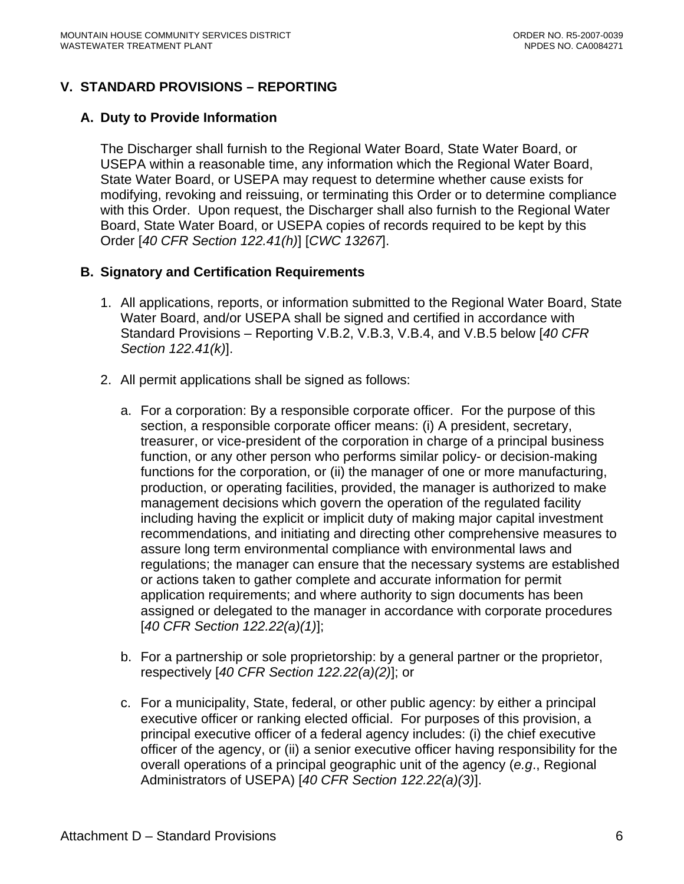# **V. STANDARD PROVISIONS – REPORTING**

### **A. Duty to Provide Information**

The Discharger shall furnish to the Regional Water Board, State Water Board, or USEPA within a reasonable time, any information which the Regional Water Board, State Water Board, or USEPA may request to determine whether cause exists for modifying, revoking and reissuing, or terminating this Order or to determine compliance with this Order. Upon request, the Discharger shall also furnish to the Regional Water Board, State Water Board, or USEPA copies of records required to be kept by this Order [*40 CFR Section 122.41(h)*] [*CWC 13267*].

### **B. Signatory and Certification Requirements**

- 1. All applications, reports, or information submitted to the Regional Water Board, State Water Board, and/or USEPA shall be signed and certified in accordance with Standard Provisions – Reporting [V.B.2](#page-41-0), [V.B.3](#page-42-0), [V.B.4](#page-42-1), and [V.B.5](#page-42-2) below [*40 CFR Section 122.41(k)*].
- <span id="page-41-0"></span>2. All permit applications shall be signed as follows:
	- a. For a corporation: By a responsible corporate officer. For the purpose of this section, a responsible corporate officer means: (i) A president, secretary, treasurer, or vice-president of the corporation in charge of a principal business function, or any other person who performs similar policy- or decision-making functions for the corporation, or (ii) the manager of one or more manufacturing, production, or operating facilities, provided, the manager is authorized to make management decisions which govern the operation of the regulated facility including having the explicit or implicit duty of making major capital investment recommendations, and initiating and directing other comprehensive measures to assure long term environmental compliance with environmental laws and regulations; the manager can ensure that the necessary systems are established or actions taken to gather complete and accurate information for permit application requirements; and where authority to sign documents has been assigned or delegated to the manager in accordance with corporate procedures [*40 CFR Section 122.22(a)(1)*];
	- b. For a partnership or sole proprietorship: by a general partner or the proprietor, respectively [*40 CFR Section 122.22(a)(2)*]; or
	- c. For a municipality, State, federal, or other public agency: by either a principal executive officer or ranking elected official. For purposes of this provision, a principal executive officer of a federal agency includes: (i) the chief executive officer of the agency, or (ii) a senior executive officer having responsibility for the overall operations of a principal geographic unit of the agency (*e.g*., Regional Administrators of USEPA) [*40 CFR Section 122.22(a)(3)*].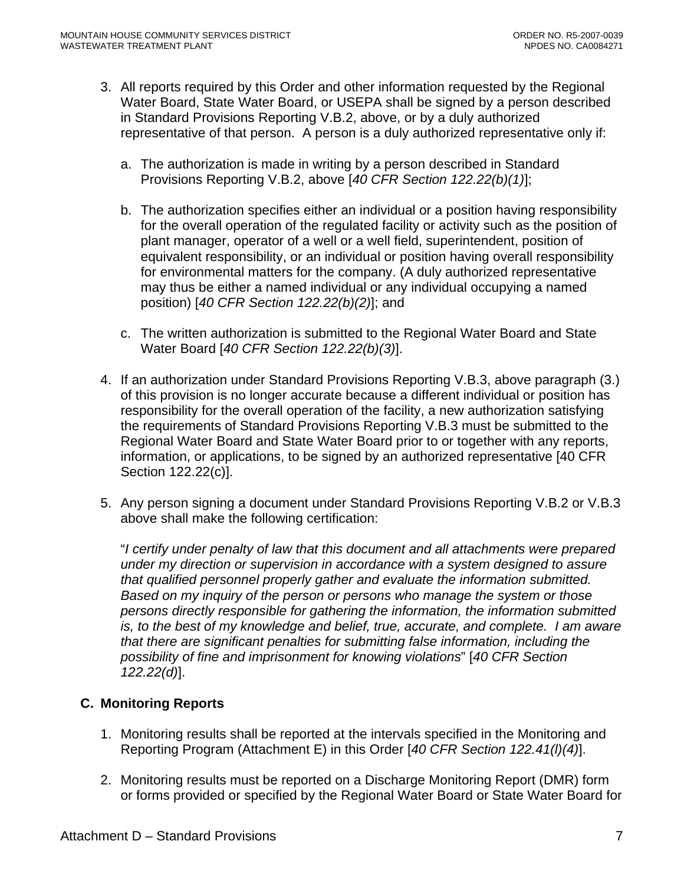- <span id="page-42-0"></span>3. All reports required by this Order and other information requested by the Regional Water Board, State Water Board, or USEPA shall be signed by a person described in Standard Provisions Reporting V.B.2, above, or by a duly authorized representative of that person. A person is a duly authorized representative only if:
	- a. The authorization is made in writing by a person described in Standard Provisions Reporting V.B.2, above [*40 CFR Section 122.22(b)(1)*];
	- b. The authorization specifies either an individual or a position having responsibility for the overall operation of the regulated facility or activity such as the position of plant manager, operator of a well or a well field, superintendent, position of equivalent responsibility, or an individual or position having overall responsibility for environmental matters for the company. (A duly authorized representative may thus be either a named individual or any individual occupying a named position) [*40 CFR Section 122.22(b)(2)*]; and
	- c. The written authorization is submitted to the Regional Water Board and State Water Board [*40 CFR Section 122.22(b)(3)*].
- <span id="page-42-1"></span>4. If an authorization under Standard Provisions Reporting V.B.3, above paragraph (3.) of this provision is no longer accurate because a different individual or position has responsibility for the overall operation of the facility, a new authorization satisfying the requirements of Standard Provisions Reporting V.B.3 must be submitted to the Regional Water Board and State Water Board prior to or together with any reports, information, or applications, to be signed by an authorized representative [40 CFR Section 122.22(c)].
- <span id="page-42-2"></span>5. Any person signing a document under Standard Provisions Reporting V.B.2 or V.B.3 above shall make the following certification:

"*I certify under penalty of law that this document and all attachments were prepared under my direction or supervision in accordance with a system designed to assure that qualified personnel properly gather and evaluate the information submitted. Based on my inquiry of the person or persons who manage the system or those persons directly responsible for gathering the information, the information submitted is, to the best of my knowledge and belief, true, accurate, and complete. I am aware that there are significant penalties for submitting false information, including the possibility of fine and imprisonment for knowing violations*" [*40 CFR Section 122.22(d)*].

# **C. Monitoring Reports**

- 1. Monitoring results shall be reported at the intervals specified in the Monitoring and Reporting Program (Attachment E) in this Order [*40 CFR Section 122.41(l)(4)*].
- 2. Monitoring results must be reported on a Discharge Monitoring Report (DMR) form or forms provided or specified by the Regional Water Board or State Water Board for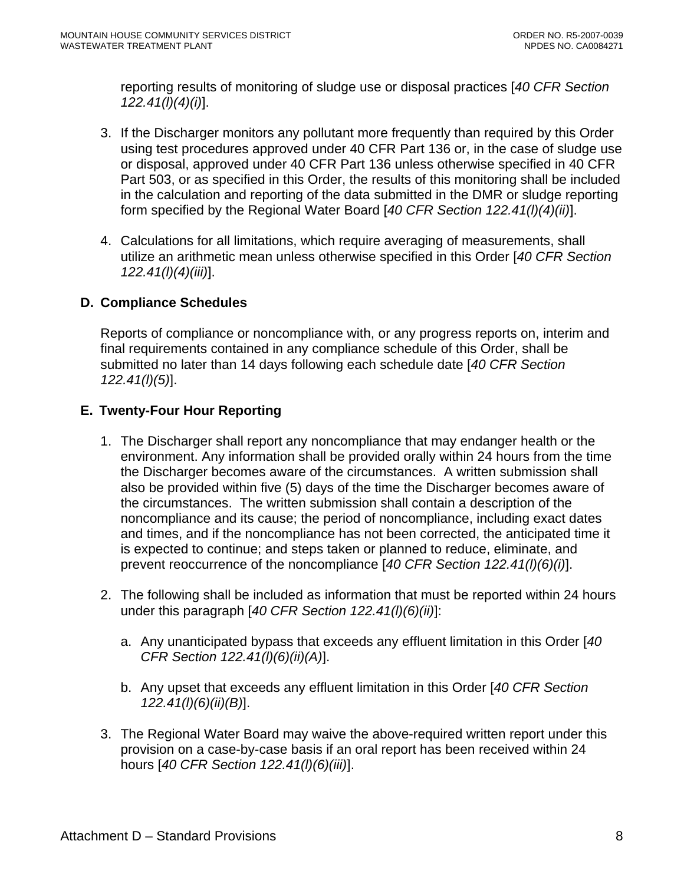reporting results of monitoring of sludge use or disposal practices [*40 CFR Section 122.41(l)(4)(i)*].

- 3. If the Discharger monitors any pollutant more frequently than required by this Order using test procedures approved under 40 CFR Part 136 or, in the case of sludge use or disposal, approved under 40 CFR Part 136 unless otherwise specified in 40 CFR Part 503, or as specified in this Order, the results of this monitoring shall be included in the calculation and reporting of the data submitted in the DMR or sludge reporting form specified by the Regional Water Board [*40 CFR Section 122.41(l)(4)(ii)*].
- 4. Calculations for all limitations, which require averaging of measurements, shall utilize an arithmetic mean unless otherwise specified in this Order [*40 CFR Section 122.41(l)(4)(iii)*].

# **D. Compliance Schedules**

Reports of compliance or noncompliance with, or any progress reports on, interim and final requirements contained in any compliance schedule of this Order, shall be submitted no later than 14 days following each schedule date [*40 CFR Section 122.41(l)(5)*].

# **E. Twenty-Four Hour Reporting**

- 1. The Discharger shall report any noncompliance that may endanger health or the environment. Any information shall be provided orally within 24 hours from the time the Discharger becomes aware of the circumstances. A written submission shall also be provided within five (5) days of the time the Discharger becomes aware of the circumstances. The written submission shall contain a description of the noncompliance and its cause; the period of noncompliance, including exact dates and times, and if the noncompliance has not been corrected, the anticipated time it is expected to continue; and steps taken or planned to reduce, eliminate, and prevent reoccurrence of the noncompliance [*40 CFR Section 122.41(l)(6)(i)*].
- 2. The following shall be included as information that must be reported within 24 hours under this paragraph [*40 CFR Section 122.41(l)(6)(ii)*]:
	- a. Any unanticipated bypass that exceeds any effluent limitation in this Order [*40 CFR Section 122.41(l)(6)(ii)(A)*].
	- b. Any upset that exceeds any effluent limitation in this Order [*40 CFR Section 122.41(l)(6)(ii)(B)*].
- 3. The Regional Water Board may waive the above-required written report under this provision on a case-by-case basis if an oral report has been received within 24 hours [*40 CFR Section 122.41(l)(6)(iii)*].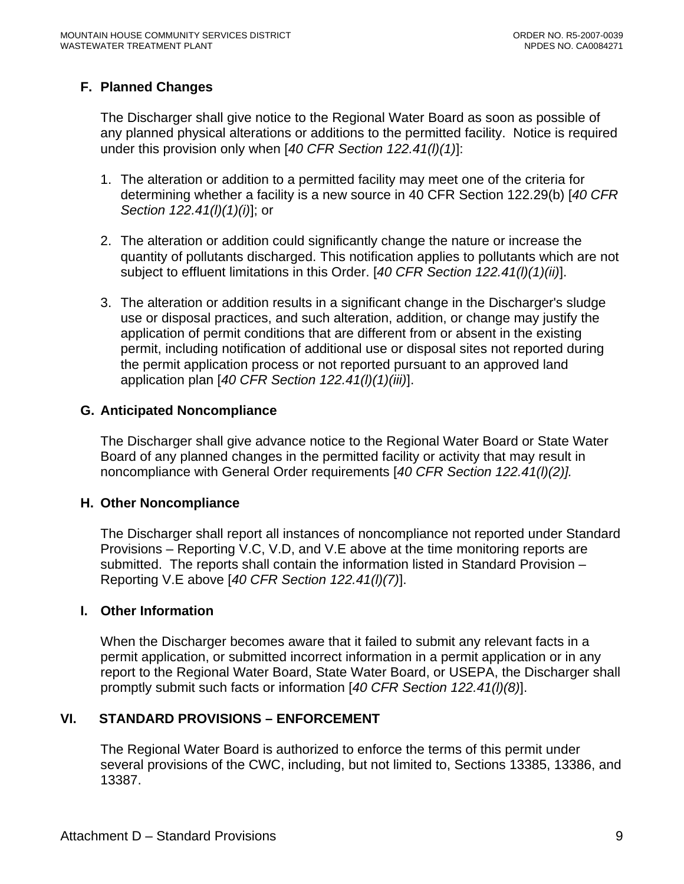# **F. Planned Changes**

The Discharger shall give notice to the Regional Water Board as soon as possible of any planned physical alterations or additions to the permitted facility. Notice is required under this provision only when [*40 CFR Section 122.41(l)(1)*]:

- 1. The alteration or addition to a permitted facility may meet one of the criteria for determining whether a facility is a new source in 40 CFR Section 122.29(b) [*40 CFR Section 122.41(l)(1)(i)*]; or
- 2. The alteration or addition could significantly change the nature or increase the quantity of pollutants discharged. This notification applies to pollutants which are not subject to effluent limitations in this Order. [*40 CFR Section 122.41(l)(1)(ii)*].
- 3. The alteration or addition results in a significant change in the Discharger's sludge use or disposal practices, and such alteration, addition, or change may justify the application of permit conditions that are different from or absent in the existing permit, including notification of additional use or disposal sites not reported during the permit application process or not reported pursuant to an approved land application plan [*40 CFR Section 122.41(l)(1)(iii)*].

### **G. Anticipated Noncompliance**

The Discharger shall give advance notice to the Regional Water Board or State Water Board of any planned changes in the permitted facility or activity that may result in noncompliance with General Order requirements [*40 CFR Section 122.41(l)(2)].*

#### **H. Other Noncompliance**

The Discharger shall report all instances of noncompliance not reported under Standard Provisions – Reporting V.C, V.D, and V.E above at the time monitoring reports are submitted. The reports shall contain the information listed in Standard Provision – Reporting V.E above [*40 CFR Section 122.41(l)(7)*].

#### **I. Other Information**

When the Discharger becomes aware that it failed to submit any relevant facts in a permit application, or submitted incorrect information in a permit application or in any report to the Regional Water Board, State Water Board, or USEPA, the Discharger shall promptly submit such facts or information [*40 CFR Section 122.41(l)(8)*].

# **VI. STANDARD PROVISIONS – ENFORCEMENT**

The Regional Water Board is authorized to enforce the terms of this permit under several provisions of the CWC, including, but not limited to, Sections 13385, 13386, and 13387.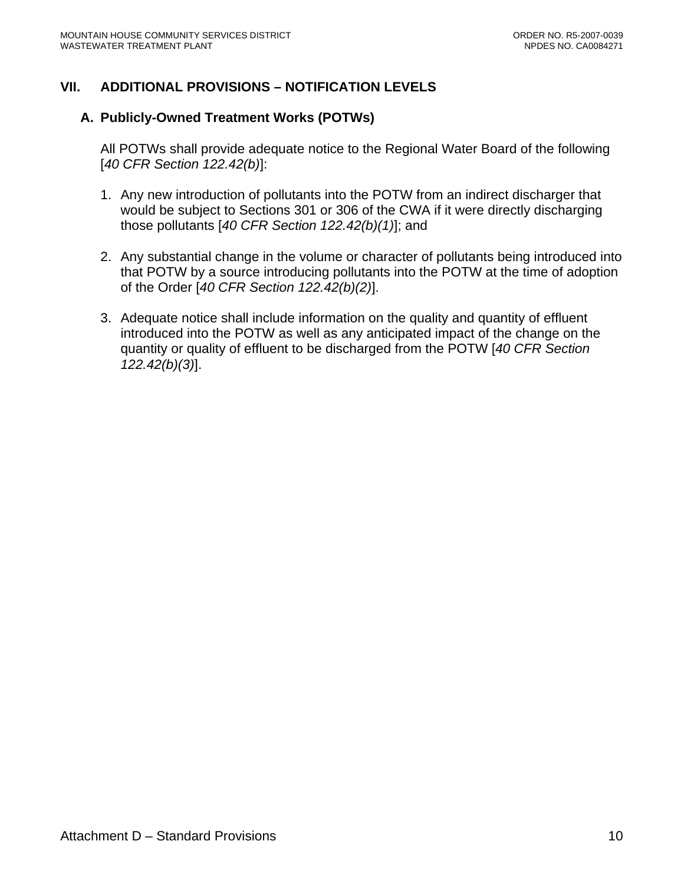# **VII. ADDITIONAL PROVISIONS – NOTIFICATION LEVELS**

### **A. Publicly-Owned Treatment Works (POTWs)**

All POTWs shall provide adequate notice to the Regional Water Board of the following [*40 CFR Section 122.42(b)*]:

- 1. Any new introduction of pollutants into the POTW from an indirect discharger that would be subject to Sections 301 or 306 of the CWA if it were directly discharging those pollutants [*40 CFR Section 122.42(b)(1)*]; and
- 2. Any substantial change in the volume or character of pollutants being introduced into that POTW by a source introducing pollutants into the POTW at the time of adoption of the Order [*40 CFR Section 122.42(b)(2)*].
- 3. Adequate notice shall include information on the quality and quantity of effluent introduced into the POTW as well as any anticipated impact of the change on the quantity or quality of effluent to be discharged from the POTW [*40 CFR Section 122.42(b)(3)*].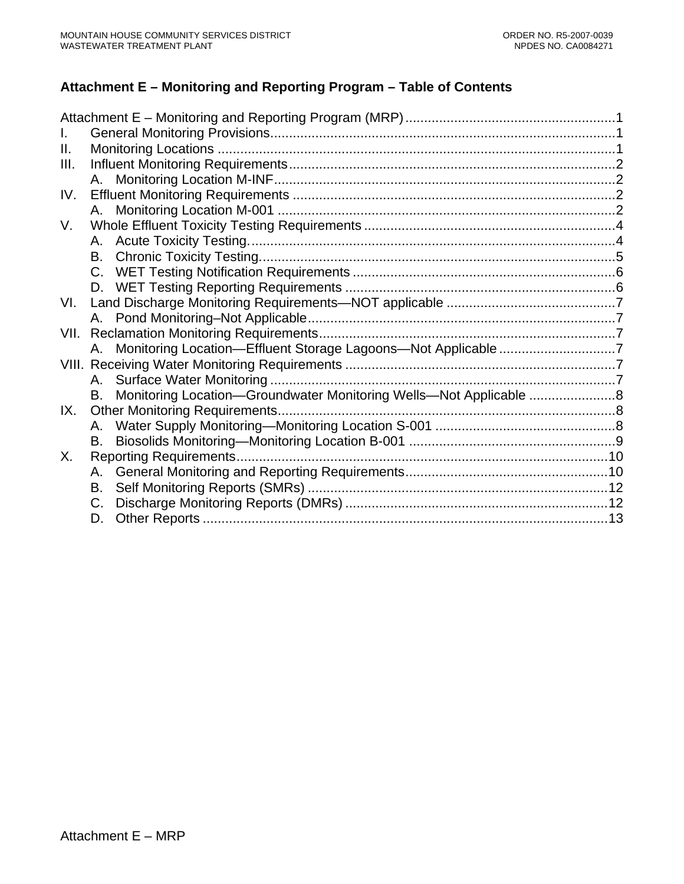# **Attachment E – Monitoring and Reporting Program – Table of Contents**

| Ш.   |             |                                                                   |  |
|------|-------------|-------------------------------------------------------------------|--|
| III. |             |                                                                   |  |
|      |             |                                                                   |  |
| IV.  |             |                                                                   |  |
|      |             |                                                                   |  |
| V.   |             |                                                                   |  |
|      |             |                                                                   |  |
|      |             |                                                                   |  |
|      |             |                                                                   |  |
|      |             |                                                                   |  |
| VI.  |             |                                                                   |  |
|      |             |                                                                   |  |
|      |             |                                                                   |  |
|      |             | A. Monitoring Location-Effluent Storage Lagoons-Not Applicable 7  |  |
|      |             |                                                                   |  |
|      |             |                                                                   |  |
|      | B.          | Monitoring Location-Groundwater Monitoring Wells-Not Applicable 8 |  |
| IX.  |             |                                                                   |  |
|      | А.          |                                                                   |  |
|      | В.          |                                                                   |  |
| X.   |             |                                                                   |  |
|      | A.          |                                                                   |  |
|      | В.          |                                                                   |  |
|      | $C_{\cdot}$ |                                                                   |  |
|      | D.          |                                                                   |  |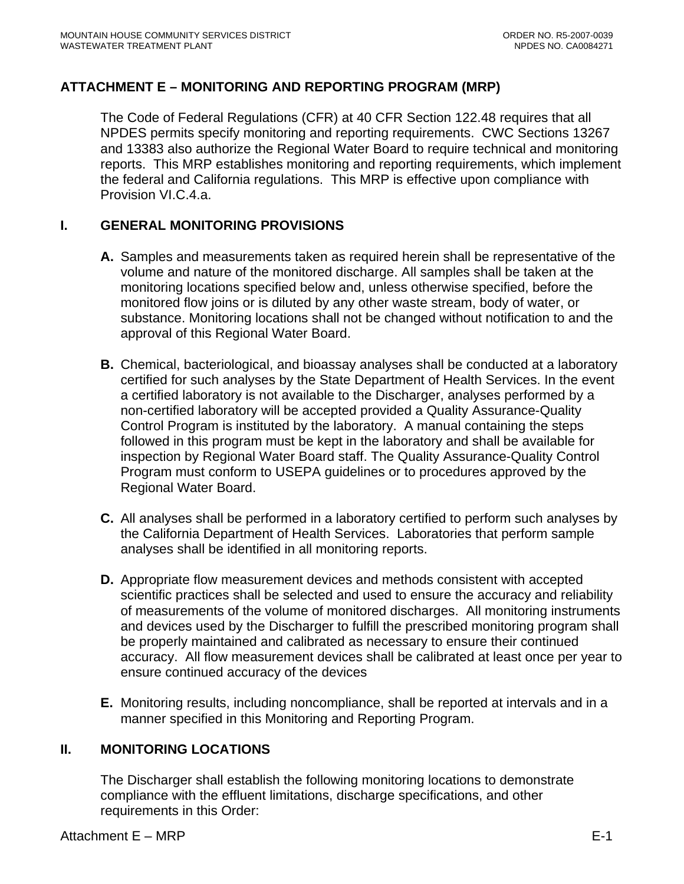# <span id="page-47-0"></span>**ATTACHMENT E – MONITORING AND REPORTING PROGRAM (MRP)**

The Code of Federal Regulations (CFR) at 40 CFR Section 122.48 requires that all NPDES permits specify monitoring and reporting requirements. CWC Sections 13267 and 13383 also authorize the Regional Water Board to require technical and monitoring reports. This MRP establishes monitoring and reporting requirements, which implement the federal and California regulations. This MRP is effective upon compliance with Provision VI.C.4.a.

### **I. GENERAL MONITORING PROVISIONS**

- **A.** Samples and measurements taken as required herein shall be representative of the volume and nature of the monitored discharge. All samples shall be taken at the monitoring locations specified below and, unless otherwise specified, before the monitored flow joins or is diluted by any other waste stream, body of water, or substance. Monitoring locations shall not be changed without notification to and the approval of this Regional Water Board.
- **B.** Chemical, bacteriological, and bioassay analyses shall be conducted at a laboratory certified for such analyses by the State Department of Health Services. In the event a certified laboratory is not available to the Discharger, analyses performed by a non-certified laboratory will be accepted provided a Quality Assurance-Quality Control Program is instituted by the laboratory. A manual containing the steps followed in this program must be kept in the laboratory and shall be available for inspection by Regional Water Board staff. The Quality Assurance-Quality Control Program must conform to USEPA guidelines or to procedures approved by the Regional Water Board.
- **C.** All analyses shall be performed in a laboratory certified to perform such analyses by the California Department of Health Services. Laboratories that perform sample analyses shall be identified in all monitoring reports.
- **D.** Appropriate flow measurement devices and methods consistent with accepted scientific practices shall be selected and used to ensure the accuracy and reliability of measurements of the volume of monitored discharges. All monitoring instruments and devices used by the Discharger to fulfill the prescribed monitoring program shall be properly maintained and calibrated as necessary to ensure their continued accuracy. All flow measurement devices shall be calibrated at least once per year to ensure continued accuracy of the devices
- **E.** Monitoring results, including noncompliance, shall be reported at intervals and in a manner specified in this Monitoring and Reporting Program.

# **II. MONITORING LOCATIONS**

The Discharger shall establish the following monitoring locations to demonstrate compliance with the effluent limitations, discharge specifications, and other requirements in this Order: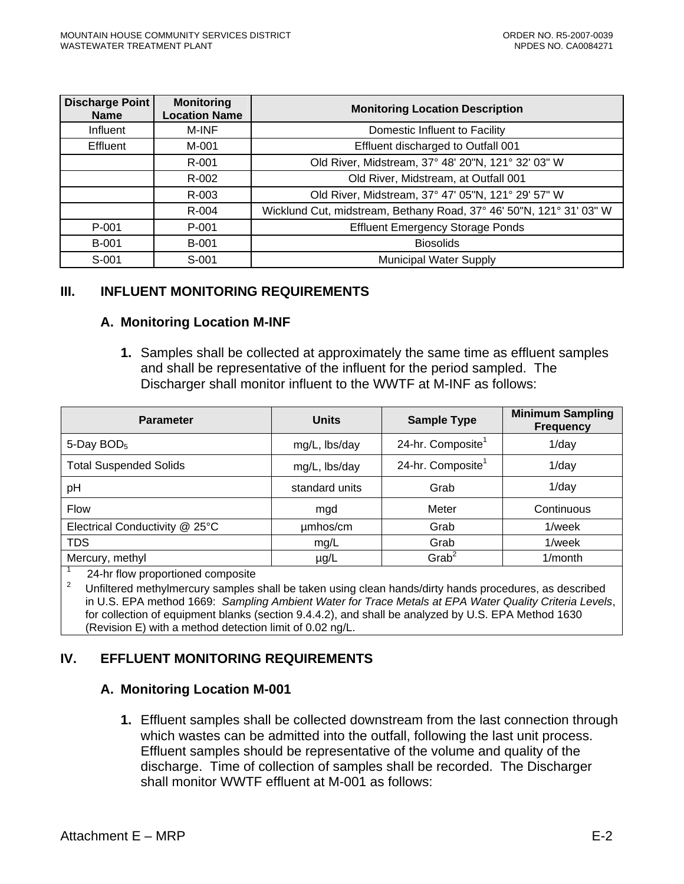<span id="page-48-0"></span>

| <b>Discharge Point</b><br><b>Name</b> | <b>Monitoring</b><br><b>Location Name</b> | <b>Monitoring Location Description</b>                              |
|---------------------------------------|-------------------------------------------|---------------------------------------------------------------------|
| Influent                              | M-INF                                     | Domestic Influent to Facility                                       |
| <b>Effluent</b>                       | M-001                                     | Effluent discharged to Outfall 001                                  |
|                                       | R-001                                     | Old River, Midstream, 37° 48' 20"N, 121° 32' 03" W                  |
|                                       | R-002                                     | Old River, Midstream, at Outfall 001                                |
|                                       | R-003                                     | Old River, Midstream, 37° 47' 05"N, 121° 29' 57" W                  |
|                                       | R-004                                     | Wicklund Cut, midstream, Bethany Road, 37° 46' 50"N, 121° 31' 03" W |
| P-001                                 | P-001                                     | <b>Effluent Emergency Storage Ponds</b>                             |
| <b>B-001</b>                          | <b>B-001</b>                              | <b>Biosolids</b>                                                    |
| S-001                                 | S-001                                     | <b>Municipal Water Supply</b>                                       |

#### **III. INFLUENT MONITORING REQUIREMENTS**

#### **A. Monitoring Location M-INF**

**1.** Samples shall be collected at approximately the same time as effluent samples and shall be representative of the influent for the period sampled. The Discharger shall monitor influent to the WWTF at M-INF as follows:

| <b>Parameter</b>               | <b>Units</b>   | <b>Sample Type</b>            | <b>Minimum Sampling</b><br><b>Frequency</b> |
|--------------------------------|----------------|-------------------------------|---------------------------------------------|
| 5-Day $BOD5$                   | mg/L, lbs/day  | 24-hr. Composite <sup>1</sup> | $1$ /day                                    |
| <b>Total Suspended Solids</b>  | mg/L, lbs/day  | 24-hr. Composite <sup>1</sup> | $1$ /day                                    |
| pH                             | standard units | Grab                          | $1$ /day                                    |
| <b>Flow</b>                    | mgd            | Meter                         | Continuous                                  |
| Electrical Conductivity @ 25°C | umhos/cm       | Grab                          | 1/week                                      |
| <b>TDS</b>                     | mg/L           | Grab                          | 1/week                                      |
| Mercury, methyl                | $\mu$ g/L      | $G$ rab <sup>2</sup>          | $1/m$ onth                                  |

1  $\frac{1}{2}$  24-hr flow proportioned composite

2 Unfiltered methylmercury samples shall be taken using clean hands/dirty hands procedures, as described in U.S. EPA method 1669: *Sampling Ambient Water for Trace Metals at EPA Water Quality Criteria Levels*, for collection of equipment blanks (section 9.4.4.2), and shall be analyzed by U.S. EPA Method 1630 (Revision E) with a method detection limit of 0.02 ng/L.

# **IV. EFFLUENT MONITORING REQUIREMENTS**

#### **A. Monitoring Location M-001**

**1.** Effluent samples shall be collected downstream from the last connection through which wastes can be admitted into the outfall, following the last unit process. Effluent samples should be representative of the volume and quality of the discharge. Time of collection of samples shall be recorded. The Discharger shall monitor WWTF effluent at M-001 as follows: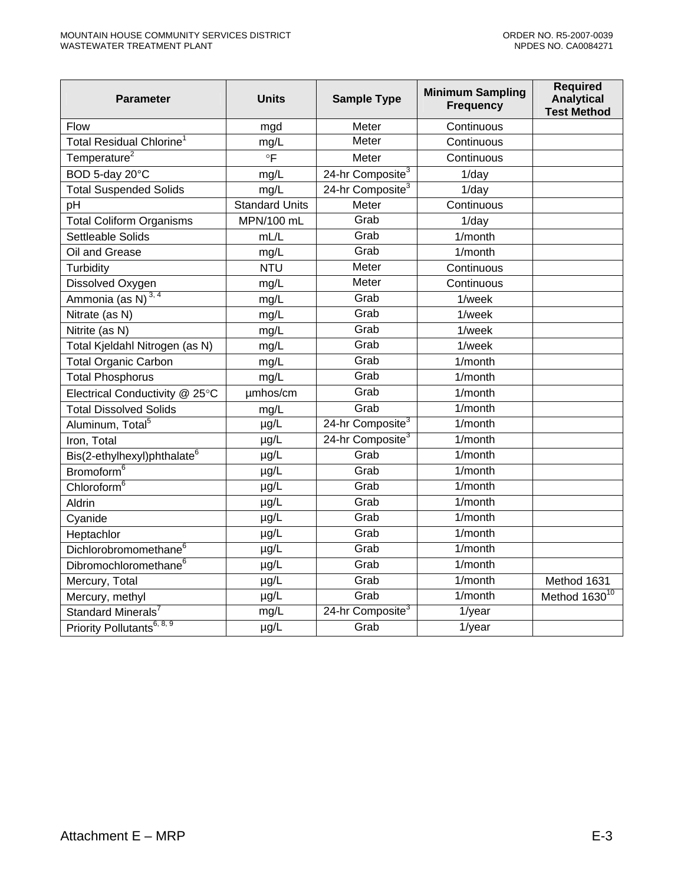| <b>Parameter</b>                        | <b>Units</b>          | <b>Sample Type</b>           | <b>Minimum Sampling</b><br><b>Frequency</b> | <b>Required</b><br><b>Analytical</b><br><b>Test Method</b> |
|-----------------------------------------|-----------------------|------------------------------|---------------------------------------------|------------------------------------------------------------|
| Flow                                    | mgd                   | Meter                        | Continuous                                  |                                                            |
| Total Residual Chlorine <sup>1</sup>    | mg/L                  | Meter                        | Continuous                                  |                                                            |
| Temperature <sup>2</sup>                | $\circ$ F             | Meter                        | Continuous                                  |                                                            |
| BOD 5-day 20°C                          | mg/L                  | 24-hr Composite <sup>3</sup> | $1$ /day                                    |                                                            |
| Total Suspended Solids                  | mg/L                  | 24-hr Composite <sup>3</sup> | $1$ /day                                    |                                                            |
| pH                                      | <b>Standard Units</b> | Meter                        | Continuous                                  |                                                            |
| <b>Total Coliform Organisms</b>         | MPN/100 mL            | Grab                         | $1$ /day                                    |                                                            |
| Settleable Solids                       | mL/L                  | Grab                         | 1/month                                     |                                                            |
| Oil and Grease                          | mg/L                  | Grab                         | 1/month                                     |                                                            |
| Turbidity                               | <b>NTU</b>            | Meter                        | Continuous                                  |                                                            |
| Dissolved Oxygen                        | mg/L                  | Meter                        | Continuous                                  |                                                            |
| Ammonia (as N) $^{3,4}$                 | mg/L                  | Grab                         | 1/week                                      |                                                            |
| Nitrate (as N)                          | mg/L                  | Grab                         | 1/week                                      |                                                            |
| Nitrite (as N)                          | mg/L                  | Grab                         | 1/week                                      |                                                            |
| Total Kjeldahl Nitrogen (as N)          | mg/L                  | Grab                         | 1/week                                      |                                                            |
| <b>Total Organic Carbon</b>             | mg/L                  | Grab                         | 1/month                                     |                                                            |
| <b>Total Phosphorus</b>                 | mg/L                  | Grab                         | 1/month                                     |                                                            |
| Electrical Conductivity @ 25°C          | umhos/cm              | Grab                         | 1/month                                     |                                                            |
| <b>Total Dissolved Solids</b>           | mg/L                  | Grab                         | 1/month                                     |                                                            |
| Aluminum, Total <sup>5</sup>            | µg/L                  | 24-hr Composite <sup>3</sup> | 1/month                                     |                                                            |
| Iron, Total                             | µg/L                  | 24-hr Composite <sup>3</sup> | 1/month                                     |                                                            |
| Bis(2-ethylhexyl)phthalate <sup>6</sup> | $\mu$ g/L             | Grab                         | 1/month                                     |                                                            |
| Bromoform <sup>6</sup>                  | $\mu g/L$             | Grab                         | $1/m$ onth                                  |                                                            |
| Chloroform <sup>6</sup>                 | µg/L                  | Grab                         | $1/m$ onth                                  |                                                            |
| Aldrin                                  | µg/L                  | Grab                         | 1/month                                     |                                                            |
| Cyanide                                 | µg/L                  | Grab                         | 1/month                                     |                                                            |
| Heptachlor                              | µg/L                  | Grab                         | 1/month                                     |                                                            |
| Dichlorobromomethane <sup>6</sup>       | µg/L                  | Grab                         | $1/m$ onth                                  |                                                            |
| Dibromochloromethane <sup>6</sup>       | µg/L                  | Grab                         | 1/month                                     |                                                            |
| Mercury, Total                          | µg/L                  | Grab                         | 1/month                                     | Method 1631                                                |
| Mercury, methyl                         | µg/L                  | Grab                         | 1/month                                     | Method 1630 <sup>10</sup>                                  |
| Standard Minerals <sup>7</sup>          | mg/L                  | 24-hr Composite <sup>3</sup> | $1$ /year                                   |                                                            |
| Priority Pollutants <sup>6, 8, 9</sup>  | $\mu g/L$             | Grab                         | $1$ /year                                   |                                                            |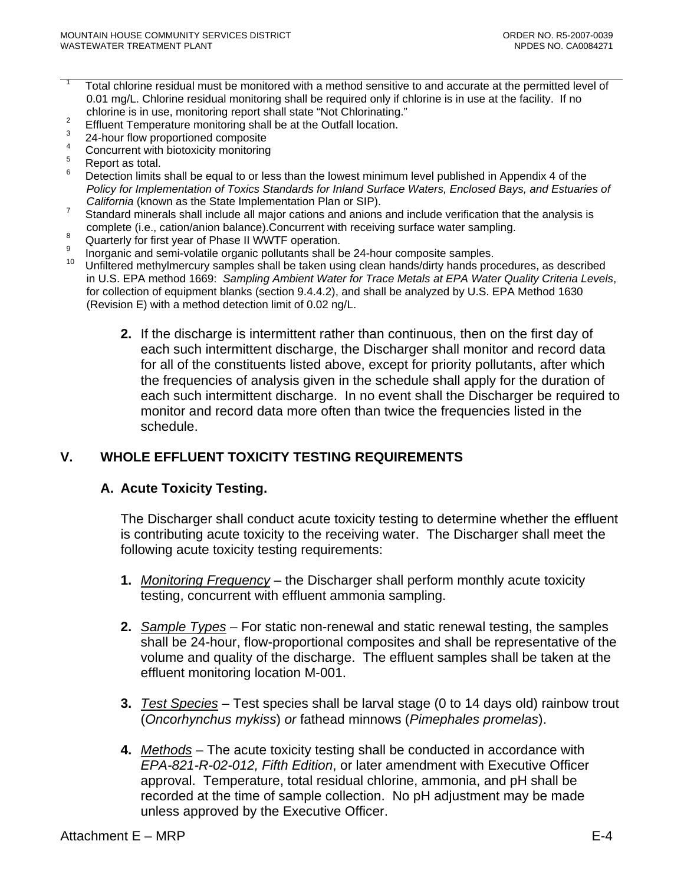- <span id="page-50-0"></span>1 Total chlorine residual must be monitored with a method sensitive to and accurate at the permitted level of 0.01 mg/L. Chlorine residual monitoring shall be required only if chlorine is in use at the facility. If no chlorine is in use, monitoring report shall state "Not Chlorinating."
- Effluent Temperature monitoring shall be at the Outfall location. 3
- 24-hour flow proportioned composite
- 4 Concurrent with biotoxicity monitoring
- 5 Report as total.
- 6 Detection limits shall be equal to or less than the lowest minimum level published in Appendix 4 of the *Policy for Implementation of Toxics Standards for Inland Surface Waters, Enclosed Bays, and Estuaries of California* (known as the State Implementation Plan or SIP).
- Standard minerals shall include all major cations and anions and include verification that the analysis is
- complete (i.e., cation/anion balance).Concurrent with receiving surface water sampling. Quarterly for first year of Phase II WWTF operation.
- 9 Inorganic and semi-volatile organic pollutants shall be 24-hour composite samples.
- 10 Unfiltered methylmercury samples shall be taken using clean hands/dirty hands procedures, as described in U.S. EPA method 1669: *Sampling Ambient Water for Trace Metals at EPA Water Quality Criteria Levels*, for collection of equipment blanks (section 9.4.4.2), and shall be analyzed by U.S. EPA Method 1630 (Revision E) with a method detection limit of 0.02 ng/L.
	- **2.** If the discharge is intermittent rather than continuous, then on the first day of each such intermittent discharge, the Discharger shall monitor and record data for all of the constituents listed above, except for priority pollutants, after which the frequencies of analysis given in the schedule shall apply for the duration of each such intermittent discharge. In no event shall the Discharger be required to monitor and record data more often than twice the frequencies listed in the schedule.

# **V. WHOLE EFFLUENT TOXICITY TESTING REQUIREMENTS**

# **A. Acute Toxicity Testing.**

The Discharger shall conduct acute toxicity testing to determine whether the effluent is contributing acute toxicity to the receiving water. The Discharger shall meet the following acute toxicity testing requirements:

- **1.** *Monitoring Frequency* the Discharger shall perform monthly acute toxicity testing, concurrent with effluent ammonia sampling.
- **2.** *Sample Types* For static non-renewal and static renewal testing, the samples shall be 24-hour, flow-proportional composites and shall be representative of the volume and quality of the discharge. The effluent samples shall be taken at the effluent monitoring location M-001.
- **3.** *Test Species* Test species shall be larval stage (0 to 14 days old) rainbow trout (*Oncorhynchus mykiss*) *or* fathead minnows (*Pimephales promelas*).
- **4.** *Methods* The acute toxicity testing shall be conducted in accordance with *EPA-821-R-02-012, Fifth Edition*, or later amendment with Executive Officer approval. Temperature, total residual chlorine, ammonia, and pH shall be recorded at the time of sample collection. No pH adjustment may be made unless approved by the Executive Officer.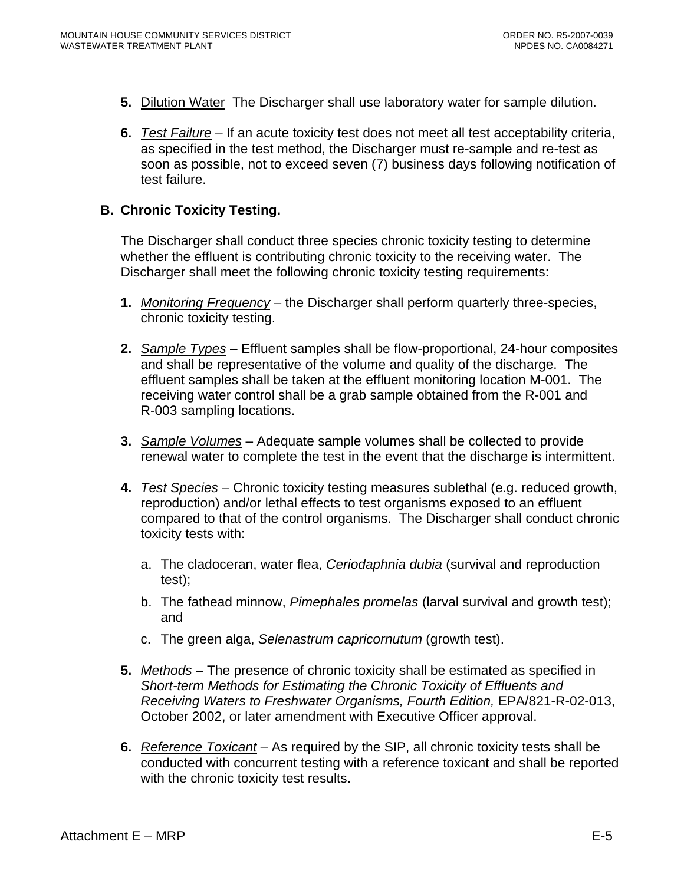- <span id="page-51-0"></span>**5.** Dilution Water The Discharger shall use laboratory water for sample dilution.
- **6.** *Test Failure* If an acute toxicity test does not meet all test acceptability criteria, as specified in the test method, the Discharger must re-sample and re-test as soon as possible, not to exceed seven (7) business days following notification of test failure.

#### **B. Chronic Toxicity Testing.**

The Discharger shall conduct three species chronic toxicity testing to determine whether the effluent is contributing chronic toxicity to the receiving water. The Discharger shall meet the following chronic toxicity testing requirements:

- **1.** *Monitoring Frequency* the Discharger shall perform quarterly three-species, chronic toxicity testing.
- **2.** *Sample Types* Effluent samples shall be flow-proportional, 24-hour composites and shall be representative of the volume and quality of the discharge. The effluent samples shall be taken at the effluent monitoring location M-001. The receiving water control shall be a grab sample obtained from the R-001 and R-003 sampling locations.
- **3.** *Sample Volumes* Adequate sample volumes shall be collected to provide renewal water to complete the test in the event that the discharge is intermittent.
- **4.** *Test Species* Chronic toxicity testing measures sublethal (e.g. reduced growth, reproduction) and/or lethal effects to test organisms exposed to an effluent compared to that of the control organisms. The Discharger shall conduct chronic toxicity tests with:
	- a. The cladoceran, water flea, *Ceriodaphnia dubia* (survival and reproduction test);
	- b. The fathead minnow, *Pimephales promelas* (larval survival and growth test); and
	- c. The green alga, *Selenastrum capricornutum* (growth test).
- **5.** *Methods* The presence of chronic toxicity shall be estimated as specified in *Short-term Methods for Estimating the Chronic Toxicity of Effluents and Receiving Waters to Freshwater Organisms, Fourth Edition,* EPA/821-R-02-013, October 2002, or later amendment with Executive Officer approval.
- **6.** *Reference Toxicant* As required by the SIP, all chronic toxicity tests shall be conducted with concurrent testing with a reference toxicant and shall be reported with the chronic toxicity test results.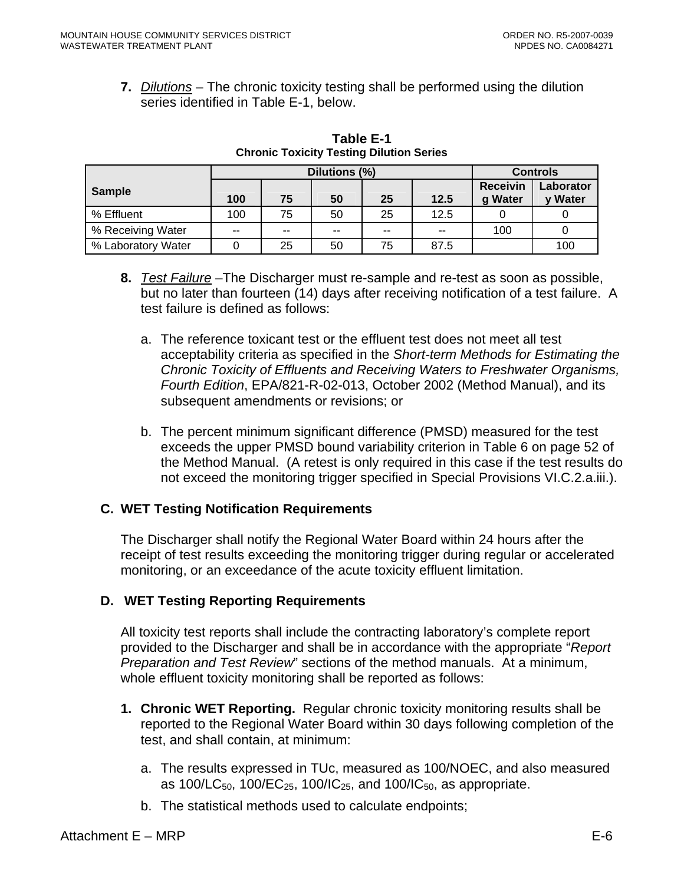<span id="page-52-0"></span>**7.** *Dilutions* – The chronic toxicity testing shall be performed using the dilution series identified in Table E-1, below.

|                    | Dilutions (%) |    |        |       |      | <b>Controls</b>            |                      |
|--------------------|---------------|----|--------|-------|------|----------------------------|----------------------|
| <b>Sample</b>      | 100           | 75 | 50     | 25    | 12.5 | <b>Receivin</b><br>g Water | Laborator<br>y Water |
| % Effluent         | 100           | 75 | 50     | 25    | 12.5 |                            |                      |
| % Receiving Water  | --            | -- | $\sim$ | $- -$ | --   | 100                        |                      |
| % Laboratory Water |               | 25 | 50     | 75    | 87.5 |                            | 100                  |

**Table E-1 Chronic Toxicity Testing Dilution Series** 

- **8.** *Test Failure* –The Discharger must re-sample and re-test as soon as possible, but no later than fourteen (14) days after receiving notification of a test failure. A test failure is defined as follows:
	- a. The reference toxicant test or the effluent test does not meet all test acceptability criteria as specified in the *Short-term Methods for Estimating the Chronic Toxicity of Effluents and Receiving Waters to Freshwater Organisms, Fourth Edition*, EPA/821-R-02-013, October 2002 (Method Manual), and its subsequent amendments or revisions; or
	- b. The percent minimum significant difference (PMSD) measured for the test exceeds the upper PMSD bound variability criterion in Table 6 on page 52 of the Method Manual. (A retest is only required in this case if the test results do not exceed the monitoring trigger specified in Special Provisions VI.C.2.a.iii.).

# **C. WET Testing Notification Requirements**

The Discharger shall notify the Regional Water Board within 24 hours after the receipt of test results exceeding the monitoring trigger during regular or accelerated monitoring, or an exceedance of the acute toxicity effluent limitation.

# **D. WET Testing Reporting Requirements**

All toxicity test reports shall include the contracting laboratory's complete report provided to the Discharger and shall be in accordance with the appropriate "*Report Preparation and Test Review*" sections of the method manuals. At a minimum, whole effluent toxicity monitoring shall be reported as follows:

- **1. Chronic WET Reporting.** Regular chronic toxicity monitoring results shall be reported to the Regional Water Board within 30 days following completion of the test, and shall contain, at minimum:
	- a. The results expressed in TUc, measured as 100/NOEC, and also measured as 100/LC<sub>50</sub>, 100/EC<sub>25</sub>, 100/IC<sub>25</sub>, and 100/IC<sub>50</sub>, as appropriate.
	- b. The statistical methods used to calculate endpoints;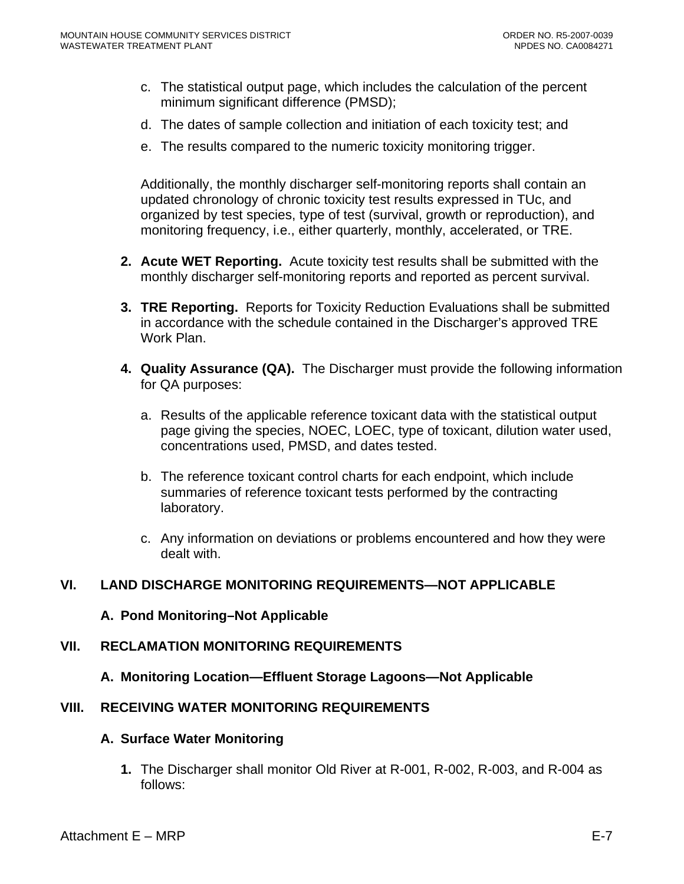- <span id="page-53-0"></span>c. The statistical output page, which includes the calculation of the percent minimum significant difference (PMSD);
- d. The dates of sample collection and initiation of each toxicity test; and
- e. The results compared to the numeric toxicity monitoring trigger.

Additionally, the monthly discharger self-monitoring reports shall contain an updated chronology of chronic toxicity test results expressed in TUc, and organized by test species, type of test (survival, growth or reproduction), and monitoring frequency, i.e., either quarterly, monthly, accelerated, or TRE.

- **2. Acute WET Reporting.** Acute toxicity test results shall be submitted with the monthly discharger self-monitoring reports and reported as percent survival.
- **3. TRE Reporting.** Reports for Toxicity Reduction Evaluations shall be submitted in accordance with the schedule contained in the Discharger's approved TRE Work Plan.
- **4. Quality Assurance (QA).** The Discharger must provide the following information for QA purposes:
	- a. Results of the applicable reference toxicant data with the statistical output page giving the species, NOEC, LOEC, type of toxicant, dilution water used, concentrations used, PMSD, and dates tested.
	- b. The reference toxicant control charts for each endpoint, which include summaries of reference toxicant tests performed by the contracting laboratory.
	- c. Any information on deviations or problems encountered and how they were dealt with.

#### **VI. LAND DISCHARGE MONITORING REQUIREMENTS—NOT APPLICABLE**

#### **A. Pond Monitoring–Not Applicable**

#### **VII. RECLAMATION MONITORING REQUIREMENTS**

**A. Monitoring Location—Effluent Storage Lagoons—Not Applicable** 

### **VIII. RECEIVING WATER MONITORING REQUIREMENTS**

#### **A. Surface Water Monitoring**

**1.** The Discharger shall monitor Old River at R-001, R-002, R-003, and R-004 as follows: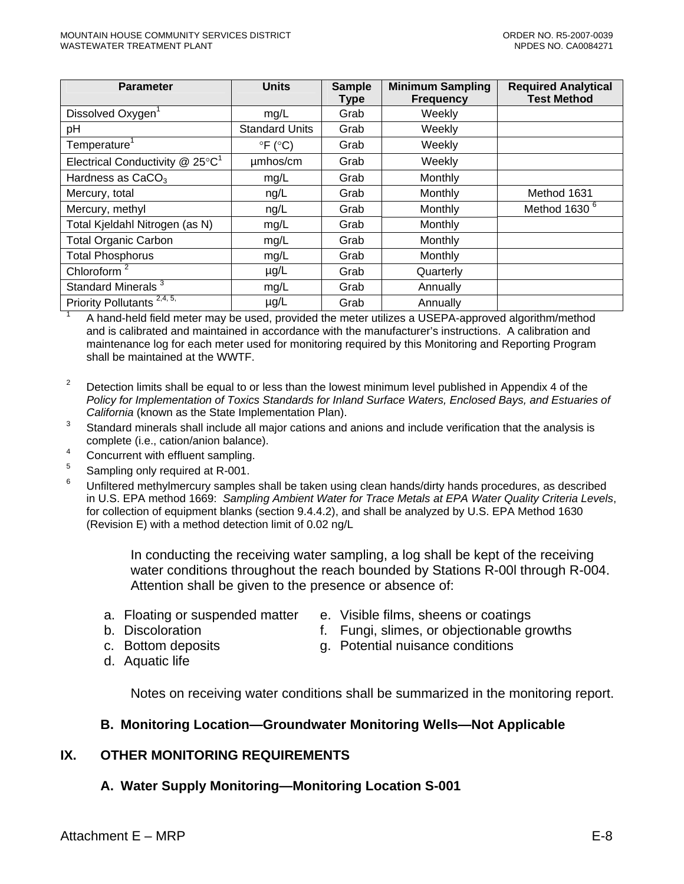<span id="page-54-0"></span>

|                        | Type | <b>Minimum Sampling</b><br><b>Frequency</b> | <b>Required Analytical</b><br><b>Test Method</b>                                                                                                                                                                               |
|------------------------|------|---------------------------------------------|--------------------------------------------------------------------------------------------------------------------------------------------------------------------------------------------------------------------------------|
| mg/L                   | Grab | Weekly                                      |                                                                                                                                                                                                                                |
| <b>Standard Units</b>  | Grab | Weekly                                      |                                                                                                                                                                                                                                |
| $\circ$ F ( $\circ$ C) | Grab | Weekly                                      |                                                                                                                                                                                                                                |
| umhos/cm               | Grab | Weekly                                      |                                                                                                                                                                                                                                |
| mg/L                   | Grab | Monthly                                     |                                                                                                                                                                                                                                |
| ng/L                   | Grab | Monthly                                     | Method 1631                                                                                                                                                                                                                    |
| ng/L                   | Grab | Monthly                                     | Method 1630 <sup>6</sup>                                                                                                                                                                                                       |
| mg/L                   | Grab | Monthly                                     |                                                                                                                                                                                                                                |
| mg/L                   | Grab | Monthly                                     |                                                                                                                                                                                                                                |
| mg/L                   | Grab | Monthly                                     |                                                                                                                                                                                                                                |
| $\mu$ g/L              | Grab | Quarterly                                   |                                                                                                                                                                                                                                |
| mg/L                   | Grab | Annually                                    |                                                                                                                                                                                                                                |
| $\mu$ g/L              | Grab | Annually                                    |                                                                                                                                                                                                                                |
|                        |      |                                             | A the called a field on the concept of the distribution of the contract of the common of the second of the contract of the contract of the contract of the contract of the contract of the contract of the contract of the con |

 A hand-held field meter may be used, provided the meter utilizes a USEPA-approved algorithm/method and is calibrated and maintained in accordance with the manufacturer's instructions. A calibration and maintenance log for each meter used for monitoring required by this Monitoring and Reporting Program shall be maintained at the WWTF.

- 2 Detection limits shall be equal to or less than the lowest minimum level published in Appendix 4 of the *Policy for Implementation of Toxics Standards for Inland Surface Waters, Enclosed Bays, and Estuaries of California* (known as the State Implementation Plan).
- 3 Standard minerals shall include all major cations and anions and include verification that the analysis is complete (i.e., cation/anion balance).
- 4 Concurrent with effluent sampling.
- 5 Sampling only required at R-001.

6 Unfiltered methylmercury samples shall be taken using clean hands/dirty hands procedures, as described in U.S. EPA method 1669: *Sampling Ambient Water for Trace Metals at EPA Water Quality Criteria Levels*, for collection of equipment blanks (section 9.4.4.2), and shall be analyzed by U.S. EPA Method 1630 (Revision E) with a method detection limit of 0.02 ng/L

> In conducting the receiving water sampling, a log shall be kept of the receiving water conditions throughout the reach bounded by Stations R-00l through R-004. Attention shall be given to the presence or absence of:

- a. Floating or suspended matter e. Visible films, sheens or coatings
- 
- c. Bottom deposits
- b. Discoloration f. Fungi, slimes, or objectionable growths
	-
- 

d. Aquatic life

- g. Potential nuisance conditions
- Notes on receiving water conditions shall be summarized in the monitoring report.

#### **B. Monitoring Location—Groundwater Monitoring Wells—Not Applicable**

#### **IX. OTHER MONITORING REQUIREMENTS**

#### **A. Water Supply Monitoring—Monitoring Location S-001**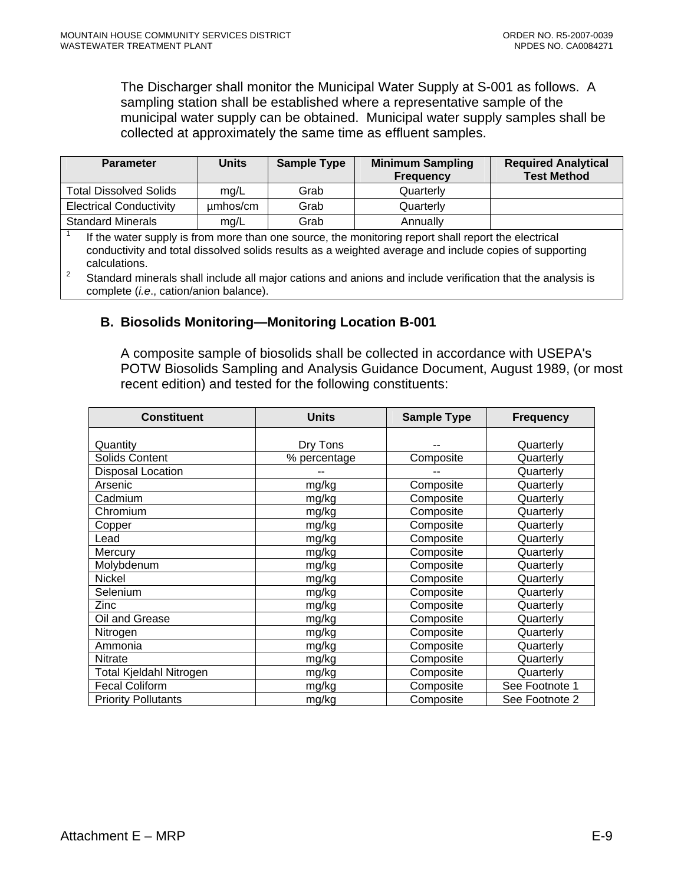<span id="page-55-0"></span>The Discharger shall monitor the Municipal Water Supply at S-001 as follows. A sampling station shall be established where a representative sample of the municipal water supply can be obtained. Municipal water supply samples shall be collected at approximately the same time as effluent samples.

| <b>Parameter</b>                                                                                                                                                                                                                                                                                                                             | <b>Units</b> | <b>Sample Type</b> | <b>Minimum Sampling</b><br><b>Frequency</b> | <b>Required Analytical</b><br><b>Test Method</b> |
|----------------------------------------------------------------------------------------------------------------------------------------------------------------------------------------------------------------------------------------------------------------------------------------------------------------------------------------------|--------------|--------------------|---------------------------------------------|--------------------------------------------------|
| <b>Total Dissolved Solids</b>                                                                                                                                                                                                                                                                                                                | mg/L         | Grab               | Quarterly                                   |                                                  |
| <b>Electrical Conductivity</b>                                                                                                                                                                                                                                                                                                               | umhos/cm     | Grab               | Quarterly                                   |                                                  |
| <b>Standard Minerals</b>                                                                                                                                                                                                                                                                                                                     | mg/L         | Grab               | Annually                                    |                                                  |
| If the water supply is from more than one source, the monitoring report shall report the electrical<br>conductivity and total dissolved solids results as a weighted average and include copies of supporting<br>calculations.<br>Ctonderd minerals aboll include all moier estiene and enjone and include verification that the englypic is |              |                    |                                             |                                                  |

 Standard minerals shall include all major cations and anions and include verification that the analysis is complete (*i.e*., cation/anion balance).

#### **B. Biosolids Monitoring—Monitoring Location B-001**

A composite sample of biosolids shall be collected in accordance with USEPA's POTW Biosolids Sampling and Analysis Guidance Document, August 1989, (or most recent edition) and tested for the following constituents:

| <b>Constituent</b>         | <b>Units</b> | <b>Sample Type</b> | <b>Frequency</b> |
|----------------------------|--------------|--------------------|------------------|
|                            |              |                    |                  |
| Quantity                   | Dry Tons     |                    | Quarterly        |
| Solids Content             | % percentage | Composite          | Quarterly        |
| Disposal Location          |              |                    | Quarterly        |
| Arsenic                    | mg/kg        | Composite          | Quarterly        |
| Cadmium                    | mg/kg        | Composite          | Quarterly        |
| Chromium                   | mg/kg        | Composite          | Quarterly        |
| Copper                     | mg/kg        | Composite          | Quarterly        |
| Lead                       | mg/kg        | Composite          | Quarterly        |
| Mercury                    | mg/kg        | Composite          | Quarterly        |
| Molybdenum                 | mg/kg        | Composite          | Quarterly        |
| Nickel                     | mg/kg        | Composite          | Quarterly        |
| Selenium                   | mg/kg        | Composite          | Quarterly        |
| Zinc                       | mg/kg        | Composite          | Quarterly        |
| Oil and Grease             | mg/kg        | Composite          | Quarterly        |
| Nitrogen                   | mg/kg        | Composite          | Quarterly        |
| Ammonia                    | mg/kg        | Composite          | Quarterly        |
| <b>Nitrate</b>             | mg/kg        | Composite          | Quarterly        |
| Total Kjeldahl Nitrogen    | mg/kg        | Composite          | Quarterly        |
| <b>Fecal Coliform</b>      | mg/kg        | Composite          | See Footnote 1   |
| <b>Priority Pollutants</b> | mg/kg        | Composite          | See Footnote 2   |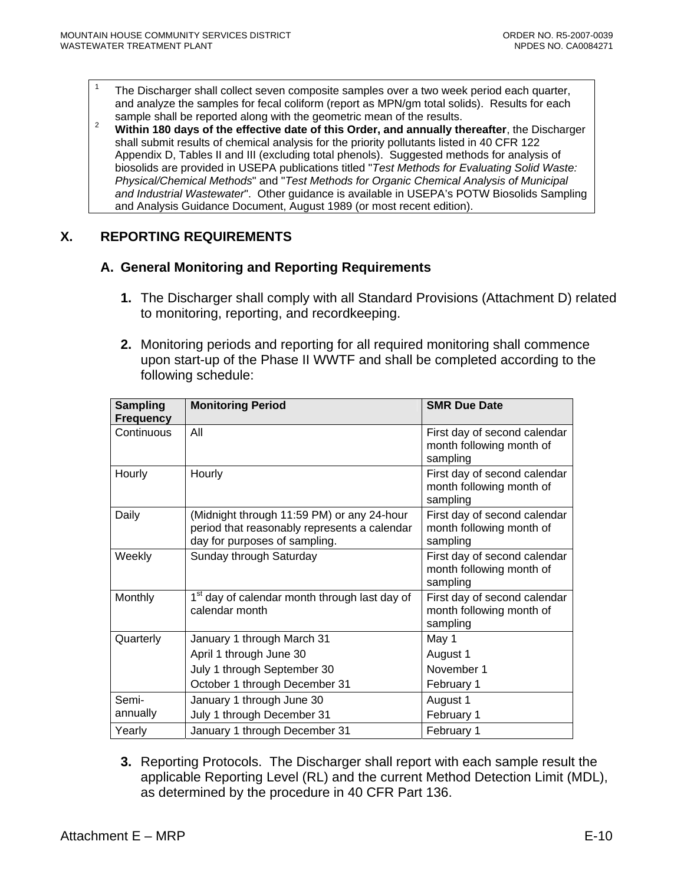<span id="page-56-0"></span>1

 The Discharger shall collect seven composite samples over a two week period each quarter, and analyze the samples for fecal coliform (report as MPN/gm total solids). Results for each sample shall be reported along with the geometric mean of the results.

sample shall be reported along with the geometric mean of the results. 2 **Within 180 days of the effective date of this Order, and annually thereafter**, the Discharger shall submit results of chemical analysis for the priority pollutants listed in 40 CFR 122 Appendix D, Tables II and III (excluding total phenols). Suggested methods for analysis of biosolids are provided in USEPA publications titled "*Test Methods for Evaluating Solid Waste: Physical/Chemical Methods*" and "*Test Methods for Organic Chemical Analysis of Municipal and Industrial Wastewater*". Other guidance is available in USEPA's POTW Biosolids Sampling and Analysis Guidance Document, August 1989 (or most recent edition).

### **X. REPORTING REQUIREMENTS**

#### **A. General Monitoring and Reporting Requirements**

- **1.** The Discharger shall comply with all Standard Provisions (Attachment D) related to monitoring, reporting, and recordkeeping.
- **2.** Monitoring periods and reporting for all required monitoring shall commence upon start-up of the Phase II WWTF and shall be completed according to the following schedule:

| <b>Sampling</b><br><b>Frequency</b> | <b>Monitoring Period</b>                                                                                                    | <b>SMR Due Date</b>                                                  |
|-------------------------------------|-----------------------------------------------------------------------------------------------------------------------------|----------------------------------------------------------------------|
| Continuous                          | All                                                                                                                         | First day of second calendar<br>month following month of<br>sampling |
| Hourly                              | Hourly                                                                                                                      | First day of second calendar<br>month following month of<br>sampling |
| Daily                               | (Midnight through 11:59 PM) or any 24-hour<br>period that reasonably represents a calendar<br>day for purposes of sampling. | First day of second calendar<br>month following month of<br>sampling |
| Weekly                              | Sunday through Saturday                                                                                                     | First day of second calendar<br>month following month of<br>sampling |
| Monthly                             | 1 <sup>st</sup> day of calendar month through last day of<br>calendar month                                                 | First day of second calendar<br>month following month of<br>sampling |
| Quarterly                           | January 1 through March 31                                                                                                  | May 1                                                                |
|                                     | April 1 through June 30                                                                                                     | August 1                                                             |
|                                     | July 1 through September 30                                                                                                 | November 1                                                           |
|                                     | October 1 through December 31                                                                                               | February 1                                                           |
| Semi-                               | January 1 through June 30                                                                                                   | August 1                                                             |
| annually                            | July 1 through December 31                                                                                                  | February 1                                                           |
| Yearly                              | January 1 through December 31                                                                                               | February 1                                                           |

**3.** Reporting Protocols. The Discharger shall report with each sample result the applicable Reporting Level (RL) and the current Method Detection Limit (MDL), as determined by the procedure in 40 CFR Part 136.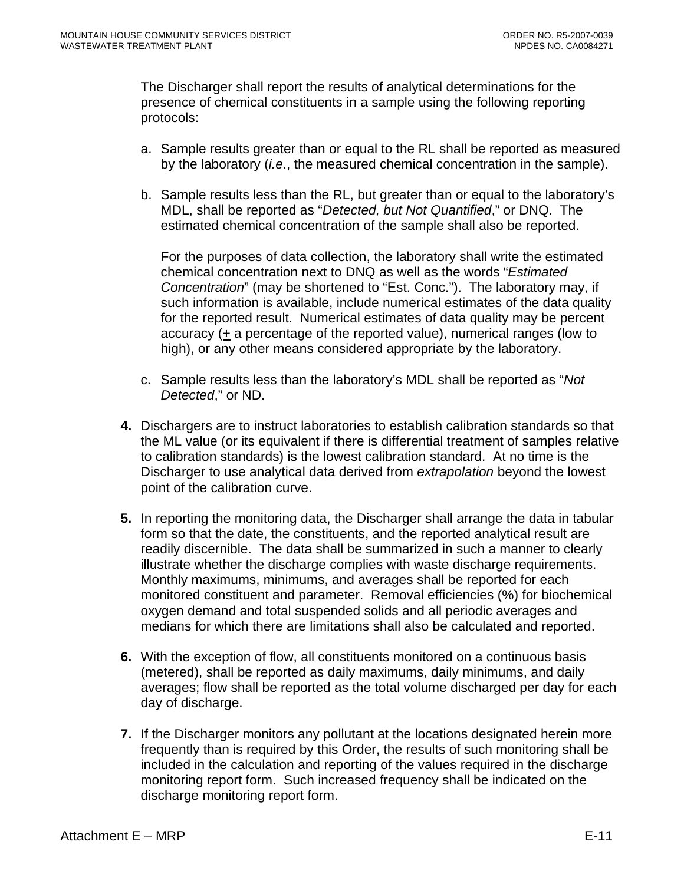The Discharger shall report the results of analytical determinations for the presence of chemical constituents in a sample using the following reporting protocols:

- a. Sample results greater than or equal to the RL shall be reported as measured by the laboratory (*i.e*., the measured chemical concentration in the sample).
- b. Sample results less than the RL, but greater than or equal to the laboratory's MDL, shall be reported as "*Detected, but Not Quantified*," or DNQ. The estimated chemical concentration of the sample shall also be reported.

For the purposes of data collection, the laboratory shall write the estimated chemical concentration next to DNQ as well as the words "*Estimated Concentration*" (may be shortened to "Est. Conc."). The laboratory may, if such information is available, include numerical estimates of the data quality for the reported result. Numerical estimates of data quality may be percent accuracy (+ a percentage of the reported value), numerical ranges (low to high), or any other means considered appropriate by the laboratory.

- c. Sample results less than the laboratory's MDL shall be reported as "*Not Detected*," or ND.
- **4.** Dischargers are to instruct laboratories to establish calibration standards so that the ML value (or its equivalent if there is differential treatment of samples relative to calibration standards) is the lowest calibration standard. At no time is the Discharger to use analytical data derived from *extrapolation* beyond the lowest point of the calibration curve.
- **5.** In reporting the monitoring data, the Discharger shall arrange the data in tabular form so that the date, the constituents, and the reported analytical result are readily discernible. The data shall be summarized in such a manner to clearly illustrate whether the discharge complies with waste discharge requirements. Monthly maximums, minimums, and averages shall be reported for each monitored constituent and parameter. Removal efficiencies (%) for biochemical oxygen demand and total suspended solids and all periodic averages and medians for which there are limitations shall also be calculated and reported.
- **6.** With the exception of flow, all constituents monitored on a continuous basis (metered), shall be reported as daily maximums, daily minimums, and daily averages; flow shall be reported as the total volume discharged per day for each day of discharge.
- **7.** If the Discharger monitors any pollutant at the locations designated herein more frequently than is required by this Order, the results of such monitoring shall be included in the calculation and reporting of the values required in the discharge monitoring report form. Such increased frequency shall be indicated on the discharge monitoring report form.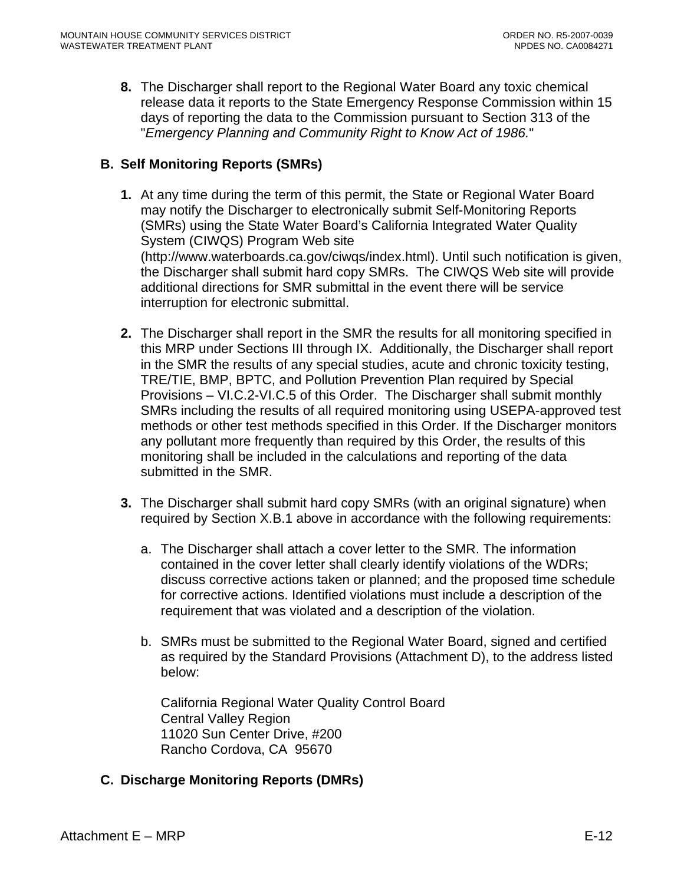<span id="page-58-0"></span>**8.** The Discharger shall report to the Regional Water Board any toxic chemical release data it reports to the State Emergency Response Commission within 15 days of reporting the data to the Commission pursuant to Section 313 of the "*Emergency Planning and Community Right to Know Act of 1986.*"

# **B. Self Monitoring Reports (SMRs)**

- **1.** At any time during the term of this permit, the State or Regional Water Board may notify the Discharger to electronically submit Self-Monitoring Reports (SMRs) using the State Water Board's California Integrated Water Quality System (CIWQS) Program Web site (http://www.waterboards.ca.gov/ciwqs/index.html). Until such notification is given, the Discharger shall submit hard copy SMRs. The CIWQS Web site will provide additional directions for SMR submittal in the event there will be service interruption for electronic submittal.
- **2.** The Discharger shall report in the SMR the results for all monitoring specified in this MRP under Sections III through IX. Additionally, the Discharger shall report in the SMR the results of any special studies, acute and chronic toxicity testing, TRE/TIE, BMP, BPTC, and Pollution Prevention Plan required by Special Provisions – VI.C.2-VI.C.5 of this Order. The Discharger shall submit monthly SMRs including the results of all required monitoring using USEPA-approved test methods or other test methods specified in this Order. If the Discharger monitors any pollutant more frequently than required by this Order, the results of this monitoring shall be included in the calculations and reporting of the data submitted in the SMR.
- **3.** The Discharger shall submit hard copy SMRs (with an original signature) when required by Section X.B.1 above in accordance with the following requirements:
	- a. The Discharger shall attach a cover letter to the SMR. The information contained in the cover letter shall clearly identify violations of the WDRs; discuss corrective actions taken or planned; and the proposed time schedule for corrective actions. Identified violations must include a description of the requirement that was violated and a description of the violation.
	- b. SMRs must be submitted to the Regional Water Board, signed and certified as required by the Standard Provisions (Attachment D), to the address listed below:

California Regional Water Quality Control Board Central Valley Region 11020 Sun Center Drive, #200 Rancho Cordova, CA 95670

**C. Discharge Monitoring Reports (DMRs)**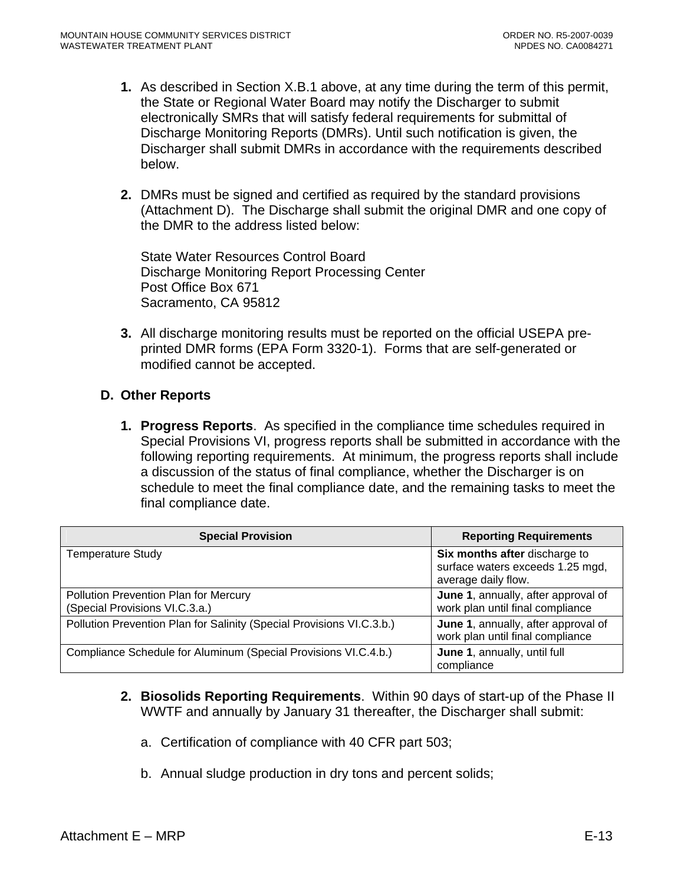- <span id="page-59-0"></span>**1.** As described in Section X.B.1 above, at any time during the term of this permit, the State or Regional Water Board may notify the Discharger to submit electronically SMRs that will satisfy federal requirements for submittal of Discharge Monitoring Reports (DMRs). Until such notification is given, the Discharger shall submit DMRs in accordance with the requirements described below.
- **2.** DMRs must be signed and certified as required by the standard provisions (Attachment D). The Discharge shall submit the original DMR and one copy of the DMR to the address listed below:

State Water Resources Control Board Discharge Monitoring Report Processing Center Post Office Box 671 Sacramento, CA 95812

**3.** All discharge monitoring results must be reported on the official USEPA preprinted DMR forms (EPA Form 3320-1). Forms that are self-generated or modified cannot be accepted.

### **D. Other Reports**

**1. Progress Reports**. As specified in the compliance time schedules required in Special Provisions VI, progress reports shall be submitted in accordance with the following reporting requirements. At minimum, the progress reports shall include a discussion of the status of final compliance, whether the Discharger is on schedule to meet the final compliance date, and the remaining tasks to meet the final compliance date.

| <b>Special Provision</b>                                                | <b>Reporting Requirements</b>                                                            |
|-------------------------------------------------------------------------|------------------------------------------------------------------------------------------|
| <b>Temperature Study</b>                                                | Six months after discharge to<br>surface waters exceeds 1.25 mgd,<br>average daily flow. |
| Pollution Prevention Plan for Mercury<br>(Special Provisions VI.C.3.a.) | June 1, annually, after approval of<br>work plan until final compliance                  |
| Pollution Prevention Plan for Salinity (Special Provisions VI.C.3.b.)   | June 1, annually, after approval of<br>work plan until final compliance                  |
| Compliance Schedule for Aluminum (Special Provisions VI.C.4.b.)         | June 1, annually, until full<br>compliance                                               |

- **2. Biosolids Reporting Requirements**. Within 90 days of start-up of the Phase II WWTF and annually by January 31 thereafter, the Discharger shall submit:
	- a. Certification of compliance with 40 CFR part 503;
	- b. Annual sludge production in dry tons and percent solids;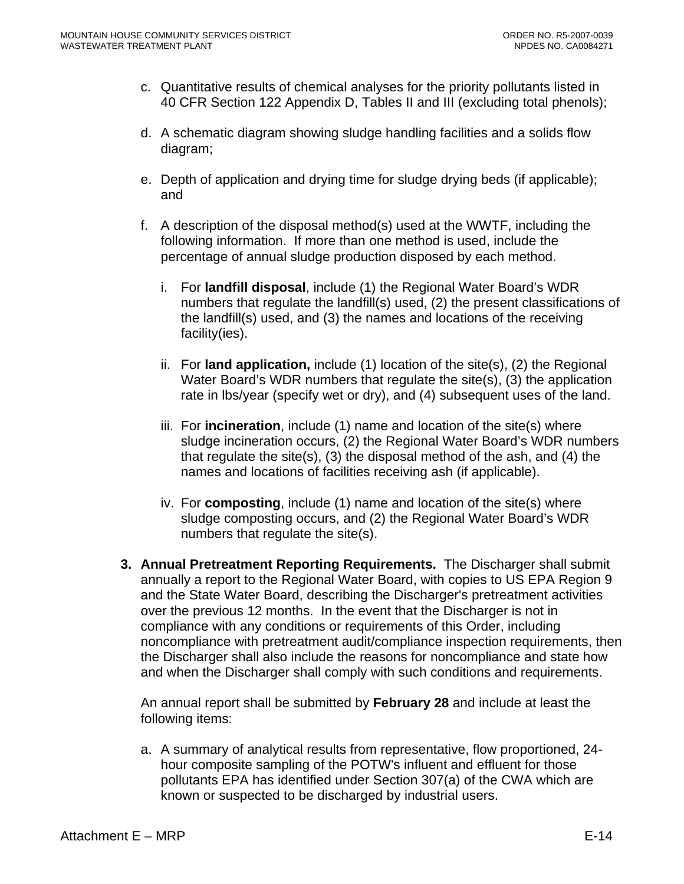- c. Quantitative results of chemical analyses for the priority pollutants listed in 40 CFR Section 122 Appendix D, Tables II and III (excluding total phenols);
- d. A schematic diagram showing sludge handling facilities and a solids flow diagram;
- e. Depth of application and drying time for sludge drying beds (if applicable); and
- f. A description of the disposal method(s) used at the WWTF, including the following information. If more than one method is used, include the percentage of annual sludge production disposed by each method.
	- i. For **landfill disposal**, include (1) the Regional Water Board's WDR numbers that regulate the landfill(s) used, (2) the present classifications of the landfill(s) used, and (3) the names and locations of the receiving facility(ies).
	- ii. For **land application,** include (1) location of the site(s), (2) the Regional Water Board's WDR numbers that regulate the site(s), (3) the application rate in lbs/year (specify wet or dry), and (4) subsequent uses of the land.
	- iii. For **incineration**, include (1) name and location of the site(s) where sludge incineration occurs, (2) the Regional Water Board's WDR numbers that regulate the site(s), (3) the disposal method of the ash, and (4) the names and locations of facilities receiving ash (if applicable).
	- iv. For **composting**, include (1) name and location of the site(s) where sludge composting occurs, and (2) the Regional Water Board's WDR numbers that regulate the site(s).
- **3. Annual Pretreatment Reporting Requirements.** The Discharger shall submit annually a report to the Regional Water Board, with copies to US EPA Region 9 and the State Water Board, describing the Discharger's pretreatment activities over the previous 12 months. In the event that the Discharger is not in compliance with any conditions or requirements of this Order, including noncompliance with pretreatment audit/compliance inspection requirements, then the Discharger shall also include the reasons for noncompliance and state how and when the Discharger shall comply with such conditions and requirements.

An annual report shall be submitted by **February 28** and include at least the following items:

a. A summary of analytical results from representative, flow proportioned, 24 hour composite sampling of the POTW's influent and effluent for those pollutants EPA has identified under Section 307(a) of the CWA which are known or suspected to be discharged by industrial users.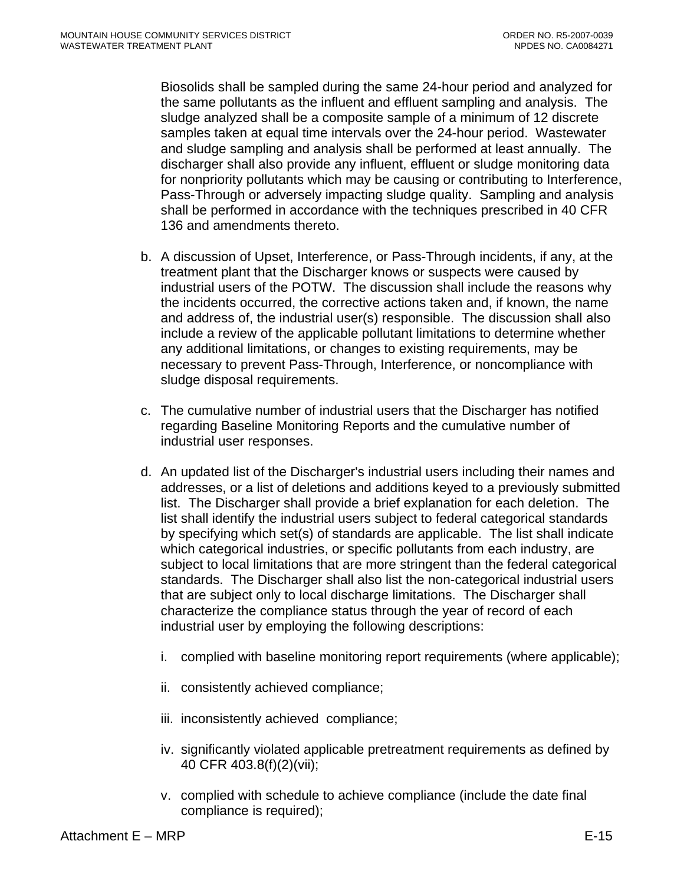Biosolids shall be sampled during the same 24-hour period and analyzed for the same pollutants as the influent and effluent sampling and analysis. The sludge analyzed shall be a composite sample of a minimum of 12 discrete samples taken at equal time intervals over the 24-hour period. Wastewater and sludge sampling and analysis shall be performed at least annually. The discharger shall also provide any influent, effluent or sludge monitoring data for nonpriority pollutants which may be causing or contributing to Interference, Pass-Through or adversely impacting sludge quality. Sampling and analysis shall be performed in accordance with the techniques prescribed in 40 CFR 136 and amendments thereto.

- b. A discussion of Upset, Interference, or Pass-Through incidents, if any, at the treatment plant that the Discharger knows or suspects were caused by industrial users of the POTW. The discussion shall include the reasons why the incidents occurred, the corrective actions taken and, if known, the name and address of, the industrial user(s) responsible. The discussion shall also include a review of the applicable pollutant limitations to determine whether any additional limitations, or changes to existing requirements, may be necessary to prevent Pass-Through, Interference, or noncompliance with sludge disposal requirements.
- c. The cumulative number of industrial users that the Discharger has notified regarding Baseline Monitoring Reports and the cumulative number of industrial user responses.
- d. An updated list of the Discharger's industrial users including their names and addresses, or a list of deletions and additions keyed to a previously submitted list. The Discharger shall provide a brief explanation for each deletion. The list shall identify the industrial users subject to federal categorical standards by specifying which set(s) of standards are applicable. The list shall indicate which categorical industries, or specific pollutants from each industry, are subject to local limitations that are more stringent than the federal categorical standards. The Discharger shall also list the non-categorical industrial users that are subject only to local discharge limitations. The Discharger shall characterize the compliance status through the year of record of each industrial user by employing the following descriptions:
	- i. complied with baseline monitoring report requirements (where applicable);
	- ii. consistently achieved compliance;
	- iii. inconsistently achieved compliance;
	- iv. significantly violated applicable pretreatment requirements as defined by 40 CFR 403.8(f)(2)(vii);
	- v. complied with schedule to achieve compliance (include the date final compliance is required);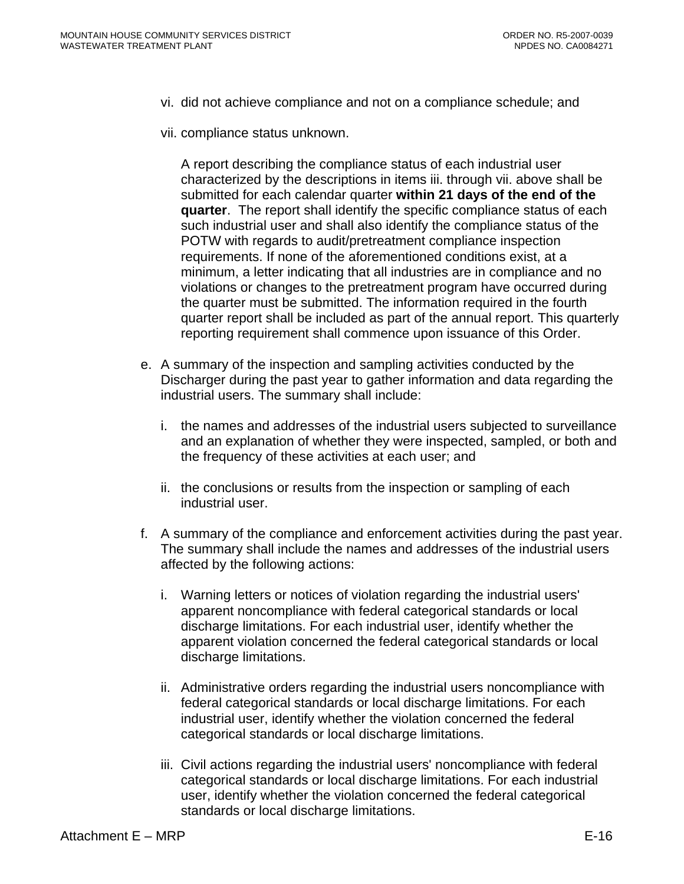- vi. did not achieve compliance and not on a compliance schedule; and
- vii. compliance status unknown.

A report describing the compliance status of each industrial user characterized by the descriptions in items iii. through vii. above shall be submitted for each calendar quarter **within 21 days of the end of the quarter**. The report shall identify the specific compliance status of each such industrial user and shall also identify the compliance status of the POTW with regards to audit/pretreatment compliance inspection requirements. If none of the aforementioned conditions exist, at a minimum, a letter indicating that all industries are in compliance and no violations or changes to the pretreatment program have occurred during the quarter must be submitted. The information required in the fourth quarter report shall be included as part of the annual report. This quarterly reporting requirement shall commence upon issuance of this Order.

- e. A summary of the inspection and sampling activities conducted by the Discharger during the past year to gather information and data regarding the industrial users. The summary shall include:
	- i. the names and addresses of the industrial users subjected to surveillance and an explanation of whether they were inspected, sampled, or both and the frequency of these activities at each user; and
	- ii. the conclusions or results from the inspection or sampling of each industrial user.
- f. A summary of the compliance and enforcement activities during the past year. The summary shall include the names and addresses of the industrial users affected by the following actions:
	- i. Warning letters or notices of violation regarding the industrial users' apparent noncompliance with federal categorical standards or local discharge limitations. For each industrial user, identify whether the apparent violation concerned the federal categorical standards or local discharge limitations.
	- ii. Administrative orders regarding the industrial users noncompliance with federal categorical standards or local discharge limitations. For each industrial user, identify whether the violation concerned the federal categorical standards or local discharge limitations.
	- iii. Civil actions regarding the industrial users' noncompliance with federal categorical standards or local discharge limitations. For each industrial user, identify whether the violation concerned the federal categorical standards or local discharge limitations.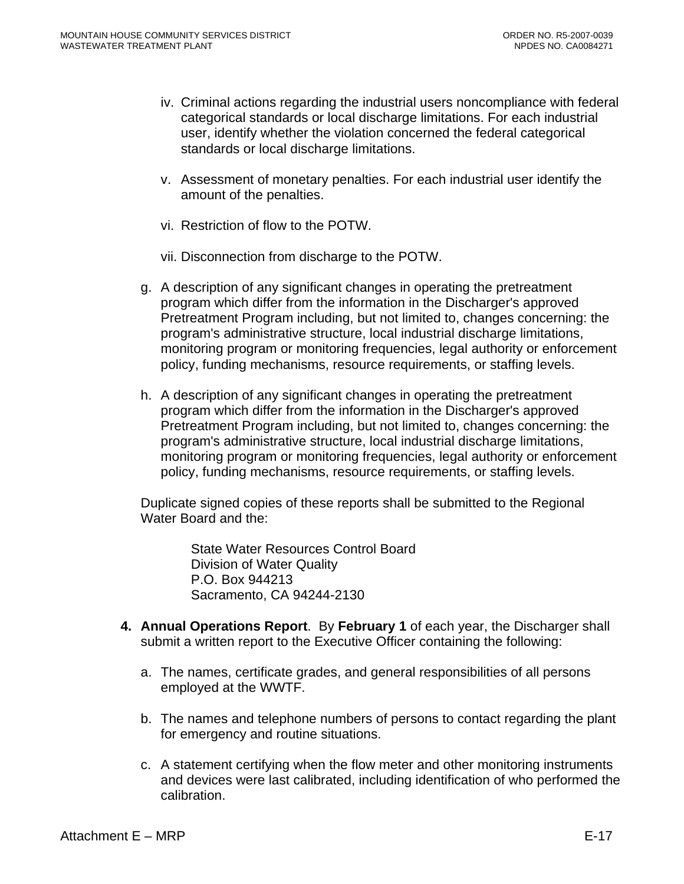- iv. Criminal actions regarding the industrial users noncompliance with federal categorical standards or local discharge limitations. For each industrial user, identify whether the violation concerned the federal categorical standards or local discharge limitations.
- v. Assessment of monetary penalties. For each industrial user identify the amount of the penalties.
- vi. Restriction of flow to the POTW.
- vii. Disconnection from discharge to the POTW.
- g. A description of any significant changes in operating the pretreatment program which differ from the information in the Discharger's approved Pretreatment Program including, but not limited to, changes concerning: the program's administrative structure, local industrial discharge limitations, monitoring program or monitoring frequencies, legal authority or enforcement policy, funding mechanisms, resource requirements, or staffing levels.
- h. A description of any significant changes in operating the pretreatment program which differ from the information in the Discharger's approved Pretreatment Program including, but not limited to, changes concerning: the program's administrative structure, local industrial discharge limitations, monitoring program or monitoring frequencies, legal authority or enforcement policy, funding mechanisms, resource requirements, or staffing levels.

Duplicate signed copies of these reports shall be submitted to the Regional Water Board and the:

> State Water Resources Control Board Division of Water Quality P.O. Box 944213 Sacramento, CA 94244-2130

- **4. Annual Operations Report**. By **February 1** of each year, the Discharger shall submit a written report to the Executive Officer containing the following:
	- a. The names, certificate grades, and general responsibilities of all persons employed at the WWTF.
	- b. The names and telephone numbers of persons to contact regarding the plant for emergency and routine situations.
	- c. A statement certifying when the flow meter and other monitoring instruments and devices were last calibrated, including identification of who performed the calibration.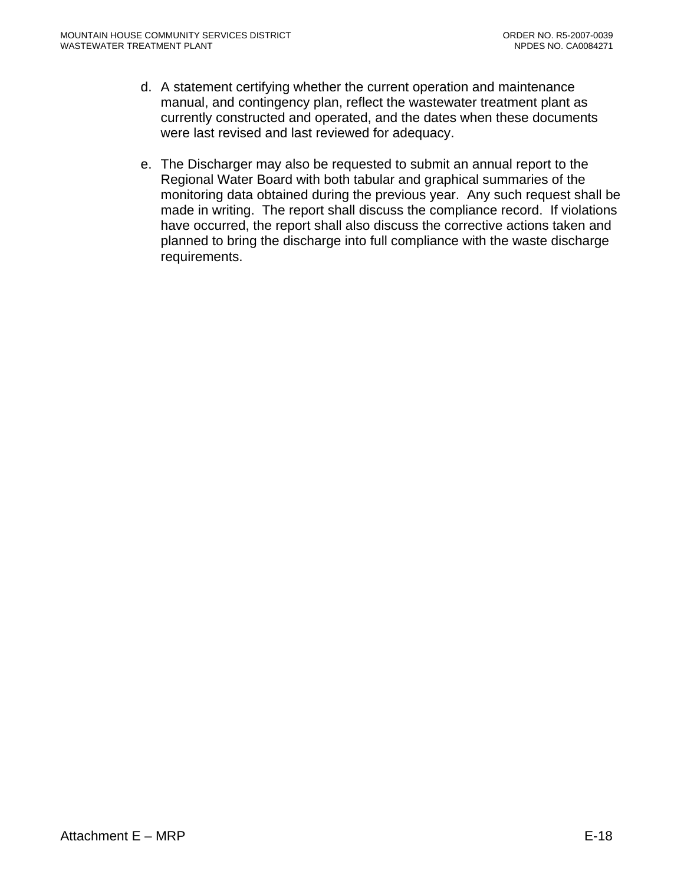- d. A statement certifying whether the current operation and maintenance manual, and contingency plan, reflect the wastewater treatment plant as currently constructed and operated, and the dates when these documents were last revised and last reviewed for adequacy.
- e. The Discharger may also be requested to submit an annual report to the Regional Water Board with both tabular and graphical summaries of the monitoring data obtained during the previous year. Any such request shall be made in writing. The report shall discuss the compliance record. If violations have occurred, the report shall also discuss the corrective actions taken and planned to bring the discharge into full compliance with the waste discharge requirements.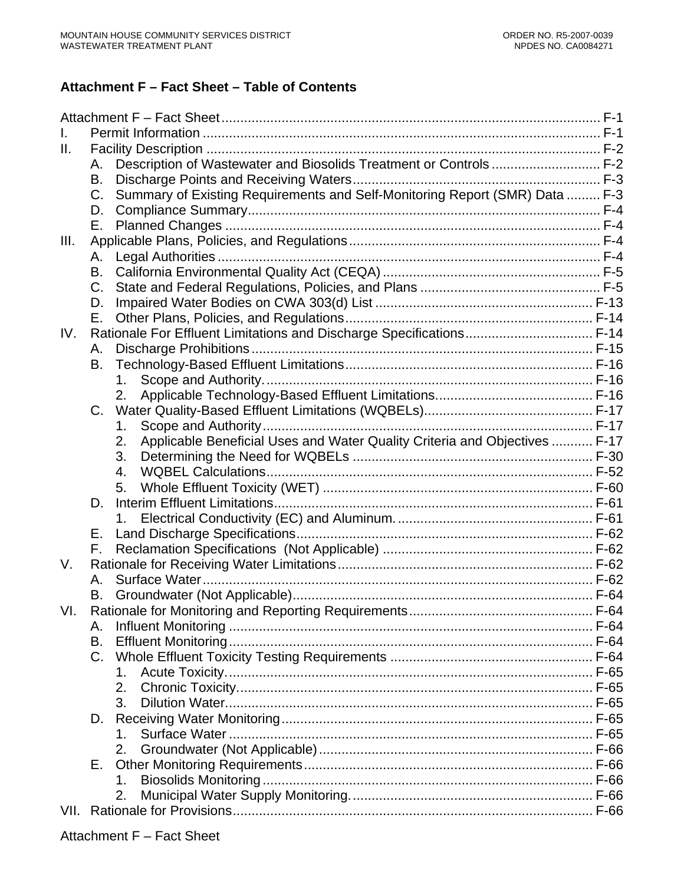# **Attachment F – Fact Sheet – Table of Contents**

| Ш.   |                                                                                            |  |
|------|--------------------------------------------------------------------------------------------|--|
|      | Description of Wastewater and Biosolids Treatment or Controls F-2<br>Α.                    |  |
|      | В.                                                                                         |  |
|      | Summary of Existing Requirements and Self-Monitoring Report (SMR) Data  F-3<br>$C_{\cdot}$ |  |
|      | D.                                                                                         |  |
|      | Е.                                                                                         |  |
| III. |                                                                                            |  |
|      | А.                                                                                         |  |
|      | B.                                                                                         |  |
|      | $C_{\cdot}$                                                                                |  |
|      | D.                                                                                         |  |
|      | Е.                                                                                         |  |
| IV.  | Rationale For Effluent Limitations and Discharge Specifications F-14                       |  |
|      | А.                                                                                         |  |
|      | В.                                                                                         |  |
|      | 1.                                                                                         |  |
|      | 2.                                                                                         |  |
|      | $C_{\cdot}$                                                                                |  |
|      | 1.                                                                                         |  |
|      | Applicable Beneficial Uses and Water Quality Criteria and Objectives  F-17<br>2.           |  |
|      | 3.                                                                                         |  |
|      | 4.                                                                                         |  |
|      | 5.                                                                                         |  |
|      | D.                                                                                         |  |
|      |                                                                                            |  |
|      | Е.<br>F.,                                                                                  |  |
| V.   |                                                                                            |  |
|      | Α.                                                                                         |  |
|      | В.                                                                                         |  |
| VI.  |                                                                                            |  |
|      | Α.                                                                                         |  |
|      | B.                                                                                         |  |
|      | $C_{1}$                                                                                    |  |
|      | 1.                                                                                         |  |
|      | 2.                                                                                         |  |
|      | 3.                                                                                         |  |
|      | D.                                                                                         |  |
|      | 1.                                                                                         |  |
|      | 2.                                                                                         |  |
|      | Е.                                                                                         |  |
|      | 1.                                                                                         |  |
|      | 2.                                                                                         |  |
|      |                                                                                            |  |
|      |                                                                                            |  |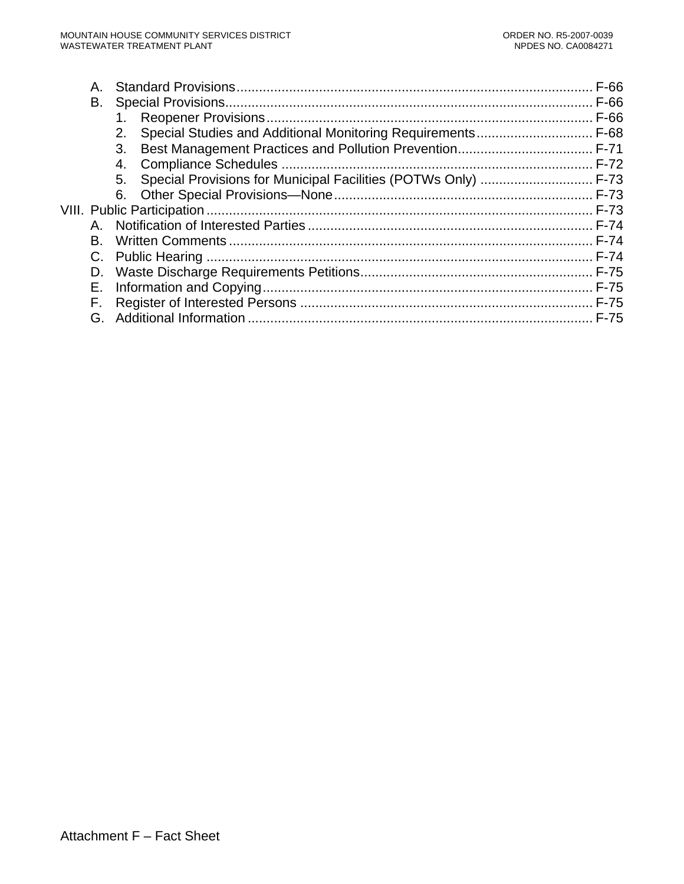| Α.      |                                                                      |  |
|---------|----------------------------------------------------------------------|--|
| В.      |                                                                      |  |
|         | 1.                                                                   |  |
|         | 2.                                                                   |  |
|         | 3.                                                                   |  |
|         | 4.                                                                   |  |
|         | Special Provisions for Municipal Facilities (POTWs Only)  F-73<br>5. |  |
|         |                                                                      |  |
|         |                                                                      |  |
| $A_{-}$ |                                                                      |  |
| B.      |                                                                      |  |
|         |                                                                      |  |
| D.      |                                                                      |  |
| Е.      |                                                                      |  |
| F.      |                                                                      |  |
| G.      |                                                                      |  |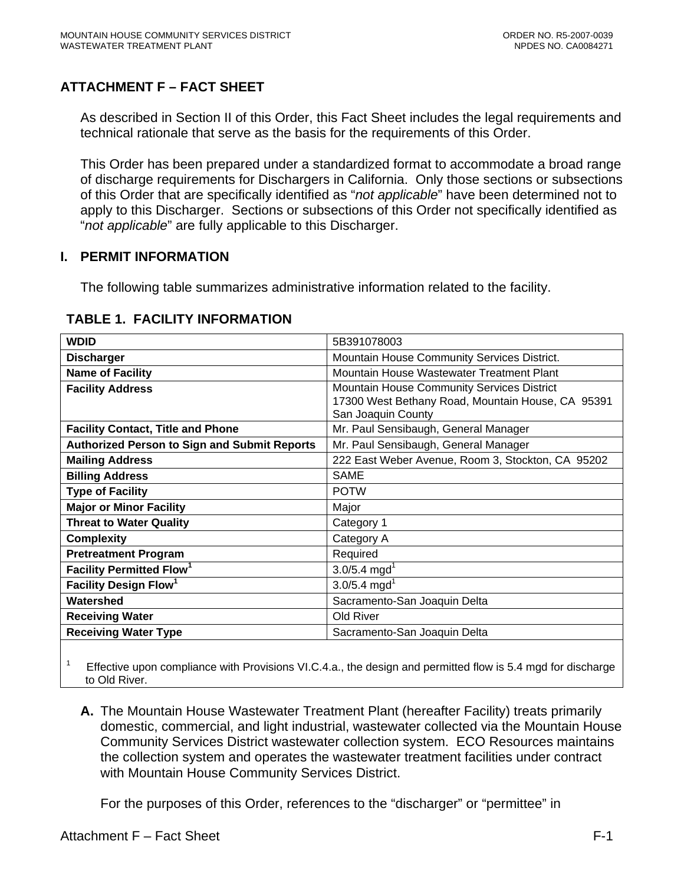# <span id="page-67-0"></span>**ATTACHMENT F – FACT SHEET**

As described in Section II of this Order, this Fact Sheet includes the legal requirements and technical rationale that serve as the basis for the requirements of this Order.

This Order has been prepared under a standardized format to accommodate a broad range of discharge requirements for Dischargers in California. Only those sections or subsections of this Order that are specifically identified as "*not applicable*" have been determined not to apply to this Discharger. Sections or subsections of this Order not specifically identified as "*not applicable*" are fully applicable to this Discharger.

### **I. PERMIT INFORMATION**

The following table summarizes administrative information related to the facility.

| <b>WDID</b>                                         | 5B391078003                                       |  |  |
|-----------------------------------------------------|---------------------------------------------------|--|--|
| <b>Discharger</b>                                   | Mountain House Community Services District.       |  |  |
| <b>Name of Facility</b>                             | Mountain House Wastewater Treatment Plant         |  |  |
| <b>Facility Address</b>                             | Mountain House Community Services District        |  |  |
|                                                     | 17300 West Bethany Road, Mountain House, CA 95391 |  |  |
|                                                     | San Joaquin County                                |  |  |
| <b>Facility Contact, Title and Phone</b>            | Mr. Paul Sensibaugh, General Manager              |  |  |
| <b>Authorized Person to Sign and Submit Reports</b> | Mr. Paul Sensibaugh, General Manager              |  |  |
| <b>Mailing Address</b>                              | 222 East Weber Avenue, Room 3, Stockton, CA 95202 |  |  |
| <b>Billing Address</b>                              | <b>SAME</b>                                       |  |  |
| <b>Type of Facility</b>                             | <b>POTW</b>                                       |  |  |
| <b>Major or Minor Facility</b>                      | Major                                             |  |  |
| <b>Threat to Water Quality</b>                      | Category 1                                        |  |  |
| <b>Complexity</b>                                   | Category A                                        |  |  |
| <b>Pretreatment Program</b>                         | Required                                          |  |  |
| <b>Facility Permitted Flow<sup>1</sup></b>          | $3.0/5.4$ mgd <sup>1</sup>                        |  |  |
| Facility Design Flow <sup>1</sup>                   | $3.0/5.4$ mgd <sup>1</sup>                        |  |  |
| Watershed                                           | Sacramento-San Joaquin Delta                      |  |  |
| <b>Receiving Water</b>                              | Old River                                         |  |  |
| <b>Receiving Water Type</b>                         | Sacramento-San Joaquin Delta                      |  |  |
|                                                     |                                                   |  |  |

#### **TABLE 1. FACILITY INFORMATION**

1 Effective upon compliance with Provisions VI.C.4.a., the design and permitted flow is 5.4 mgd for discharge to Old River.

**A.** The Mountain House Wastewater Treatment Plant (hereafter Facility) treats primarily domestic, commercial, and light industrial, wastewater collected via the Mountain House Community Services District wastewater collection system. ECO Resources maintains the collection system and operates the wastewater treatment facilities under contract with Mountain House Community Services District.

For the purposes of this Order, references to the "discharger" or "permittee" in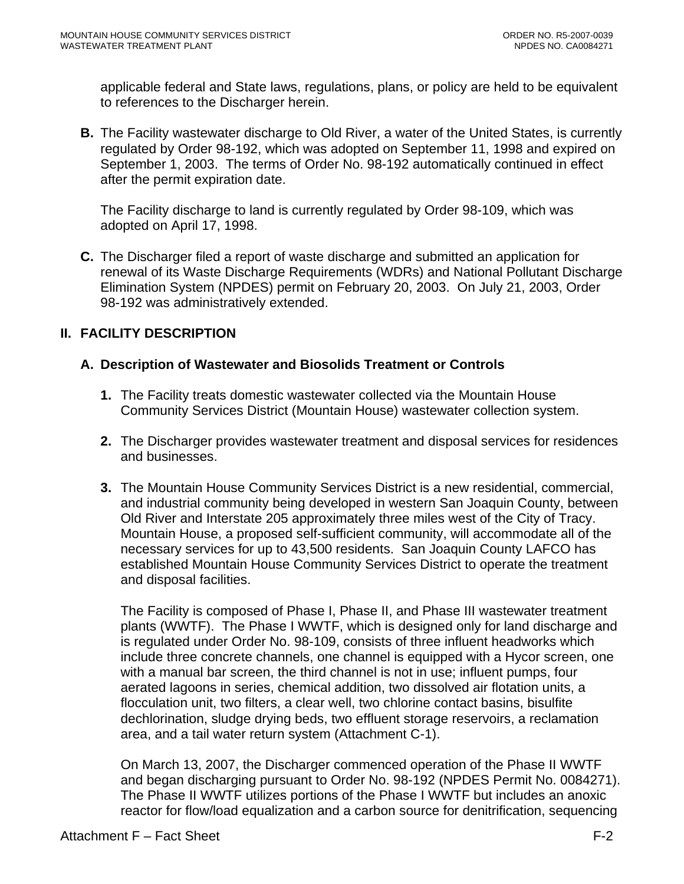<span id="page-68-0"></span>applicable federal and State laws, regulations, plans, or policy are held to be equivalent to references to the Discharger herein.

**B.** The Facility wastewater discharge to Old River, a water of the United States, is currently regulated by Order 98-192, which was adopted on September 11, 1998 and expired on September 1, 2003. The terms of Order No. 98-192 automatically continued in effect after the permit expiration date.

The Facility discharge to land is currently regulated by Order 98-109, which was adopted on April 17, 1998.

**C.** The Discharger filed a report of waste discharge and submitted an application for renewal of its Waste Discharge Requirements (WDRs) and National Pollutant Discharge Elimination System (NPDES) permit on February 20, 2003. On July 21, 2003, Order 98-192 was administratively extended.

# **II. FACILITY DESCRIPTION**

# **A. Description of Wastewater and Biosolids Treatment or Controls**

- **1.** The Facility treats domestic wastewater collected via the Mountain House Community Services District (Mountain House) wastewater collection system.
- **2.** The Discharger provides wastewater treatment and disposal services for residences and businesses.
- **3.** The Mountain House Community Services District is a new residential, commercial, and industrial community being developed in western San Joaquin County, between Old River and Interstate 205 approximately three miles west of the City of Tracy. Mountain House, a proposed self-sufficient community, will accommodate all of the necessary services for up to 43,500 residents. San Joaquin County LAFCO has established Mountain House Community Services District to operate the treatment and disposal facilities.

The Facility is composed of Phase I, Phase II, and Phase III wastewater treatment plants (WWTF). The Phase I WWTF, which is designed only for land discharge and is regulated under Order No. 98-109, consists of three influent headworks which include three concrete channels, one channel is equipped with a Hycor screen, one with a manual bar screen, the third channel is not in use; influent pumps, four aerated lagoons in series, chemical addition, two dissolved air flotation units, a flocculation unit, two filters, a clear well, two chlorine contact basins, bisulfite dechlorination, sludge drying beds, two effluent storage reservoirs, a reclamation area, and a tail water return system (Attachment C-1).

On March 13, 2007, the Discharger commenced operation of the Phase II WWTF and began discharging pursuant to Order No. 98-192 (NPDES Permit No. 0084271). The Phase II WWTF utilizes portions of the Phase I WWTF but includes an anoxic reactor for flow/load equalization and a carbon source for denitrification, sequencing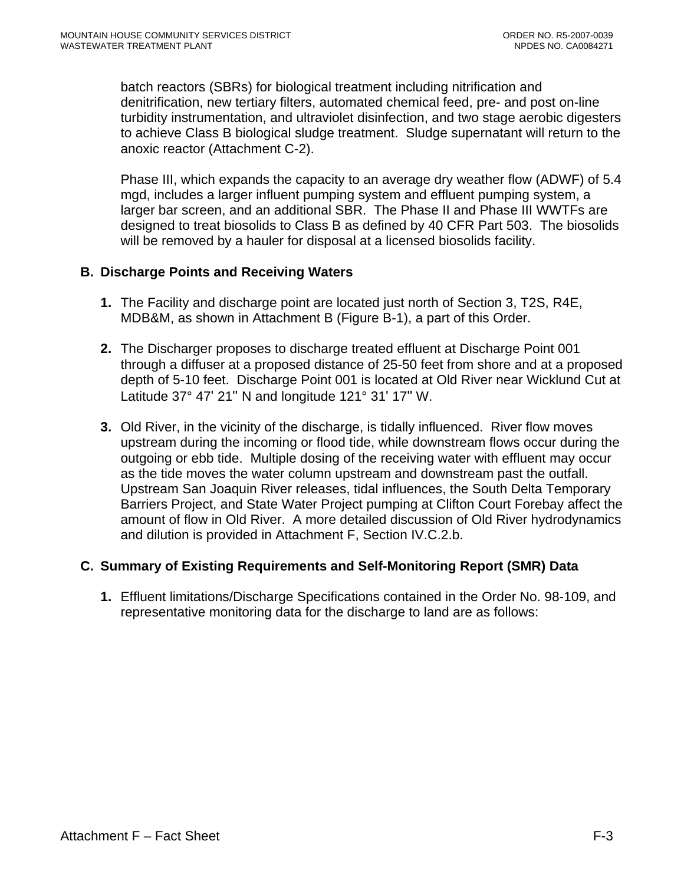<span id="page-69-0"></span>batch reactors (SBRs) for biological treatment including nitrification and denitrification, new tertiary filters, automated chemical feed, pre- and post on-line turbidity instrumentation, and ultraviolet disinfection, and two stage aerobic digesters to achieve Class B biological sludge treatment. Sludge supernatant will return to the anoxic reactor (Attachment C-2).

Phase III, which expands the capacity to an average dry weather flow (ADWF) of 5.4 mgd, includes a larger influent pumping system and effluent pumping system, a larger bar screen, and an additional SBR. The Phase II and Phase III WWTFs are designed to treat biosolids to Class B as defined by 40 CFR Part 503. The biosolids will be removed by a hauler for disposal at a licensed biosolids facility.

### **B. Discharge Points and Receiving Waters**

- **1.** The Facility and discharge point are located just north of Section 3, T2S, R4E, MDB&M, as shown in Attachment B (Figure B-1), a part of this Order.
- **2.** The Discharger proposes to discharge treated effluent at Discharge Point 001 through a diffuser at a proposed distance of 25-50 feet from shore and at a proposed depth of 5-10 feet. Discharge Point 001 is located at Old River near Wicklund Cut at Latitude 37° 47' 21" N and longitude 121° 31' 17" W.
- **3.** Old River, in the vicinity of the discharge, is tidally influenced. River flow moves upstream during the incoming or flood tide, while downstream flows occur during the outgoing or ebb tide. Multiple dosing of the receiving water with effluent may occur as the tide moves the water column upstream and downstream past the outfall. Upstream San Joaquin River releases, tidal influences, the South Delta Temporary Barriers Project, and State Water Project pumping at Clifton Court Forebay affect the amount of flow in Old River. A more detailed discussion of Old River hydrodynamics and dilution is provided in Attachment F, Section IV.C.2.b.

# **C. Summary of Existing Requirements and Self-Monitoring Report (SMR) Data**

**1.** Effluent limitations/Discharge Specifications contained in the Order No. 98-109, and representative monitoring data for the discharge to land are as follows: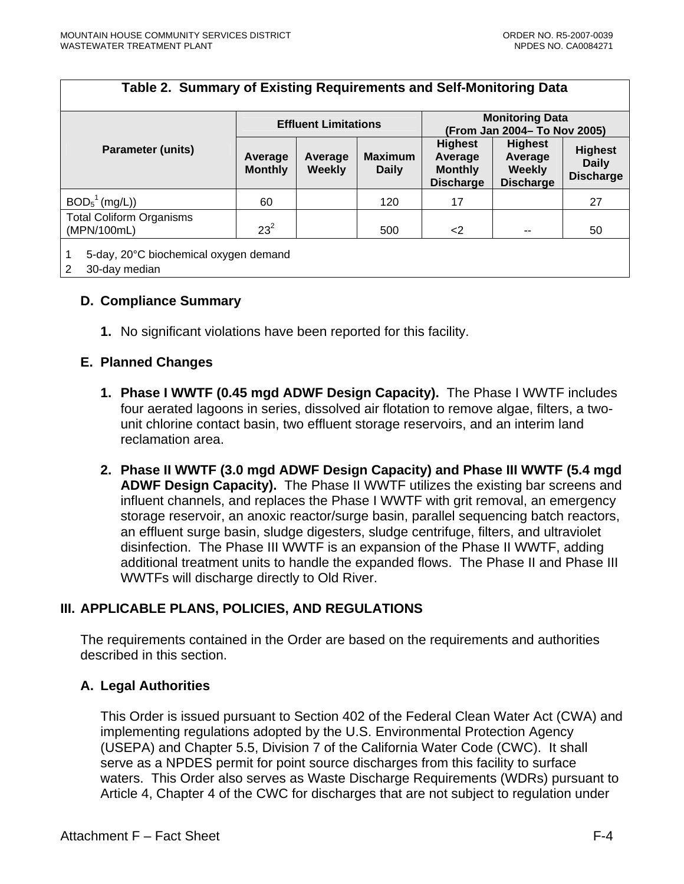<span id="page-70-0"></span>

| Table 2. Summary of Existing Requirements and Self-Monitoring Data |                             |                          |                                |                                                                 |                                                                |                                                    |  |
|--------------------------------------------------------------------|-----------------------------|--------------------------|--------------------------------|-----------------------------------------------------------------|----------------------------------------------------------------|----------------------------------------------------|--|
|                                                                    | <b>Effluent Limitations</b> |                          |                                | <b>Monitoring Data</b><br>(From Jan 2004- To Nov 2005)          |                                                                |                                                    |  |
| <b>Parameter (units)</b>                                           | Average<br><b>Monthly</b>   | Average<br><b>Weekly</b> | <b>Maximum</b><br><b>Daily</b> | <b>Highest</b><br>Average<br><b>Monthly</b><br><b>Discharge</b> | <b>Highest</b><br>Average<br><b>Weekly</b><br><b>Discharge</b> | <b>Highest</b><br><b>Daily</b><br><b>Discharge</b> |  |
| BOD <sub>5</sub> <sup>1</sup> (mg/L))                              | 60                          |                          | 120                            | 17                                                              |                                                                | 27                                                 |  |
| <b>Total Coliform Organisms</b><br>(MPN/100mL)                     | $23^2$                      |                          | 500                            | $\langle 2 \rangle$                                             | --                                                             | 50                                                 |  |
| 1<br>5-day, 20°C biochemical oxygen demand<br>2<br>30-day median   |                             |                          |                                |                                                                 |                                                                |                                                    |  |

### **D. Compliance Summary**

**1.** No significant violations have been reported for this facility.

#### **E. Planned Changes**

- **1. Phase I WWTF (0.45 mgd ADWF Design Capacity).** The Phase I WWTF includes four aerated lagoons in series, dissolved air flotation to remove algae, filters, a twounit chlorine contact basin, two effluent storage reservoirs, and an interim land reclamation area.
- **2. Phase II WWTF (3.0 mgd ADWF Design Capacity) and Phase III WWTF (5.4 mgd ADWF Design Capacity).** The Phase II WWTF utilizes the existing bar screens and influent channels, and replaces the Phase I WWTF with grit removal, an emergency storage reservoir, an anoxic reactor/surge basin, parallel sequencing batch reactors, an effluent surge basin, sludge digesters, sludge centrifuge, filters, and ultraviolet disinfection. The Phase III WWTF is an expansion of the Phase II WWTF, adding additional treatment units to handle the expanded flows. The Phase II and Phase III WWTFs will discharge directly to Old River.

# **III. APPLICABLE PLANS, POLICIES, AND REGULATIONS**

The requirements contained in the Order are based on the requirements and authorities described in this section.

#### **A. Legal Authorities**

This Order is issued pursuant to Section 402 of the Federal Clean Water Act (CWA) and implementing regulations adopted by the U.S. Environmental Protection Agency (USEPA) and Chapter 5.5, Division 7 of the California Water Code (CWC). It shall serve as a NPDES permit for point source discharges from this facility to surface waters. This Order also serves as Waste Discharge Requirements (WDRs) pursuant to Article 4, Chapter 4 of the CWC for discharges that are not subject to regulation under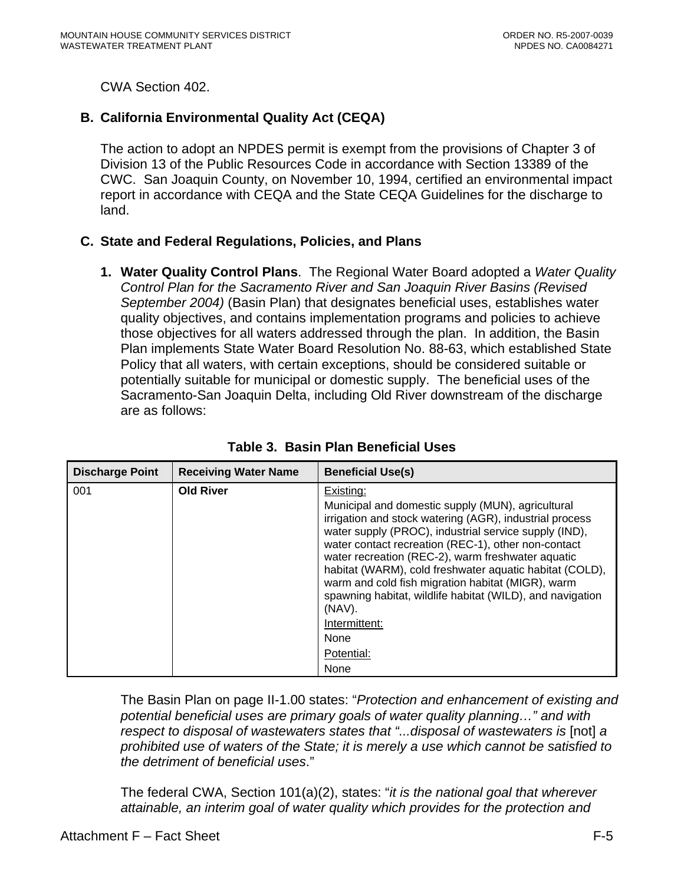<span id="page-71-0"></span>CWA Section 402.

# **B. California Environmental Quality Act (CEQA)**

The action to adopt an NPDES permit is exempt from the provisions of Chapter 3 of Division 13 of the Public Resources Code in accordance with Section 13389 of the CWC. San Joaquin County, on November 10, 1994, certified an environmental impact report in accordance with CEQA and the State CEQA Guidelines for the discharge to land.

# **C. State and Federal Regulations, Policies, and Plans**

**1. Water Quality Control Plans**. The Regional Water Board adopted a *Water Quality Control Plan for the Sacramento River and San Joaquin River Basins (Revised September 2004)* (Basin Plan) that designates beneficial uses, establishes water quality objectives, and contains implementation programs and policies to achieve those objectives for all waters addressed through the plan. In addition, the Basin Plan implements State Water Board Resolution No. 88-63, which established State Policy that all waters, with certain exceptions, should be considered suitable or potentially suitable for municipal or domestic supply. The beneficial uses of the Sacramento-San Joaquin Delta, including Old River downstream of the discharge are as follows:

| <b>Discharge Point</b> | <b>Receiving Water Name</b> | <b>Beneficial Use(s)</b>                                                                                                                                                                                                                                                                                                                                                                                                                                                 |
|------------------------|-----------------------------|--------------------------------------------------------------------------------------------------------------------------------------------------------------------------------------------------------------------------------------------------------------------------------------------------------------------------------------------------------------------------------------------------------------------------------------------------------------------------|
| 001                    | <b>Old River</b>            | Existing:                                                                                                                                                                                                                                                                                                                                                                                                                                                                |
|                        |                             | Municipal and domestic supply (MUN), agricultural<br>irrigation and stock watering (AGR), industrial process<br>water supply (PROC), industrial service supply (IND),<br>water contact recreation (REC-1), other non-contact<br>water recreation (REC-2), warm freshwater aquatic<br>habitat (WARM), cold freshwater aquatic habitat (COLD),<br>warm and cold fish migration habitat (MIGR), warm<br>spawning habitat, wildlife habitat (WILD), and navigation<br>(NAV). |
|                        |                             | Intermittent:                                                                                                                                                                                                                                                                                                                                                                                                                                                            |
|                        |                             | None                                                                                                                                                                                                                                                                                                                                                                                                                                                                     |
|                        |                             | Potential:                                                                                                                                                                                                                                                                                                                                                                                                                                                               |
|                        |                             | None                                                                                                                                                                                                                                                                                                                                                                                                                                                                     |

**Table 3. Basin Plan Beneficial Uses** 

The Basin Plan on page II-1.00 states: "*Protection and enhancement of existing and potential beneficial uses are primary goals of water quality planning…" and with respect to disposal of wastewaters states that "...disposal of wastewaters is* [not] a *prohibited use of waters of the State; it is merely a use which cannot be satisfied to the detriment of beneficial uses*."

The federal CWA, Section 101(a)(2), states: "*it is the national goal that wherever attainable, an interim goal of water quality which provides for the protection and*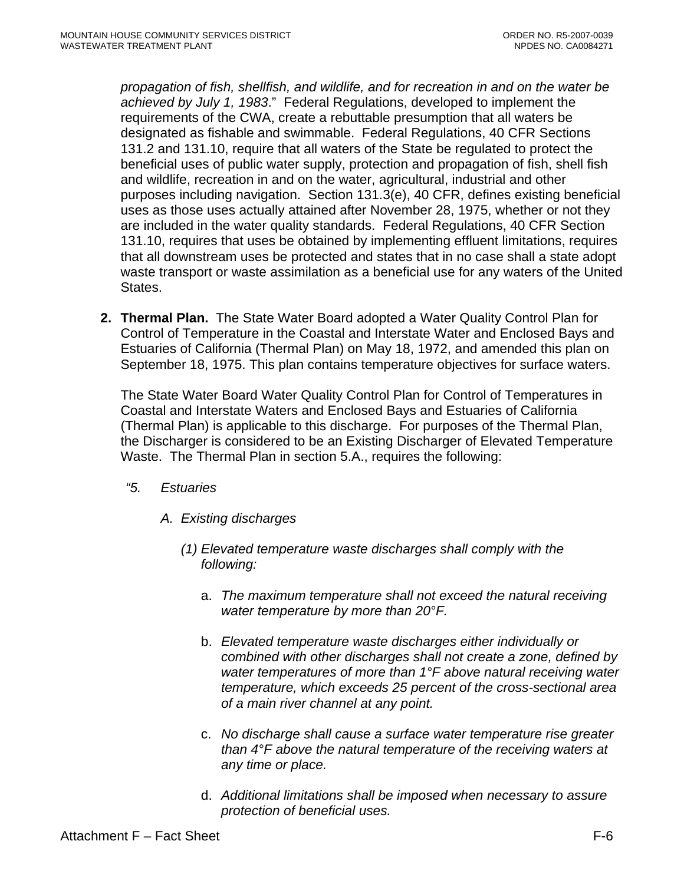*propagation of fish, shellfish, and wildlife, and for recreation in and on the water be achieved by July 1, 1983*." Federal Regulations, developed to implement the requirements of the CWA, create a rebuttable presumption that all waters be designated as fishable and swimmable. Federal Regulations, 40 CFR Sections 131.2 and 131.10, require that all waters of the State be regulated to protect the beneficial uses of public water supply, protection and propagation of fish, shell fish and wildlife, recreation in and on the water, agricultural, industrial and other purposes including navigation. Section 131.3(e), 40 CFR, defines existing beneficial uses as those uses actually attained after November 28, 1975, whether or not they are included in the water quality standards. Federal Regulations, 40 CFR Section 131.10, requires that uses be obtained by implementing effluent limitations, requires that all downstream uses be protected and states that in no case shall a state adopt waste transport or waste assimilation as a beneficial use for any waters of the United States.

**2. Thermal Plan.** The State Water Board adopted a Water Quality Control Plan for Control of Temperature in the Coastal and Interstate Water and Enclosed Bays and Estuaries of California (Thermal Plan) on May 18, 1972, and amended this plan on September 18, 1975. This plan contains temperature objectives for surface waters.

The State Water Board Water Quality Control Plan for Control of Temperatures in Coastal and Interstate Waters and Enclosed Bays and Estuaries of California (Thermal Plan) is applicable to this discharge. For purposes of the Thermal Plan, the Discharger is considered to be an Existing Discharger of Elevated Temperature Waste. The Thermal Plan in section 5.A., requires the following:

- *"5. Estuaries* 
	- *A. Existing discharges* 
		- *(1) Elevated temperature waste discharges shall comply with the following:* 
			- a. *The maximum temperature shall not exceed the natural receiving water temperature by more than 20°F.*
			- b. *Elevated temperature waste discharges either individually or combined with other discharges shall not create a zone, defined by water temperatures of more than 1°F above natural receiving water temperature, which exceeds 25 percent of the cross-sectional area of a main river channel at any point.*
			- c. *No discharge shall cause a surface water temperature rise greater than 4°F above the natural temperature of the receiving waters at any time or place.*
			- d. *Additional limitations shall be imposed when necessary to assure protection of beneficial uses.*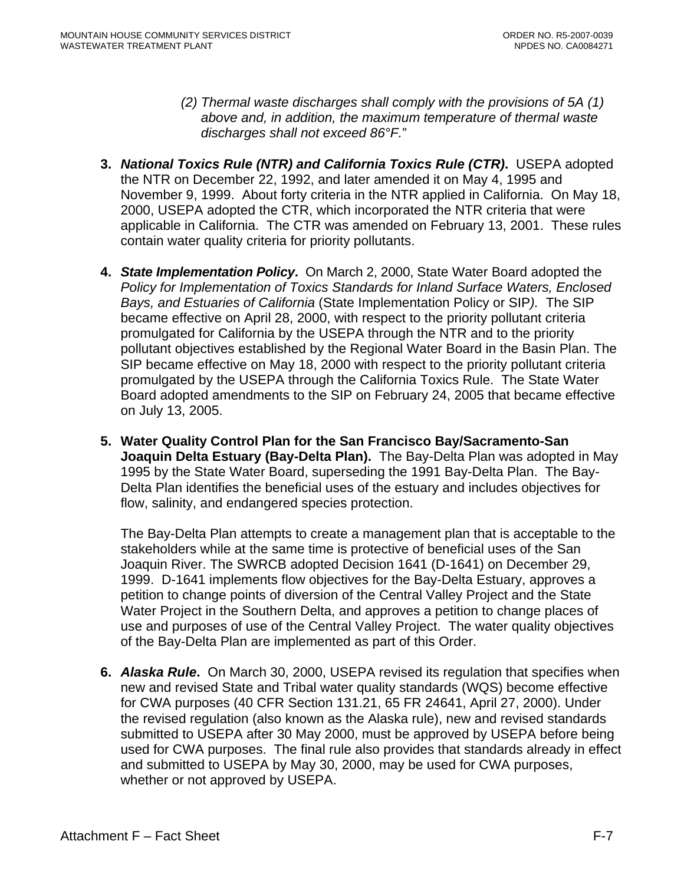- *(2) Thermal waste discharges shall comply with the provisions of 5A (1) above and, in addition, the maximum temperature of thermal waste discharges shall not exceed 86°F.*"
- **3.** *National Toxics Rule (NTR) and California Toxics Rule (CTR)***.** USEPA adopted the NTR on December 22, 1992, and later amended it on May 4, 1995 and November 9, 1999. About forty criteria in the NTR applied in California. On May 18, 2000, USEPA adopted the CTR, which incorporated the NTR criteria that were applicable in California. The CTR was amended on February 13, 2001. These rules contain water quality criteria for priority pollutants.
- **4.** *State Implementation Policy***.** On March 2, 2000, State Water Board adopted the *Policy for Implementation of Toxics Standards for Inland Surface Waters, Enclosed Bays, and Estuaries of California* (State Implementation Policy or SIP*).* The SIP became effective on April 28, 2000, with respect to the priority pollutant criteria promulgated for California by the USEPA through the NTR and to the priority pollutant objectives established by the Regional Water Board in the Basin Plan. The SIP became effective on May 18, 2000 with respect to the priority pollutant criteria promulgated by the USEPA through the California Toxics Rule. The State Water Board adopted amendments to the SIP on February 24, 2005 that became effective on July 13, 2005.
- **5. Water Quality Control Plan for the San Francisco Bay/Sacramento-San Joaquin Delta Estuary (Bay-Delta Plan).** The Bay-Delta Plan was adopted in May 1995 by the State Water Board, superseding the 1991 Bay-Delta Plan. The Bay-Delta Plan identifies the beneficial uses of the estuary and includes objectives for flow, salinity, and endangered species protection.

The Bay-Delta Plan attempts to create a management plan that is acceptable to the stakeholders while at the same time is protective of beneficial uses of the San Joaquin River. The SWRCB adopted Decision 1641 (D-1641) on December 29, 1999. D-1641 implements flow objectives for the Bay-Delta Estuary, approves a petition to change points of diversion of the Central Valley Project and the State Water Project in the Southern Delta, and approves a petition to change places of use and purposes of use of the Central Valley Project. The water quality objectives of the Bay-Delta Plan are implemented as part of this Order.

**6.** *Alaska Rule***.** On March 30, 2000, USEPA revised its regulation that specifies when new and revised State and Tribal water quality standards (WQS) become effective for CWA purposes (40 CFR Section 131.21, 65 FR 24641, April 27, 2000). Under the revised regulation (also known as the Alaska rule), new and revised standards submitted to USEPA after 30 May 2000, must be approved by USEPA before being used for CWA purposes. The final rule also provides that standards already in effect and submitted to USEPA by May 30, 2000, may be used for CWA purposes, whether or not approved by USEPA.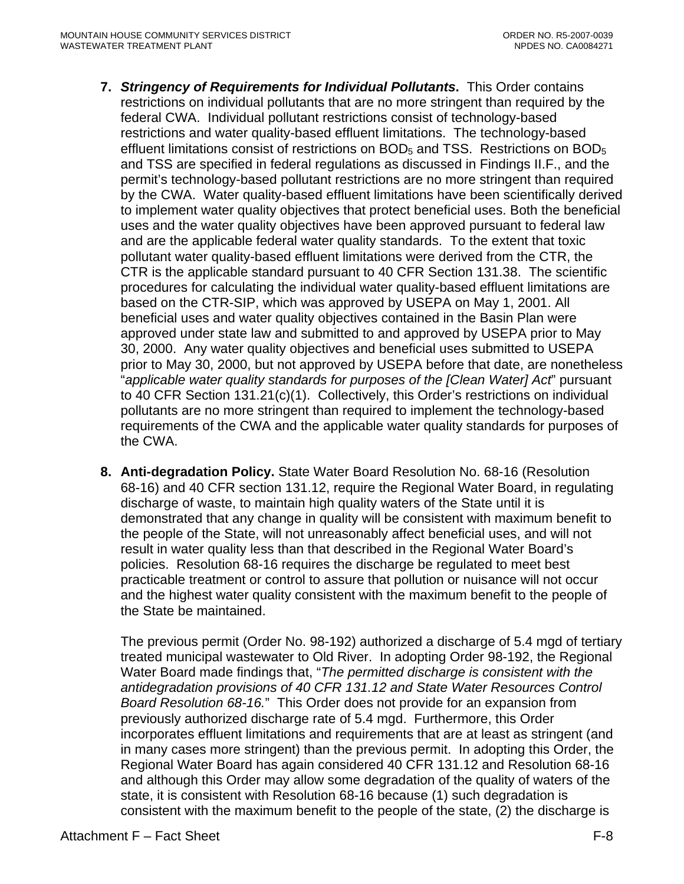- **7.** *Stringency of Requirements for Individual Pollutants***.** This Order contains restrictions on individual pollutants that are no more stringent than required by the federal CWA. Individual pollutant restrictions consist of technology-based restrictions and water quality-based effluent limitations. The technology-based effluent limitations consist of restrictions on  $BOD<sub>5</sub>$  and TSS. Restrictions on  $BOD<sub>5</sub>$ and TSS are specified in federal regulations as discussed in Findings II.F., and the permit's technology-based pollutant restrictions are no more stringent than required by the CWA. Water quality-based effluent limitations have been scientifically derived to implement water quality objectives that protect beneficial uses. Both the beneficial uses and the water quality objectives have been approved pursuant to federal law and are the applicable federal water quality standards. To the extent that toxic pollutant water quality-based effluent limitations were derived from the CTR, the CTR is the applicable standard pursuant to 40 CFR Section 131.38. The scientific procedures for calculating the individual water quality-based effluent limitations are based on the CTR-SIP, which was approved by USEPA on May 1, 2001. All beneficial uses and water quality objectives contained in the Basin Plan were approved under state law and submitted to and approved by USEPA prior to May 30, 2000. Any water quality objectives and beneficial uses submitted to USEPA prior to May 30, 2000, but not approved by USEPA before that date, are nonetheless "*applicable water quality standards for purposes of the [Clean Water] Act*" pursuant to 40 CFR Section 131.21(c)(1). Collectively, this Order's restrictions on individual pollutants are no more stringent than required to implement the technology-based requirements of the CWA and the applicable water quality standards for purposes of the CWA.
- **8. Anti-degradation Policy.** State Water Board Resolution No. 68-16 (Resolution 68-16) and 40 CFR section 131.12, require the Regional Water Board, in regulating discharge of waste, to maintain high quality waters of the State until it is demonstrated that any change in quality will be consistent with maximum benefit to the people of the State, will not unreasonably affect beneficial uses, and will not result in water quality less than that described in the Regional Water Board's policies. Resolution 68-16 requires the discharge be regulated to meet best practicable treatment or control to assure that pollution or nuisance will not occur and the highest water quality consistent with the maximum benefit to the people of the State be maintained.

The previous permit (Order No. 98-192) authorized a discharge of 5.4 mgd of tertiary treated municipal wastewater to Old River. In adopting Order 98-192, the Regional Water Board made findings that, "*The permitted discharge is consistent with the antidegradation provisions of 40 CFR 131.12 and State Water Resources Control Board Resolution 68-16.*" This Order does not provide for an expansion from previously authorized discharge rate of 5.4 mgd. Furthermore, this Order incorporates effluent limitations and requirements that are at least as stringent (and in many cases more stringent) than the previous permit. In adopting this Order, the Regional Water Board has again considered 40 CFR 131.12 and Resolution 68-16 and although this Order may allow some degradation of the quality of waters of the state, it is consistent with Resolution 68-16 because (1) such degradation is consistent with the maximum benefit to the people of the state, (2) the discharge is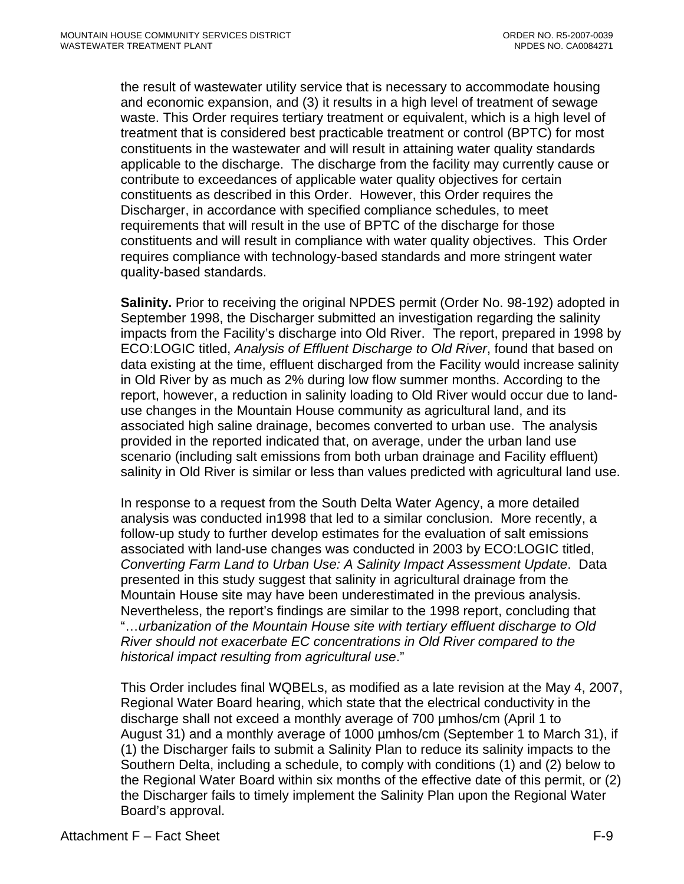the result of wastewater utility service that is necessary to accommodate housing and economic expansion, and (3) it results in a high level of treatment of sewage waste. This Order requires tertiary treatment or equivalent, which is a high level of treatment that is considered best practicable treatment or control (BPTC) for most constituents in the wastewater and will result in attaining water quality standards applicable to the discharge. The discharge from the facility may currently cause or contribute to exceedances of applicable water quality objectives for certain constituents as described in this Order. However, this Order requires the Discharger, in accordance with specified compliance schedules, to meet requirements that will result in the use of BPTC of the discharge for those constituents and will result in compliance with water quality objectives. This Order requires compliance with technology-based standards and more stringent water quality-based standards.

**Salinity.** Prior to receiving the original NPDES permit (Order No. 98-192) adopted in September 1998, the Discharger submitted an investigation regarding the salinity impacts from the Facility's discharge into Old River. The report, prepared in 1998 by ECO:LOGIC titled, *Analysis of Effluent Discharge to Old River*, found that based on data existing at the time, effluent discharged from the Facility would increase salinity in Old River by as much as 2% during low flow summer months. According to the report, however, a reduction in salinity loading to Old River would occur due to landuse changes in the Mountain House community as agricultural land, and its associated high saline drainage, becomes converted to urban use. The analysis provided in the reported indicated that, on average, under the urban land use scenario (including salt emissions from both urban drainage and Facility effluent) salinity in Old River is similar or less than values predicted with agricultural land use.

In response to a request from the South Delta Water Agency, a more detailed analysis was conducted in1998 that led to a similar conclusion. More recently, a follow-up study to further develop estimates for the evaluation of salt emissions associated with land-use changes was conducted in 2003 by ECO:LOGIC titled, *Converting Farm Land to Urban Use: A Salinity Impact Assessment Update*. Data presented in this study suggest that salinity in agricultural drainage from the Mountain House site may have been underestimated in the previous analysis. Nevertheless, the report's findings are similar to the 1998 report, concluding that "…*urbanization of the Mountain House site with tertiary effluent discharge to Old River should not exacerbate EC concentrations in Old River compared to the historical impact resulting from agricultural use*."

This Order includes final WQBELs, as modified as a late revision at the May 4, 2007, Regional Water Board hearing, which state that the electrical conductivity in the discharge shall not exceed a monthly average of 700 µmhos/cm (April 1 to August 31) and a monthly average of 1000 µmhos/cm (September 1 to March 31), if (1) the Discharger fails to submit a Salinity Plan to reduce its salinity impacts to the Southern Delta, including a schedule, to comply with conditions (1) and (2) below to the Regional Water Board within six months of the effective date of this permit, or (2) the Discharger fails to timely implement the Salinity Plan upon the Regional Water Board's approval.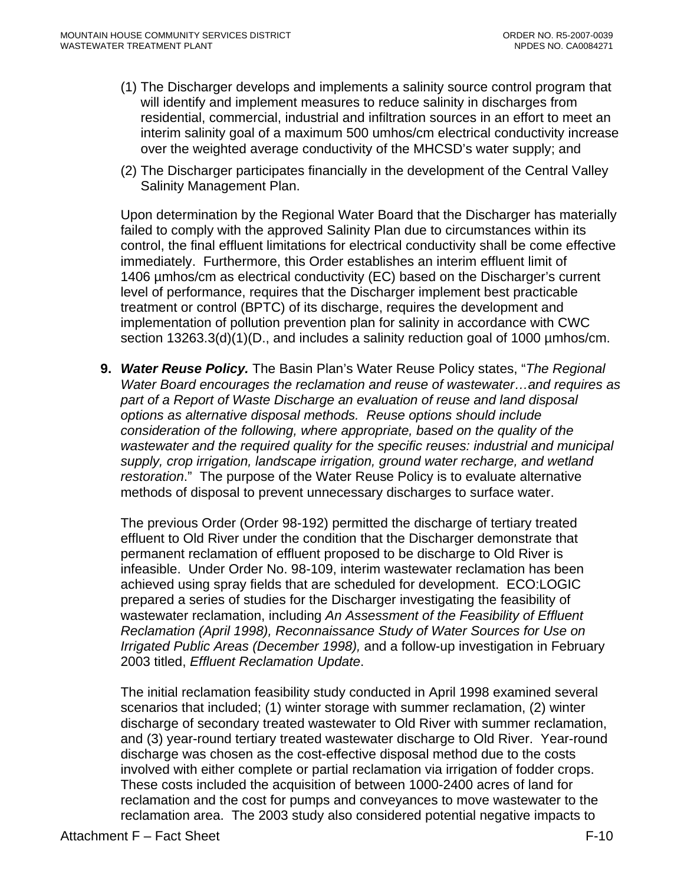- (1) The Discharger develops and implements a salinity source control program that will identify and implement measures to reduce salinity in discharges from residential, commercial, industrial and infiltration sources in an effort to meet an interim salinity goal of a maximum 500 umhos/cm electrical conductivity increase over the weighted average conductivity of the MHCSD's water supply; and
- (2) The Discharger participates financially in the development of the Central Valley Salinity Management Plan.

Upon determination by the Regional Water Board that the Discharger has materially failed to comply with the approved Salinity Plan due to circumstances within its control, the final effluent limitations for electrical conductivity shall be come effective immediately. Furthermore, this Order establishes an interim effluent limit of 1406 µmhos/cm as electrical conductivity (EC) based on the Discharger's current level of performance, requires that the Discharger implement best practicable treatment or control (BPTC) of its discharge, requires the development and implementation of pollution prevention plan for salinity in accordance with CWC section 13263.3(d)(1)(D., and includes a salinity reduction goal of 1000 µmhos/cm.

**9.** *Water Reuse Policy.* The Basin Plan's Water Reuse Policy states, "*The Regional Water Board encourages the reclamation and reuse of wastewater…and requires as part of a Report of Waste Discharge an evaluation of reuse and land disposal options as alternative disposal methods. Reuse options should include consideration of the following, where appropriate, based on the quality of the wastewater and the required quality for the specific reuses: industrial and municipal supply, crop irrigation, landscape irrigation, ground water recharge, and wetland restoration*." The purpose of the Water Reuse Policy is to evaluate alternative methods of disposal to prevent unnecessary discharges to surface water.

The previous Order (Order 98-192) permitted the discharge of tertiary treated effluent to Old River under the condition that the Discharger demonstrate that permanent reclamation of effluent proposed to be discharge to Old River is infeasible. Under Order No. 98-109, interim wastewater reclamation has been achieved using spray fields that are scheduled for development. ECO:LOGIC prepared a series of studies for the Discharger investigating the feasibility of wastewater reclamation, including *An Assessment of the Feasibility of Effluent Reclamation (April 1998), Reconnaissance Study of Water Sources for Use on Irrigated Public Areas (December 1998),* and a follow-up investigation in February 2003 titled, *Effluent Reclamation Update*.

The initial reclamation feasibility study conducted in April 1998 examined several scenarios that included; (1) winter storage with summer reclamation, (2) winter discharge of secondary treated wastewater to Old River with summer reclamation, and (3) year-round tertiary treated wastewater discharge to Old River. Year-round discharge was chosen as the cost-effective disposal method due to the costs involved with either complete or partial reclamation via irrigation of fodder crops. These costs included the acquisition of between 1000-2400 acres of land for reclamation and the cost for pumps and conveyances to move wastewater to the reclamation area. The 2003 study also considered potential negative impacts to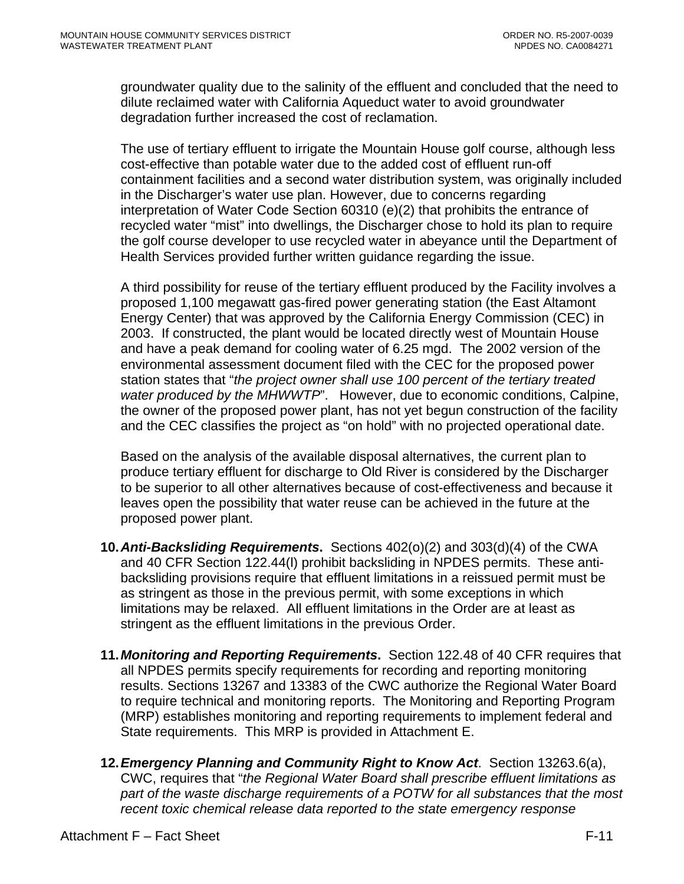groundwater quality due to the salinity of the effluent and concluded that the need to dilute reclaimed water with California Aqueduct water to avoid groundwater degradation further increased the cost of reclamation.

The use of tertiary effluent to irrigate the Mountain House golf course, although less cost-effective than potable water due to the added cost of effluent run-off containment facilities and a second water distribution system, was originally included in the Discharger's water use plan. However, due to concerns regarding interpretation of Water Code Section 60310 (e)(2) that prohibits the entrance of recycled water "mist" into dwellings, the Discharger chose to hold its plan to require the golf course developer to use recycled water in abeyance until the Department of Health Services provided further written guidance regarding the issue.

A third possibility for reuse of the tertiary effluent produced by the Facility involves a proposed 1,100 megawatt gas-fired power generating station (the East Altamont Energy Center) that was approved by the California Energy Commission (CEC) in 2003. If constructed, the plant would be located directly west of Mountain House and have a peak demand for cooling water of 6.25 mgd. The 2002 version of the environmental assessment document filed with the CEC for the proposed power station states that "*the project owner shall use 100 percent of the tertiary treated water produced by the MHWWTP*". However, due to economic conditions, Calpine, the owner of the proposed power plant, has not yet begun construction of the facility and the CEC classifies the project as "on hold" with no projected operational date.

Based on the analysis of the available disposal alternatives, the current plan to produce tertiary effluent for discharge to Old River is considered by the Discharger to be superior to all other alternatives because of cost-effectiveness and because it leaves open the possibility that water reuse can be achieved in the future at the proposed power plant.

- **10.** *Anti-Backsliding Requirements***.** Sections 402(o)(2) and 303(d)(4) of the CWA and 40 CFR Section 122.44(l) prohibit backsliding in NPDES permits. These antibacksliding provisions require that effluent limitations in a reissued permit must be as stringent as those in the previous permit, with some exceptions in which limitations may be relaxed. All effluent limitations in the Order are at least as stringent as the effluent limitations in the previous Order.
- **11.** *Monitoring and Reporting Requirements***.** Section 122.48 of 40 CFR requires that all NPDES permits specify requirements for recording and reporting monitoring results. Sections 13267 and 13383 of the CWC authorize the Regional Water Board to require technical and monitoring reports. The Monitoring and Reporting Program (MRP) establishes monitoring and reporting requirements to implement federal and State requirements. This MRP is provided in Attachment E.
- **12.** *Emergency Planning and Community Right to Know Act*. Section 13263.6(a), CWC, requires that "*the Regional Water Board shall prescribe effluent limitations as*  part of the waste discharge requirements of a POTW for all substances that the most *recent toxic chemical release data reported to the state emergency response*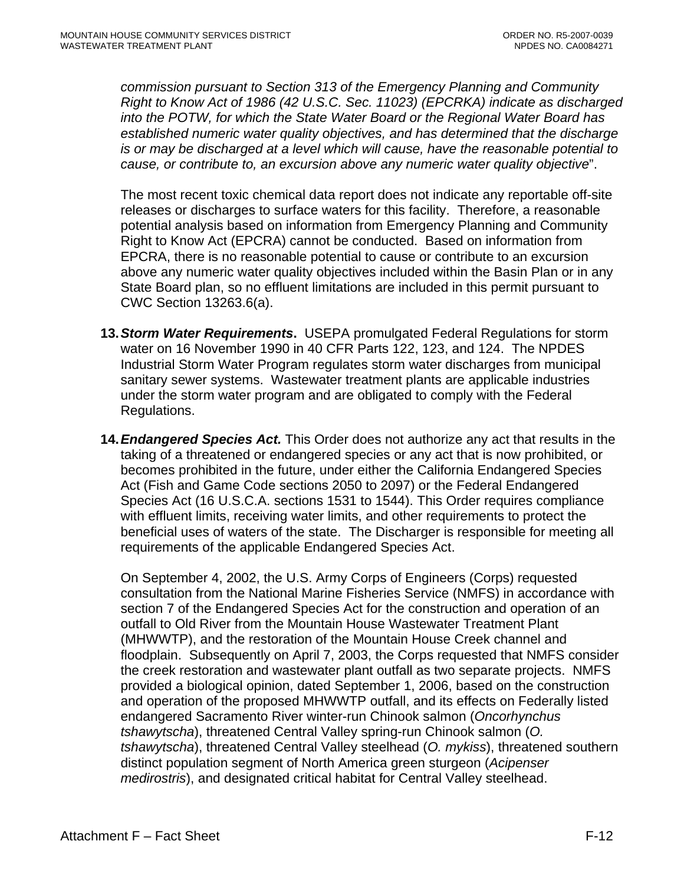*commission pursuant to Section 313 of the Emergency Planning and Community Right to Know Act of 1986 (42 U.S.C. Sec. 11023) (EPCRKA) indicate as discharged into the POTW, for which the State Water Board or the Regional Water Board has established numeric water quality objectives, and has determined that the discharge is or may be discharged at a level which will cause, have the reasonable potential to cause, or contribute to, an excursion above any numeric water quality objective*".

The most recent toxic chemical data report does not indicate any reportable off-site releases or discharges to surface waters for this facility. Therefore, a reasonable potential analysis based on information from Emergency Planning and Community Right to Know Act (EPCRA) cannot be conducted. Based on information from EPCRA, there is no reasonable potential to cause or contribute to an excursion above any numeric water quality objectives included within the Basin Plan or in any State Board plan, so no effluent limitations are included in this permit pursuant to CWC Section 13263.6(a).

- **13.** *Storm Water Requirements***.** USEPA promulgated Federal Regulations for storm water on 16 November 1990 in 40 CFR Parts 122, 123, and 124. The NPDES Industrial Storm Water Program regulates storm water discharges from municipal sanitary sewer systems. Wastewater treatment plants are applicable industries under the storm water program and are obligated to comply with the Federal Regulations.
- **14.** *Endangered Species Act.* This Order does not authorize any act that results in the taking of a threatened or endangered species or any act that is now prohibited, or becomes prohibited in the future, under either the California Endangered Species Act (Fish and Game Code sections 2050 to 2097) or the Federal Endangered Species Act (16 U.S.C.A. sections 1531 to 1544). This Order requires compliance with effluent limits, receiving water limits, and other requirements to protect the beneficial uses of waters of the state. The Discharger is responsible for meeting all requirements of the applicable Endangered Species Act.

On September 4, 2002, the U.S. Army Corps of Engineers (Corps) requested consultation from the National Marine Fisheries Service (NMFS) in accordance with section 7 of the Endangered Species Act for the construction and operation of an outfall to Old River from the Mountain House Wastewater Treatment Plant (MHWWTP), and the restoration of the Mountain House Creek channel and floodplain. Subsequently on April 7, 2003, the Corps requested that NMFS consider the creek restoration and wastewater plant outfall as two separate projects. NMFS provided a biological opinion, dated September 1, 2006, based on the construction and operation of the proposed MHWWTP outfall, and its effects on Federally listed endangered Sacramento River winter-run Chinook salmon (*Oncorhynchus tshawytscha*), threatened Central Valley spring-run Chinook salmon (*O. tshawytscha*), threatened Central Valley steelhead (*O. mykiss*), threatened southern distinct population segment of North America green sturgeon (*Acipenser medirostris*), and designated critical habitat for Central Valley steelhead.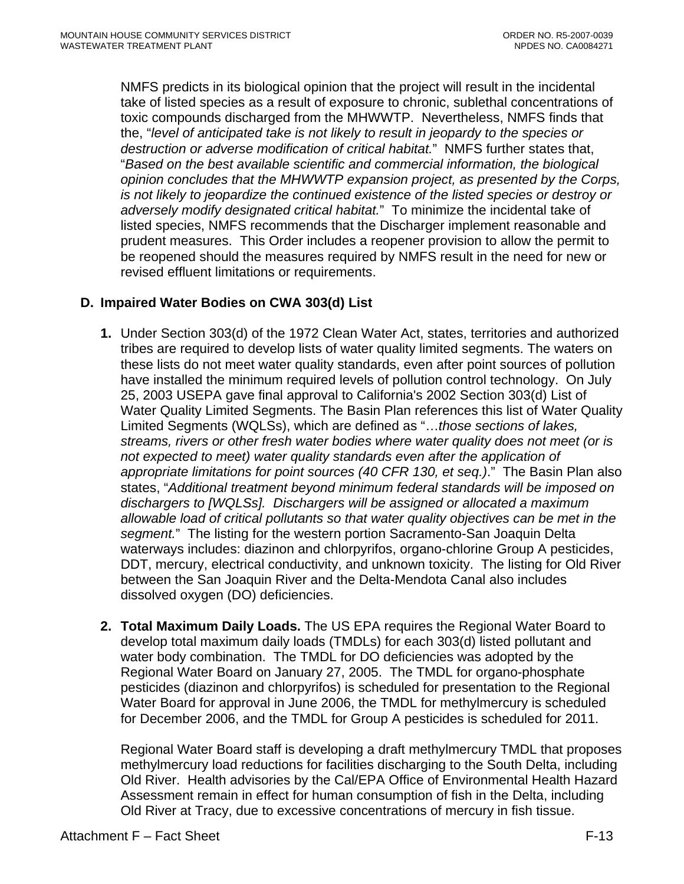NMFS predicts in its biological opinion that the project will result in the incidental take of listed species as a result of exposure to chronic, sublethal concentrations of toxic compounds discharged from the MHWWTP. Nevertheless, NMFS finds that the, "*level of anticipated take is not likely to result in jeopardy to the species or destruction or adverse modification of critical habitat.*" NMFS further states that, "*Based on the best available scientific and commercial information, the biological opinion concludes that the MHWWTP expansion project, as presented by the Corps, is not likely to jeopardize the continued existence of the listed species or destroy or adversely modify designated critical habitat.*" To minimize the incidental take of listed species, NMFS recommends that the Discharger implement reasonable and prudent measures. This Order includes a reopener provision to allow the permit to be reopened should the measures required by NMFS result in the need for new or revised effluent limitations or requirements.

# **D. Impaired Water Bodies on CWA 303(d) List**

- **1.** Under Section 303(d) of the 1972 Clean Water Act, states, territories and authorized tribes are required to develop lists of water quality limited segments. The waters on these lists do not meet water quality standards, even after point sources of pollution have installed the minimum required levels of pollution control technology. On July 25, 2003 USEPA gave final approval to California's 2002 Section 303(d) List of Water Quality Limited Segments. The Basin Plan references this list of Water Quality Limited Segments (WQLSs), which are defined as "…*those sections of lakes, streams, rivers or other fresh water bodies where water quality does not meet (or is not expected to meet) water quality standards even after the application of appropriate limitations for point sources (40 CFR 130, et seq.)*." The Basin Plan also states, "*Additional treatment beyond minimum federal standards will be imposed on dischargers to [WQLSs]. Dischargers will be assigned or allocated a maximum allowable load of critical pollutants so that water quality objectives can be met in the segment.*" The listing for the western portion Sacramento-San Joaquin Delta waterways includes: diazinon and chlorpyrifos, organo-chlorine Group A pesticides, DDT, mercury, electrical conductivity, and unknown toxicity. The listing for Old River between the San Joaquin River and the Delta-Mendota Canal also includes dissolved oxygen (DO) deficiencies.
- **2. Total Maximum Daily Loads.** The US EPA requires the Regional Water Board to develop total maximum daily loads (TMDLs) for each 303(d) listed pollutant and water body combination. The TMDL for DO deficiencies was adopted by the Regional Water Board on January 27, 2005. The TMDL for organo-phosphate pesticides (diazinon and chlorpyrifos) is scheduled for presentation to the Regional Water Board for approval in June 2006, the TMDL for methylmercury is scheduled for December 2006, and the TMDL for Group A pesticides is scheduled for 2011.

Regional Water Board staff is developing a draft methylmercury TMDL that proposes methylmercury load reductions for facilities discharging to the South Delta, including Old River. Health advisories by the Cal/EPA Office of Environmental Health Hazard Assessment remain in effect for human consumption of fish in the Delta, including Old River at Tracy, due to excessive concentrations of mercury in fish tissue.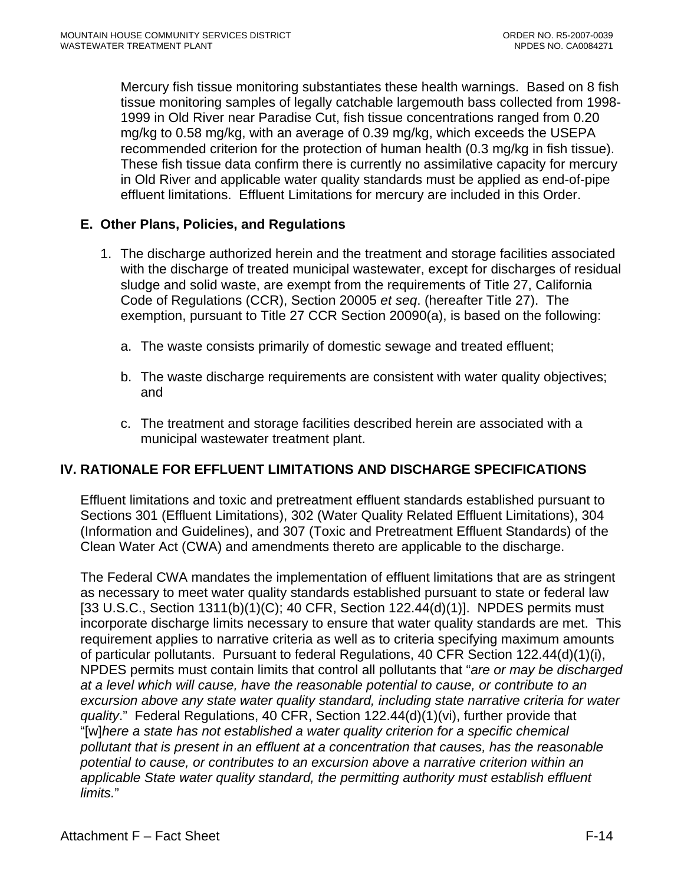Mercury fish tissue monitoring substantiates these health warnings. Based on 8 fish tissue monitoring samples of legally catchable largemouth bass collected from 1998- 1999 in Old River near Paradise Cut, fish tissue concentrations ranged from 0.20 mg/kg to 0.58 mg/kg, with an average of 0.39 mg/kg, which exceeds the USEPA recommended criterion for the protection of human health (0.3 mg/kg in fish tissue). These fish tissue data confirm there is currently no assimilative capacity for mercury in Old River and applicable water quality standards must be applied as end-of-pipe effluent limitations. Effluent Limitations for mercury are included in this Order.

### **E. Other Plans, Policies, and Regulations**

- 1. The discharge authorized herein and the treatment and storage facilities associated with the discharge of treated municipal wastewater, except for discharges of residual sludge and solid waste, are exempt from the requirements of Title 27, California Code of Regulations (CCR), Section 20005 *et seq*. (hereafter Title 27). The exemption, pursuant to Title 27 CCR Section 20090(a), is based on the following:
	- a. The waste consists primarily of domestic sewage and treated effluent;
	- b. The waste discharge requirements are consistent with water quality objectives; and
	- c. The treatment and storage facilities described herein are associated with a municipal wastewater treatment plant.

# **IV. RATIONALE FOR EFFLUENT LIMITATIONS AND DISCHARGE SPECIFICATIONS**

Effluent limitations and toxic and pretreatment effluent standards established pursuant to Sections 301 (Effluent Limitations), 302 (Water Quality Related Effluent Limitations), 304 (Information and Guidelines), and 307 (Toxic and Pretreatment Effluent Standards) of the Clean Water Act (CWA) and amendments thereto are applicable to the discharge.

The Federal CWA mandates the implementation of effluent limitations that are as stringent as necessary to meet water quality standards established pursuant to state or federal law [33 U.S.C., Section 1311(b)(1)(C); 40 CFR, Section 122.44(d)(1)]. NPDES permits must incorporate discharge limits necessary to ensure that water quality standards are met. This requirement applies to narrative criteria as well as to criteria specifying maximum amounts of particular pollutants. Pursuant to federal Regulations, 40 CFR Section 122.44(d)(1)(i), NPDES permits must contain limits that control all pollutants that "*are or may be discharged at a level which will cause, have the reasonable potential to cause, or contribute to an excursion above any state water quality standard, including state narrative criteria for water quality*." Federal Regulations, 40 CFR, Section 122.44(d)(1)(vi), further provide that "[w]*here a state has not established a water quality criterion for a specific chemical pollutant that is present in an effluent at a concentration that causes, has the reasonable potential to cause, or contributes to an excursion above a narrative criterion within an applicable State water quality standard, the permitting authority must establish effluent limits.*"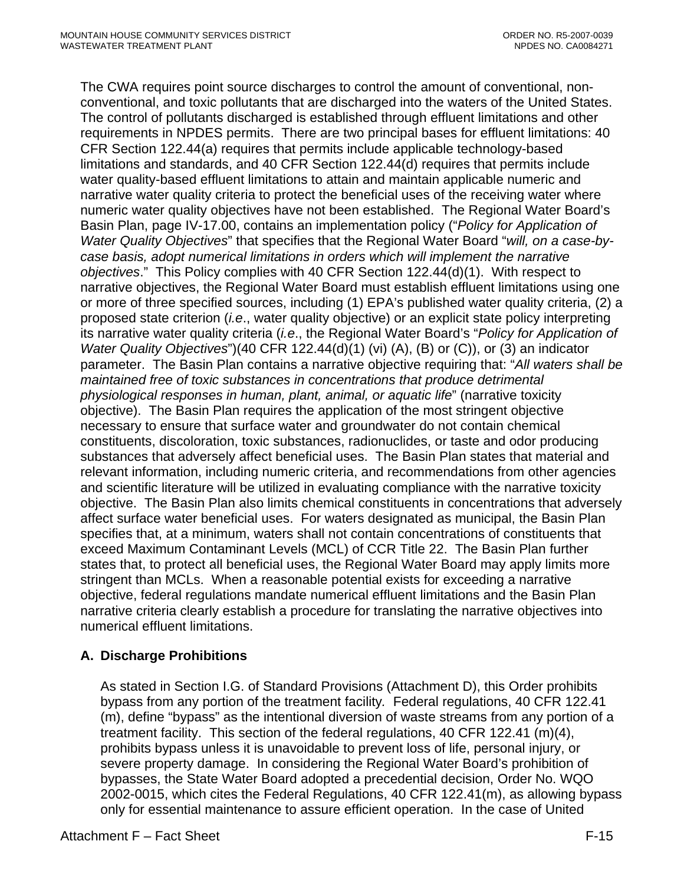The CWA requires point source discharges to control the amount of conventional, nonconventional, and toxic pollutants that are discharged into the waters of the United States. The control of pollutants discharged is established through effluent limitations and other requirements in NPDES permits. There are two principal bases for effluent limitations: 40 CFR Section 122.44(a) requires that permits include applicable technology-based limitations and standards, and 40 CFR Section 122.44(d) requires that permits include water quality-based effluent limitations to attain and maintain applicable numeric and narrative water quality criteria to protect the beneficial uses of the receiving water where numeric water quality objectives have not been established. The Regional Water Board's Basin Plan, page IV-17.00, contains an implementation policy ("*Policy for Application of Water Quality Objectives*" that specifies that the Regional Water Board "*will, on a case-bycase basis, adopt numerical limitations in orders which will implement the narrative objectives*." This Policy complies with 40 CFR Section 122.44(d)(1). With respect to narrative objectives, the Regional Water Board must establish effluent limitations using one or more of three specified sources, including (1) EPA's published water quality criteria, (2) a proposed state criterion (*i.e*., water quality objective) or an explicit state policy interpreting its narrative water quality criteria (*i.e*., the Regional Water Board's "*Policy for Application of Water Quality Objectives*")(40 CFR 122.44(d)(1) (vi) (A), (B) or (C)), or (3) an indicator parameter. The Basin Plan contains a narrative objective requiring that: "*All waters shall be maintained free of toxic substances in concentrations that produce detrimental physiological responses in human, plant, animal, or aquatic life*" (narrative toxicity objective). The Basin Plan requires the application of the most stringent objective necessary to ensure that surface water and groundwater do not contain chemical constituents, discoloration, toxic substances, radionuclides, or taste and odor producing substances that adversely affect beneficial uses. The Basin Plan states that material and relevant information, including numeric criteria, and recommendations from other agencies and scientific literature will be utilized in evaluating compliance with the narrative toxicity objective. The Basin Plan also limits chemical constituents in concentrations that adversely affect surface water beneficial uses. For waters designated as municipal, the Basin Plan specifies that, at a minimum, waters shall not contain concentrations of constituents that exceed Maximum Contaminant Levels (MCL) of CCR Title 22. The Basin Plan further states that, to protect all beneficial uses, the Regional Water Board may apply limits more stringent than MCLs. When a reasonable potential exists for exceeding a narrative objective, federal regulations mandate numerical effluent limitations and the Basin Plan narrative criteria clearly establish a procedure for translating the narrative objectives into numerical effluent limitations.

# **A. Discharge Prohibitions**

As stated in Section I.G. of Standard Provisions (Attachment D), this Order prohibits bypass from any portion of the treatment facility*.* Federal regulations, 40 CFR 122.41 (m), define "bypass" as the intentional diversion of waste streams from any portion of a treatment facility. This section of the federal regulations, 40 CFR 122.41 (m)(4), prohibits bypass unless it is unavoidable to prevent loss of life, personal injury, or severe property damage. In considering the Regional Water Board's prohibition of bypasses, the State Water Board adopted a precedential decision, Order No. WQO 2002-0015, which cites the Federal Regulations, 40 CFR 122.41(m), as allowing bypass only for essential maintenance to assure efficient operation. In the case of United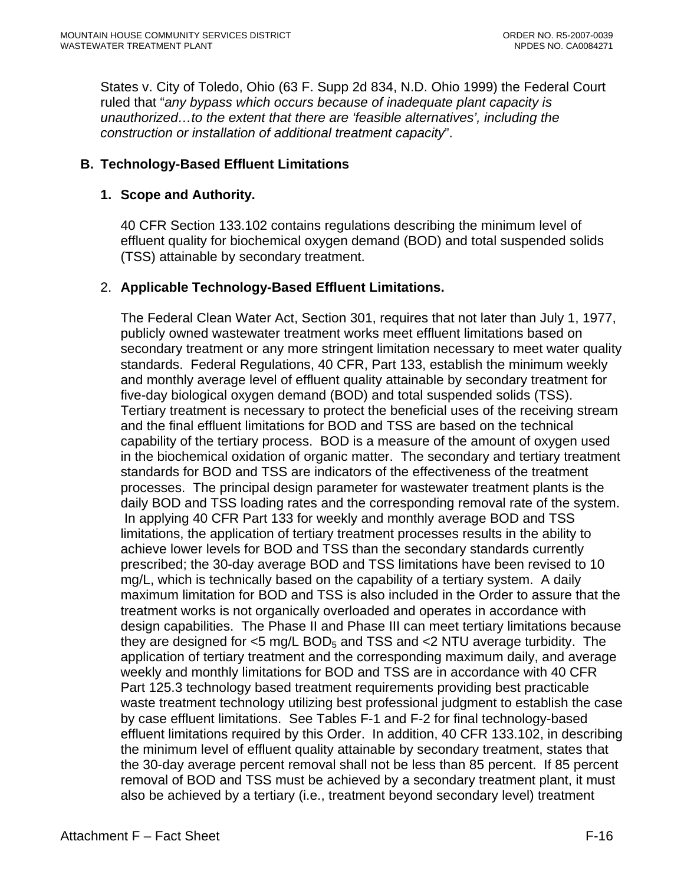States v. City of Toledo, Ohio (63 F. Supp 2d 834, N.D. Ohio 1999) the Federal Court ruled that "*any bypass which occurs because of inadequate plant capacity is unauthorized…to the extent that there are 'feasible alternatives', including the construction or installation of additional treatment capacity*".

### **B. Technology-Based Effluent Limitations**

#### **1. Scope and Authority.**

40 CFR Section 133.102 contains regulations describing the minimum level of effluent quality for biochemical oxygen demand (BOD) and total suspended solids (TSS) attainable by secondary treatment.

#### 2. **Applicable Technology-Based Effluent Limitations.**

The Federal Clean Water Act, Section 301, requires that not later than July 1, 1977, publicly owned wastewater treatment works meet effluent limitations based on secondary treatment or any more stringent limitation necessary to meet water quality standards. Federal Regulations, 40 CFR, Part 133, establish the minimum weekly and monthly average level of effluent quality attainable by secondary treatment for five-day biological oxygen demand (BOD) and total suspended solids (TSS). Tertiary treatment is necessary to protect the beneficial uses of the receiving stream and the final effluent limitations for BOD and TSS are based on the technical capability of the tertiary process. BOD is a measure of the amount of oxygen used in the biochemical oxidation of organic matter. The secondary and tertiary treatment standards for BOD and TSS are indicators of the effectiveness of the treatment processes. The principal design parameter for wastewater treatment plants is the daily BOD and TSS loading rates and the corresponding removal rate of the system. In applying 40 CFR Part 133 for weekly and monthly average BOD and TSS limitations, the application of tertiary treatment processes results in the ability to achieve lower levels for BOD and TSS than the secondary standards currently prescribed; the 30-day average BOD and TSS limitations have been revised to 10 mg/L, which is technically based on the capability of a tertiary system. A daily maximum limitation for BOD and TSS is also included in the Order to assure that the treatment works is not organically overloaded and operates in accordance with design capabilities. The Phase II and Phase III can meet tertiary limitations because they are designed for  $\leq$ 5 mg/L BOD<sub>5</sub> and TSS and  $\leq$ 2 NTU average turbidity. The application of tertiary treatment and the corresponding maximum daily, and average weekly and monthly limitations for BOD and TSS are in accordance with 40 CFR Part 125.3 technology based treatment requirements providing best practicable waste treatment technology utilizing best professional judgment to establish the case by case effluent limitations. See Tables F-1 and F-2 for final technology-based effluent limitations required by this Order. In addition, 40 CFR 133.102, in describing the minimum level of effluent quality attainable by secondary treatment, states that the 30-day average percent removal shall not be less than 85 percent. If 85 percent removal of BOD and TSS must be achieved by a secondary treatment plant, it must also be achieved by a tertiary (i.e., treatment beyond secondary level) treatment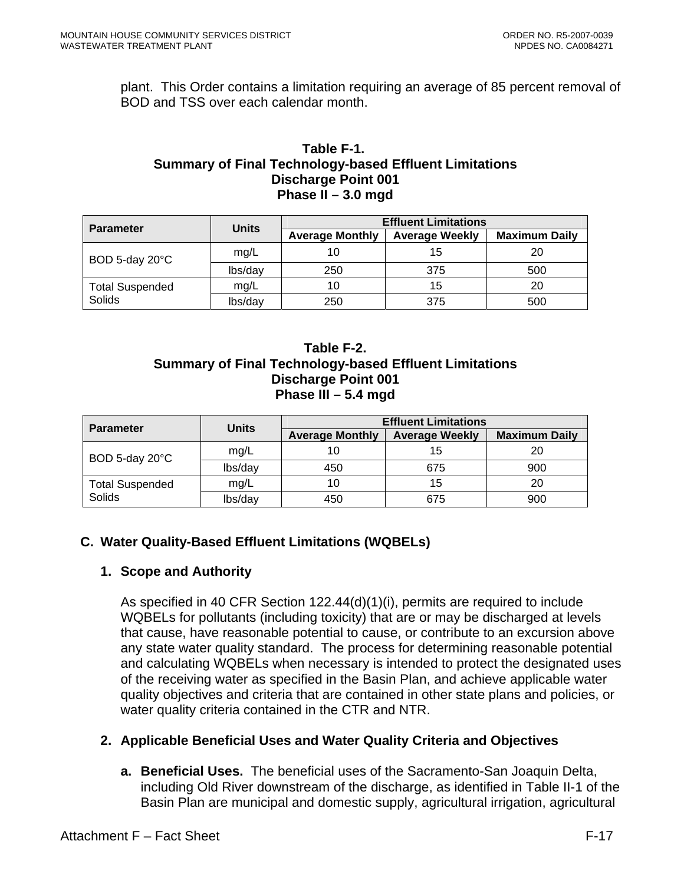plant. This Order contains a limitation requiring an average of 85 percent removal of BOD and TSS over each calendar month.

#### **Table F-1. Summary of Final Technology-based Effluent Limitations Discharge Point 001 Phase II – 3.0 mgd**

| <b>Parameter</b>       | Units   | <b>Effluent Limitations</b> |                       |                      |  |  |  |
|------------------------|---------|-----------------------------|-----------------------|----------------------|--|--|--|
|                        |         | <b>Average Monthly</b>      | <b>Average Weekly</b> | <b>Maximum Daily</b> |  |  |  |
| BOD 5-day 20°C         | mg/L    |                             | 15                    | 20                   |  |  |  |
|                        | lbs/day | 250                         | 375                   | 500                  |  |  |  |
| <b>Total Suspended</b> | mg/L    | 10                          | 15                    | 20                   |  |  |  |
| Solids                 | lbs/day | 250                         | 375                   | 500                  |  |  |  |

### **Table F-2. Summary of Final Technology-based Effluent Limitations Discharge Point 001 Phase III – 5.4 mgd**

| <b>Parameter</b>       | <b>Units</b> | <b>Effluent Limitations</b> |                       |                      |  |  |  |
|------------------------|--------------|-----------------------------|-----------------------|----------------------|--|--|--|
|                        |              | <b>Average Monthly</b>      | <b>Average Weekly</b> | <b>Maximum Daily</b> |  |  |  |
| BOD 5-day 20°C         | mg/L         |                             | 15                    |                      |  |  |  |
|                        | lbs/day      | 450                         | 675                   | 900                  |  |  |  |
| <b>Total Suspended</b> | mg/L         |                             | 15                    | 20                   |  |  |  |
| Solids                 | lbs/day      | 450                         | 675                   | 900                  |  |  |  |

# **C. Water Quality-Based Effluent Limitations (WQBELs)**

# **1. Scope and Authority**

As specified in 40 CFR Section 122.44(d)(1)(i), permits are required to include WQBELs for pollutants (including toxicity) that are or may be discharged at levels that cause, have reasonable potential to cause, or contribute to an excursion above any state water quality standard. The process for determining reasonable potential and calculating WQBELs when necessary is intended to protect the designated uses of the receiving water as specified in the Basin Plan, and achieve applicable water quality objectives and criteria that are contained in other state plans and policies, or water quality criteria contained in the CTR and NTR.

# **2. Applicable Beneficial Uses and Water Quality Criteria and Objectives**

**a. Beneficial Uses.** The beneficial uses of the Sacramento-San Joaquin Delta, including Old River downstream of the discharge, as identified in Table II-1 of the Basin Plan are municipal and domestic supply, agricultural irrigation, agricultural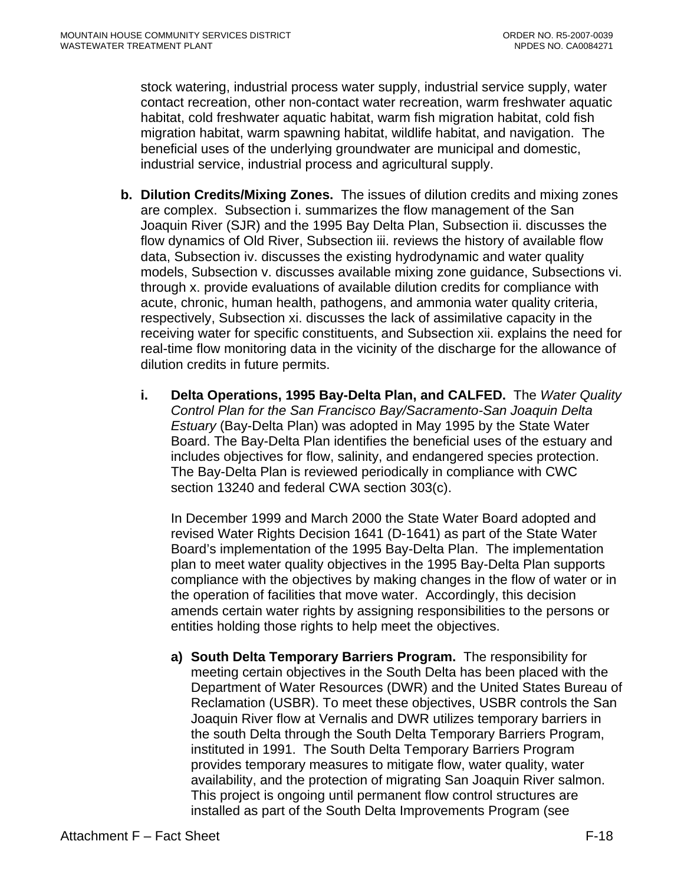stock watering, industrial process water supply, industrial service supply, water contact recreation, other non-contact water recreation, warm freshwater aquatic habitat, cold freshwater aquatic habitat, warm fish migration habitat, cold fish migration habitat, warm spawning habitat, wildlife habitat, and navigation. The beneficial uses of the underlying groundwater are municipal and domestic, industrial service, industrial process and agricultural supply.

- **b. Dilution Credits/Mixing Zones.** The issues of dilution credits and mixing zones are complex. Subsection i. summarizes the flow management of the San Joaquin River (SJR) and the 1995 Bay Delta Plan, Subsection ii. discusses the flow dynamics of Old River, Subsection iii. reviews the history of available flow data, Subsection iv. discusses the existing hydrodynamic and water quality models, Subsection v. discusses available mixing zone guidance, Subsections vi. through x. provide evaluations of available dilution credits for compliance with acute, chronic, human health, pathogens, and ammonia water quality criteria, respectively, Subsection xi. discusses the lack of assimilative capacity in the receiving water for specific constituents, and Subsection xii. explains the need for real-time flow monitoring data in the vicinity of the discharge for the allowance of dilution credits in future permits.
	- **i. Delta Operations, 1995 Bay-Delta Plan, and CALFED.** The *Water Quality Control Plan for the San Francisco Bay/Sacramento-San Joaquin Delta Estuary* (Bay-Delta Plan) was adopted in May 1995 by the State Water Board. The Bay-Delta Plan identifies the beneficial uses of the estuary and includes objectives for flow, salinity, and endangered species protection. The Bay-Delta Plan is reviewed periodically in compliance with CWC section 13240 and federal CWA section 303(c).

In December 1999 and March 2000 the State Water Board adopted and revised Water Rights Decision 1641 (D-1641) as part of the State Water Board's implementation of the 1995 Bay-Delta Plan. The implementation plan to meet water quality objectives in the 1995 Bay-Delta Plan supports compliance with the objectives by making changes in the flow of water or in the operation of facilities that move water. Accordingly, this decision amends certain water rights by assigning responsibilities to the persons or entities holding those rights to help meet the objectives.

**a) South Delta Temporary Barriers Program.**The responsibility for meeting certain objectives in the South Delta has been placed with the Department of Water Resources (DWR) and the United States Bureau of Reclamation (USBR). To meet these objectives, USBR controls the San Joaquin River flow at Vernalis and DWR utilizes temporary barriers in the south Delta through the South Delta Temporary Barriers Program, instituted in 1991. The South Delta Temporary Barriers Program provides temporary measures to mitigate flow, water quality, water availability, and the protection of migrating San Joaquin River salmon. This project is ongoing until permanent flow control structures are installed as part of the South Delta Improvements Program (see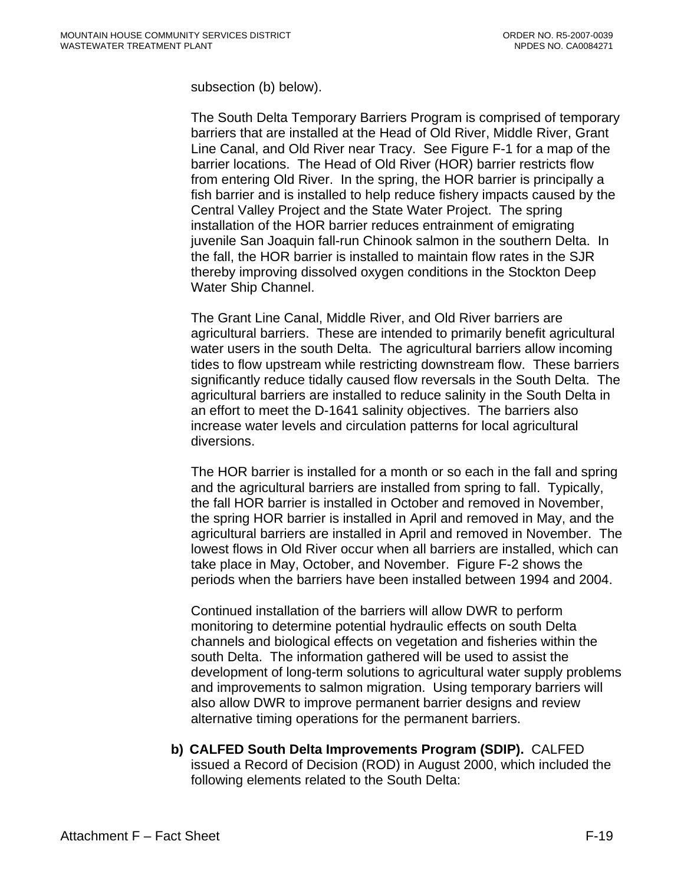subsection (b) below).

The South Delta Temporary Barriers Program is comprised of temporary barriers that are installed at the Head of Old River, Middle River, Grant Line Canal, and Old River near Tracy. See Figure F-1 for a map of the barrier locations. The Head of Old River (HOR) barrier restricts flow from entering Old River. In the spring, the HOR barrier is principally a fish barrier and is installed to help reduce fishery impacts caused by the Central Valley Project and the State Water Project. The spring installation of the HOR barrier reduces entrainment of emigrating juvenile San Joaquin fall-run Chinook salmon in the southern Delta. In the fall, the HOR barrier is installed to maintain flow rates in the SJR thereby improving dissolved oxygen conditions in the Stockton Deep Water Ship Channel.

The Grant Line Canal, Middle River, and Old River barriers are agricultural barriers. These are intended to primarily benefit agricultural water users in the south Delta. The agricultural barriers allow incoming tides to flow upstream while restricting downstream flow. These barriers significantly reduce tidally caused flow reversals in the South Delta. The agricultural barriers are installed to reduce salinity in the South Delta in an effort to meet the D-1641 salinity objectives. The barriers also increase water levels and circulation patterns for local agricultural diversions.

The HOR barrier is installed for a month or so each in the fall and spring and the agricultural barriers are installed from spring to fall. Typically, the fall HOR barrier is installed in October and removed in November, the spring HOR barrier is installed in April and removed in May, and the agricultural barriers are installed in April and removed in November. The lowest flows in Old River occur when all barriers are installed, which can take place in May, October, and November. Figure F-2 shows the periods when the barriers have been installed between 1994 and 2004.

Continued installation of the barriers will allow DWR to perform monitoring to determine potential hydraulic effects on south Delta channels and biological effects on vegetation and fisheries within the south Delta. The information gathered will be used to assist the development of long-term solutions to agricultural water supply problems and improvements to salmon migration. Using temporary barriers will also allow DWR to improve permanent barrier designs and review alternative timing operations for the permanent barriers.

**b) CALFED South Delta Improvements Program (SDIP).** CALFED issued a Record of Decision (ROD) in August 2000, which included the following elements related to the South Delta: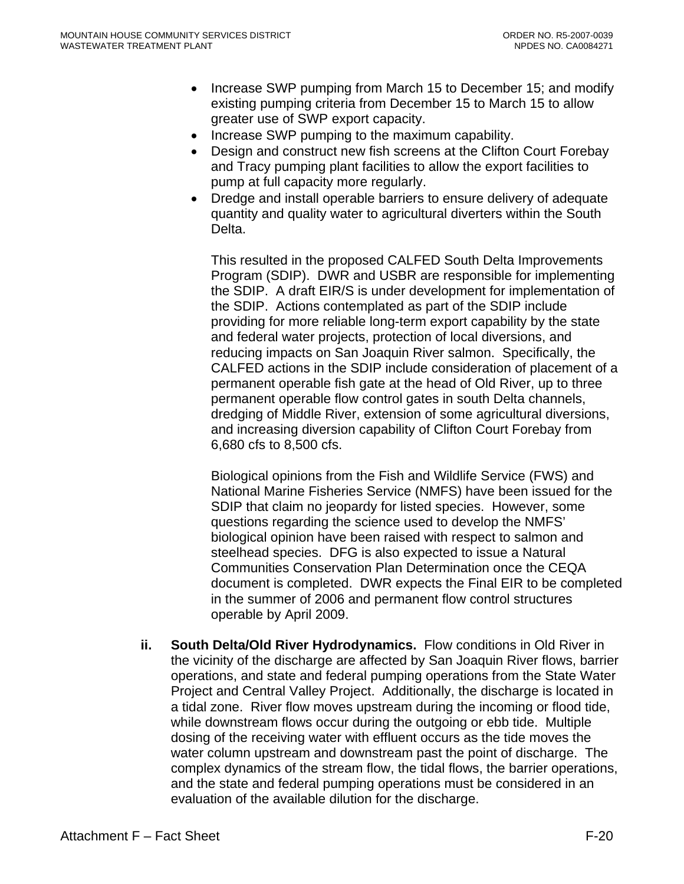- Increase SWP pumping from March 15 to December 15; and modify existing pumping criteria from December 15 to March 15 to allow greater use of SWP export capacity.
- Increase SWP pumping to the maximum capability.
- Design and construct new fish screens at the Clifton Court Forebay and Tracy pumping plant facilities to allow the export facilities to pump at full capacity more regularly.
- Dredge and install operable barriers to ensure delivery of adequate quantity and quality water to agricultural diverters within the South Delta.

This resulted in the proposed CALFED South Delta Improvements Program (SDIP). DWR and USBR are responsible for implementing the SDIP. A draft EIR/S is under development for implementation of the SDIP. Actions contemplated as part of the SDIP include providing for more reliable long-term export capability by the state and federal water projects, protection of local diversions, and reducing impacts on San Joaquin River salmon. Specifically, the CALFED actions in the SDIP include consideration of placement of a permanent operable fish gate at the head of Old River, up to three permanent operable flow control gates in south Delta channels, dredging of Middle River, extension of some agricultural diversions, and increasing diversion capability of Clifton Court Forebay from 6,680 cfs to 8,500 cfs.

Biological opinions from the Fish and Wildlife Service (FWS) and National Marine Fisheries Service (NMFS) have been issued for the SDIP that claim no jeopardy for listed species. However, some questions regarding the science used to develop the NMFS' biological opinion have been raised with respect to salmon and steelhead species. DFG is also expected to issue a Natural Communities Conservation Plan Determination once the CEQA document is completed. DWR expects the Final EIR to be completed in the summer of 2006 and permanent flow control structures operable by April 2009.

**ii. South Delta/Old River Hydrodynamics.** Flow conditions in Old River in the vicinity of the discharge are affected by San Joaquin River flows, barrier operations, and state and federal pumping operations from the State Water Project and Central Valley Project. Additionally, the discharge is located in a tidal zone. River flow moves upstream during the incoming or flood tide, while downstream flows occur during the outgoing or ebb tide. Multiple dosing of the receiving water with effluent occurs as the tide moves the water column upstream and downstream past the point of discharge. The complex dynamics of the stream flow, the tidal flows, the barrier operations, and the state and federal pumping operations must be considered in an evaluation of the available dilution for the discharge.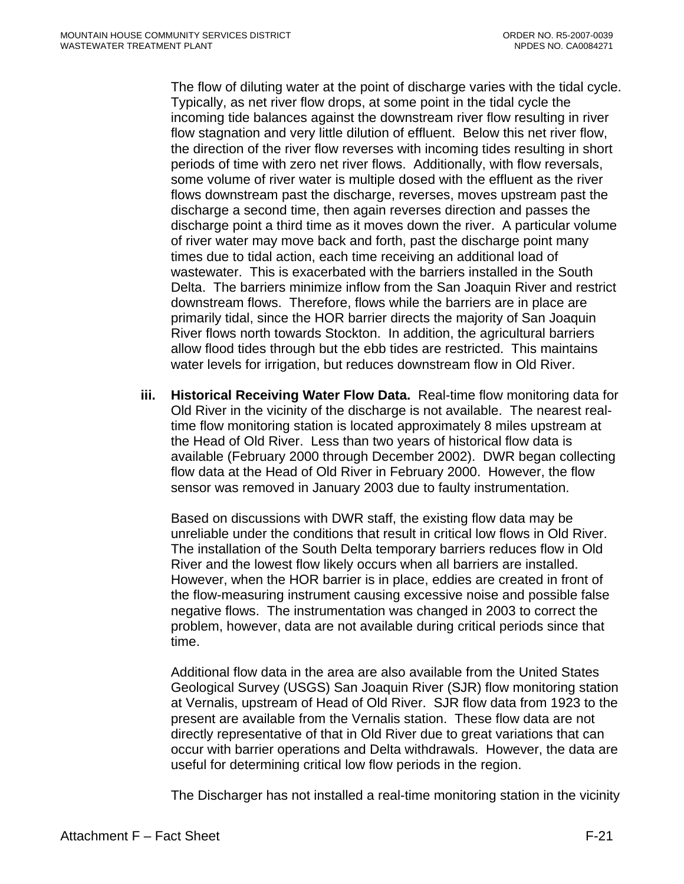The flow of diluting water at the point of discharge varies with the tidal cycle. Typically, as net river flow drops, at some point in the tidal cycle the incoming tide balances against the downstream river flow resulting in river flow stagnation and very little dilution of effluent. Below this net river flow, the direction of the river flow reverses with incoming tides resulting in short periods of time with zero net river flows. Additionally, with flow reversals, some volume of river water is multiple dosed with the effluent as the river flows downstream past the discharge, reverses, moves upstream past the discharge a second time, then again reverses direction and passes the discharge point a third time as it moves down the river. A particular volume of river water may move back and forth, past the discharge point many times due to tidal action, each time receiving an additional load of wastewater. This is exacerbated with the barriers installed in the South Delta. The barriers minimize inflow from the San Joaquin River and restrict downstream flows. Therefore, flows while the barriers are in place are primarily tidal, since the HOR barrier directs the majority of San Joaquin River flows north towards Stockton. In addition, the agricultural barriers allow flood tides through but the ebb tides are restricted. This maintains water levels for irrigation, but reduces downstream flow in Old River.

**iii. Historical Receiving Water Flow Data.** Real-time flow monitoring data for Old River in the vicinity of the discharge is not available. The nearest realtime flow monitoring station is located approximately 8 miles upstream at the Head of Old River. Less than two years of historical flow data is available (February 2000 through December 2002). DWR began collecting flow data at the Head of Old River in February 2000. However, the flow sensor was removed in January 2003 due to faulty instrumentation.

Based on discussions with DWR staff, the existing flow data may be unreliable under the conditions that result in critical low flows in Old River. The installation of the South Delta temporary barriers reduces flow in Old River and the lowest flow likely occurs when all barriers are installed. However, when the HOR barrier is in place, eddies are created in front of the flow-measuring instrument causing excessive noise and possible false negative flows. The instrumentation was changed in 2003 to correct the problem, however, data are not available during critical periods since that time.

Additional flow data in the area are also available from the United States Geological Survey (USGS) San Joaquin River (SJR) flow monitoring station at Vernalis, upstream of Head of Old River. SJR flow data from 1923 to the present are available from the Vernalis station. These flow data are not directly representative of that in Old River due to great variations that can occur with barrier operations and Delta withdrawals. However, the data are useful for determining critical low flow periods in the region.

The Discharger has not installed a real-time monitoring station in the vicinity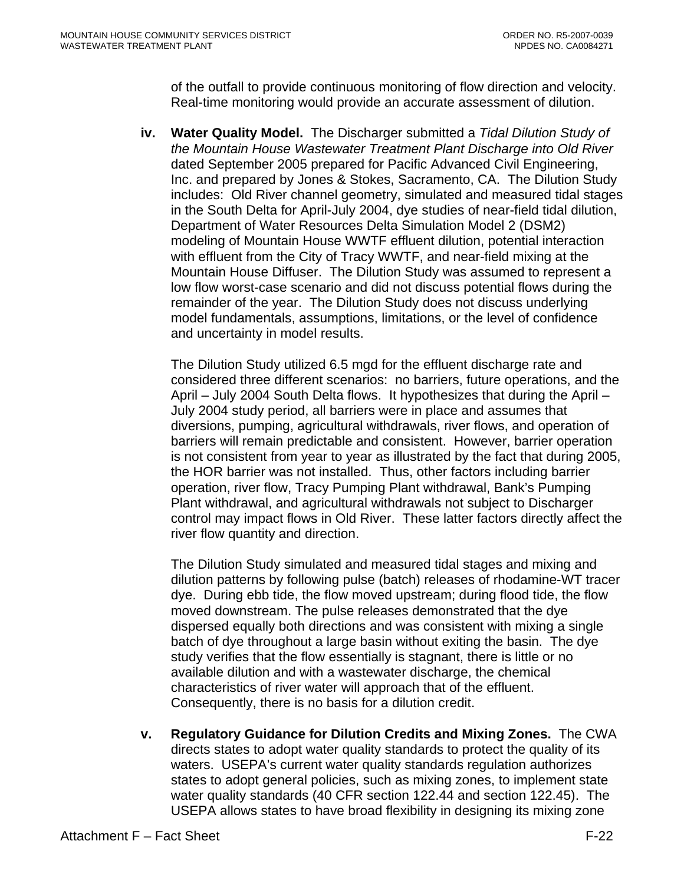of the outfall to provide continuous monitoring of flow direction and velocity. Real-time monitoring would provide an accurate assessment of dilution.

**iv. Water Quality Model.** The Discharger submitted a *Tidal Dilution Study of the Mountain House Wastewater Treatment Plant Discharge into Old River* dated September 2005 prepared for Pacific Advanced Civil Engineering, Inc. and prepared by Jones & Stokes, Sacramento, CA. The Dilution Study includes: Old River channel geometry, simulated and measured tidal stages in the South Delta for April-July 2004, dye studies of near-field tidal dilution, Department of Water Resources Delta Simulation Model 2 (DSM2) modeling of Mountain House WWTF effluent dilution, potential interaction with effluent from the City of Tracy WWTF, and near-field mixing at the Mountain House Diffuser. The Dilution Study was assumed to represent a low flow worst-case scenario and did not discuss potential flows during the remainder of the year. The Dilution Study does not discuss underlying model fundamentals, assumptions, limitations, or the level of confidence and uncertainty in model results.

The Dilution Study utilized 6.5 mgd for the effluent discharge rate and considered three different scenarios: no barriers, future operations, and the April – July 2004 South Delta flows. It hypothesizes that during the April – July 2004 study period, all barriers were in place and assumes that diversions, pumping, agricultural withdrawals, river flows, and operation of barriers will remain predictable and consistent. However, barrier operation is not consistent from year to year as illustrated by the fact that during 2005, the HOR barrier was not installed. Thus, other factors including barrier operation, river flow, Tracy Pumping Plant withdrawal, Bank's Pumping Plant withdrawal, and agricultural withdrawals not subject to Discharger control may impact flows in Old River. These latter factors directly affect the river flow quantity and direction.

The Dilution Study simulated and measured tidal stages and mixing and dilution patterns by following pulse (batch) releases of rhodamine-WT tracer dye. During ebb tide, the flow moved upstream; during flood tide, the flow moved downstream. The pulse releases demonstrated that the dye dispersed equally both directions and was consistent with mixing a single batch of dye throughout a large basin without exiting the basin. The dye study verifies that the flow essentially is stagnant, there is little or no available dilution and with a wastewater discharge, the chemical characteristics of river water will approach that of the effluent. Consequently, there is no basis for a dilution credit.

**v. Regulatory Guidance for Dilution Credits and Mixing Zones.** The CWA directs states to adopt water quality standards to protect the quality of its waters. USEPA's current water quality standards regulation authorizes states to adopt general policies, such as mixing zones, to implement state water quality standards (40 CFR section 122.44 and section 122.45). The USEPA allows states to have broad flexibility in designing its mixing zone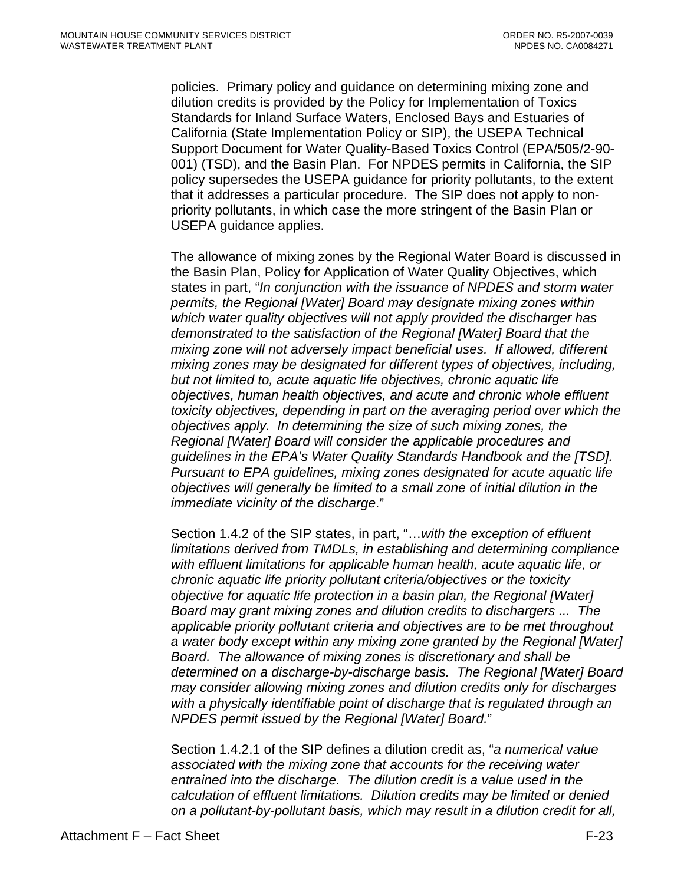policies. Primary policy and guidance on determining mixing zone and dilution credits is provided by the Policy for Implementation of Toxics Standards for Inland Surface Waters, Enclosed Bays and Estuaries of California (State Implementation Policy or SIP), the USEPA Technical Support Document for Water Quality-Based Toxics Control (EPA/505/2-90- 001) (TSD), and the Basin Plan. For NPDES permits in California, the SIP policy supersedes the USEPA guidance for priority pollutants, to the extent that it addresses a particular procedure. The SIP does not apply to nonpriority pollutants, in which case the more stringent of the Basin Plan or USEPA guidance applies.

The allowance of mixing zones by the Regional Water Board is discussed in the Basin Plan, Policy for Application of Water Quality Objectives, which states in part, "*In conjunction with the issuance of NPDES and storm water permits, the Regional [Water] Board may designate mixing zones within which water quality objectives will not apply provided the discharger has demonstrated to the satisfaction of the Regional [Water] Board that the mixing zone will not adversely impact beneficial uses. If allowed, different mixing zones may be designated for different types of objectives, including, but not limited to, acute aquatic life objectives, chronic aquatic life objectives, human health objectives, and acute and chronic whole effluent toxicity objectives, depending in part on the averaging period over which the objectives apply. In determining the size of such mixing zones, the Regional [Water] Board will consider the applicable procedures and guidelines in the EPA's Water Quality Standards Handbook and the [TSD]. Pursuant to EPA guidelines, mixing zones designated for acute aquatic life objectives will generally be limited to a small zone of initial dilution in the immediate vicinity of the discharge*."

Section 1.4.2 of the SIP states, in part, "…*with the exception of effluent limitations derived from TMDLs, in establishing and determining compliance with effluent limitations for applicable human health, acute aquatic life, or chronic aquatic life priority pollutant criteria/objectives or the toxicity objective for aquatic life protection in a basin plan, the Regional [Water] Board may grant mixing zones and dilution credits to dischargers ... The applicable priority pollutant criteria and objectives are to be met throughout a water body except within any mixing zone granted by the Regional [Water] Board. The allowance of mixing zones is discretionary and shall be determined on a discharge-by-discharge basis. The Regional [Water] Board may consider allowing mixing zones and dilution credits only for discharges*  with a physically identifiable point of discharge that is regulated through an *NPDES permit issued by the Regional [Water] Board.*"

Section 1.4.2.1 of the SIP defines a dilution credit as, "*a numerical value associated with the mixing zone that accounts for the receiving water entrained into the discharge. The dilution credit is a value used in the calculation of effluent limitations. Dilution credits may be limited or denied on a pollutant-by-pollutant basis, which may result in a dilution credit for all,*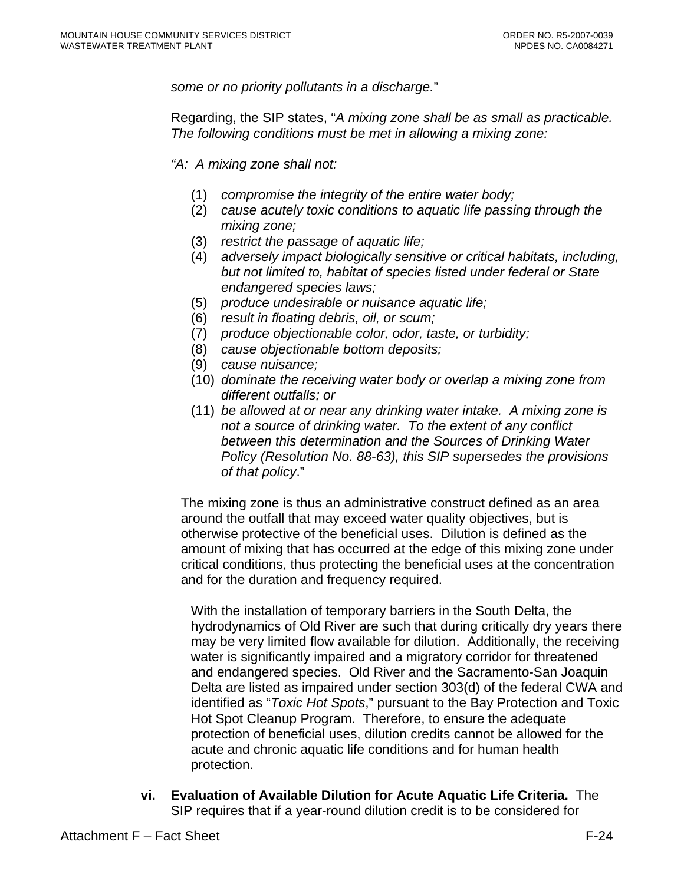*some or no priority pollutants in a discharge.*"

Regarding, the SIP states, "*A mixing zone shall be as small as practicable. The following conditions must be met in allowing a mixing zone:*

*"A: A mixing zone shall not:* 

- (1) *compromise the integrity of the entire water body;*
- (2) *cause acutely toxic conditions to aquatic life passing through the mixing zone;*
- (3) *restrict the passage of aquatic life;*
- (4) *adversely impact biologically sensitive or critical habitats, including, but not limited to, habitat of species listed under federal or State endangered species laws;*
- (5) *produce undesirable or nuisance aquatic life;*
- (6) *result in floating debris, oil, or scum;*
- (7) *produce objectionable color, odor, taste, or turbidity;*
- (8) *cause objectionable bottom deposits;*
- (9) *cause nuisance;*
- (10) *dominate the receiving water body or overlap a mixing zone from different outfalls; or*
- (11) *be allowed at or near any drinking water intake. A mixing zone is not a source of drinking water. To the extent of any conflict between this determination and the Sources of Drinking Water Policy (Resolution No. 88-63), this SIP supersedes the provisions of that policy*."

The mixing zone is thus an administrative construct defined as an area around the outfall that may exceed water quality objectives, but is otherwise protective of the beneficial uses. Dilution is defined as the amount of mixing that has occurred at the edge of this mixing zone under critical conditions, thus protecting the beneficial uses at the concentration and for the duration and frequency required.

With the installation of temporary barriers in the South Delta, the hydrodynamics of Old River are such that during critically dry years there may be very limited flow available for dilution. Additionally, the receiving water is significantly impaired and a migratory corridor for threatened and endangered species. Old River and the Sacramento-San Joaquin Delta are listed as impaired under section 303(d) of the federal CWA and identified as "*Toxic Hot Spots*," pursuant to the Bay Protection and Toxic Hot Spot Cleanup Program. Therefore, to ensure the adequate protection of beneficial uses, dilution credits cannot be allowed for the acute and chronic aquatic life conditions and for human health protection.

**vi. Evaluation of Available Dilution for Acute Aquatic Life Criteria.** The SIP requires that if a year-round dilution credit is to be considered for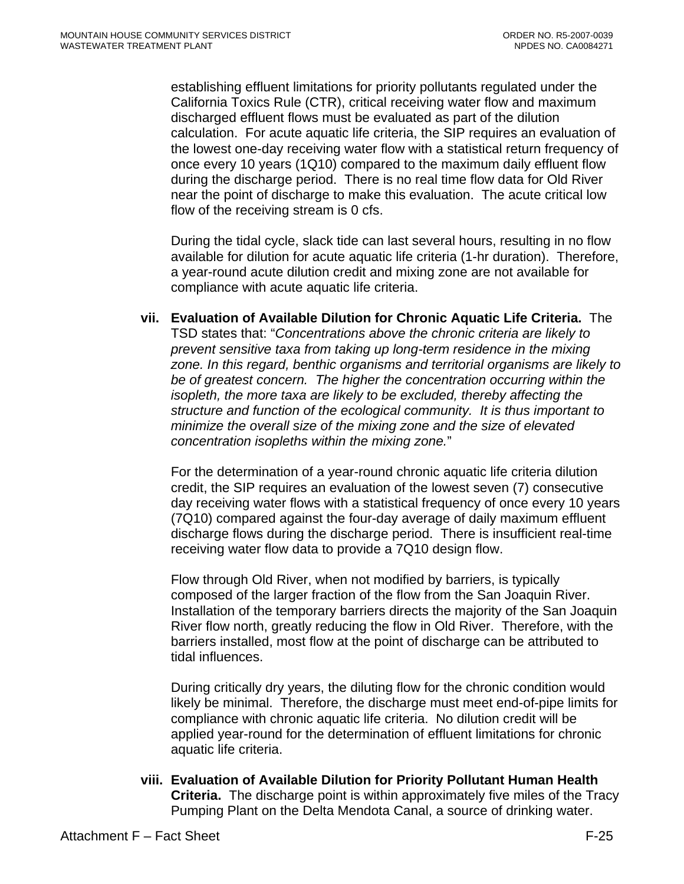establishing effluent limitations for priority pollutants regulated under the California Toxics Rule (CTR), critical receiving water flow and maximum discharged effluent flows must be evaluated as part of the dilution calculation. For acute aquatic life criteria, the SIP requires an evaluation of the lowest one-day receiving water flow with a statistical return frequency of once every 10 years (1Q10) compared to the maximum daily effluent flow during the discharge period. There is no real time flow data for Old River near the point of discharge to make this evaluation. The acute critical low flow of the receiving stream is 0 cfs.

During the tidal cycle, slack tide can last several hours, resulting in no flow available for dilution for acute aquatic life criteria (1-hr duration). Therefore, a year-round acute dilution credit and mixing zone are not available for compliance with acute aquatic life criteria.

**vii. Evaluation of Available Dilution for Chronic Aquatic Life Criteria.** The TSD states that: "*Concentrations above the chronic criteria are likely to prevent sensitive taxa from taking up long-term residence in the mixing zone. In this regard, benthic organisms and territorial organisms are likely to be of greatest concern. The higher the concentration occurring within the isopleth, the more taxa are likely to be excluded, thereby affecting the structure and function of the ecological community. It is thus important to minimize the overall size of the mixing zone and the size of elevated concentration isopleths within the mixing zone.*"

For the determination of a year-round chronic aquatic life criteria dilution credit, the SIP requires an evaluation of the lowest seven (7) consecutive day receiving water flows with a statistical frequency of once every 10 years (7Q10) compared against the four-day average of daily maximum effluent discharge flows during the discharge period. There is insufficient real-time receiving water flow data to provide a 7Q10 design flow.

Flow through Old River, when not modified by barriers, is typically composed of the larger fraction of the flow from the San Joaquin River. Installation of the temporary barriers directs the majority of the San Joaquin River flow north, greatly reducing the flow in Old River. Therefore, with the barriers installed, most flow at the point of discharge can be attributed to tidal influences.

During critically dry years, the diluting flow for the chronic condition would likely be minimal. Therefore, the discharge must meet end-of-pipe limits for compliance with chronic aquatic life criteria. No dilution credit will be applied year-round for the determination of effluent limitations for chronic aquatic life criteria.

**viii. Evaluation of Available Dilution for Priority Pollutant Human Health Criteria.** The discharge point is within approximately five miles of the Tracy Pumping Plant on the Delta Mendota Canal, a source of drinking water.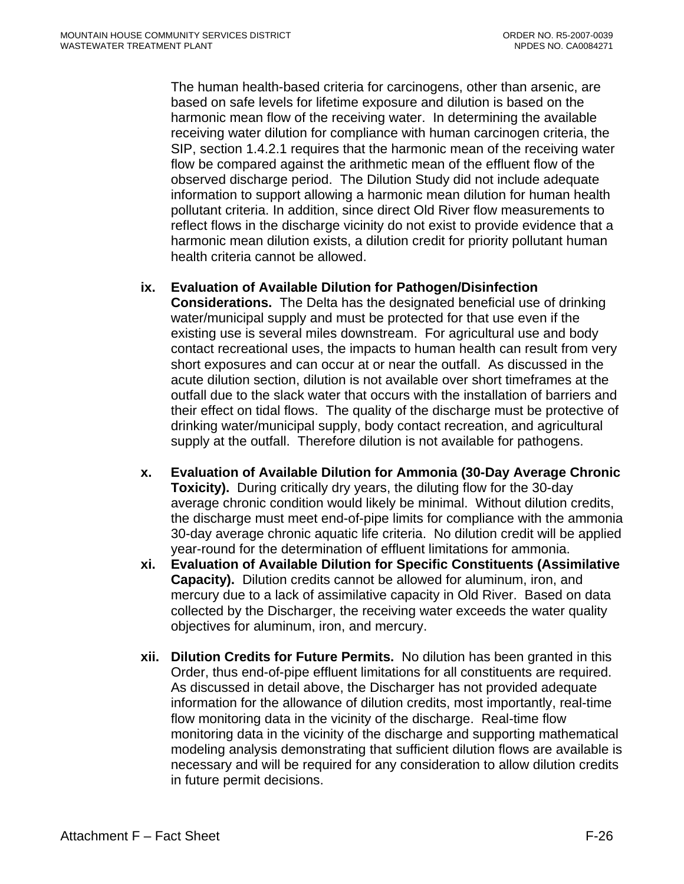The human health-based criteria for carcinogens, other than arsenic, are based on safe levels for lifetime exposure and dilution is based on the harmonic mean flow of the receiving water. In determining the available receiving water dilution for compliance with human carcinogen criteria, the SIP, section 1.4.2.1 requires that the harmonic mean of the receiving water flow be compared against the arithmetic mean of the effluent flow of the observed discharge period. The Dilution Study did not include adequate information to support allowing a harmonic mean dilution for human health pollutant criteria. In addition, since direct Old River flow measurements to reflect flows in the discharge vicinity do not exist to provide evidence that a harmonic mean dilution exists, a dilution credit for priority pollutant human health criteria cannot be allowed.

### **ix. Evaluation of Available Dilution for Pathogen/Disinfection**

**Considerations.** The Delta has the designated beneficial use of drinking water/municipal supply and must be protected for that use even if the existing use is several miles downstream. For agricultural use and body contact recreational uses, the impacts to human health can result from very short exposures and can occur at or near the outfall. As discussed in the acute dilution section, dilution is not available over short timeframes at the outfall due to the slack water that occurs with the installation of barriers and their effect on tidal flows. The quality of the discharge must be protective of drinking water/municipal supply, body contact recreation, and agricultural supply at the outfall. Therefore dilution is not available for pathogens.

- **x. Evaluation of Available Dilution for Ammonia (30-Day Average Chronic Toxicity).** During critically dry years, the diluting flow for the 30-day average chronic condition would likely be minimal. Without dilution credits, the discharge must meet end-of-pipe limits for compliance with the ammonia 30-day average chronic aquatic life criteria. No dilution credit will be applied year-round for the determination of effluent limitations for ammonia.
- **xi. Evaluation of Available Dilution for Specific Constituents (Assimilative Capacity).** Dilution credits cannot be allowed for aluminum, iron, and mercury due to a lack of assimilative capacity in Old River. Based on data collected by the Discharger, the receiving water exceeds the water quality objectives for aluminum, iron, and mercury.
- **xii. Dilution Credits for Future Permits.** No dilution has been granted in this Order, thus end-of-pipe effluent limitations for all constituents are required. As discussed in detail above, the Discharger has not provided adequate information for the allowance of dilution credits, most importantly, real-time flow monitoring data in the vicinity of the discharge. Real-time flow monitoring data in the vicinity of the discharge and supporting mathematical modeling analysis demonstrating that sufficient dilution flows are available is necessary and will be required for any consideration to allow dilution credits in future permit decisions.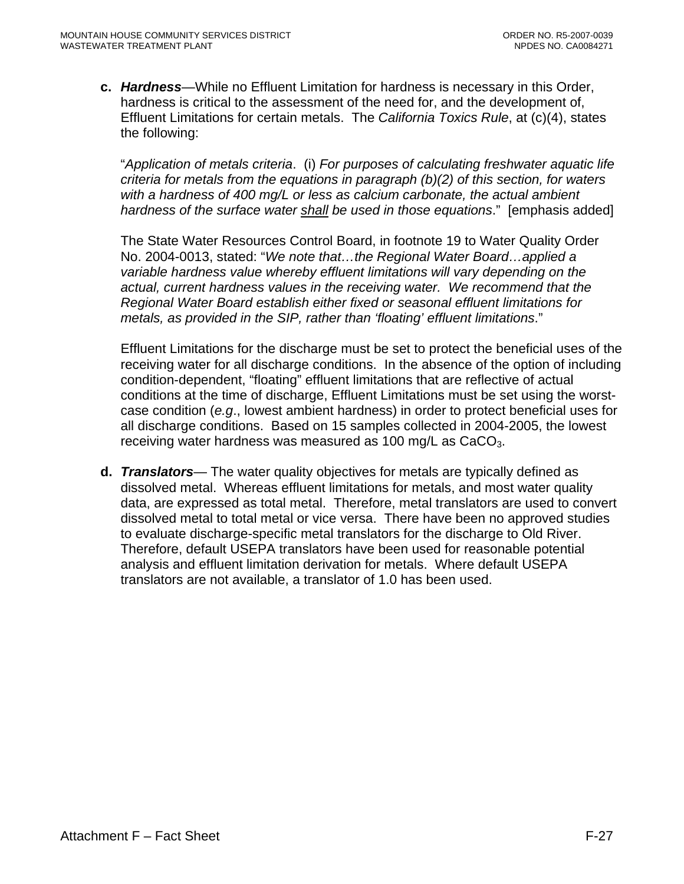**c.** *Hardness*—While no Effluent Limitation for hardness is necessary in this Order, hardness is critical to the assessment of the need for, and the development of, Effluent Limitations for certain metals. The *California Toxics Rule*, at (c)(4), states the following:

"*Application of metals criteria*. (i) *For purposes of calculating freshwater aquatic life criteria for metals from the equations in paragraph (b)(2) of this section, for waters with a hardness of 400 mg/L or less as calcium carbonate, the actual ambient hardness of the surface water shall be used in those equations*." [emphasis added]

The State Water Resources Control Board, in footnote 19 to Water Quality Order No. 2004-0013, stated: "*We note that…the Regional Water Board…applied a variable hardness value whereby effluent limitations will vary depending on the actual, current hardness values in the receiving water. We recommend that the Regional Water Board establish either fixed or seasonal effluent limitations for metals, as provided in the SIP, rather than 'floating' effluent limitations*."

Effluent Limitations for the discharge must be set to protect the beneficial uses of the receiving water for all discharge conditions. In the absence of the option of including condition-dependent, "floating" effluent limitations that are reflective of actual conditions at the time of discharge, Effluent Limitations must be set using the worstcase condition (*e.g*., lowest ambient hardness) in order to protect beneficial uses for all discharge conditions. Based on 15 samples collected in 2004-2005, the lowest receiving water hardness was measured as  $100 \text{ mg/L}$  as  $CaCO<sub>3</sub>$ .

**d.** *Translators*— The water quality objectives for metals are typically defined as dissolved metal. Whereas effluent limitations for metals, and most water quality data, are expressed as total metal. Therefore, metal translators are used to convert dissolved metal to total metal or vice versa. There have been no approved studies to evaluate discharge-specific metal translators for the discharge to Old River. Therefore, default USEPA translators have been used for reasonable potential analysis and effluent limitation derivation for metals. Where default USEPA translators are not available, a translator of 1.0 has been used.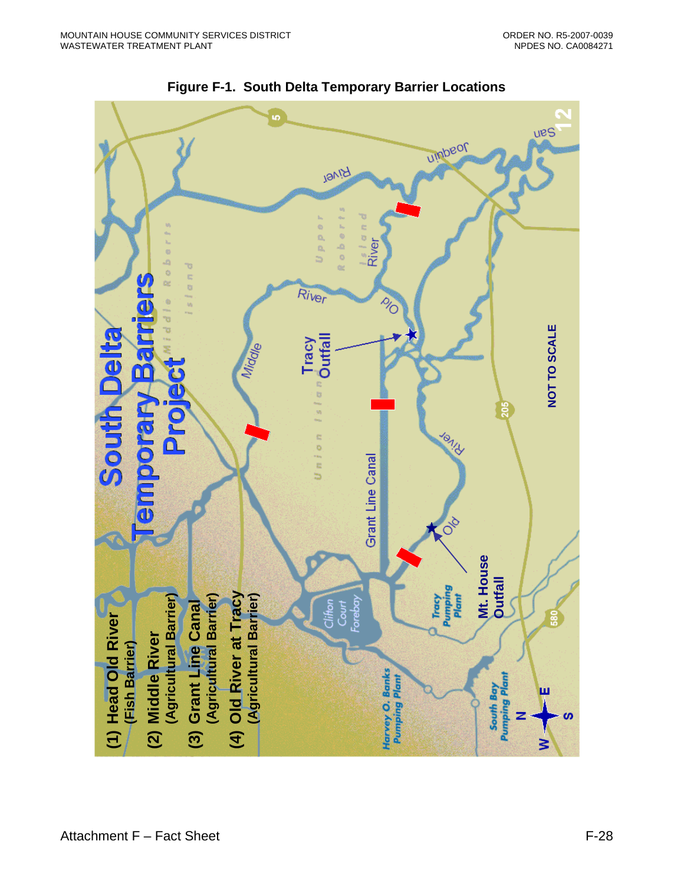

**Figure F-1. South Delta Temporary Barrier Locations**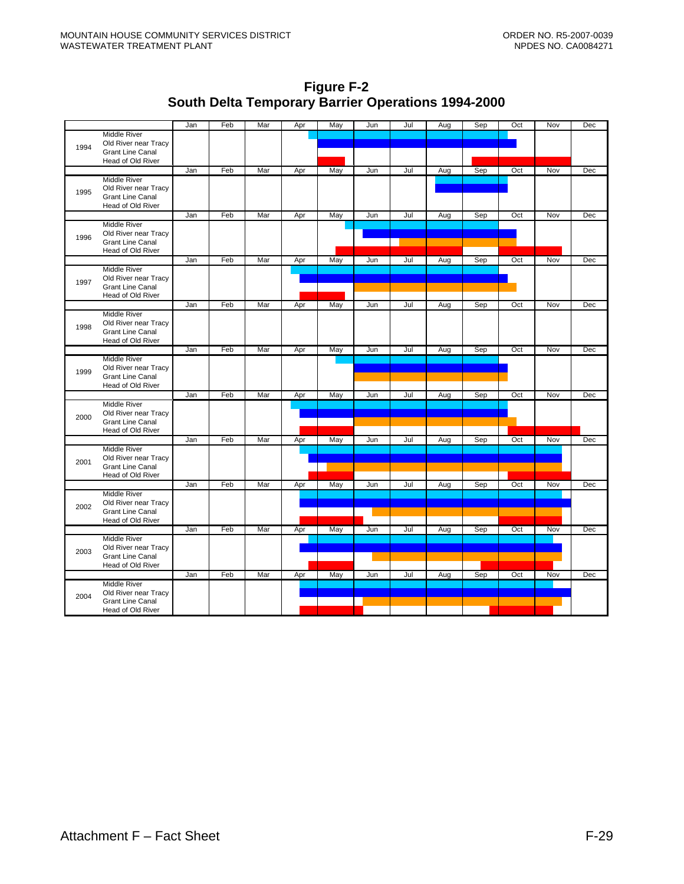**Figure F-2 South Delta Temporary Barrier Operations 1994-2000**

|      |                                              | Jan | Feb | Mar | Apr | May | Jun | Jul | Aug | Sep | Oct | Nov | Dec |
|------|----------------------------------------------|-----|-----|-----|-----|-----|-----|-----|-----|-----|-----|-----|-----|
|      | <b>Middle River</b>                          |     |     |     |     |     |     |     |     |     |     |     |     |
| 1994 | Old River near Tracy                         |     |     |     |     |     |     |     |     |     |     |     |     |
|      | <b>Grant Line Canal</b>                      |     |     |     |     |     |     |     |     |     |     |     |     |
|      | Head of Old River                            |     |     |     |     |     |     |     |     |     |     |     |     |
|      |                                              | Jan | Feb | Mar | Apr | May | Jun | Jul | Aug | Sep | Oct | Nov | Dec |
|      | <b>Middle River</b>                          |     |     |     |     |     |     |     |     |     |     |     |     |
| 1995 | Old River near Tracy                         |     |     |     |     |     |     |     |     |     |     |     |     |
|      | <b>Grant Line Canal</b><br>Head of Old River |     |     |     |     |     |     |     |     |     |     |     |     |
|      |                                              | Jan | Feb | Mar | Apr | May | Jun | Jul | Aug | Sep | Oct | Nov | Dec |
|      | <b>Middle River</b>                          |     |     |     |     |     |     |     |     |     |     |     |     |
|      | Old River near Tracy                         |     |     |     |     |     |     |     |     |     |     |     |     |
| 1996 | <b>Grant Line Canal</b>                      |     |     |     |     |     |     |     |     |     |     |     |     |
|      | Head of Old River                            |     |     |     |     |     |     |     |     |     |     |     |     |
|      |                                              | Jan | Feb | Mar | Apr | May | Jun | Jul | Aug | Sep | Oct | Nov | Dec |
|      | <b>Middle River</b>                          |     |     |     |     |     |     |     |     |     |     |     |     |
| 1997 | Old River near Tracy                         |     |     |     |     |     |     |     |     |     |     |     |     |
|      | <b>Grant Line Canal</b>                      |     |     |     |     |     |     |     |     |     |     |     |     |
|      | Head of Old River                            |     |     |     |     |     |     |     |     |     |     |     |     |
|      |                                              | Jan | Feb | Mar | Apr | May | Jun | Jul | Aug | Sep | Oct | Nov | Dec |
|      | <b>Middle River</b><br>Old River near Tracy  |     |     |     |     |     |     |     |     |     |     |     |     |
| 1998 | <b>Grant Line Canal</b>                      |     |     |     |     |     |     |     |     |     |     |     |     |
|      | Head of Old River                            |     |     |     |     |     |     |     |     |     |     |     |     |
|      |                                              | Jan | Feb | Mar | Apr | May | Jun | Jul | Aug | Sep | Oct | Nov | Dec |
|      | <b>Middle River</b>                          |     |     |     |     |     |     |     |     |     |     |     |     |
| 1999 | Old River near Tracy                         |     |     |     |     |     |     |     |     |     |     |     |     |
|      | <b>Grant Line Canal</b>                      |     |     |     |     |     |     |     |     |     |     |     |     |
|      | Head of Old River                            |     |     |     |     |     |     |     |     |     |     |     |     |
|      |                                              | Jan | Feb | Mar | Apr | May | Jun | Jul | Aug | Sep | Oct | Nov | Dec |
|      | <b>Middle River</b>                          |     |     |     |     |     |     |     |     |     |     |     |     |
| 2000 | Old River near Tracy                         |     |     |     |     |     |     |     |     |     |     |     |     |
|      | <b>Grant Line Canal</b><br>Head of Old River |     |     |     |     |     |     |     |     |     |     |     |     |
|      |                                              | Jan | Feb | Mar | Apr | May | Jun | Jul | Aug | Sep | Oct | Nov | Dec |
|      | <b>Middle River</b>                          |     |     |     |     |     |     |     |     |     |     |     |     |
|      | Old River near Tracy                         |     |     |     |     |     |     |     |     |     |     |     |     |
| 2001 | <b>Grant Line Canal</b>                      |     |     |     |     |     |     |     |     |     |     |     |     |
|      | Head of Old River                            |     |     |     |     |     |     |     |     |     |     |     |     |
|      |                                              | Jan | Feb | Mar | Apr | May | Jun | Jul | Aug | Sep | Oct | Nov | Dec |
|      | <b>Middle River</b>                          |     |     |     |     |     |     |     |     |     |     |     |     |
| 2002 | Old River near Tracy                         |     |     |     |     |     |     |     |     |     |     |     |     |
|      | <b>Grant Line Canal</b>                      |     |     |     |     |     |     |     |     |     |     |     |     |
|      | Head of Old River                            |     |     |     |     |     |     |     |     |     |     |     |     |
|      |                                              | Jan | Feb | Mar | Apr | May | Jun | Jul | Aug | Sep | Oct | Nov | Dec |
|      | <b>Middle River</b><br>Old River near Tracy  |     |     |     |     |     |     |     |     |     |     |     |     |
| 2003 | <b>Grant Line Canal</b>                      |     |     |     |     |     |     |     |     |     |     |     |     |
|      | Head of Old River                            |     |     |     |     |     |     |     |     |     |     |     |     |
|      |                                              | Jan | Feb | Mar | Apr | May | Jun | Jul | Aug | Sep | Oct | Nov | Dec |
|      | <b>Middle River</b>                          |     |     |     |     |     |     |     |     |     |     |     |     |
| 2004 | Old River near Tracy                         |     |     |     |     |     |     |     |     |     |     |     |     |
|      | <b>Grant Line Canal</b>                      |     |     |     |     |     |     |     |     |     |     |     |     |
|      | Head of Old River                            |     |     |     |     |     |     |     |     |     |     |     |     |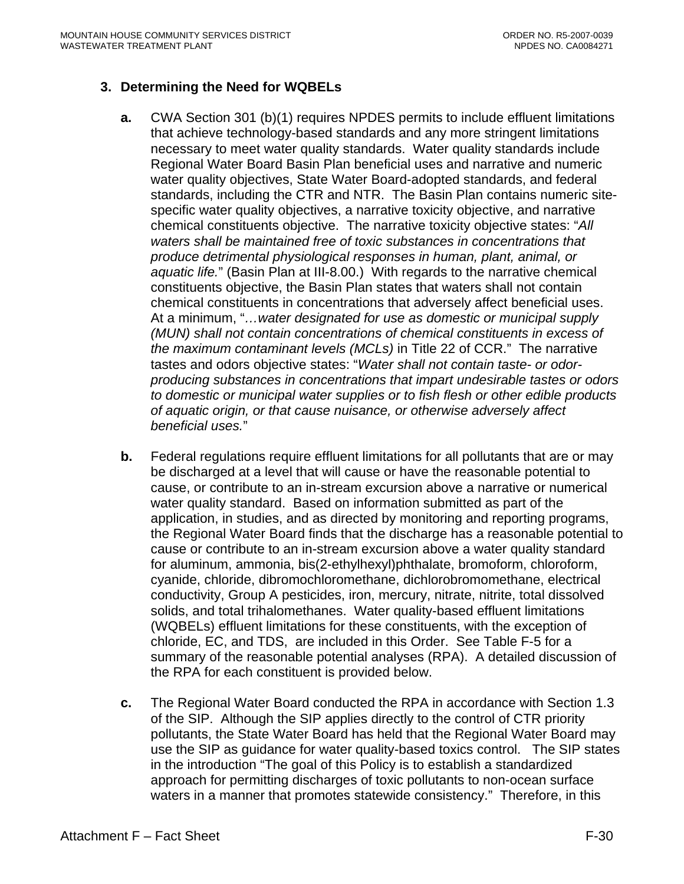# **3. Determining the Need for WQBELs**

- **a.** CWA Section 301 (b)(1) requires NPDES permits to include effluent limitations that achieve technology-based standards and any more stringent limitations necessary to meet water quality standards. Water quality standards include Regional Water Board Basin Plan beneficial uses and narrative and numeric water quality objectives, State Water Board-adopted standards, and federal standards, including the CTR and NTR. The Basin Plan contains numeric sitespecific water quality objectives, a narrative toxicity objective, and narrative chemical constituents objective. The narrative toxicity objective states: "*All waters shall be maintained free of toxic substances in concentrations that produce detrimental physiological responses in human, plant, animal, or aquatic life.*" (Basin Plan at III-8.00.) With regards to the narrative chemical constituents objective, the Basin Plan states that waters shall not contain chemical constituents in concentrations that adversely affect beneficial uses. At a minimum, "*…water designated for use as domestic or municipal supply (MUN) shall not contain concentrations of chemical constituents in excess of the maximum contaminant levels (MCLs)* in Title 22 of CCR." The narrative tastes and odors objective states: "*Water shall not contain taste- or odorproducing substances in concentrations that impart undesirable tastes or odors to domestic or municipal water supplies or to fish flesh or other edible products of aquatic origin, or that cause nuisance, or otherwise adversely affect beneficial uses.*"
- **b.** Federal regulations require effluent limitations for all pollutants that are or may be discharged at a level that will cause or have the reasonable potential to cause, or contribute to an in-stream excursion above a narrative or numerical water quality standard. Based on information submitted as part of the application, in studies, and as directed by monitoring and reporting programs, the Regional Water Board finds that the discharge has a reasonable potential to cause or contribute to an in-stream excursion above a water quality standard for aluminum, ammonia, bis(2-ethylhexyl)phthalate, bromoform, chloroform, cyanide, chloride, dibromochloromethane, dichlorobromomethane, electrical conductivity, Group A pesticides, iron, mercury, nitrate, nitrite, total dissolved solids, and total trihalomethanes. Water quality-based effluent limitations (WQBELs) effluent limitations for these constituents, with the exception of chloride, EC, and TDS, are included in this Order. See Table F-5 for a summary of the reasonable potential analyses (RPA). A detailed discussion of the RPA for each constituent is provided below.
- **c.** The Regional Water Board conducted the RPA in accordance with Section 1.3 of the SIP. Although the SIP applies directly to the control of CTR priority pollutants, the State Water Board has held that the Regional Water Board may use the SIP as guidance for water quality-based toxics control. The SIP states in the introduction "The goal of this Policy is to establish a standardized approach for permitting discharges of toxic pollutants to non-ocean surface waters in a manner that promotes statewide consistency." Therefore, in this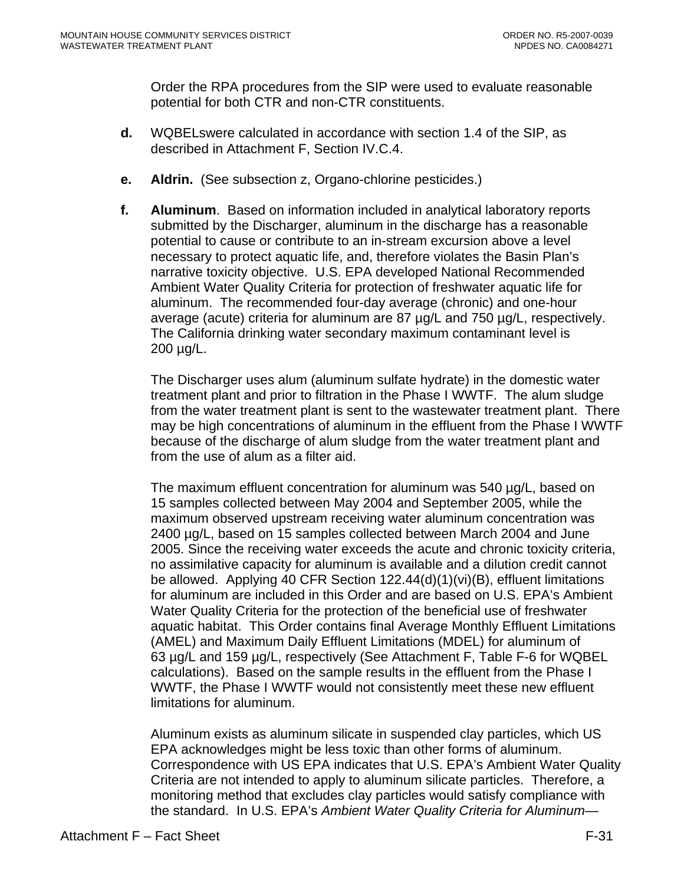Order the RPA procedures from the SIP were used to evaluate reasonable potential for both CTR and non-CTR constituents.

- **d.** WQBELswere calculated in accordance with section 1.4 of the SIP, as described in Attachment F, Section IV.C.4.
- **e. Aldrin.** (See subsection z, Organo-chlorine pesticides.)
- **f. Aluminum**. Based on information included in analytical laboratory reports submitted by the Discharger, aluminum in the discharge has a reasonable potential to cause or contribute to an in-stream excursion above a level necessary to protect aquatic life, and, therefore violates the Basin Plan's narrative toxicity objective. U.S. EPA developed National Recommended Ambient Water Quality Criteria for protection of freshwater aquatic life for aluminum. The recommended four-day average (chronic) and one-hour average (acute) criteria for aluminum are 87 µg/L and 750 µg/L, respectively. The California drinking water secondary maximum contaminant level is 200 µg/L.

The Discharger uses alum (aluminum sulfate hydrate) in the domestic water treatment plant and prior to filtration in the Phase I WWTF. The alum sludge from the water treatment plant is sent to the wastewater treatment plant. There may be high concentrations of aluminum in the effluent from the Phase I WWTF because of the discharge of alum sludge from the water treatment plant and from the use of alum as a filter aid.

The maximum effluent concentration for aluminum was 540 µg/L, based on 15 samples collected between May 2004 and September 2005, while the maximum observed upstream receiving water aluminum concentration was 2400 µg/L, based on 15 samples collected between March 2004 and June 2005. Since the receiving water exceeds the acute and chronic toxicity criteria, no assimilative capacity for aluminum is available and a dilution credit cannot be allowed. Applying 40 CFR Section 122.44(d)(1)(vi)(B), effluent limitations for aluminum are included in this Order and are based on U.S. EPA's Ambient Water Quality Criteria for the protection of the beneficial use of freshwater aquatic habitat. This Order contains final Average Monthly Effluent Limitations (AMEL) and Maximum Daily Effluent Limitations (MDEL) for aluminum of 63 µg/L and 159 µg/L, respectively (See Attachment F, Table F-6 for WQBEL calculations). Based on the sample results in the effluent from the Phase I WWTF, the Phase I WWTF would not consistently meet these new effluent limitations for aluminum.

Aluminum exists as aluminum silicate in suspended clay particles, which US EPA acknowledges might be less toxic than other forms of aluminum. Correspondence with US EPA indicates that U.S. EPA's Ambient Water Quality Criteria are not intended to apply to aluminum silicate particles. Therefore, a monitoring method that excludes clay particles would satisfy compliance with the standard. In U.S. EPA's *Ambient Water Quality Criteria for Aluminum—*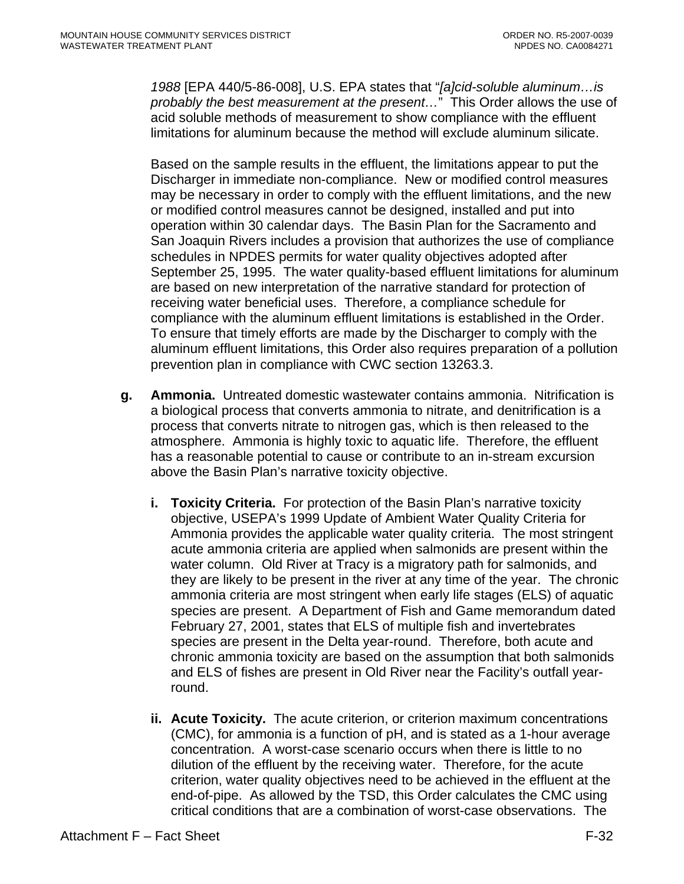*1988* [EPA 440/5-86-008], U.S. EPA states that "*[a]cid-soluble aluminum…is probably the best measurement at the present…*" This Order allows the use of acid soluble methods of measurement to show compliance with the effluent limitations for aluminum because the method will exclude aluminum silicate.

Based on the sample results in the effluent, the limitations appear to put the Discharger in immediate non-compliance. New or modified control measures may be necessary in order to comply with the effluent limitations, and the new or modified control measures cannot be designed, installed and put into operation within 30 calendar days. The Basin Plan for the Sacramento and San Joaquin Rivers includes a provision that authorizes the use of compliance schedules in NPDES permits for water quality objectives adopted after September 25, 1995. The water quality-based effluent limitations for aluminum are based on new interpretation of the narrative standard for protection of receiving water beneficial uses. Therefore, a compliance schedule for compliance with the aluminum effluent limitations is established in the Order. To ensure that timely efforts are made by the Discharger to comply with the aluminum effluent limitations, this Order also requires preparation of a pollution prevention plan in compliance with CWC section 13263.3.

- **g. Ammonia.** Untreated domestic wastewater contains ammonia. Nitrification is a biological process that converts ammonia to nitrate, and denitrification is a process that converts nitrate to nitrogen gas, which is then released to the atmosphere. Ammonia is highly toxic to aquatic life. Therefore, the effluent has a reasonable potential to cause or contribute to an in-stream excursion above the Basin Plan's narrative toxicity objective.
	- **i. Toxicity Criteria.** For protection of the Basin Plan's narrative toxicity objective, USEPA's 1999 Update of Ambient Water Quality Criteria for Ammonia provides the applicable water quality criteria. The most stringent acute ammonia criteria are applied when salmonids are present within the water column. Old River at Tracy is a migratory path for salmonids, and they are likely to be present in the river at any time of the year. The chronic ammonia criteria are most stringent when early life stages (ELS) of aquatic species are present. A Department of Fish and Game memorandum dated February 27, 2001, states that ELS of multiple fish and invertebrates species are present in the Delta year-round. Therefore, both acute and chronic ammonia toxicity are based on the assumption that both salmonids and ELS of fishes are present in Old River near the Facility's outfall yearround.
	- **ii. Acute Toxicity.** The acute criterion, or criterion maximum concentrations (CMC), for ammonia is a function of pH, and is stated as a 1-hour average concentration. A worst-case scenario occurs when there is little to no dilution of the effluent by the receiving water. Therefore, for the acute criterion, water quality objectives need to be achieved in the effluent at the end-of-pipe. As allowed by the TSD, this Order calculates the CMC using critical conditions that are a combination of worst-case observations. The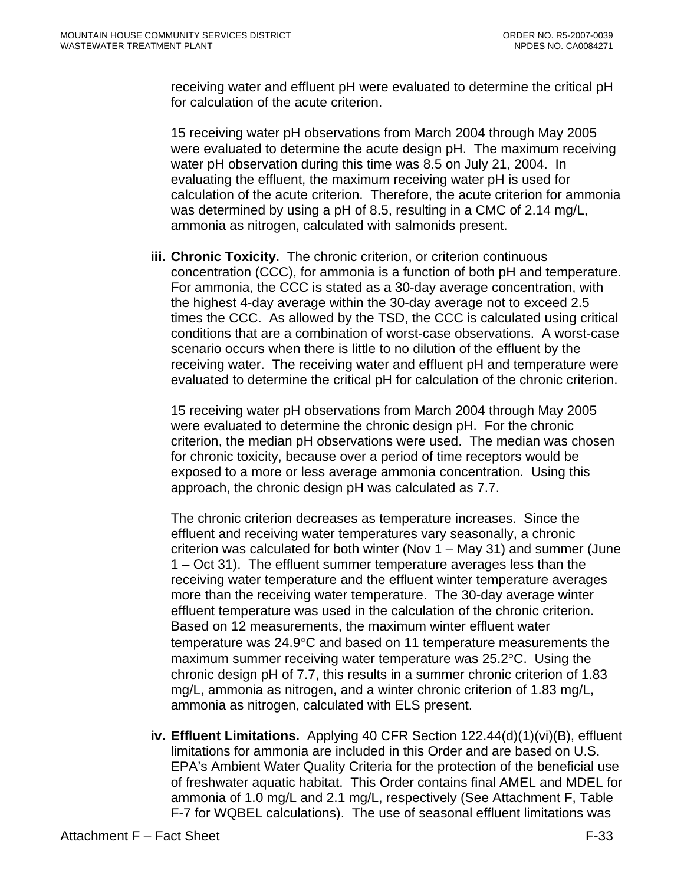receiving water and effluent pH were evaluated to determine the critical pH for calculation of the acute criterion.

15 receiving water pH observations from March 2004 through May 2005 were evaluated to determine the acute design pH. The maximum receiving water pH observation during this time was 8.5 on July 21, 2004. In evaluating the effluent, the maximum receiving water pH is used for calculation of the acute criterion. Therefore, the acute criterion for ammonia was determined by using a pH of 8.5, resulting in a CMC of 2.14 mg/L, ammonia as nitrogen, calculated with salmonids present.

**iii. Chronic Toxicity.** The chronic criterion, or criterion continuous concentration (CCC), for ammonia is a function of both pH and temperature. For ammonia, the CCC is stated as a 30-day average concentration, with the highest 4-day average within the 30-day average not to exceed 2.5 times the CCC. As allowed by the TSD, the CCC is calculated using critical conditions that are a combination of worst-case observations. A worst-case scenario occurs when there is little to no dilution of the effluent by the receiving water. The receiving water and effluent pH and temperature were evaluated to determine the critical pH for calculation of the chronic criterion.

15 receiving water pH observations from March 2004 through May 2005 were evaluated to determine the chronic design pH. For the chronic criterion, the median pH observations were used. The median was chosen for chronic toxicity, because over a period of time receptors would be exposed to a more or less average ammonia concentration. Using this approach, the chronic design pH was calculated as 7.7.

The chronic criterion decreases as temperature increases. Since the effluent and receiving water temperatures vary seasonally, a chronic criterion was calculated for both winter (Nov 1 – May 31) and summer (June 1 – Oct 31). The effluent summer temperature averages less than the receiving water temperature and the effluent winter temperature averages more than the receiving water temperature. The 30-day average winter effluent temperature was used in the calculation of the chronic criterion. Based on 12 measurements, the maximum winter effluent water temperature was 24.9°C and based on 11 temperature measurements the maximum summer receiving water temperature was 25.2°C. Using the chronic design pH of 7.7, this results in a summer chronic criterion of 1.83 mg/L, ammonia as nitrogen, and a winter chronic criterion of 1.83 mg/L, ammonia as nitrogen, calculated with ELS present.

**iv. Effluent Limitations.** Applying 40 CFR Section 122.44(d)(1)(vi)(B), effluent limitations for ammonia are included in this Order and are based on U.S. EPA's Ambient Water Quality Criteria for the protection of the beneficial use of freshwater aquatic habitat. This Order contains final AMEL and MDEL for ammonia of 1.0 mg/L and 2.1 mg/L, respectively (See Attachment F, Table F-7 for WQBEL calculations). The use of seasonal effluent limitations was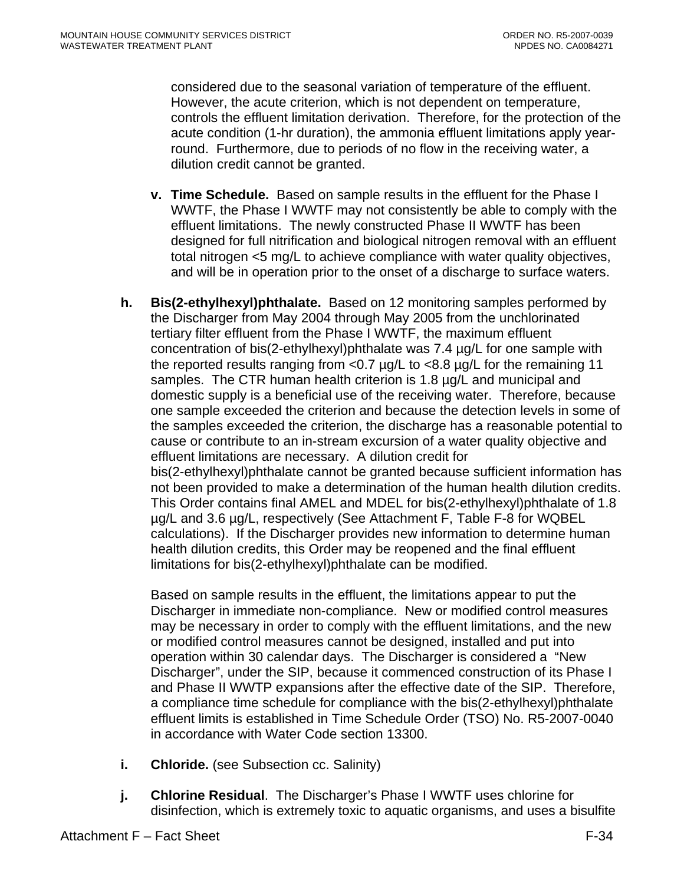considered due to the seasonal variation of temperature of the effluent. However, the acute criterion, which is not dependent on temperature, controls the effluent limitation derivation. Therefore, for the protection of the acute condition (1-hr duration), the ammonia effluent limitations apply yearround. Furthermore, due to periods of no flow in the receiving water, a dilution credit cannot be granted.

- **v. Time Schedule.** Based on sample results in the effluent for the Phase I WWTF, the Phase I WWTF may not consistently be able to comply with the effluent limitations. The newly constructed Phase II WWTF has been designed for full nitrification and biological nitrogen removal with an effluent total nitrogen <5 mg/L to achieve compliance with water quality objectives, and will be in operation prior to the onset of a discharge to surface waters.
- **h. Bis(2-ethylhexyl)phthalate.** Based on 12 monitoring samples performed by the Discharger from May 2004 through May 2005 from the unchlorinated tertiary filter effluent from the Phase I WWTF, the maximum effluent concentration of bis(2-ethylhexyl)phthalate was 7.4 µg/L for one sample with the reported results ranging from <0.7 µg/L to <8.8 µg/L for the remaining 11 samples. The CTR human health criterion is 1.8 µg/L and municipal and domestic supply is a beneficial use of the receiving water. Therefore, because one sample exceeded the criterion and because the detection levels in some of the samples exceeded the criterion, the discharge has a reasonable potential to cause or contribute to an in-stream excursion of a water quality objective and effluent limitations are necessary. A dilution credit for bis(2-ethylhexyl)phthalate cannot be granted because sufficient information has not been provided to make a determination of the human health dilution credits. This Order contains final AMEL and MDEL for bis(2-ethylhexyl)phthalate of 1.8 µg/L and 3.6 µg/L, respectively (See Attachment F, Table F-8 for WQBEL calculations). If the Discharger provides new information to determine human health dilution credits, this Order may be reopened and the final effluent limitations for bis(2-ethylhexyl)phthalate can be modified.

Based on sample results in the effluent, the limitations appear to put the Discharger in immediate non-compliance. New or modified control measures may be necessary in order to comply with the effluent limitations, and the new or modified control measures cannot be designed, installed and put into operation within 30 calendar days. The Discharger is considered a "New Discharger", under the SIP, because it commenced construction of its Phase I and Phase II WWTP expansions after the effective date of the SIP. Therefore, a compliance time schedule for compliance with the bis(2-ethylhexyl)phthalate effluent limits is established in Time Schedule Order (TSO) No. R5-2007-0040 in accordance with Water Code section 13300.

- **i. Chloride.** (see Subsection cc. Salinity)
- **j. Chlorine Residual**. The Discharger's Phase I WWTF uses chlorine for disinfection, which is extremely toxic to aquatic organisms, and uses a bisulfite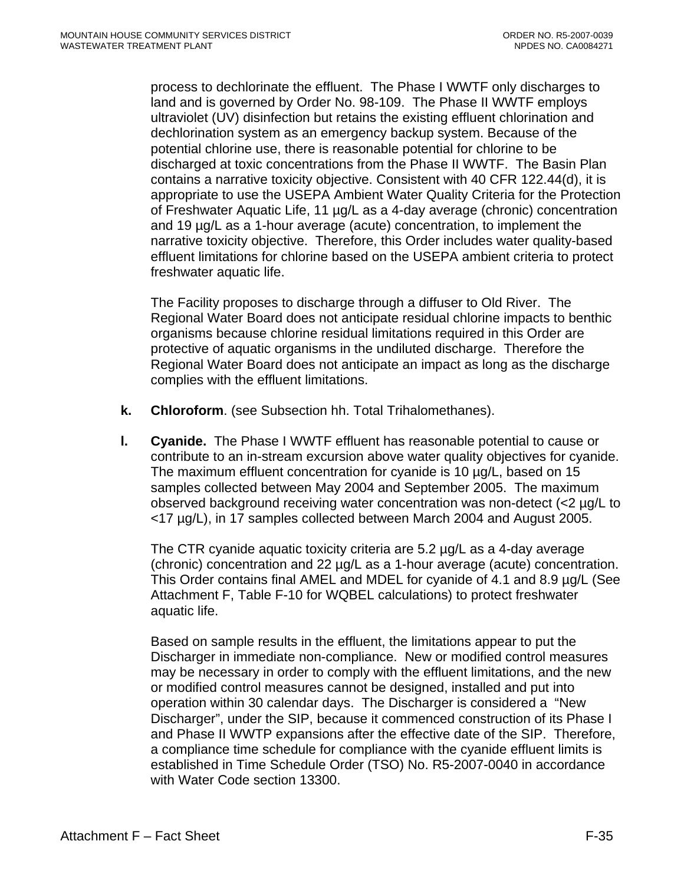process to dechlorinate the effluent. The Phase I WWTF only discharges to land and is governed by Order No. 98-109. The Phase II WWTF employs ultraviolet (UV) disinfection but retains the existing effluent chlorination and dechlorination system as an emergency backup system. Because of the potential chlorine use, there is reasonable potential for chlorine to be discharged at toxic concentrations from the Phase II WWTF. The Basin Plan contains a narrative toxicity objective. Consistent with 40 CFR 122.44(d), it is appropriate to use the USEPA Ambient Water Quality Criteria for the Protection of Freshwater Aquatic Life, 11 µg/L as a 4-day average (chronic) concentration and 19 µg/L as a 1-hour average (acute) concentration, to implement the narrative toxicity objective. Therefore, this Order includes water quality-based effluent limitations for chlorine based on the USEPA ambient criteria to protect freshwater aquatic life.

The Facility proposes to discharge through a diffuser to Old River. The Regional Water Board does not anticipate residual chlorine impacts to benthic organisms because chlorine residual limitations required in this Order are protective of aquatic organisms in the undiluted discharge. Therefore the Regional Water Board does not anticipate an impact as long as the discharge complies with the effluent limitations.

- **k. Chloroform**. (see Subsection hh. Total Trihalomethanes).
- **l. Cyanide.** The Phase I WWTF effluent has reasonable potential to cause or contribute to an in-stream excursion above water quality objectives for cyanide. The maximum effluent concentration for cyanide is 10 µg/L, based on 15 samples collected between May 2004 and September 2005. The maximum observed background receiving water concentration was non-detect (<2 µg/L to <17 µg/L), in 17 samples collected between March 2004 and August 2005.

The CTR cyanide aquatic toxicity criteria are 5.2 µg/L as a 4-day average (chronic) concentration and 22 µg/L as a 1-hour average (acute) concentration. This Order contains final AMEL and MDEL for cyanide of 4.1 and 8.9 µg/L (See Attachment F, Table F-10 for WQBEL calculations) to protect freshwater aquatic life.

Based on sample results in the effluent, the limitations appear to put the Discharger in immediate non-compliance. New or modified control measures may be necessary in order to comply with the effluent limitations, and the new or modified control measures cannot be designed, installed and put into operation within 30 calendar days. The Discharger is considered a "New Discharger", under the SIP, because it commenced construction of its Phase I and Phase II WWTP expansions after the effective date of the SIP. Therefore, a compliance time schedule for compliance with the cyanide effluent limits is established in Time Schedule Order (TSO) No. R5-2007-0040 in accordance with Water Code section 13300.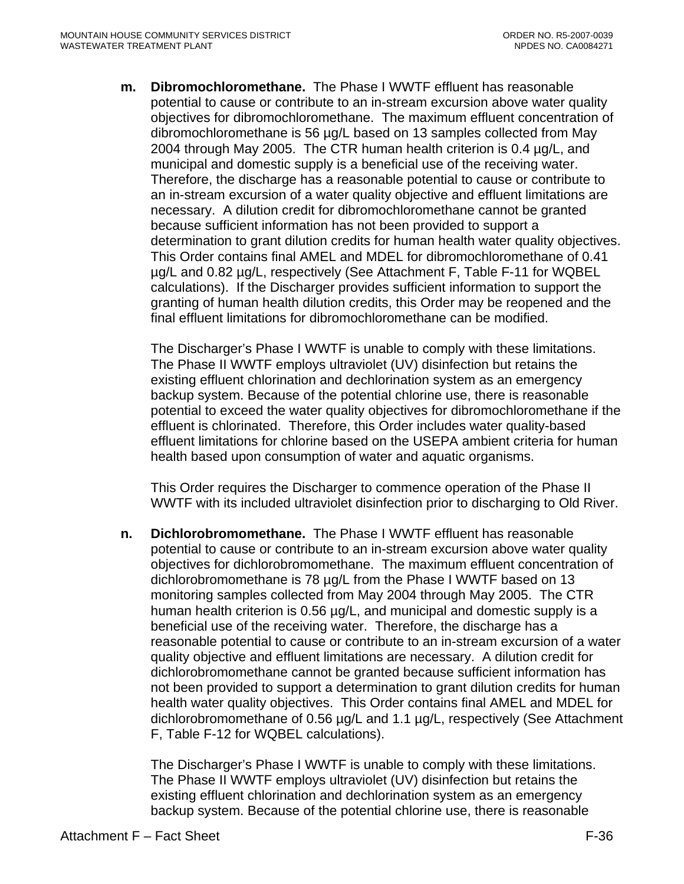**m. Dibromochloromethane.** The Phase I WWTF effluent has reasonable potential to cause or contribute to an in-stream excursion above water quality objectives for dibromochloromethane.The maximum effluent concentration of dibromochloromethane is 56 µg/L based on 13 samples collected from May 2004 through May 2005. The CTR human health criterion is 0.4 µg/L, and municipal and domestic supply is a beneficial use of the receiving water. Therefore, the discharge has a reasonable potential to cause or contribute to an in-stream excursion of a water quality objective and effluent limitations are necessary. A dilution credit for dibromochloromethane cannot be granted because sufficient information has not been provided to support a determination to grant dilution credits for human health water quality objectives. This Order contains final AMEL and MDEL for dibromochloromethane of 0.41 µg/L and 0.82 µg/L, respectively (See Attachment F, Table F-11 for WQBEL calculations). If the Discharger provides sufficient information to support the granting of human health dilution credits, this Order may be reopened and the final effluent limitations for dibromochloromethane can be modified.

The Discharger's Phase I WWTF is unable to comply with these limitations. The Phase II WWTF employs ultraviolet (UV) disinfection but retains the existing effluent chlorination and dechlorination system as an emergency backup system. Because of the potential chlorine use, there is reasonable potential to exceed the water quality objectives for dibromochloromethane if the effluent is chlorinated. Therefore, this Order includes water quality-based effluent limitations for chlorine based on the USEPA ambient criteria for human health based upon consumption of water and aquatic organisms.

This Order requires the Discharger to commence operation of the Phase II WWTF with its included ultraviolet disinfection prior to discharging to Old River.

**n. Dichlorobromomethane.** The Phase I WWTF effluent has reasonable potential to cause or contribute to an in-stream excursion above water quality objectives for dichlorobromomethane. The maximum effluent concentration of dichlorobromomethane is 78 µg/L from the Phase I WWTF based on 13 monitoring samples collected from May 2004 through May 2005. The CTR human health criterion is 0.56  $\mu$ g/L, and municipal and domestic supply is a beneficial use of the receiving water. Therefore, the discharge has a reasonable potential to cause or contribute to an in-stream excursion of a water quality objective and effluent limitations are necessary. A dilution credit for dichlorobromomethane cannot be granted because sufficient information has not been provided to support a determination to grant dilution credits for human health water quality objectives. This Order contains final AMEL and MDEL for dichlorobromomethane of 0.56 µg/L and 1.1 µg/L, respectively (See Attachment F, Table F-12 for WQBEL calculations).

The Discharger's Phase I WWTF is unable to comply with these limitations. The Phase II WWTF employs ultraviolet (UV) disinfection but retains the existing effluent chlorination and dechlorination system as an emergency backup system. Because of the potential chlorine use, there is reasonable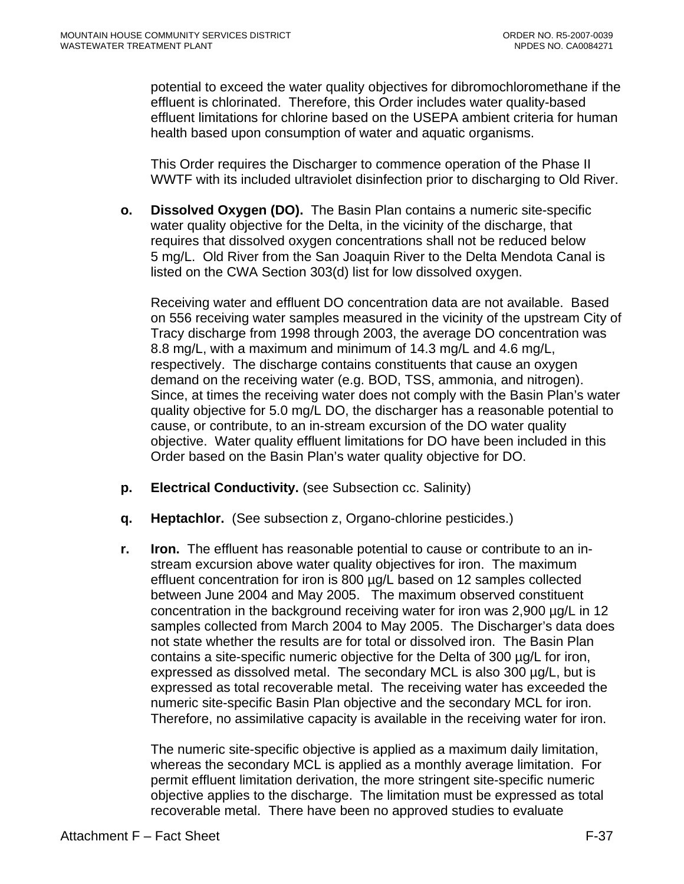potential to exceed the water quality objectives for dibromochloromethane if the effluent is chlorinated. Therefore, this Order includes water quality-based effluent limitations for chlorine based on the USEPA ambient criteria for human health based upon consumption of water and aquatic organisms.

This Order requires the Discharger to commence operation of the Phase II WWTF with its included ultraviolet disinfection prior to discharging to Old River.

**o. Dissolved Oxygen (DO).** The Basin Plan contains a numeric site-specific water quality objective for the Delta, in the vicinity of the discharge, that requires that dissolved oxygen concentrations shall not be reduced below 5 mg/L. Old River from the San Joaquin River to the Delta Mendota Canal is listed on the CWA Section 303(d) list for low dissolved oxygen.

Receiving water and effluent DO concentration data are not available. Based on 556 receiving water samples measured in the vicinity of the upstream City of Tracy discharge from 1998 through 2003, the average DO concentration was 8.8 mg/L, with a maximum and minimum of 14.3 mg/L and 4.6 mg/L, respectively. The discharge contains constituents that cause an oxygen demand on the receiving water (e.g. BOD, TSS, ammonia, and nitrogen). Since, at times the receiving water does not comply with the Basin Plan's water quality objective for 5.0 mg/L DO, the discharger has a reasonable potential to cause, or contribute, to an in-stream excursion of the DO water quality objective. Water quality effluent limitations for DO have been included in this Order based on the Basin Plan's water quality objective for DO.

- **p. Electrical Conductivity.** (see Subsection cc. Salinity)
- **q. Heptachlor.** (See subsection z, Organo-chlorine pesticides.)
- **r. Iron.** The effluent has reasonable potential to cause or contribute to an instream excursion above water quality objectives for iron. The maximum effluent concentration for iron is 800 µg/L based on 12 samples collected between June 2004 and May 2005. The maximum observed constituent concentration in the background receiving water for iron was 2,900 µg/L in 12 samples collected from March 2004 to May 2005. The Discharger's data does not state whether the results are for total or dissolved iron. The Basin Plan contains a site-specific numeric objective for the Delta of 300 µg/L for iron, expressed as dissolved metal. The secondary MCL is also 300 µg/L, but is expressed as total recoverable metal. The receiving water has exceeded the numeric site-specific Basin Plan objective and the secondary MCL for iron. Therefore, no assimilative capacity is available in the receiving water for iron.

The numeric site-specific objective is applied as a maximum daily limitation, whereas the secondary MCL is applied as a monthly average limitation. For permit effluent limitation derivation, the more stringent site-specific numeric objective applies to the discharge. The limitation must be expressed as total recoverable metal. There have been no approved studies to evaluate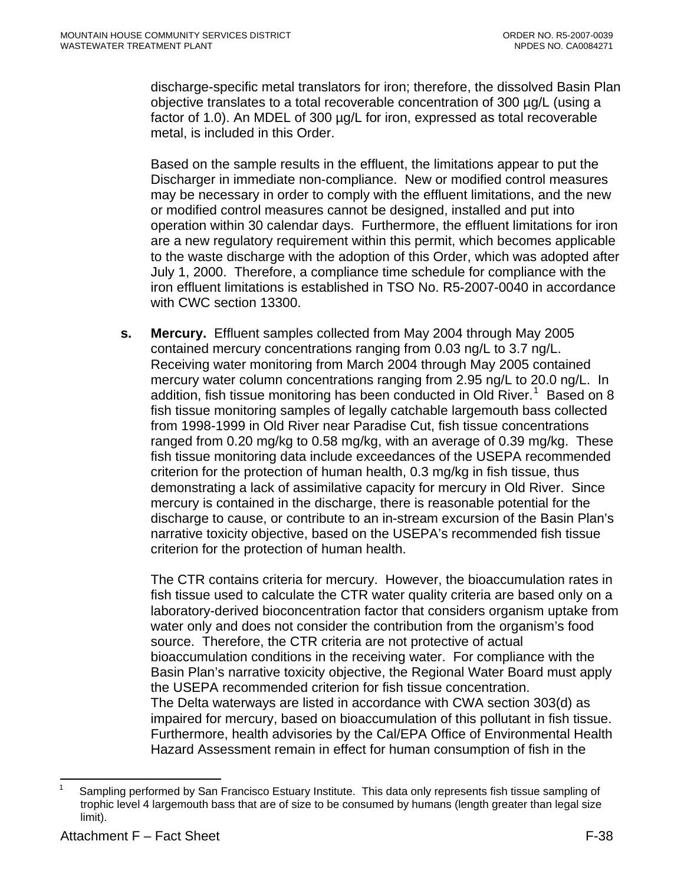<span id="page-104-0"></span>discharge-specific metal translators for iron; therefore, the dissolved Basin Plan objective translates to a total recoverable concentration of 300 µg/L (using a factor of 1.0). An MDEL of 300  $\mu$ g/L for iron, expressed as total recoverable metal, is included in this Order.

Based on the sample results in the effluent, the limitations appear to put the Discharger in immediate non-compliance. New or modified control measures may be necessary in order to comply with the effluent limitations, and the new or modified control measures cannot be designed, installed and put into operation within 30 calendar days. Furthermore, the effluent limitations for iron are a new regulatory requirement within this permit, which becomes applicable to the waste discharge with the adoption of this Order, which was adopted after July 1, 2000. Therefore, a compliance time schedule for compliance with the iron effluent limitations is established in TSO No. R5-2007-0040 in accordance with CWC section 13300.

**s. Mercury.** Effluent samples collected from May 2004 through May 2005 contained mercury concentrations ranging from 0.03 ng/L to 3.7 ng/L. Receiving water monitoring from March 2004 through May 2005 contained mercury water column concentrations ranging from 2.95 ng/L to 20.0 ng/L. In addition, fish tissue monitoring has been conducted in Old River.<sup>[1](#page-104-0)</sup> Based on 8 fish tissue monitoring samples of legally catchable largemouth bass collected from 1998-1999 in Old River near Paradise Cut, fish tissue concentrations ranged from 0.20 mg/kg to 0.58 mg/kg, with an average of 0.39 mg/kg. These fish tissue monitoring data include exceedances of the USEPA recommended criterion for the protection of human health, 0.3 mg/kg in fish tissue, thus demonstrating a lack of assimilative capacity for mercury in Old River. Since mercury is contained in the discharge, there is reasonable potential for the discharge to cause, or contribute to an in-stream excursion of the Basin Plan's narrative toxicity objective, based on the USEPA's recommended fish tissue criterion for the protection of human health.

The CTR contains criteria for mercury. However, the bioaccumulation rates in fish tissue used to calculate the CTR water quality criteria are based only on a laboratory-derived bioconcentration factor that considers organism uptake from water only and does not consider the contribution from the organism's food source. Therefore, the CTR criteria are not protective of actual bioaccumulation conditions in the receiving water. For compliance with the Basin Plan's narrative toxicity objective, the Regional Water Board must apply the USEPA recommended criterion for fish tissue concentration. The Delta waterways are listed in accordance with CWA section 303(d) as impaired for mercury, based on bioaccumulation of this pollutant in fish tissue. Furthermore, health advisories by the Cal/EPA Office of Environmental Health Hazard Assessment remain in effect for human consumption of fish in the

 $\overline{a}$ 1 Sampling performed by San Francisco Estuary Institute. This data only represents fish tissue sampling of trophic level 4 largemouth bass that are of size to be consumed by humans (length greater than legal size limit).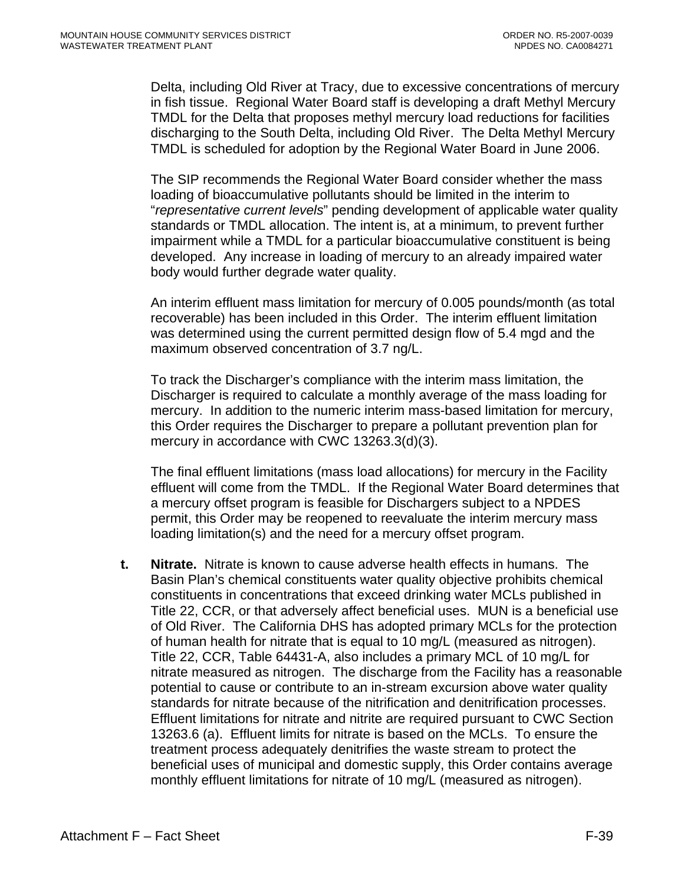Delta, including Old River at Tracy, due to excessive concentrations of mercury in fish tissue. Regional Water Board staff is developing a draft Methyl Mercury TMDL for the Delta that proposes methyl mercury load reductions for facilities discharging to the South Delta, including Old River. The Delta Methyl Mercury TMDL is scheduled for adoption by the Regional Water Board in June 2006.

The SIP recommends the Regional Water Board consider whether the mass loading of bioaccumulative pollutants should be limited in the interim to "*representative current levels*" pending development of applicable water quality standards or TMDL allocation. The intent is, at a minimum, to prevent further impairment while a TMDL for a particular bioaccumulative constituent is being developed. Any increase in loading of mercury to an already impaired water body would further degrade water quality.

An interim effluent mass limitation for mercury of 0.005 pounds/month (as total recoverable) has been included in this Order. The interim effluent limitation was determined using the current permitted design flow of 5.4 mgd and the maximum observed concentration of 3.7 ng/L.

To track the Discharger's compliance with the interim mass limitation, the Discharger is required to calculate a monthly average of the mass loading for mercury. In addition to the numeric interim mass-based limitation for mercury, this Order requires the Discharger to prepare a pollutant prevention plan for mercury in accordance with CWC 13263.3(d)(3).

The final effluent limitations (mass load allocations) for mercury in the Facility effluent will come from the TMDL. If the Regional Water Board determines that a mercury offset program is feasible for Dischargers subject to a NPDES permit, this Order may be reopened to reevaluate the interim mercury mass loading limitation(s) and the need for a mercury offset program.

**t. Nitrate.** Nitrate is known to cause adverse health effects in humans. The Basin Plan's chemical constituents water quality objective prohibits chemical constituents in concentrations that exceed drinking water MCLs published in Title 22, CCR, or that adversely affect beneficial uses. MUN is a beneficial use of Old River. The California DHS has adopted primary MCLs for the protection of human health for nitrate that is equal to 10 mg/L (measured as nitrogen). Title 22, CCR, Table 64431-A, also includes a primary MCL of 10 mg/L for nitrate measured as nitrogen. The discharge from the Facility has a reasonable potential to cause or contribute to an in-stream excursion above water quality standards for nitrate because of the nitrification and denitrification processes. Effluent limitations for nitrate and nitrite are required pursuant to CWC Section 13263.6 (a). Effluent limits for nitrate is based on the MCLs. To ensure the treatment process adequately denitrifies the waste stream to protect the beneficial uses of municipal and domestic supply, this Order contains average monthly effluent limitations for nitrate of 10 mg/L (measured as nitrogen).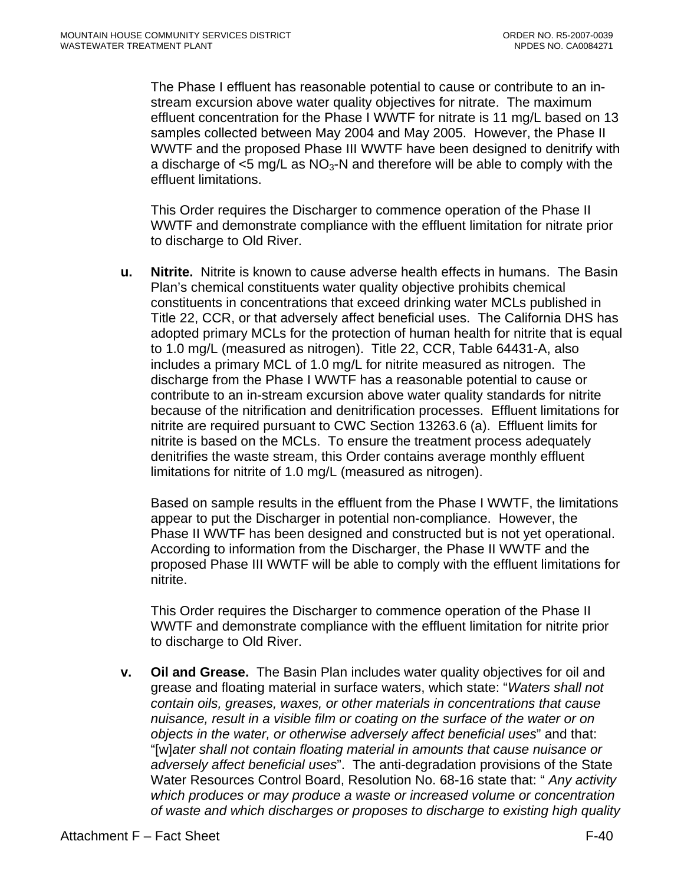The Phase I effluent has reasonable potential to cause or contribute to an instream excursion above water quality objectives for nitrate. The maximum effluent concentration for the Phase I WWTF for nitrate is 11 mg/L based on 13 samples collected between May 2004 and May 2005. However, the Phase II WWTF and the proposed Phase III WWTF have been designed to denitrify with a discharge of  $\leq$ 5 mg/L as NO<sub>3</sub>-N and therefore will be able to comply with the effluent limitations.

This Order requires the Discharger to commence operation of the Phase II WWTF and demonstrate compliance with the effluent limitation for nitrate prior to discharge to Old River.

**u. Nitrite.** Nitrite is known to cause adverse health effects in humans. The Basin Plan's chemical constituents water quality objective prohibits chemical constituents in concentrations that exceed drinking water MCLs published in Title 22, CCR, or that adversely affect beneficial uses. The California DHS has adopted primary MCLs for the protection of human health for nitrite that is equal to 1.0 mg/L (measured as nitrogen). Title 22, CCR, Table 64431-A, also includes a primary MCL of 1.0 mg/L for nitrite measured as nitrogen. The discharge from the Phase I WWTF has a reasonable potential to cause or contribute to an in-stream excursion above water quality standards for nitrite because of the nitrification and denitrification processes. Effluent limitations for nitrite are required pursuant to CWC Section 13263.6 (a). Effluent limits for nitrite is based on the MCLs. To ensure the treatment process adequately denitrifies the waste stream, this Order contains average monthly effluent limitations for nitrite of 1.0 mg/L (measured as nitrogen).

Based on sample results in the effluent from the Phase I WWTF, the limitations appear to put the Discharger in potential non-compliance. However, the Phase II WWTF has been designed and constructed but is not yet operational. According to information from the Discharger, the Phase II WWTF and the proposed Phase III WWTF will be able to comply with the effluent limitations for nitrite.

This Order requires the Discharger to commence operation of the Phase II WWTF and demonstrate compliance with the effluent limitation for nitrite prior to discharge to Old River.

**v. Oil and Grease.** The Basin Plan includes water quality objectives for oil and grease and floating material in surface waters, which state: "*Waters shall not contain oils, greases, waxes, or other materials in concentrations that cause nuisance, result in a visible film or coating on the surface of the water or on objects in the water, or otherwise adversely affect beneficial uses*" and that: "[w]*ater shall not contain floating material in amounts that cause nuisance or adversely affect beneficial uses*". The anti-degradation provisions of the State Water Resources Control Board, Resolution No. 68-16 state that: " *Any activity which produces or may produce a waste or increased volume or concentration of waste and which discharges or proposes to discharge to existing high quality*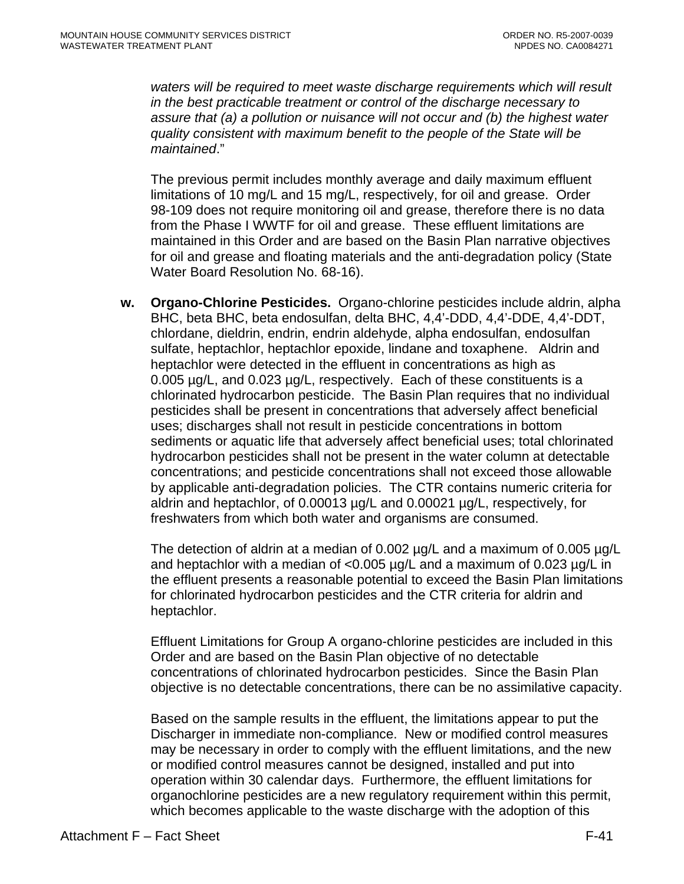waters will be required to meet waste discharge requirements which will result *in the best practicable treatment or control of the discharge necessary to assure that (a) a pollution or nuisance will not occur and (b) the highest water quality consistent with maximum benefit to the people of the State will be maintained*."

The previous permit includes monthly average and daily maximum effluent limitations of 10 mg/L and 15 mg/L, respectively, for oil and grease. Order 98-109 does not require monitoring oil and grease, therefore there is no data from the Phase I WWTF for oil and grease. These effluent limitations are maintained in this Order and are based on the Basin Plan narrative objectives for oil and grease and floating materials and the anti-degradation policy (State Water Board Resolution No. 68-16).

**w. Organo-Chlorine Pesticides.** Organo-chlorine pesticides include aldrin, alpha BHC, beta BHC, beta endosulfan, delta BHC, 4,4'-DDD, 4,4'-DDE, 4,4'-DDT, chlordane, dieldrin, endrin, endrin aldehyde, alpha endosulfan, endosulfan sulfate, heptachlor, heptachlor epoxide, lindane and toxaphene. Aldrin and heptachlor were detected in the effluent in concentrations as high as 0.005 µg/L, and 0.023 µg/L, respectively. Each of these constituents is a chlorinated hydrocarbon pesticide. The Basin Plan requires that no individual pesticides shall be present in concentrations that adversely affect beneficial uses; discharges shall not result in pesticide concentrations in bottom sediments or aquatic life that adversely affect beneficial uses; total chlorinated hydrocarbon pesticides shall not be present in the water column at detectable concentrations; and pesticide concentrations shall not exceed those allowable by applicable anti-degradation policies. The CTR contains numeric criteria for aldrin and heptachlor, of 0.00013 µg/L and 0.00021 µg/L, respectively, for freshwaters from which both water and organisms are consumed.

The detection of aldrin at a median of 0.002  $\mu$ g/L and a maximum of 0.005  $\mu$ g/L and heptachlor with a median of <0.005 µg/L and a maximum of 0.023 µg/L in the effluent presents a reasonable potential to exceed the Basin Plan limitations for chlorinated hydrocarbon pesticides and the CTR criteria for aldrin and heptachlor.

Effluent Limitations for Group A organo-chlorine pesticides are included in this Order and are based on the Basin Plan objective of no detectable concentrations of chlorinated hydrocarbon pesticides. Since the Basin Plan objective is no detectable concentrations, there can be no assimilative capacity.

Based on the sample results in the effluent, the limitations appear to put the Discharger in immediate non-compliance. New or modified control measures may be necessary in order to comply with the effluent limitations, and the new or modified control measures cannot be designed, installed and put into operation within 30 calendar days. Furthermore, the effluent limitations for organochlorine pesticides are a new regulatory requirement within this permit, which becomes applicable to the waste discharge with the adoption of this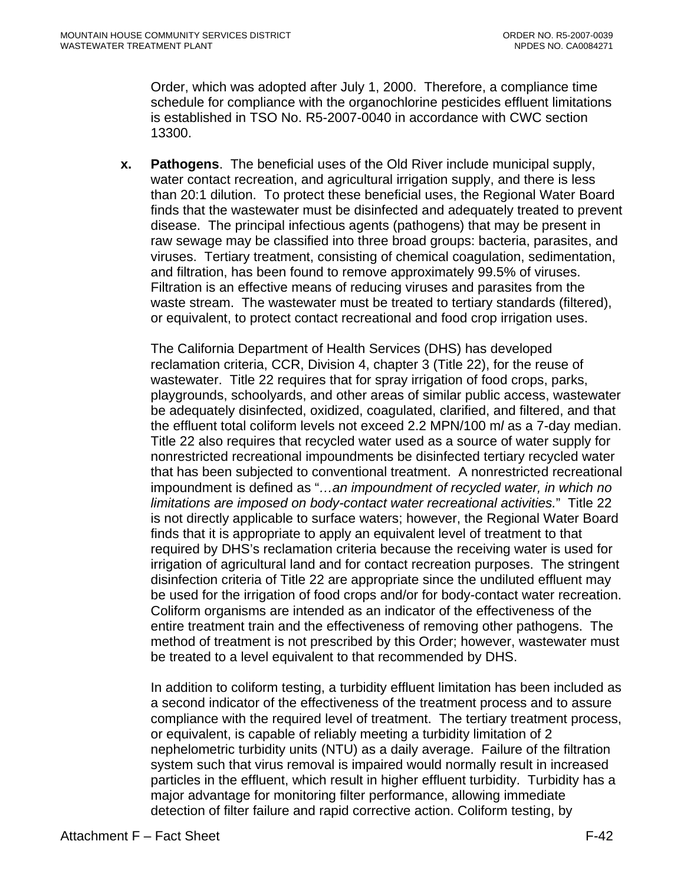Order, which was adopted after July 1, 2000. Therefore, a compliance time schedule for compliance with the organochlorine pesticides effluent limitations is established in TSO No. R5-2007-0040 in accordance with CWC section 13300.

**x. Pathogens**. The beneficial uses of the Old River include municipal supply, water contact recreation, and agricultural irrigation supply, and there is less than 20:1 dilution. To protect these beneficial uses, the Regional Water Board finds that the wastewater must be disinfected and adequately treated to prevent disease. The principal infectious agents (pathogens) that may be present in raw sewage may be classified into three broad groups: bacteria, parasites, and viruses. Tertiary treatment, consisting of chemical coagulation, sedimentation, and filtration, has been found to remove approximately 99.5% of viruses. Filtration is an effective means of reducing viruses and parasites from the waste stream. The wastewater must be treated to tertiary standards (filtered), or equivalent, to protect contact recreational and food crop irrigation uses.

The California Department of Health Services (DHS) has developed reclamation criteria, CCR, Division 4, chapter 3 (Title 22), for the reuse of wastewater. Title 22 requires that for spray irrigation of food crops, parks, playgrounds, schoolyards, and other areas of similar public access, wastewater be adequately disinfected, oxidized, coagulated, clarified, and filtered, and that the effluent total coliform levels not exceed 2.2 MPN/100 m*l* as a 7-day median. Title 22 also requires that recycled water used as a source of water supply for nonrestricted recreational impoundments be disinfected tertiary recycled water that has been subjected to conventional treatment. A nonrestricted recreational impoundment is defined as "*…an impoundment of recycled water, in which no limitations are imposed on body-contact water recreational activities.*" Title 22 is not directly applicable to surface waters; however, the Regional Water Board finds that it is appropriate to apply an equivalent level of treatment to that required by DHS's reclamation criteria because the receiving water is used for irrigation of agricultural land and for contact recreation purposes. The stringent disinfection criteria of Title 22 are appropriate since the undiluted effluent may be used for the irrigation of food crops and/or for body-contact water recreation. Coliform organisms are intended as an indicator of the effectiveness of the entire treatment train and the effectiveness of removing other pathogens. The method of treatment is not prescribed by this Order; however, wastewater must be treated to a level equivalent to that recommended by DHS.

In addition to coliform testing, a turbidity effluent limitation has been included as a second indicator of the effectiveness of the treatment process and to assure compliance with the required level of treatment. The tertiary treatment process, or equivalent, is capable of reliably meeting a turbidity limitation of 2 nephelometric turbidity units (NTU) as a daily average. Failure of the filtration system such that virus removal is impaired would normally result in increased particles in the effluent, which result in higher effluent turbidity. Turbidity has a major advantage for monitoring filter performance, allowing immediate detection of filter failure and rapid corrective action. Coliform testing, by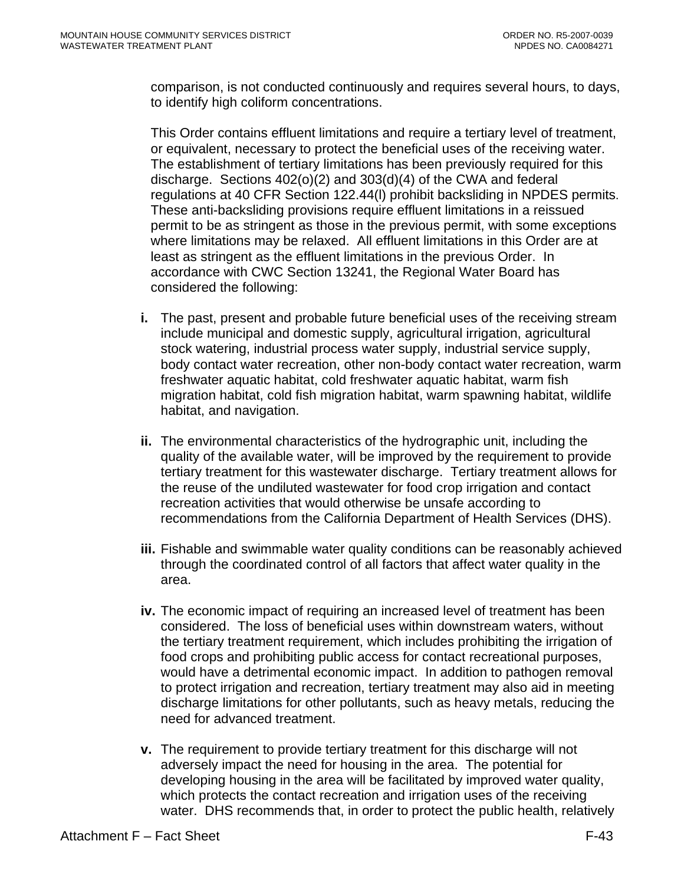comparison, is not conducted continuously and requires several hours, to days, to identify high coliform concentrations.

This Order contains effluent limitations and require a tertiary level of treatment, or equivalent, necessary to protect the beneficial uses of the receiving water. The establishment of tertiary limitations has been previously required for this discharge. Sections 402(o)(2) and 303(d)(4) of the CWA and federal regulations at 40 CFR Section 122.44(l) prohibit backsliding in NPDES permits. These anti-backsliding provisions require effluent limitations in a reissued permit to be as stringent as those in the previous permit, with some exceptions where limitations may be relaxed. All effluent limitations in this Order are at least as stringent as the effluent limitations in the previous Order. In accordance with CWC Section 13241, the Regional Water Board has considered the following:

- **i.** The past, present and probable future beneficial uses of the receiving stream include municipal and domestic supply, agricultural irrigation, agricultural stock watering, industrial process water supply, industrial service supply, body contact water recreation, other non-body contact water recreation, warm freshwater aquatic habitat, cold freshwater aquatic habitat, warm fish migration habitat, cold fish migration habitat, warm spawning habitat, wildlife habitat, and navigation.
- **ii.** The environmental characteristics of the hydrographic unit, including the quality of the available water, will be improved by the requirement to provide tertiary treatment for this wastewater discharge. Tertiary treatment allows for the reuse of the undiluted wastewater for food crop irrigation and contact recreation activities that would otherwise be unsafe according to recommendations from the California Department of Health Services (DHS).
- **iii.** Fishable and swimmable water quality conditions can be reasonably achieved through the coordinated control of all factors that affect water quality in the area.
- **iv.** The economic impact of requiring an increased level of treatment has been considered. The loss of beneficial uses within downstream waters, without the tertiary treatment requirement, which includes prohibiting the irrigation of food crops and prohibiting public access for contact recreational purposes, would have a detrimental economic impact. In addition to pathogen removal to protect irrigation and recreation, tertiary treatment may also aid in meeting discharge limitations for other pollutants, such as heavy metals, reducing the need for advanced treatment.
- **v.** The requirement to provide tertiary treatment for this discharge will not adversely impact the need for housing in the area. The potential for developing housing in the area will be facilitated by improved water quality, which protects the contact recreation and irrigation uses of the receiving water. DHS recommends that, in order to protect the public health, relatively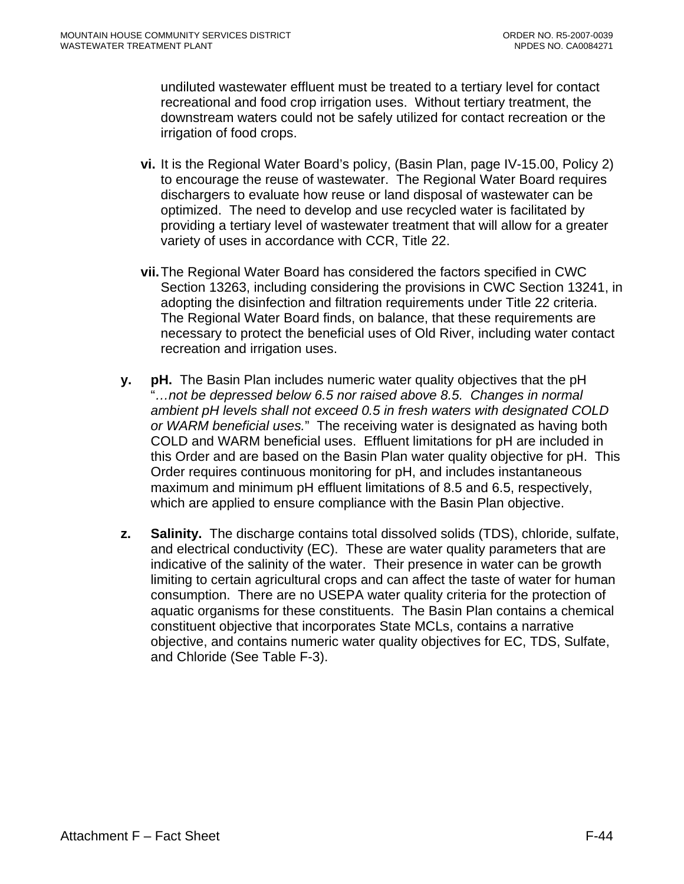undiluted wastewater effluent must be treated to a tertiary level for contact recreational and food crop irrigation uses. Without tertiary treatment, the downstream waters could not be safely utilized for contact recreation or the irrigation of food crops.

- **vi.** It is the Regional Water Board's policy, (Basin Plan, page IV-15.00, Policy 2) to encourage the reuse of wastewater. The Regional Water Board requires dischargers to evaluate how reuse or land disposal of wastewater can be optimized. The need to develop and use recycled water is facilitated by providing a tertiary level of wastewater treatment that will allow for a greater variety of uses in accordance with CCR, Title 22.
- **vii.** The Regional Water Board has considered the factors specified in CWC Section 13263, including considering the provisions in CWC Section 13241, in adopting the disinfection and filtration requirements under Title 22 criteria. The Regional Water Board finds, on balance, that these requirements are necessary to protect the beneficial uses of Old River, including water contact recreation and irrigation uses.
- **y. pH.** The Basin Plan includes numeric water quality objectives that the pH "*…not be depressed below 6.5 nor raised above 8.5. Changes in normal ambient pH levels shall not exceed 0.5 in fresh waters with designated COLD or WARM beneficial uses.*" The receiving water is designated as having both COLD and WARM beneficial uses. Effluent limitations for pH are included in this Order and are based on the Basin Plan water quality objective for pH. This Order requires continuous monitoring for pH, and includes instantaneous maximum and minimum pH effluent limitations of 8.5 and 6.5, respectively, which are applied to ensure compliance with the Basin Plan objective.
- **z. Salinity.** The discharge contains total dissolved solids (TDS), chloride, sulfate, and electrical conductivity (EC). These are water quality parameters that are indicative of the salinity of the water. Their presence in water can be growth limiting to certain agricultural crops and can affect the taste of water for human consumption. There are no USEPA water quality criteria for the protection of aquatic organisms for these constituents. The Basin Plan contains a chemical constituent objective that incorporates State MCLs, contains a narrative objective, and contains numeric water quality objectives for EC, TDS, Sulfate, and Chloride (See Table F-3).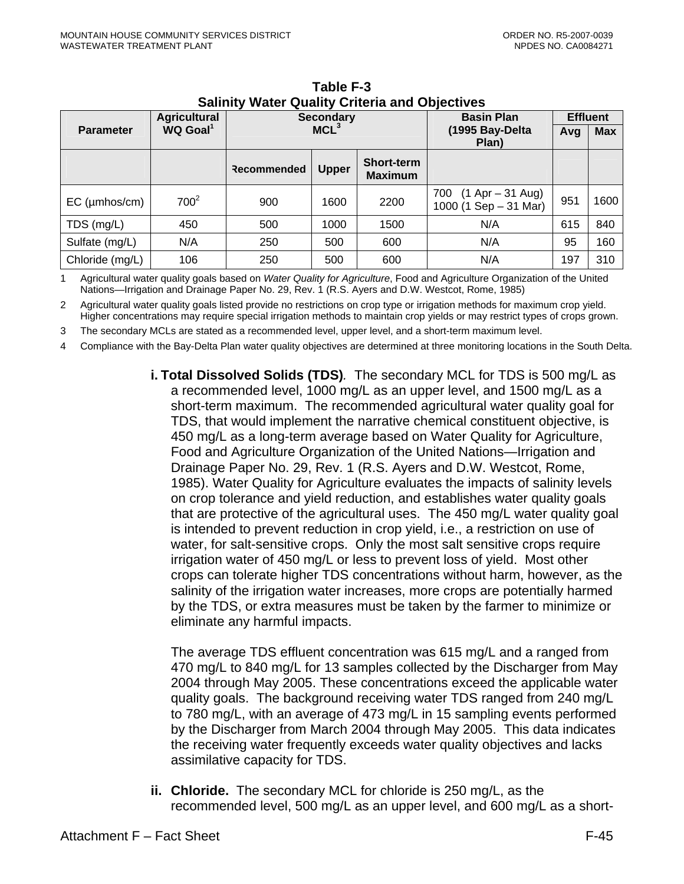|                  | <b>Agricultural</b>  |                  | <b>Secondary</b> |                                     | <b>Basin Plan</b>                                      | <b>Effluent</b> |      |
|------------------|----------------------|------------------|------------------|-------------------------------------|--------------------------------------------------------|-----------------|------|
| <b>Parameter</b> | WQ Goal <sup>1</sup> | MCL <sup>3</sup> |                  | (1995 Bay-Delta<br>Plan)            | Avg                                                    | <b>Max</b>      |      |
|                  |                      | Recommended      | <b>Upper</b>     | <b>Short-term</b><br><b>Maximum</b> |                                                        |                 |      |
| $EC$ (µmhos/cm)  | $700^2$              | 900              | 1600             | 2200                                | $(1$ Apr $-$ 31 Aug)<br>700<br>1000 (1 Sep $-$ 31 Mar) | 951             | 1600 |
| TDS (mg/L)       | 450                  | 500              | 1000             | 1500                                | N/A                                                    | 615             | 840  |
| Sulfate (mg/L)   | N/A                  | 250              | 500              | 600                                 | N/A                                                    | 95              | 160  |
| Chloride (mg/L)  | 106                  | 250              | 500              | 600                                 | N/A                                                    | 197             | 310  |

**Table F-3 Salinity Water Quality Criteria and Objectives**

1 Agricultural water quality goals based on *Water Quality for Agriculture*, Food and Agriculture Organization of the United Nations—Irrigation and Drainage Paper No. 29, Rev. 1 (R.S. Ayers and D.W. Westcot, Rome, 1985)

2 Agricultural water quality goals listed provide no restrictions on crop type or irrigation methods for maximum crop yield. Higher concentrations may require special irrigation methods to maintain crop yields or may restrict types of crops grown.

3 The secondary MCLs are stated as a recommended level, upper level, and a short-term maximum level.

4 Compliance with the Bay-Delta Plan water quality objectives are determined at three monitoring locations in the South Delta.

**i. Total Dissolved Solids (TDS)***.*The secondary MCL for TDS is 500 mg/L as a recommended level, 1000 mg/L as an upper level, and 1500 mg/L as a short-term maximum. The recommended agricultural water quality goal for TDS, that would implement the narrative chemical constituent objective, is 450 mg/L as a long-term average based on Water Quality for Agriculture, Food and Agriculture Organization of the United Nations—Irrigation and Drainage Paper No. 29, Rev. 1 (R.S. Ayers and D.W. Westcot, Rome, 1985). Water Quality for Agriculture evaluates the impacts of salinity levels on crop tolerance and yield reduction, and establishes water quality goals that are protective of the agricultural uses. The 450 mg/L water quality goal is intended to prevent reduction in crop yield, i.e., a restriction on use of water, for salt-sensitive crops. Only the most salt sensitive crops require irrigation water of 450 mg/L or less to prevent loss of yield. Most other crops can tolerate higher TDS concentrations without harm, however, as the salinity of the irrigation water increases, more crops are potentially harmed by the TDS, or extra measures must be taken by the farmer to minimize or eliminate any harmful impacts.

The average TDS effluent concentration was 615 mg/L and a ranged from 470 mg/L to 840 mg/L for 13 samples collected by the Discharger from May 2004 through May 2005. These concentrations exceed the applicable water quality goals. The background receiving water TDS ranged from 240 mg/L to 780 mg/L, with an average of 473 mg/L in 15 sampling events performed by the Discharger from March 2004 through May 2005. This data indicates the receiving water frequently exceeds water quality objectives and lacks assimilative capacity for TDS.

**ii. Chloride.** The secondary MCL for chloride is 250 mg/L, as the recommended level, 500 mg/L as an upper level, and 600 mg/L as a short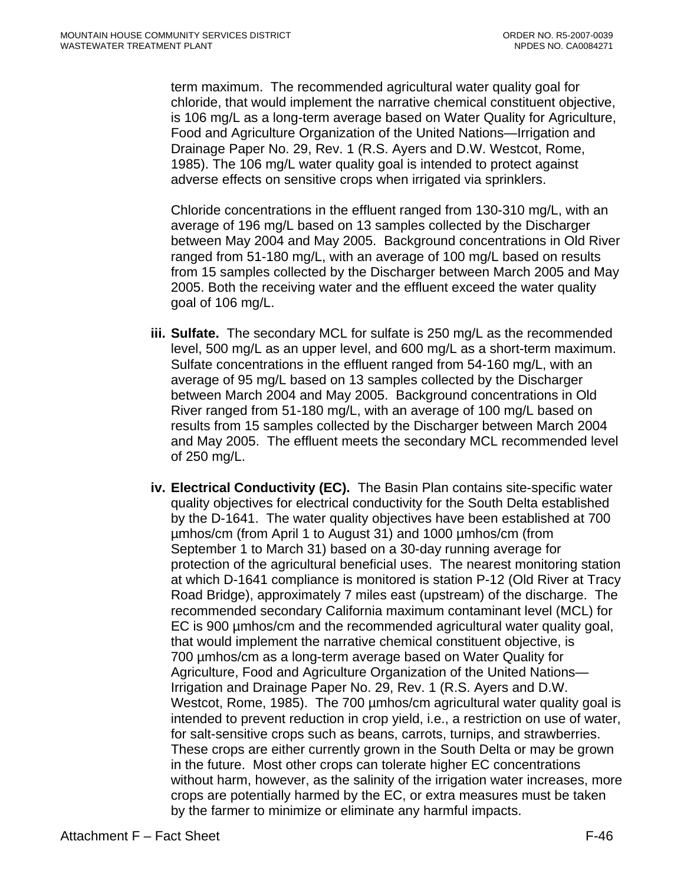term maximum. The recommended agricultural water quality goal for chloride, that would implement the narrative chemical constituent objective, is 106 mg/L as a long-term average based on Water Quality for Agriculture, Food and Agriculture Organization of the United Nations—Irrigation and Drainage Paper No. 29, Rev. 1 (R.S. Ayers and D.W. Westcot, Rome, 1985). The 106 mg/L water quality goal is intended to protect against adverse effects on sensitive crops when irrigated via sprinklers.

Chloride concentrations in the effluent ranged from 130-310 mg/L, with an average of 196 mg/L based on 13 samples collected by the Discharger between May 2004 and May 2005. Background concentrations in Old River ranged from 51-180 mg/L, with an average of 100 mg/L based on results from 15 samples collected by the Discharger between March 2005 and May 2005. Both the receiving water and the effluent exceed the water quality goal of 106 mg/L.

- **iii. Sulfate.** The secondary MCL for sulfate is 250 mg/L as the recommended level, 500 mg/L as an upper level, and 600 mg/L as a short-term maximum. Sulfate concentrations in the effluent ranged from 54-160 mg/L, with an average of 95 mg/L based on 13 samples collected by the Discharger between March 2004 and May 2005. Background concentrations in Old River ranged from 51-180 mg/L, with an average of 100 mg/L based on results from 15 samples collected by the Discharger between March 2004 and May 2005. The effluent meets the secondary MCL recommended level of 250 mg/L.
- **iv. Electrical Conductivity (EC).**The Basin Plan contains site-specific water quality objectives for electrical conductivity for the South Delta established by the D-1641. The water quality objectives have been established at 700 µmhos/cm (from April 1 to August 31) and 1000 µmhos/cm (from September 1 to March 31) based on a 30-day running average for protection of the agricultural beneficial uses. The nearest monitoring station at which D-1641 compliance is monitored is station P-12 (Old River at Tracy Road Bridge), approximately 7 miles east (upstream) of the discharge. The recommended secondary California maximum contaminant level (MCL) for EC is 900 µmhos/cm and the recommended agricultural water quality goal, that would implement the narrative chemical constituent objective, is 700 µmhos/cm as a long-term average based on Water Quality for Agriculture, Food and Agriculture Organization of the United Nations— Irrigation and Drainage Paper No. 29, Rev. 1 (R.S. Ayers and D.W. Westcot, Rome, 1985). The 700 umhos/cm agricultural water quality goal is intended to prevent reduction in crop yield, i.e., a restriction on use of water, for salt-sensitive crops such as beans, carrots, turnips, and strawberries. These crops are either currently grown in the South Delta or may be grown in the future. Most other crops can tolerate higher EC concentrations without harm, however, as the salinity of the irrigation water increases, more crops are potentially harmed by the EC, or extra measures must be taken by the farmer to minimize or eliminate any harmful impacts.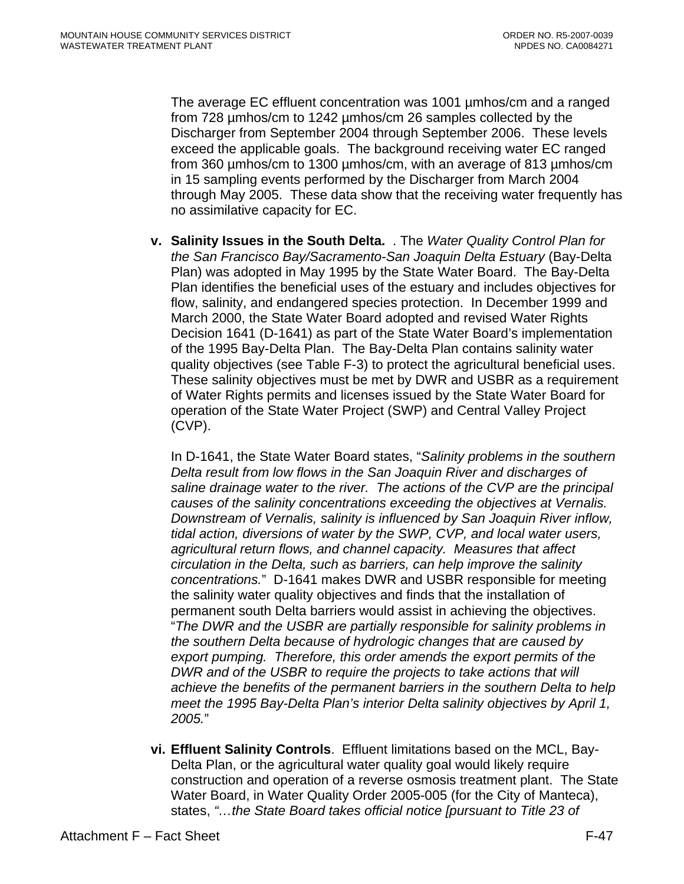The average EC effluent concentration was 1001 µmhos/cm and a ranged from 728 µmhos/cm to 1242 µmhos/cm 26 samples collected by the Discharger from September 2004 through September 2006. These levels exceed the applicable goals. The background receiving water EC ranged from 360 µmhos/cm to 1300 µmhos/cm, with an average of 813 µmhos/cm in 15 sampling events performed by the Discharger from March 2004 through May 2005. These data show that the receiving water frequently has no assimilative capacity for EC.

**v. Salinity Issues in the South Delta.** . The *Water Quality Control Plan for the San Francisco Bay/Sacramento-San Joaquin Delta Estuary* (Bay-Delta Plan) was adopted in May 1995 by the State Water Board. The Bay-Delta Plan identifies the beneficial uses of the estuary and includes objectives for flow, salinity, and endangered species protection. In December 1999 and March 2000, the State Water Board adopted and revised Water Rights Decision 1641 (D-1641) as part of the State Water Board's implementation of the 1995 Bay-Delta Plan. The Bay-Delta Plan contains salinity water quality objectives (see Table F-3) to protect the agricultural beneficial uses. These salinity objectives must be met by DWR and USBR as a requirement of Water Rights permits and licenses issued by the State Water Board for operation of the State Water Project (SWP) and Central Valley Project (CVP).

In D-1641, the State Water Board states, "*Salinity problems in the southern Delta result from low flows in the San Joaquin River and discharges of saline drainage water to the river. The actions of the CVP are the principal causes of the salinity concentrations exceeding the objectives at Vernalis. Downstream of Vernalis, salinity is influenced by San Joaquin River inflow, tidal action, diversions of water by the SWP, CVP, and local water users, agricultural return flows, and channel capacity. Measures that affect circulation in the Delta, such as barriers, can help improve the salinity concentrations.*" D-1641 makes DWR and USBR responsible for meeting the salinity water quality objectives and finds that the installation of permanent south Delta barriers would assist in achieving the objectives. "*The DWR and the USBR are partially responsible for salinity problems in the southern Delta because of hydrologic changes that are caused by export pumping. Therefore, this order amends the export permits of the DWR and of the USBR to require the projects to take actions that will achieve the benefits of the permanent barriers in the southern Delta to help meet the 1995 Bay-Delta Plan's interior Delta salinity objectives by April 1, 2005.*"

**vi. Effluent Salinity Controls**. Effluent limitations based on the MCL, Bay-Delta Plan, or the agricultural water quality goal would likely require construction and operation of a reverse osmosis treatment plant. The State Water Board, in Water Quality Order 2005-005 (for the City of Manteca), states, *"…the State Board takes official notice [pursuant to Title 23 of*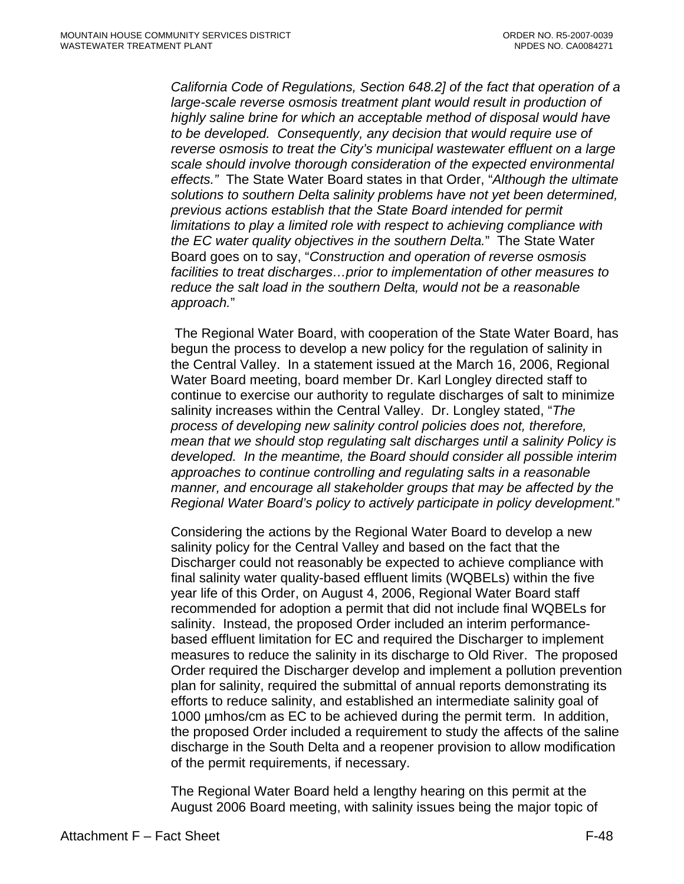*California Code of Regulations, Section 648.2] of the fact that operation of a large-scale reverse osmosis treatment plant would result in production of highly saline brine for which an acceptable method of disposal would have to be developed. Consequently, any decision that would require use of reverse osmosis to treat the City's municipal wastewater effluent on a large scale should involve thorough consideration of the expected environmental effects."* The State Water Board states in that Order, "*Although the ultimate solutions to southern Delta salinity problems have not yet been determined, previous actions establish that the State Board intended for permit limitations to play a limited role with respect to achieving compliance with the EC water quality objectives in the southern Delta.*" The State Water Board goes on to say, "*Construction and operation of reverse osmosis facilities to treat discharges…prior to implementation of other measures to reduce the salt load in the southern Delta, would not be a reasonable approach.*"

 The Regional Water Board, with cooperation of the State Water Board, has begun the process to develop a new policy for the regulation of salinity in the Central Valley. In a statement issued at the March 16, 2006, Regional Water Board meeting, board member Dr. Karl Longley directed staff to continue to exercise our authority to regulate discharges of salt to minimize salinity increases within the Central Valley. Dr. Longley stated, "*The process of developing new salinity control policies does not, therefore, mean that we should stop regulating salt discharges until a salinity Policy is developed. In the meantime, the Board should consider all possible interim approaches to continue controlling and regulating salts in a reasonable manner, and encourage all stakeholder groups that may be affected by the Regional Water Board's policy to actively participate in policy development.*"

Considering the actions by the Regional Water Board to develop a new salinity policy for the Central Valley and based on the fact that the Discharger could not reasonably be expected to achieve compliance with final salinity water quality-based effluent limits (WQBELs) within the five year life of this Order, on August 4, 2006, Regional Water Board staff recommended for adoption a permit that did not include final WQBELs for salinity. Instead, the proposed Order included an interim performancebased effluent limitation for EC and required the Discharger to implement measures to reduce the salinity in its discharge to Old River. The proposed Order required the Discharger develop and implement a pollution prevention plan for salinity, required the submittal of annual reports demonstrating its efforts to reduce salinity, and established an intermediate salinity goal of 1000 µmhos/cm as EC to be achieved during the permit term. In addition, the proposed Order included a requirement to study the affects of the saline discharge in the South Delta and a reopener provision to allow modification of the permit requirements, if necessary.

The Regional Water Board held a lengthy hearing on this permit at the August 2006 Board meeting, with salinity issues being the major topic of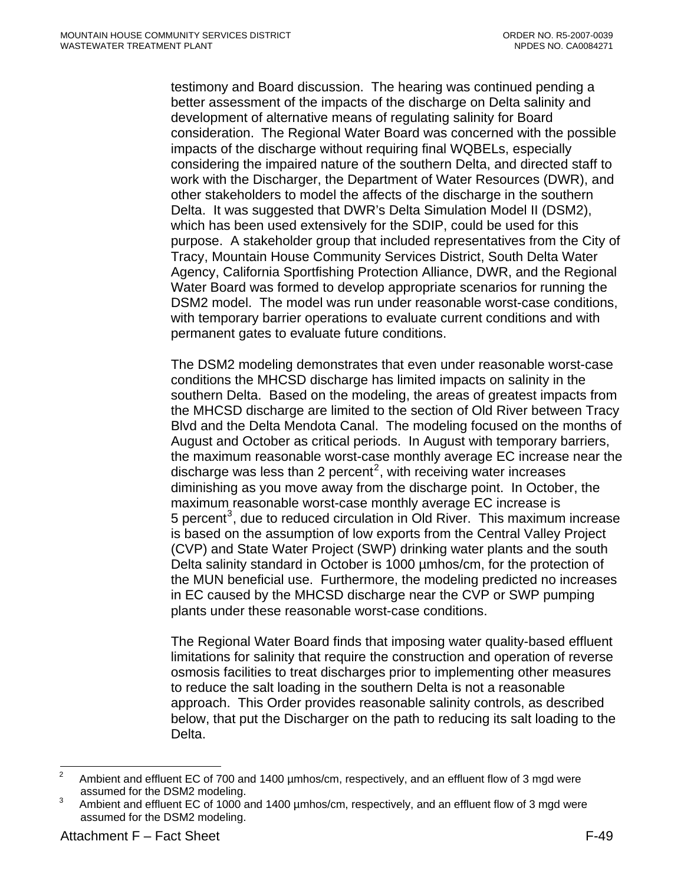<span id="page-115-0"></span>testimony and Board discussion. The hearing was continued pending a better assessment of the impacts of the discharge on Delta salinity and development of alternative means of regulating salinity for Board consideration. The Regional Water Board was concerned with the possible impacts of the discharge without requiring final WQBELs, especially considering the impaired nature of the southern Delta, and directed staff to work with the Discharger, the Department of Water Resources (DWR), and other stakeholders to model the affects of the discharge in the southern Delta. It was suggested that DWR's Delta Simulation Model II (DSM2), which has been used extensively for the SDIP, could be used for this purpose. A stakeholder group that included representatives from the City of Tracy, Mountain House Community Services District, South Delta Water Agency, California Sportfishing Protection Alliance, DWR, and the Regional Water Board was formed to develop appropriate scenarios for running the DSM2 model. The model was run under reasonable worst-case conditions, with temporary barrier operations to evaluate current conditions and with permanent gates to evaluate future conditions.

The DSM2 modeling demonstrates that even under reasonable worst-case conditions the MHCSD discharge has limited impacts on salinity in the southern Delta. Based on the modeling, the areas of greatest impacts from the MHCSD discharge are limited to the section of Old River between Tracy Blvd and the Delta Mendota Canal. The modeling focused on the months of August and October as critical periods. In August with temporary barriers, the maximum reasonable worst-case monthly average EC increase near the discharge was less than [2](#page-115-0) percent<sup>2</sup>, with receiving water increases diminishing as you move away from the discharge point. In October, the maximum reasonable worst-case monthly average EC increase is 5 percent<sup>[3](#page-115-0)</sup>, due to reduced circulation in Old River. This maximum increase is based on the assumption of low exports from the Central Valley Project (CVP) and State Water Project (SWP) drinking water plants and the south Delta salinity standard in October is 1000 µmhos/cm, for the protection of the MUN beneficial use. Furthermore, the modeling predicted no increases in EC caused by the MHCSD discharge near the CVP or SWP pumping plants under these reasonable worst-case conditions.

The Regional Water Board finds that imposing water quality-based effluent limitations for salinity that require the construction and operation of reverse osmosis facilities to treat discharges prior to implementing other measures to reduce the salt loading in the southern Delta is not a reasonable approach. This Order provides reasonable salinity controls, as described below, that put the Discharger on the path to reducing its salt loading to the Delta.

 $\frac{1}{2}$ Ambient and effluent EC of 700 and 1400 µmhos/cm, respectively, and an effluent flow of 3 mgd were assumed for the DSM2 modeling.<br>3 Ambient and effluent EQ of 1000 c

Ambient and effluent EC of 1000 and 1400 µmhos/cm, respectively, and an effluent flow of 3 mgd were assumed for the DSM2 modeling.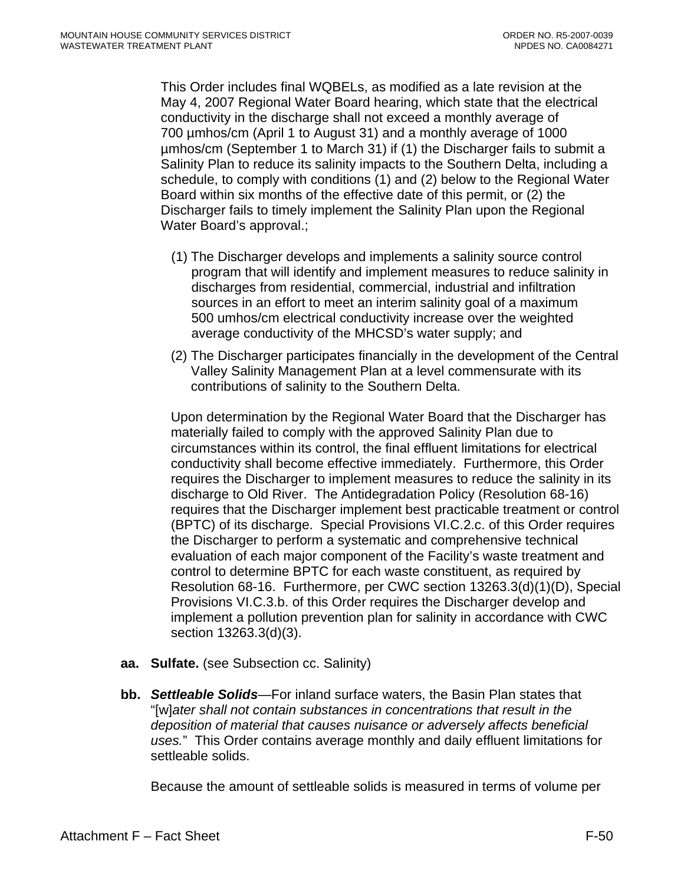This Order includes final WQBELs, as modified as a late revision at the May 4, 2007 Regional Water Board hearing, which state that the electrical conductivity in the discharge shall not exceed a monthly average of 700 µmhos/cm (April 1 to August 31) and a monthly average of 1000 µmhos/cm (September 1 to March 31) if (1) the Discharger fails to submit a Salinity Plan to reduce its salinity impacts to the Southern Delta, including a schedule, to comply with conditions (1) and (2) below to the Regional Water Board within six months of the effective date of this permit, or (2) the Discharger fails to timely implement the Salinity Plan upon the Regional Water Board's approval.;

- (1) The Discharger develops and implements a salinity source control program that will identify and implement measures to reduce salinity in discharges from residential, commercial, industrial and infiltration sources in an effort to meet an interim salinity goal of a maximum 500 umhos/cm electrical conductivity increase over the weighted average conductivity of the MHCSD's water supply; and
- (2) The Discharger participates financially in the development of the Central Valley Salinity Management Plan at a level commensurate with its contributions of salinity to the Southern Delta.

Upon determination by the Regional Water Board that the Discharger has materially failed to comply with the approved Salinity Plan due to circumstances within its control, the final effluent limitations for electrical conductivity shall become effective immediately. Furthermore, this Order requires the Discharger to implement measures to reduce the salinity in its discharge to Old River. The Antidegradation Policy (Resolution 68-16) requires that the Discharger implement best practicable treatment or control (BPTC) of its discharge. Special Provisions VI.C.2.c. of this Order requires the Discharger to perform a systematic and comprehensive technical evaluation of each major component of the Facility's waste treatment and control to determine BPTC for each waste constituent, as required by Resolution 68-16. Furthermore, per CWC section 13263.3(d)(1)(D), Special Provisions VI.C.3.b. of this Order requires the Discharger develop and implement a pollution prevention plan for salinity in accordance with CWC section 13263.3(d)(3).

- **aa. Sulfate.** (see Subsection cc. Salinity)
- **bb.** *Settleable Solids*—For inland surface waters, the Basin Plan states that "[w]*ater shall not contain substances in concentrations that result in the deposition of material that causes nuisance or adversely affects beneficial uses.*" This Order contains average monthly and daily effluent limitations for settleable solids.

Because the amount of settleable solids is measured in terms of volume per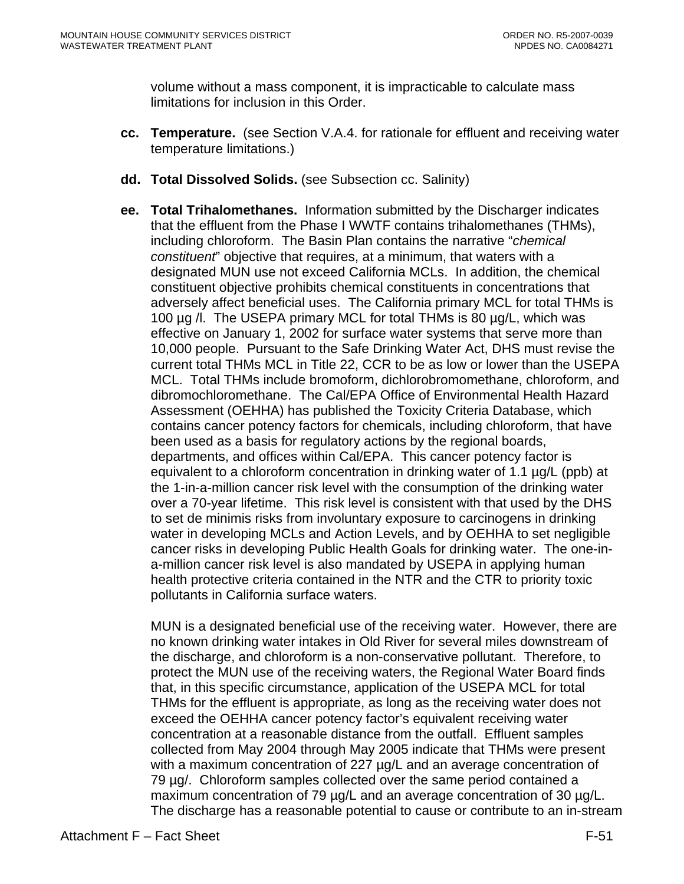volume without a mass component, it is impracticable to calculate mass limitations for inclusion in this Order.

- **cc. Temperature.** (see Section V.A.4. for rationale for effluent and receiving water temperature limitations.)
- **dd. Total Dissolved Solids.** (see Subsection cc. Salinity)
- **ee. Total Trihalomethanes.** Information submitted by the Discharger indicates that the effluent from the Phase I WWTF contains trihalomethanes (THMs), including chloroform. The Basin Plan contains the narrative "*chemical constituent*" objective that requires, at a minimum, that waters with a designated MUN use not exceed California MCLs. In addition, the chemical constituent objective prohibits chemical constituents in concentrations that adversely affect beneficial uses. The California primary MCL for total THMs is 100 µg /l. The USEPA primary MCL for total THMs is 80 µg/L, which was effective on January 1, 2002 for surface water systems that serve more than 10,000 people. Pursuant to the Safe Drinking Water Act, DHS must revise the current total THMs MCL in Title 22, CCR to be as low or lower than the USEPA MCL. Total THMs include bromoform, dichlorobromomethane, chloroform, and dibromochloromethane. The Cal/EPA Office of Environmental Health Hazard Assessment (OEHHA) has published the Toxicity Criteria Database, which contains cancer potency factors for chemicals, including chloroform, that have been used as a basis for regulatory actions by the regional boards, departments, and offices within Cal/EPA. This cancer potency factor is equivalent to a chloroform concentration in drinking water of 1.1 µg/L (ppb) at the 1-in-a-million cancer risk level with the consumption of the drinking water over a 70-year lifetime. This risk level is consistent with that used by the DHS to set de minimis risks from involuntary exposure to carcinogens in drinking water in developing MCLs and Action Levels, and by OEHHA to set negligible cancer risks in developing Public Health Goals for drinking water. The one-ina-million cancer risk level is also mandated by USEPA in applying human health protective criteria contained in the NTR and the CTR to priority toxic pollutants in California surface waters.

MUN is a designated beneficial use of the receiving water. However, there are no known drinking water intakes in Old River for several miles downstream of the discharge, and chloroform is a non-conservative pollutant. Therefore, to protect the MUN use of the receiving waters, the Regional Water Board finds that, in this specific circumstance, application of the USEPA MCL for total THMs for the effluent is appropriate, as long as the receiving water does not exceed the OEHHA cancer potency factor's equivalent receiving water concentration at a reasonable distance from the outfall. Effluent samples collected from May 2004 through May 2005 indicate that THMs were present with a maximum concentration of 227 µg/L and an average concentration of 79 µg/. Chloroform samples collected over the same period contained a maximum concentration of 79 µg/L and an average concentration of 30 µg/L. The discharge has a reasonable potential to cause or contribute to an in-stream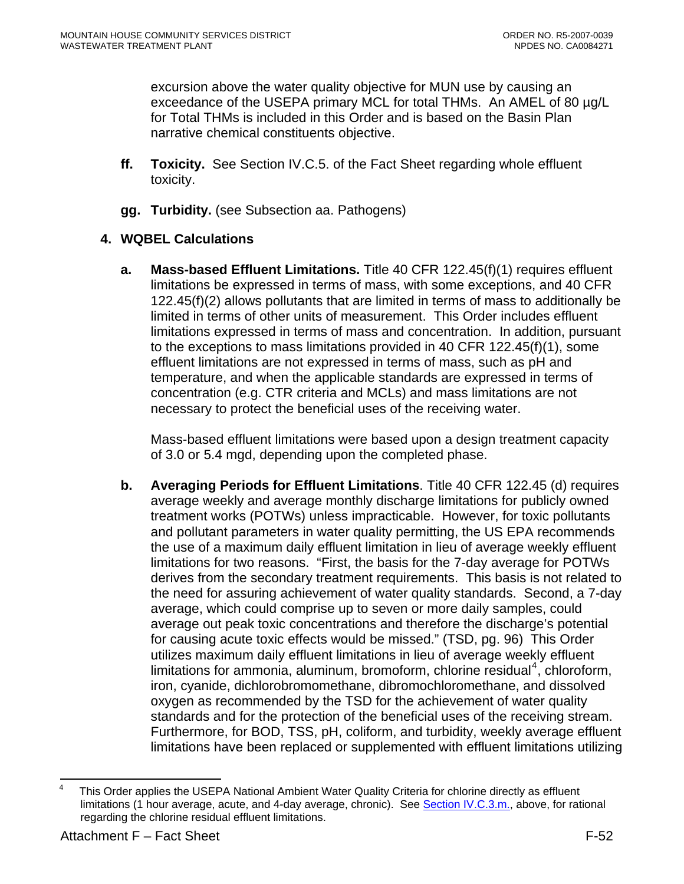<span id="page-118-0"></span>excursion above the water quality objective for MUN use by causing an exceedance of the USEPA primary MCL for total THMs. An AMEL of 80 µg/L for Total THMs is included in this Order and is based on the Basin Plan narrative chemical constituents objective.

- **ff. Toxicity.** See Section IV.C.5. of the Fact Sheet regarding whole effluent toxicity.
- **gg. Turbidity.** (see Subsection aa. Pathogens)

# **4. WQBEL Calculations**

**a. Mass-based Effluent Limitations.** Title 40 CFR 122.45(f)(1) requires effluent limitations be expressed in terms of mass, with some exceptions, and 40 CFR 122.45(f)(2) allows pollutants that are limited in terms of mass to additionally be limited in terms of other units of measurement. This Order includes effluent limitations expressed in terms of mass and concentration. In addition, pursuant to the exceptions to mass limitations provided in 40 CFR 122.45(f)(1), some effluent limitations are not expressed in terms of mass, such as pH and temperature, and when the applicable standards are expressed in terms of concentration (e.g. CTR criteria and MCLs) and mass limitations are not necessary to protect the beneficial uses of the receiving water.

Mass-based effluent limitations were based upon a design treatment capacity of 3.0 or 5.4 mgd, depending upon the completed phase.

**b. Averaging Periods for Effluent Limitations**. Title 40 CFR 122.45 (d) requires average weekly and average monthly discharge limitations for publicly owned treatment works (POTWs) unless impracticable. However, for toxic pollutants and pollutant parameters in water quality permitting, the US EPA recommends the use of a maximum daily effluent limitation in lieu of average weekly effluent limitations for two reasons. "First, the basis for the 7-day average for POTWs derives from the secondary treatment requirements. This basis is not related to the need for assuring achievement of water quality standards. Second, a 7-day average, which could comprise up to seven or more daily samples, could average out peak toxic concentrations and therefore the discharge's potential for causing acute toxic effects would be missed." (TSD, pg. 96) This Order utilizes maximum daily effluent limitations in lieu of average weekly effluent limitations for ammonia, aluminum, bromoform, chlorine residual<sup>[4](#page-118-0)</sup>, chloroform, iron, cyanide, dichlorobromomethane, dibromochloromethane, and dissolved oxygen as recommended by the TSD for the achievement of water quality standards and for the protection of the beneficial uses of the receiving stream. Furthermore, for BOD, TSS, pH, coliform, and turbidity, weekly average effluent limitations have been replaced or supplemented with effluent limitations utilizing

 $\frac{1}{4}$  This Order applies the USEPA National Ambient Water Quality Criteria for chlorine directly as effluent limitations (1 hour average, acute, and 4-day average, chronic). See [Section IV.C.3.m.,](#page-100-0) above, for rational regarding the chlorine residual effluent limitations.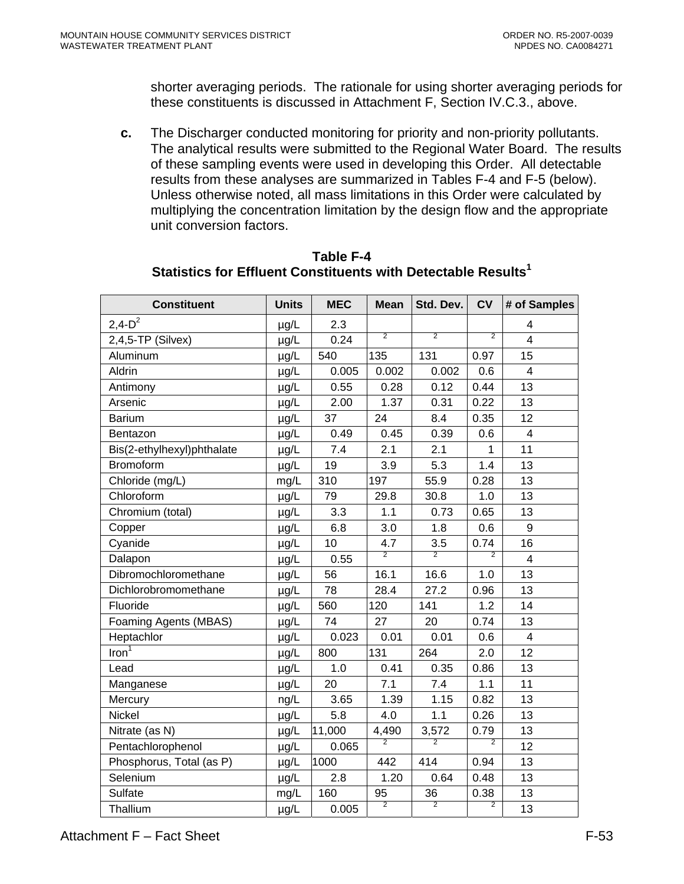shorter averaging periods. The rationale for using shorter averaging periods for these constituents is discussed in Attachment F, Section IV.C.3., above.

**c.** The Discharger conducted monitoring for priority and non-priority pollutants. The analytical results were submitted to the Regional Water Board. The results of these sampling events were used in developing this Order. All detectable results from these analyses are summarized in Tables F-4 and F-5 (below). Unless otherwise noted, all mass limitations in this Order were calculated by multiplying the concentration limitation by the design flow and the appropriate unit conversion factors.

| <b>Constituent</b>         | <b>Units</b> | <b>MEC</b> | <b>Mean</b>    | Std. Dev.      | <b>CV</b>      | # of Samples            |
|----------------------------|--------------|------------|----------------|----------------|----------------|-------------------------|
| $2,4-D^2$                  | µg/L         | 2.3        |                |                |                | $\overline{4}$          |
| 2,4,5-TP (Silvex)          | µg/L         | 0.24       | $\overline{2}$ | $\overline{2}$ | $\overline{2}$ | $\overline{4}$          |
| Aluminum                   | µg/L         | 540        | 135            | 131            | 0.97           | 15                      |
| Aldrin                     | µg/L         | 0.005      | 0.002          | 0.002          | 0.6            | 4                       |
| Antimony                   | µg/L         | 0.55       | 0.28           | 0.12           | 0.44           | 13                      |
| Arsenic                    | $\mu$ g/L    | 2.00       | 1.37           | 0.31           | 0.22           | 13                      |
| <b>Barium</b>              | µg/L         | 37         | 24             | 8.4            | 0.35           | 12                      |
| Bentazon                   | µg/L         | 0.49       | 0.45           | 0.39           | 0.6            | $\overline{\mathbf{4}}$ |
| Bis(2-ethylhexyl)phthalate | µg/L         | 7.4        | 2.1            | 2.1            | 1              | 11                      |
| Bromoform                  | µg/L         | 19         | 3.9            | 5.3            | 1.4            | 13                      |
| Chloride (mg/L)            | mg/L         | 310        | 197            | 55.9           | 0.28           | 13                      |
| Chloroform                 | µg/L         | 79         | 29.8           | 30.8           | 1.0            | 13                      |
| Chromium (total)           | $\mu$ g/L    | 3.3        | 1.1            | 0.73           | 0.65           | 13                      |
| Copper                     | µg/L         | 6.8        | 3.0            | 1.8            | 0.6            | 9                       |
| Cyanide                    | µg/L         | 10         | 4.7            | 3.5            | 0.74           | 16                      |
| Dalapon                    | µg/L         | 0.55       | $\overline{2}$ | $\overline{2}$ | $\overline{2}$ | $\overline{\mathbf{4}}$ |
| Dibromochloromethane       | µg/L         | 56         | 16.1           | 16.6           | 1.0            | 13                      |
| Dichlorobromomethane       | µg/L         | 78         | 28.4           | 27.2           | 0.96           | 13                      |
| Fluoride                   | µg/L         | 560        | 120            | 141            | 1.2            | 14                      |
| Foaming Agents (MBAS)      | µg/L         | 74         | 27             | 20             | 0.74           | 13                      |
| Heptachlor                 | µg/L         | 0.023      | 0.01           | 0.01           | 0.6            | $\overline{4}$          |
| Iron <sup>1</sup>          | µg/L         | 800        | 131            | 264            | 2.0            | 12                      |
| Lead                       | µg/L         | 1.0        | 0.41           | 0.35           | 0.86           | 13                      |
| Manganese                  | µg/L         | 20         | 7.1            | 7.4            | 1.1            | 11                      |
| Mercury                    | ng/L         | 3.65       | 1.39           | 1.15           | 0.82           | 13                      |
| Nickel                     | µg/L         | 5.8        | 4.0            | 1.1            | 0.26           | 13                      |
| Nitrate (as N)             | µg/L         | 11,000     | 4,490          | 3,572          | 0.79           | 13                      |
| Pentachlorophenol          | µg/L         | 0.065      | $\overline{2}$ | $\overline{2}$ | $\overline{2}$ | 12                      |
| Phosphorus, Total (as P)   | µg/L         | 1000       | 442            | 414            | 0.94           | 13                      |
| Selenium                   | $\mu$ g/L    | 2.8        | 1.20           | 0.64           | 0.48           | 13                      |
| Sulfate                    | mg/L         | 160        | 95             | 36             | 0.38           | 13                      |
| Thallium                   | µg/L         | 0.005      | $\overline{2}$ | $\overline{2}$ | $\overline{2}$ | 13                      |

#### **Table F-4 Statistics for Effluent Constituents with Detectable Results1**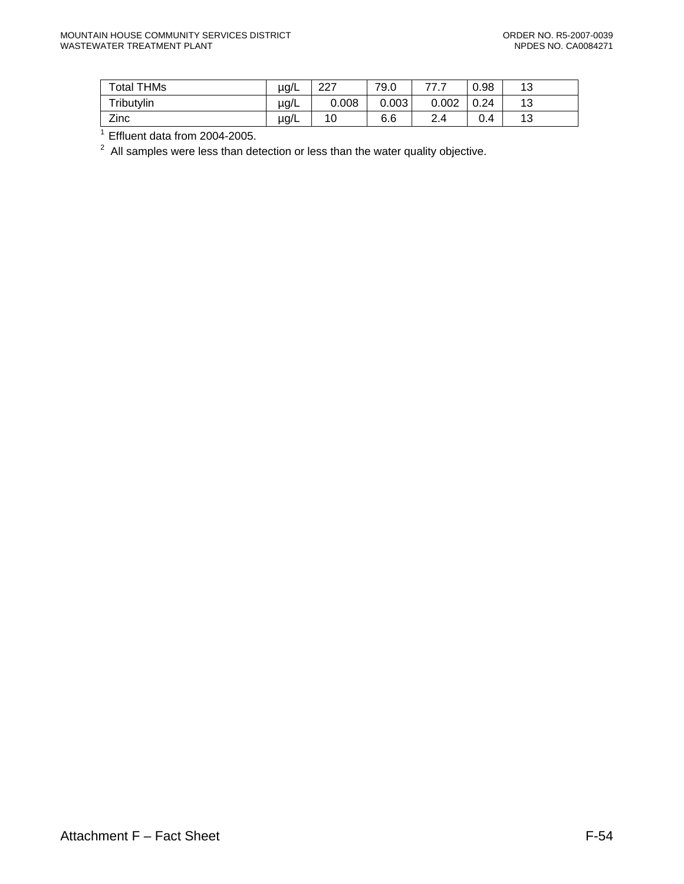| <b>Total THMs</b> | $\mu$ g/L | דרר<br>ا ےے | 79.0  | 777<br>. | 0.98 | 12<br>ں ا |
|-------------------|-----------|-------------|-------|----------|------|-----------|
| Tributylin        | µg/L      | 0.008       | 0.003 | 0.002    | 0.24 | 12<br>. ت |
| Zinc              | µg/L      | 10          | 6.6   | ົ<br>2.4 | 0.4  | 12<br>∪ו  |

 $\frac{1}{1}$  Effluent data from 2004-2005.

 $2$  All samples were less than detection or less than the water quality objective.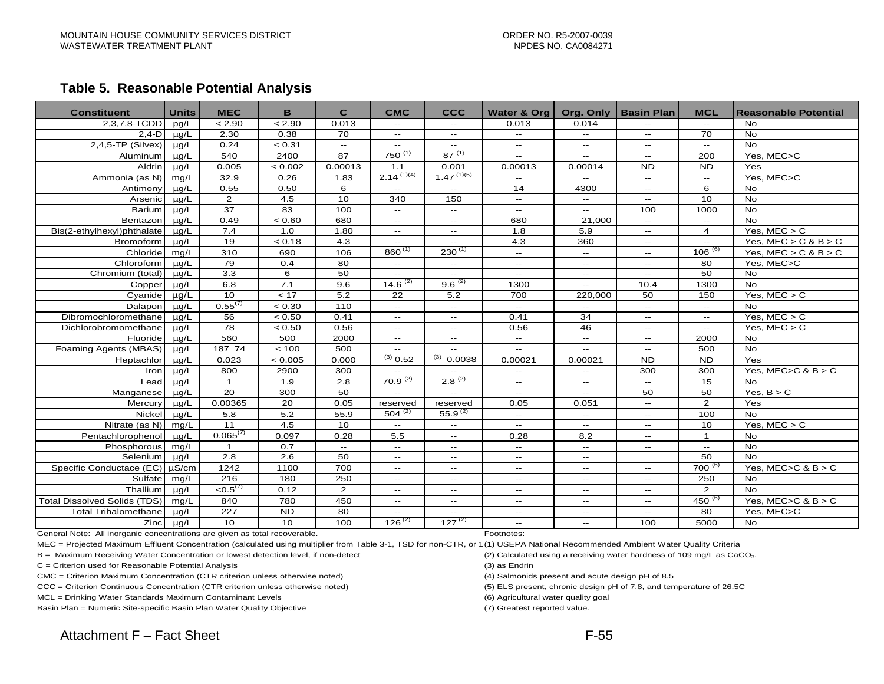#### **Table 5. Reasonable Potential Analysiss**

| <b>Constituent</b>           | <b>Units</b> | <b>MEC</b>           | B               | $\mathbf{C}$   | <b>CMC</b>                 | <b>CCC</b>               | Water & Org               |                             | Org. Only   Basin Plan   | <b>MCL</b>     | Reasonable Potential     |
|------------------------------|--------------|----------------------|-----------------|----------------|----------------------------|--------------------------|---------------------------|-----------------------------|--------------------------|----------------|--------------------------|
| $2,3,7,8$ -TCDD              | pg/L         | < 2.90               | < 2.90          | 0.013          | $\overline{a}$             |                          | 0.013                     | 0.014                       |                          |                | <b>No</b>                |
| $2,4-D$                      | $\mu$ g/L    | 2.30                 | 0.38            | 70             | $\mathbf{u}$               | $\mathbf{u}$             | $\mathbf{u}$              | $\mathbf{u}$                | $\overline{a}$           | 70             | <b>No</b>                |
| $2,4,5$ -TP (Silvex)         | $\mu$ g/L    | 0.24                 | < 0.31          | $\sim$         | $\mathbf{u}$               | $\sim$                   | $\sim$ $\sim$             | $\sim$                      | $\mathbf{L}$             | $\sim$ $\sim$  | <b>No</b>                |
| Aluminum                     | $\mu q/L$    | 540                  | 2400            | 87             | $750^{(1)}$                | $87^{(1)}$               | $\mathbf{u}$              | $\sim$                      | $\sim$ $\sim$            | 200            | Yes, MEC>C               |
| Aldrin                       | $\mu$ g/L    | 0.005                | < 0.002         | 0.00013        | 1.1                        | 0.001                    | 0.00013                   | 0.00014                     | <b>ND</b>                | <b>ND</b>      | Yes                      |
| Ammonia (as N)               | mq/L         | 32.9                 | 0.26            | 1.83           | $2.14^{(1)(4)}$            | $1.47^{(1)(5)}$          |                           | $\overline{\phantom{a}}$    | $\sim$                   | $\sim$ $\sim$  | Yes, MEC>C               |
| Antimony                     | $\mu$ g/L    | 0.55                 | 0.50            | 6              | $\mathbf{u}$               | $\overline{\phantom{a}}$ | 14                        | 4300                        | $-1$                     | 6              | No                       |
| Arsenic                      | $\mu q/L$    | 2                    | 4.5             | 10             | 340                        | 150                      | $\sim$                    | $\mathcal{L}_{\mathcal{F}}$ | $\mathbf{u}$             | 10             | <b>No</b>                |
| Barium                       | $\mu$ g/L    | $\overline{37}$      | $\overline{83}$ | 100            | $\mathbf{u}$               | $\mathbf{u}$             | $\mathbf{u}$              | $\overline{\phantom{a}}$    | 100                      | 1000           | <b>No</b>                |
| Bentazon                     | $\mu q/L$    | 0.49                 | < 0.60          | 680            | $\sim$ $\sim$              | $\mathbf{u}$             | 680                       | 21,000                      | $-1$                     | $\sim$ $\sim$  | <b>No</b>                |
| Bis(2-ethylhexyl)phthalate   | $\mu q/L$    | 7.4                  | 1.0             | 1.80           | $\mathbf{u}$               | $\mathbf{u}$             | 1.8                       | 5.9                         | $\mathbf{L}$             | $\overline{4}$ | Yes. $MEC > C$           |
| Bromoform                    | $\mu q/L$    | 19                   | < 0.18          | 4.3            | $\sim$ $\sim$              | $\sim$ $\sim$            | 4.3                       | 360                         | $\overline{\phantom{a}}$ | $\sim$ $\sim$  | Yes, $MEC > C$ & $B > C$ |
| Chloride                     | mq/L         | 310                  | 690             | 106            | $860^{(1)}$                | $230^{(1)}$              | $\sim$ $\sim$             | $\overline{\phantom{a}}$    | $\sim$                   | $106^{(6)}$    | Yes, $MEC > C$ & $B > C$ |
| Chloroform                   | $\mu q/L$    | 79                   | 0.4             | 80             | $\overline{\phantom{a}}$   | $\mathbf{u}$             |                           | $\mathbf{u}$                | $-1$                     | 80             | Yes, MEC>C               |
| Chromium (total)             | $\mu q/L$    | 3.3                  | 6               | 50             | $\overline{\phantom{a}}$   | $\overline{\phantom{a}}$ | $\mathbf{u}$              | $\overline{\phantom{a}}$    | $-$                      | 50             | <b>No</b>                |
| Copper                       | $\mu$ a/L    | 6.8                  | 7.1             | 9.6            | $14.6^{(2)}$               | $9.6^{(2)}$              | 1300                      | $\sim$ $\sim$               | 10.4                     | 1300           | <b>No</b>                |
| Cyanide                      | $\mu$ g/L    | 10                   | < 17            | 5.2            | 22                         | 5.2                      | 700                       | 220,000                     | 50                       | 150            | Yes, $MEC > C$           |
| Dalapon                      | $\mu$ g/L    | $0.55^{(7)}$         | < 0.30          | 110            | $\mathcal{L}(\mathcal{L})$ | $\mathbf{u}$             | $\sim$ $\sim$             |                             |                          | $\sim$ $\sim$  | <b>No</b>                |
| Dibromochloromethane         | $\mu q/L$    | 56                   | < 0.50          | 0.41           | $\sim$ $\sim$              | $\mathbf{u}$             | 0.41                      | 34                          | $\overline{a}$           | $\sim$ $\sim$  | Yes, $MEC > C$           |
| Dichlorobromomethane         | $\mu q/L$    | 78                   | < 0.50          | 0.56           | $\mathcal{L}(\mathcal{L})$ | $\mathbf{u}$             | 0.56                      | 46                          | --                       | $\sim$ $\sim$  | Yes, $MEC > C$           |
| Fluoride                     | $\mu q/L$    | 560                  | 500             | 2000           | $\mathbf{u}$               | $\sim$ $\sim$            | $\sim$ $\sim$             | $\overline{\phantom{a}}$    | $\overline{\phantom{a}}$ | 2000           | <b>No</b>                |
| Foaming Agents (MBAS)        | $\mu q/L$    | 187 74               | < 100           | 500            | $\overline{\phantom{a}}$   |                          |                           |                             | --                       | 500            | <b>No</b>                |
| Heptachlor                   | $\mu$ g/L    | 0.023                | < 0.005         | 0.000          | $^{(3)}$ 0.52              | (3)<br>0.0038            | 0.00021                   | 0.00021                     | <b>ND</b>                | <b>ND</b>      | Yes                      |
| Iron                         | $\mu$ g/L    | 800                  | 2900            | 300            | $-$                        | $\sim$ $\sim$            | $\sim$ $\sim$             | $-$                         | 300                      | 300            | Yes, $MEC > C$ & $B > C$ |
| Lead                         | $\mu$ g/L    | $\mathbf{1}$         | 1.9             | 2.8            | $70.9^{(2)}$               | $2.8^{(2)}$              | $\sim$ $\sim$             | $\mathbf{u}$                | $-$                      | 15             | <b>No</b>                |
| Manganese                    | $\mu$ a/L    | 20                   | 300             | 50             | $\overline{a}$             | $\sim$                   | $\sim$ $\sim$             | $\overline{\phantom{a}}$    | 50                       | 50             | Yes, $B > C$             |
| Mercury                      | $\mu$ g/L    | 0.00365              | 20              | 0.05           | reserved                   | reserved                 | 0.05                      | 0.051                       | $-$                      | $\overline{2}$ | Yes                      |
| Nickel                       | $\mu$ g/L    | 5.8                  | 5.2             | 55.9           | $504^{(2)}$                | $55.9^{(2)}$             | $- -$                     |                             | $-1$                     | 100            | <b>No</b>                |
| Nitrate (as N)               | mg/L         | 11                   | 4.5             | 10             | $\mathbf{u}$               | $\sim$ $\sim$            | $\mathbf{u} = \mathbf{v}$ | $\sim$ $\sim$               | $\overline{a}$           | 10             | Yes, $MEC > C$           |
| Pentachlorophenol            | $\mu q/L$    | $0.065^{(7)}$        | 0.097           | 0.28           | 5.5                        | $\sim$ $\sim$            | 0.28                      | 8.2                         | --                       | $\mathbf{1}$   | <b>No</b>                |
| Phosphorous                  | mq/L         | $\mathbf{1}$         | 0.7             | $\sim$         | $\mathbf{u}$               | $\mathbf{u}$             | $\mathbf{u}$              | $\overline{\phantom{a}}$    | $\overline{\phantom{a}}$ | $\sim$ $\sim$  | <b>No</b>                |
| Selenium                     | $\mu$ g/L    | 2.8                  | 2.6             | 50             | $\mathbf{u}$               | $\sim$ $\sim$            | $- -$                     | $ -$                        |                          | 50             | <b>No</b>                |
| Specific Conductace (EC)     | $\mu$ S/cm   | 1242                 | 1100            | 700            | $\mathbf{u}$               | $\sim$ $\sim$            | $\sim$ $\sim$             | $\sim$ $\sim$               | $- -$                    | $700^{(6)}$    | Yes, $MEC > C$ & $B > C$ |
| Sulfate                      | mg/L         | 216                  | 180             | 250            | $\sim$ $\sim$              | $\overline{\phantom{a}}$ | $\sim$ $\sim$             | $\overline{\phantom{a}}$    | --                       | 250            | <b>No</b>                |
| Thallium                     | $\mu q/L$    | < 0.5 <sup>(7)</sup> | 0.12            | $\overline{2}$ | $\mathbf{u}$               | $\sim$ $\sim$            | $- -$                     | $\mathbf{u}$                | $\mathbf{u}$             | $\overline{2}$ | <b>No</b>                |
| Total Dissolved Solids (TDS) | mq/L         | 840                  | 780             | 450            | $\sim$ $\sim$              | $\sim$ $\sim$            | $\sim$ $\sim$             | $\sim$ $\sim$               | $-1$                     | $450^{(6)}$    | Yes, $MEC > C$ & $B > C$ |
| <b>Total Trihalomethane</b>  | $\mu q/L$    | 227                  | <b>ND</b>       | 80             | $\overline{\phantom{a}}$   | $\overline{\phantom{m}}$ | $\overline{\phantom{a}}$  | $\overline{\phantom{a}}$    | --                       | 80             | Yes, MEC>C               |
| Zinc                         | $\mu$ g/L    | 10                   | 10              | 100            | $126^{(2)}$                | $127^{(2)}$              | $\overline{a}$            | $\overline{\phantom{a}}$    | 100                      | 5000           | <b>No</b>                |

General Note: All inorganic concentrations are given as total recoverable. Footnotes: Footnotes:

MEC = Projected Maximum Effluent Concentration (calculated using multiplier from Table 3-1, TSD for non-CTR, or 1(1) USEPA National Recommended Ambient Water Quality Criteria

B = Maximum Receiving Water Concentration or lowest detection level, if non-detect (2) Calculated using a receiving water hardness of 109 mg/L as CaCO<sub>3</sub>.

C = Criterion used for Reasonable Potential Analysis (3) as Endrin

CMC = Criterion Maximum Concentration (CTR criterion unless otherwise noted) (4) Salmonids present and acute design pH of 8.5

CCC = Criterion Continuous Concentration (CTR criterion unless otherwise noted) (5) ELS present, chronic design pH of 7.8, and temperature of 26.5C

MCL = Drinking Water Standards Maximum Contaminant Levels (6) Agricultural water quality goal

Basin Plan = Numeric Site-specific Basin Plan Water Quality Objective (7) Greatest reported value.

- 
- 
-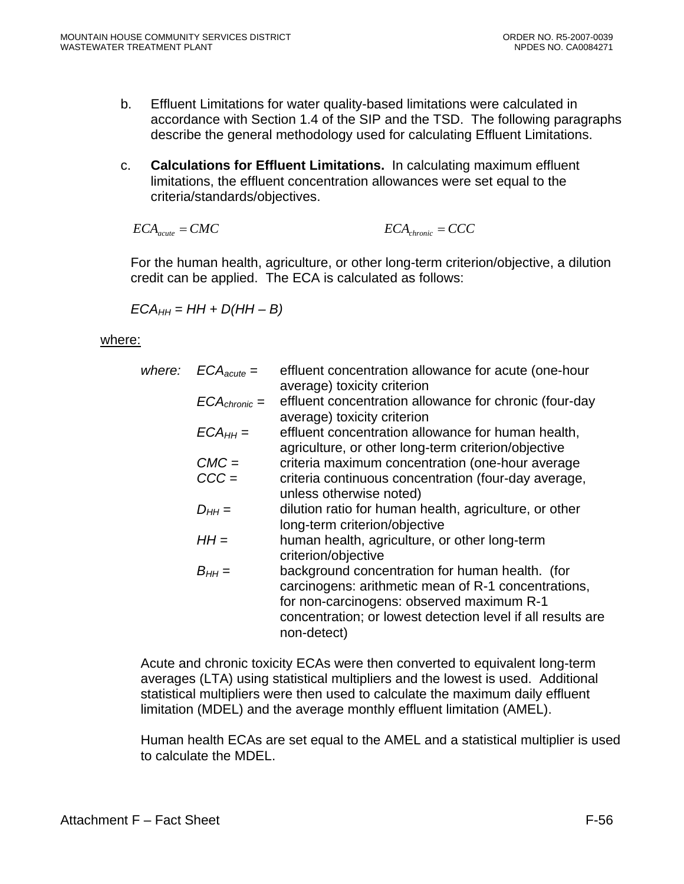- b. Effluent Limitations for water quality-based limitations were calculated in accordance with Section 1.4 of the SIP and the TSD. The following paragraphs describe the general methodology used for calculating Effluent Limitations.
- c. **Calculations for Effluent Limitations.** In calculating maximum effluent limitations, the effluent concentration allowances were set equal to the criteria/standards/objectives.

$$
ECA_{acute} = CMC
$$
 
$$
ECA_{chromic} = CCC
$$

For the human health, agriculture, or other long-term criterion/objective, a dilution credit can be applied. The ECA is calculated as follows:

 $ECA_{HH} = HH + D(HH - B)$ 

#### where:

| where: | $ECA_{acute} =$   | effluent concentration allowance for acute (one-hour<br>average) toxicity criterion                                                                                                                                               |
|--------|-------------------|-----------------------------------------------------------------------------------------------------------------------------------------------------------------------------------------------------------------------------------|
|        | $ECA_{chronic} =$ | effluent concentration allowance for chronic (four-day<br>average) toxicity criterion                                                                                                                                             |
|        | $ECA_{HH} =$      | effluent concentration allowance for human health,<br>agriculture, or other long-term criterion/objective                                                                                                                         |
|        | $CMC =$           | criteria maximum concentration (one-hour average                                                                                                                                                                                  |
|        | $CCC =$           | criteria continuous concentration (four-day average,<br>unless otherwise noted)                                                                                                                                                   |
|        | $D_{HH} =$        | dilution ratio for human health, agriculture, or other<br>long-term criterion/objective                                                                                                                                           |
|        | $HH =$            | human health, agriculture, or other long-term<br>criterion/objective                                                                                                                                                              |
|        | $B_{HH} =$        | background concentration for human health. (for<br>carcinogens: arithmetic mean of R-1 concentrations,<br>for non-carcinogens: observed maximum R-1<br>concentration; or lowest detection level if all results are<br>non-detect) |
|        |                   |                                                                                                                                                                                                                                   |

Acute and chronic toxicity ECAs were then converted to equivalent long-term averages (LTA) using statistical multipliers and the lowest is used. Additional statistical multipliers were then used to calculate the maximum daily effluent limitation (MDEL) and the average monthly effluent limitation (AMEL).

Human health ECAs are set equal to the AMEL and a statistical multiplier is used to calculate the MDEL.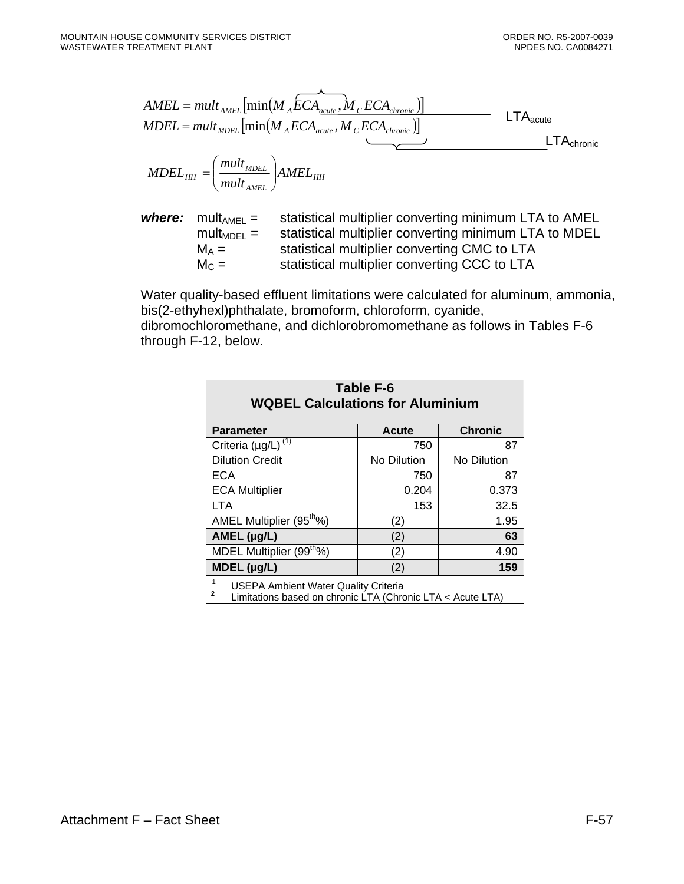*AMEL*

$$
AMEL = mult_{AMEL} \left[ min(M_A ECA_{acute}, M_C ECA_{chronic}) \right]
$$
  
\n
$$
MDEL = mult_{MDEL} \left[ min(M_A ECA_{acute}, M_C ECA_{chronic}) \right]
$$
  
\n
$$
MDEL_{HH} = \left( \frac{mult_{MDEL}}{mult_{AMEL}} \right) AMEL_{HH}
$$
  
\n
$$
MDEL_{HH} = \left( \frac{mult_{MDEL}}{mult_{AMEL}} \right) AMEL_{HH}
$$

**where:** 
$$
mult_{\text{AMEL}} =
$$
 statistical multiplier converting minimum LTA to AMEL

\n $mult_{\text{ADEL}} =$  statistical multiplier converting minimum LTA to MDEL

\n $M_A =$ 

\n $M_C =$ 

\nstatistical multiplier converting CMC to LTA

Water quality-based effluent limitations were calculated for aluminum, ammonia, bis(2-ethyhexl)phthalate, bromoform, chloroform, cyanide, dibromochloromethane, and dichlorobromomethane as follows in Tables F-6 through F-12, below.

| Table F-6<br><b>WQBEL Calculations for Aluminium</b>                                                    |              |                |  |  |  |
|---------------------------------------------------------------------------------------------------------|--------------|----------------|--|--|--|
| <b>Parameter</b>                                                                                        | <b>Acute</b> | <b>Chronic</b> |  |  |  |
| Criteria ( $\mu$ g/L) <sup>(1)</sup>                                                                    | 750          | 87             |  |  |  |
| <b>Dilution Credit</b>                                                                                  | No Dilution  | No Dilution    |  |  |  |
| ECA                                                                                                     | 750          | 87             |  |  |  |
| <b>ECA Multiplier</b>                                                                                   | 0.204        | 0.373          |  |  |  |
| LTA                                                                                                     | 153          | 32.5           |  |  |  |
| AMEL Multiplier (95 <sup>tho</sup> %)                                                                   | (2)          | 1.95           |  |  |  |
| AMEL $(\mu g/L)$                                                                                        | (2)          | 63             |  |  |  |
| MDEL Multiplier (99 <sup>th</sup> %)                                                                    | (2)          | 4.90           |  |  |  |
| $MDEL$ (µg/L)                                                                                           | (2)          | 159            |  |  |  |
| USEPA Ambient Water Quality Criteria<br>2<br>Limitations based on chronic LTA (Chronic LTA < Acute LTA) |              |                |  |  |  |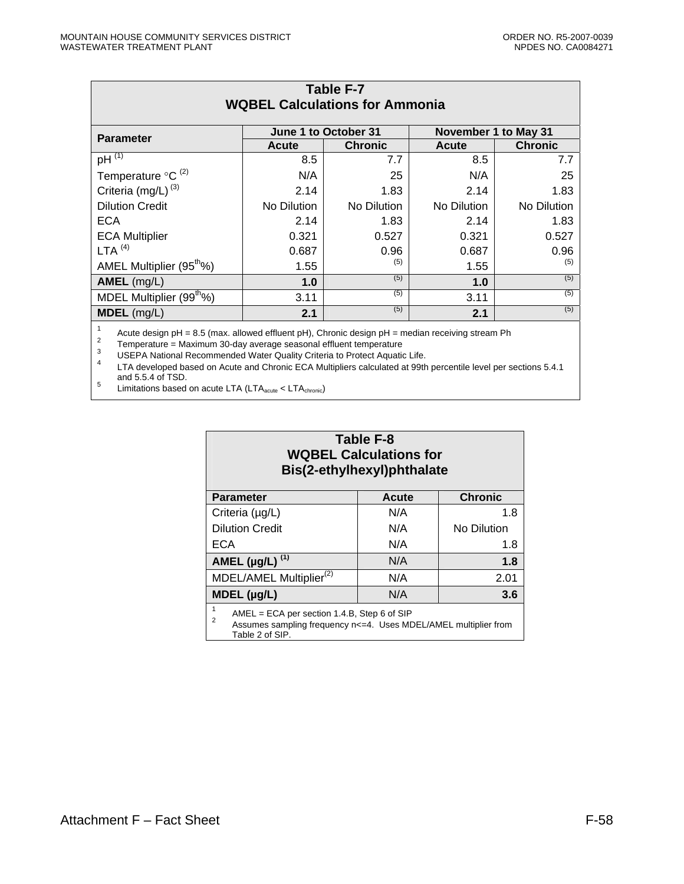| Table F-7<br><b>WQBEL Calculations for Ammonia</b> |              |                      |             |                |  |  |
|----------------------------------------------------|--------------|----------------------|-------------|----------------|--|--|
| <b>Parameter</b>                                   |              | November 1 to May 31 |             |                |  |  |
|                                                    | <b>Acute</b> | <b>Chronic</b>       | Acute       | <b>Chronic</b> |  |  |
| pH $\overline{^{(1)}}$                             | 8.5          | 7.7                  | 8.5         | 7.7            |  |  |
| Temperature $\mathrm{C}^{(2)}$                     | N/A          | 25                   | N/A         | 25             |  |  |
| Criteria (mg/L) <sup>(3)</sup>                     | 2.14         | 1.83                 | 2.14        | 1.83           |  |  |
| <b>Dilution Credit</b>                             | No Dilution  | No Dilution          | No Dilution | No Dilution    |  |  |
| <b>ECA</b>                                         | 2.14         | 1.83                 | 2.14        | 1.83           |  |  |
| <b>ECA Multiplier</b>                              | 0.321        | 0.527                | 0.321       | 0.527          |  |  |
| LTA $(4)$                                          | 0.687        | 0.96                 | 0.687       | 0.96           |  |  |
| AMEL Multiplier (95 <sup>th</sup> %)               | 1.55         | (5)                  | 1.55        | (5)            |  |  |
| $AMEL$ (mg/L)                                      | 1.0          | (5)                  | 1.0         | (5)            |  |  |
| MDEL Multiplier (99 <sup>tho</sup> %)              | 3.11         | (5)                  | 3.11        | (5)            |  |  |
| MDEL (mg/L)                                        | 2.1          | (5)                  | 2.1         | (5)            |  |  |
|                                                    |              |                      |             |                |  |  |

Fractive design pH = 8.5 (max. allowed effluent pH), Chronic design pH = median receiving stream Ph<br>
Temperature = Maximum 30-day average seasonal effluent temperature<br>
USEPA National Recommended Water Quality Criteria to

 $\frac{5}{100}$  Limitations based on acute LTA (LTA<sub>acute</sub> < LTA<sub>chronic</sub>)

# **Table F-8 WQBEL Calculations for Bis(2-ethylhexyl)phthalate**

| <b>Parameter</b>                                                                                                                        | <b>Acute</b> | <b>Chronic</b> |  |  |  |
|-----------------------------------------------------------------------------------------------------------------------------------------|--------------|----------------|--|--|--|
| Criteria (µg/L)                                                                                                                         | N/A          | 1.8            |  |  |  |
| <b>Dilution Credit</b>                                                                                                                  | N/A          | No Dilution    |  |  |  |
| ECA                                                                                                                                     | N/A          | 1.8            |  |  |  |
| AMEL ( $\mu$ g/L) <sup>(1)</sup>                                                                                                        | N/A          | 1.8            |  |  |  |
| MDEL/AMEL Multiplier <sup>(2)</sup>                                                                                                     | N/A          | 2.01           |  |  |  |
| $MDEL$ (µg/L)                                                                                                                           | N/A          | 3.6            |  |  |  |
| 1<br>$AMEL = ECA$ per section 1.4.B, Step 6 of SIP<br>$\overline{2}$<br>Assumes sampling frequency n<=4. Uses MDEL/AMEL multiplier from |              |                |  |  |  |

Table 2 of SIP.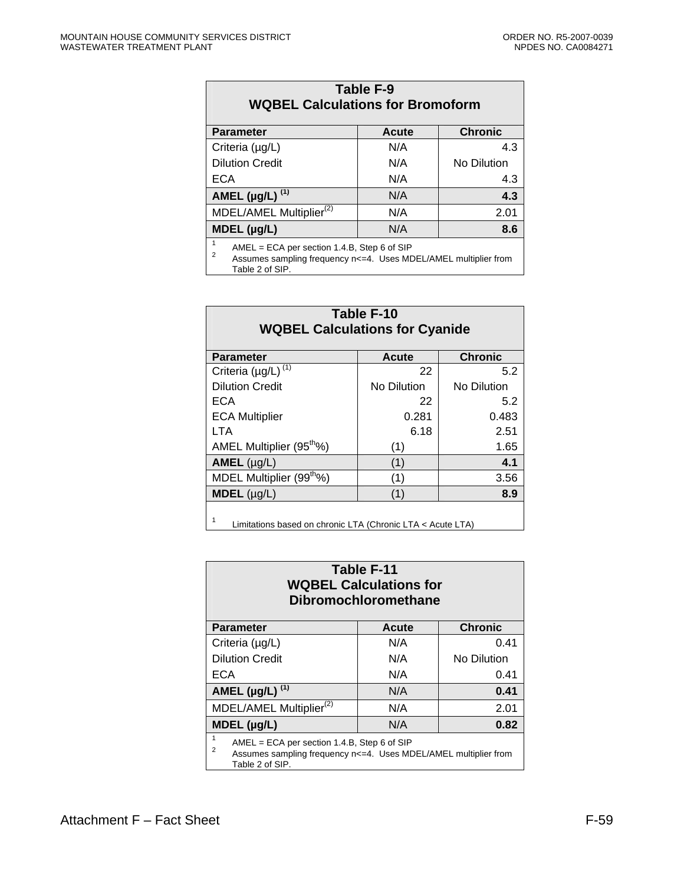| Table F-9<br><b>WQBEL Calculations for Bromoform</b>    |              |                |  |  |
|---------------------------------------------------------|--------------|----------------|--|--|
| <b>Parameter</b>                                        | <b>Acute</b> | <b>Chronic</b> |  |  |
| Criteria (µg/L)                                         | N/A          | 4.3            |  |  |
| <b>Dilution Credit</b>                                  | N/A          | No Dilution    |  |  |
| <b>ECA</b>                                              | N/A          | 4.3            |  |  |
| AMEL $(\mu g/L)$ <sup>(1)</sup>                         | N/A          | 4.3            |  |  |
| MDEL/AMEL Multiplier <sup>(2)</sup>                     | N/A          | 2.01           |  |  |
| MDEL (µg/L)<br>N/A<br>8.6                               |              |                |  |  |
| 1<br>$AMEL = ECA$ per section 1.4.B, Step 6 of SIP<br>ົ |              |                |  |  |

Assumes sampling frequency n<=4. Uses MDEL/AMEL multiplier from Table 2 of SIP.

| Table F-10<br><b>WQBEL Calculations for Cyanide</b>             |              |                |  |  |  |
|-----------------------------------------------------------------|--------------|----------------|--|--|--|
| <b>Parameter</b>                                                | <b>Acute</b> | <b>Chronic</b> |  |  |  |
| Criteria ( $\mu$ g/L) <sup>(1)</sup>                            | 22           | 5.2            |  |  |  |
| <b>Dilution Credit</b>                                          | No Dilution  | No Dilution    |  |  |  |
| <b>ECA</b>                                                      | 22           | 5.2            |  |  |  |
| <b>ECA Multiplier</b>                                           | 0.281        | 0.483          |  |  |  |
| <b>LTA</b>                                                      | 6.18         | 2.51           |  |  |  |
| AMEL Multiplier (95 <sup>th</sup> %)                            | (1)          | 1.65           |  |  |  |
| $AMEL$ (µg/L)                                                   | (1)          | 4.1            |  |  |  |
| MDEL Multiplier (99 <sup>tho</sup> %)                           | (1)          | 3.56           |  |  |  |
| $MDEL$ (µg/L)<br>(1)<br>8.9                                     |              |                |  |  |  |
| 1<br>Limitations based on chronic LTA (Chronic LTA < Acute LTA) |              |                |  |  |  |

Limitations based on chronic LTA (Chronic LTA < Acute LTA)

| Table F-11<br><b>WQBEL Calculations for</b><br><b>Dibromochloromethane</b>                                                                                            |       |                |  |  |  |
|-----------------------------------------------------------------------------------------------------------------------------------------------------------------------|-------|----------------|--|--|--|
| <b>Parameter</b>                                                                                                                                                      | Acute | <b>Chronic</b> |  |  |  |
| Criteria (µg/L)                                                                                                                                                       | N/A   | 0.41           |  |  |  |
| <b>Dilution Credit</b>                                                                                                                                                | N/A   | No Dilution    |  |  |  |
| ECA                                                                                                                                                                   | N/A   | 0.41           |  |  |  |
| AMEL $(\mu g/L)$ <sup>(1)</sup>                                                                                                                                       | N/A   | 0.41           |  |  |  |
| MDEL/AMEL Multiplier <sup>(2)</sup>                                                                                                                                   | N/A   | 2.01           |  |  |  |
| $MDEL$ (µg/L)                                                                                                                                                         | N/A   | 0.82           |  |  |  |
| $\mathbf{1}$<br>$AMEL = ECA$ per section 1.4.B, Step 6 of SIP<br>$\overline{2}$<br>Assumes sampling frequency n<=4. Uses MDEL/AMEL multiplier from<br>Table 2 of SIP. |       |                |  |  |  |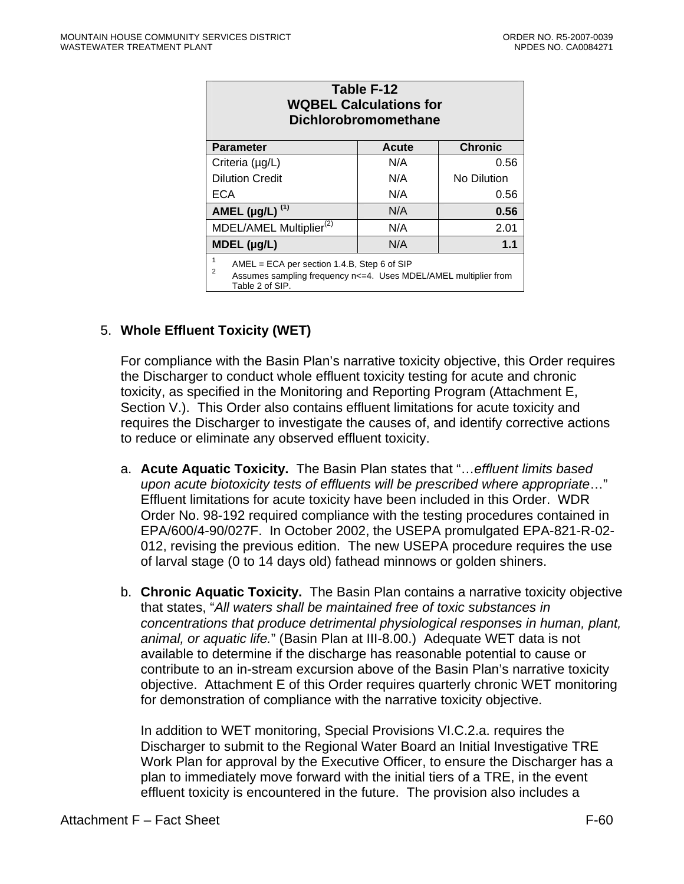| Table F-12<br><b>WQBEL Calculations for</b><br><b>Dichlorobromomethane</b>                                                                                 |              |                |  |  |  |
|------------------------------------------------------------------------------------------------------------------------------------------------------------|--------------|----------------|--|--|--|
| <b>Parameter</b>                                                                                                                                           | <b>Acute</b> | <b>Chronic</b> |  |  |  |
| Criteria (µg/L)                                                                                                                                            | N/A          | 0.56           |  |  |  |
| <b>Dilution Credit</b>                                                                                                                                     | N/A          | No Dilution    |  |  |  |
| ECA                                                                                                                                                        | N/A          | 0.56           |  |  |  |
| AMEL ( $\mu$ g/L) <sup>(1)</sup>                                                                                                                           | N/A          | 0.56           |  |  |  |
| MDEL/AMEL Multiplier <sup>(2)</sup>                                                                                                                        | N/A          | 2.01           |  |  |  |
| $MDEL$ (µg/L)                                                                                                                                              | N/A          | 1.1            |  |  |  |
| 1<br>$AMEL = ECA$ per section 1.4.B, Step 6 of SIP<br>$\overline{2}$<br>Assumes sampling frequency n<=4. Uses MDEL/AMEL multiplier from<br>Table 2 of SIP. |              |                |  |  |  |

# 5. **Whole Effluent Toxicity (WET)**

For compliance with the Basin Plan's narrative toxicity objective, this Order requires the Discharger to conduct whole effluent toxicity testing for acute and chronic toxicity, as specified in the Monitoring and Reporting Program (Attachment E, Section V.). This Order also contains effluent limitations for acute toxicity and requires the Discharger to investigate the causes of, and identify corrective actions to reduce or eliminate any observed effluent toxicity.

- a. **Acute Aquatic Toxicity.** The Basin Plan states that "…*effluent limits based upon acute biotoxicity tests of effluents will be prescribed where appropriate*…" Effluent limitations for acute toxicity have been included in this Order. WDR Order No. 98-192 required compliance with the testing procedures contained in EPA/600/4-90/027F. In October 2002, the USEPA promulgated EPA-821-R-02- 012, revising the previous edition. The new USEPA procedure requires the use of larval stage (0 to 14 days old) fathead minnows or golden shiners.
- b. **Chronic Aquatic Toxicity.** The Basin Plan contains a narrative toxicity objective that states, "*All waters shall be maintained free of toxic substances in concentrations that produce detrimental physiological responses in human, plant, animal, or aquatic life.*" (Basin Plan at III-8.00.) Adequate WET data is not available to determine if the discharge has reasonable potential to cause or contribute to an in-stream excursion above of the Basin Plan's narrative toxicity objective. Attachment E of this Order requires quarterly chronic WET monitoring for demonstration of compliance with the narrative toxicity objective.

In addition to WET monitoring, Special Provisions VI.C.2.a. requires the Discharger to submit to the Regional Water Board an Initial Investigative TRE Work Plan for approval by the Executive Officer, to ensure the Discharger has a plan to immediately move forward with the initial tiers of a TRE, in the event effluent toxicity is encountered in the future. The provision also includes a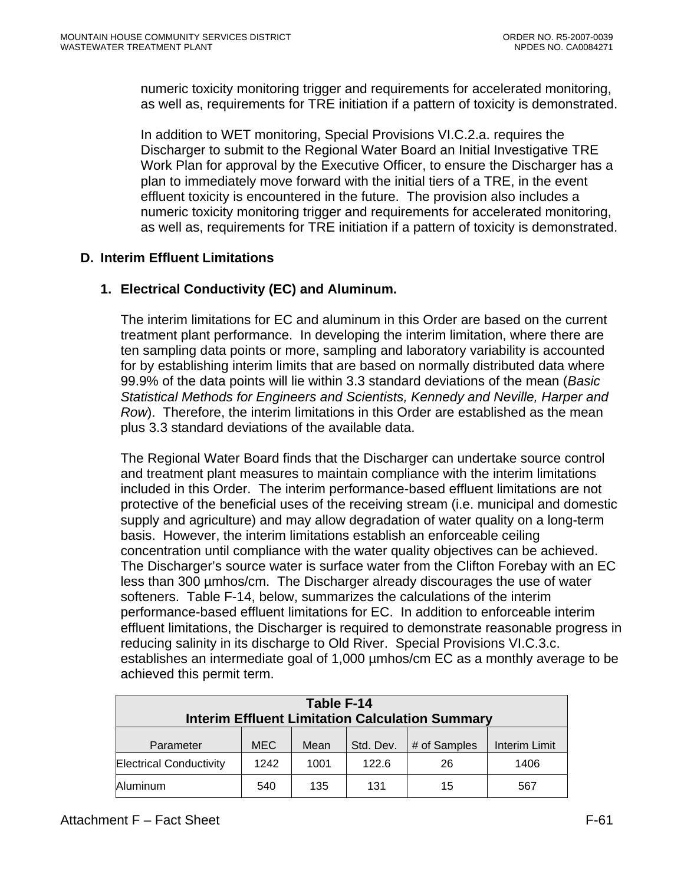numeric toxicity monitoring trigger and requirements for accelerated monitoring, as well as, requirements for TRE initiation if a pattern of toxicity is demonstrated.

In addition to WET monitoring, Special Provisions VI.C.2.a. requires the Discharger to submit to the Regional Water Board an Initial Investigative TRE Work Plan for approval by the Executive Officer, to ensure the Discharger has a plan to immediately move forward with the initial tiers of a TRE, in the event effluent toxicity is encountered in the future. The provision also includes a numeric toxicity monitoring trigger and requirements for accelerated monitoring, as well as, requirements for TRE initiation if a pattern of toxicity is demonstrated.

# **D. Interim Effluent Limitations**

# **1. Electrical Conductivity (EC) and Aluminum.**

The interim limitations for EC and aluminum in this Order are based on the current treatment plant performance. In developing the interim limitation, where there are ten sampling data points or more, sampling and laboratory variability is accounted for by establishing interim limits that are based on normally distributed data where 99.9% of the data points will lie within 3.3 standard deviations of the mean (*Basic Statistical Methods for Engineers and Scientists, Kennedy and Neville, Harper and Row*). Therefore, the interim limitations in this Order are established as the mean plus 3.3 standard deviations of the available data.

The Regional Water Board finds that the Discharger can undertake source control and treatment plant measures to maintain compliance with the interim limitations included in this Order. The interim performance-based effluent limitations are not protective of the beneficial uses of the receiving stream (i.e. municipal and domestic supply and agriculture) and may allow degradation of water quality on a long-term basis. However, the interim limitations establish an enforceable ceiling concentration until compliance with the water quality objectives can be achieved. The Discharger's source water is surface water from the Clifton Forebay with an EC less than 300 µmhos/cm. The Discharger already discourages the use of water softeners. Table F-14, below, summarizes the calculations of the interim performance-based effluent limitations for EC. In addition to enforceable interim effluent limitations, the Discharger is required to demonstrate reasonable progress in reducing salinity in its discharge to Old River. Special Provisions VI.C.3.c. establishes an intermediate goal of 1,000 µmhos/cm EC as a monthly average to be achieved this permit term.

| Table F-14                                             |            |      |           |              |               |
|--------------------------------------------------------|------------|------|-----------|--------------|---------------|
| <b>Interim Effluent Limitation Calculation Summary</b> |            |      |           |              |               |
| Parameter                                              | <b>MEC</b> | Mean | Std. Dev. | # of Samples | Interim Limit |
| <b>Electrical Conductivity</b>                         | 1242       | 1001 | 122.6     | 26           | 1406          |
| Aluminum                                               | 540        | 135  | 131       | 15           | 567           |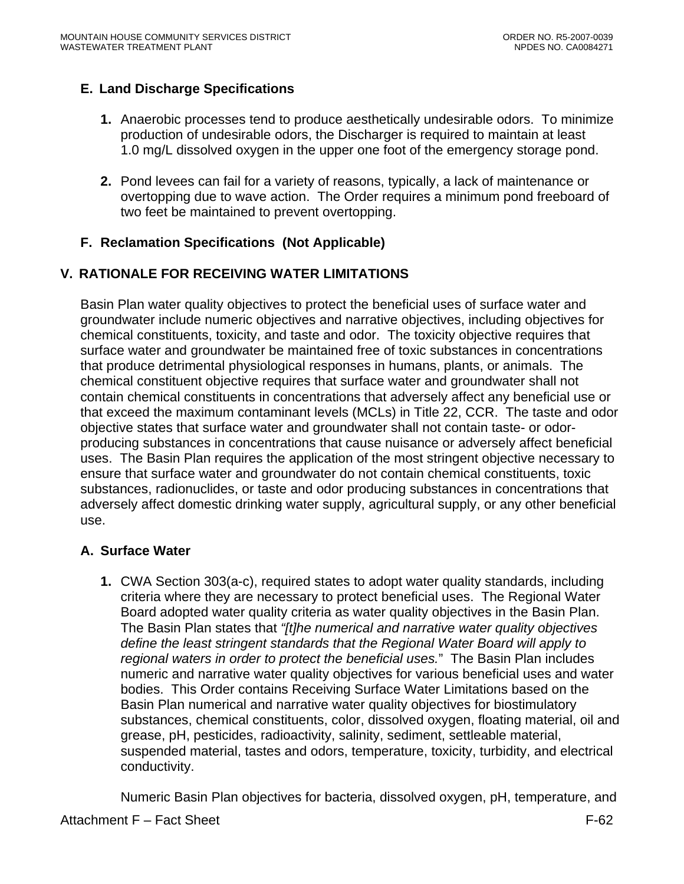# **E. Land Discharge Specifications**

- **1.** Anaerobic processes tend to produce aesthetically undesirable odors. To minimize production of undesirable odors, the Discharger is required to maintain at least 1.0 mg/L dissolved oxygen in the upper one foot of the emergency storage pond.
- **2.** Pond levees can fail for a variety of reasons, typically, a lack of maintenance or overtopping due to wave action. The Order requires a minimum pond freeboard of two feet be maintained to prevent overtopping.

# **F. Reclamation Specifications (Not Applicable)**

# **V. RATIONALE FOR RECEIVING WATER LIMITATIONS**

Basin Plan water quality objectives to protect the beneficial uses of surface water and groundwater include numeric objectives and narrative objectives, including objectives for chemical constituents, toxicity, and taste and odor. The toxicity objective requires that surface water and groundwater be maintained free of toxic substances in concentrations that produce detrimental physiological responses in humans, plants, or animals. The chemical constituent objective requires that surface water and groundwater shall not contain chemical constituents in concentrations that adversely affect any beneficial use or that exceed the maximum contaminant levels (MCLs) in Title 22, CCR. The taste and odor objective states that surface water and groundwater shall not contain taste- or odorproducing substances in concentrations that cause nuisance or adversely affect beneficial uses. The Basin Plan requires the application of the most stringent objective necessary to ensure that surface water and groundwater do not contain chemical constituents, toxic substances, radionuclides, or taste and odor producing substances in concentrations that adversely affect domestic drinking water supply, agricultural supply, or any other beneficial use.

# **A. Surface Water**

**1.** CWA Section 303(a-c), required states to adopt water quality standards, including criteria where they are necessary to protect beneficial uses. The Regional Water Board adopted water quality criteria as water quality objectives in the Basin Plan. The Basin Plan states that *"[t]he numerical and narrative water quality objectives define the least stringent standards that the Regional Water Board will apply to regional waters in order to protect the beneficial uses.*" The Basin Plan includes numeric and narrative water quality objectives for various beneficial uses and water bodies. This Order contains Receiving Surface Water Limitations based on the Basin Plan numerical and narrative water quality objectives for biostimulatory substances, chemical constituents, color, dissolved oxygen, floating material, oil and grease, pH, pesticides, radioactivity, salinity, sediment, settleable material, suspended material, tastes and odors, temperature, toxicity, turbidity, and electrical conductivity.

Numeric Basin Plan objectives for bacteria, dissolved oxygen, pH, temperature, and

#### Attachment F – Fact Sheet F-62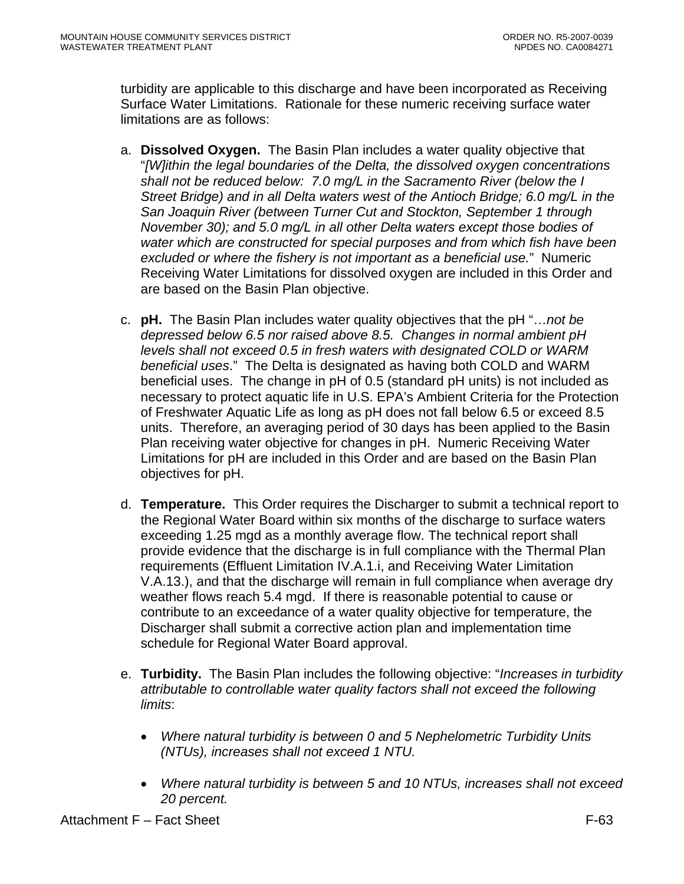turbidity are applicable to this discharge and have been incorporated as Receiving Surface Water Limitations. Rationale for these numeric receiving surface water limitations are as follows:

- a. **Dissolved Oxygen.** The Basin Plan includes a water quality objective that "*[W]ithin the legal boundaries of the Delta, the dissolved oxygen concentrations shall not be reduced below: 7.0 mg/L in the Sacramento River (below the I Street Bridge) and in all Delta waters west of the Antioch Bridge; 6.0 mg/L in the San Joaquin River (between Turner Cut and Stockton, September 1 through November 30); and 5.0 mg/L in all other Delta waters except those bodies of water which are constructed for special purposes and from which fish have been excluded or where the fishery is not important as a beneficial use.*" Numeric Receiving Water Limitations for dissolved oxygen are included in this Order and are based on the Basin Plan objective.
- c. **pH.** The Basin Plan includes water quality objectives that the pH "…*not be depressed below 6.5 nor raised above 8.5. Changes in normal ambient pH levels shall not exceed 0.5 in fresh waters with designated COLD or WARM beneficial uses*." The Delta is designated as having both COLD and WARM beneficial uses. The change in pH of 0.5 (standard pH units) is not included as necessary to protect aquatic life in U.S. EPA's Ambient Criteria for the Protection of Freshwater Aquatic Life as long as pH does not fall below 6.5 or exceed 8.5 units. Therefore, an averaging period of 30 days has been applied to the Basin Plan receiving water objective for changes in pH. Numeric Receiving Water Limitations for pH are included in this Order and are based on the Basin Plan objectives for pH.
- d. **Temperature.** This Order requires the Discharger to submit a technical report to the Regional Water Board within six months of the discharge to surface waters exceeding 1.25 mgd as a monthly average flow. The technical report shall provide evidence that the discharge is in full compliance with the Thermal Plan requirements (Effluent Limitation IV.A.1.i, and Receiving Water Limitation V.A.13.), and that the discharge will remain in full compliance when average dry weather flows reach 5.4 mgd. If there is reasonable potential to cause or contribute to an exceedance of a water quality objective for temperature, the Discharger shall submit a corrective action plan and implementation time schedule for Regional Water Board approval.
- e. **Turbidity.** The Basin Plan includes the following objective: "*Increases in turbidity attributable to controllable water quality factors shall not exceed the following limits*:
	- *Where natural turbidity is between 0 and 5 Nephelometric Turbidity Units (NTUs), increases shall not exceed 1 NTU.*
	- *Where natural turbidity is between 5 and 10 NTUs, increases shall not exceed 20 percent.*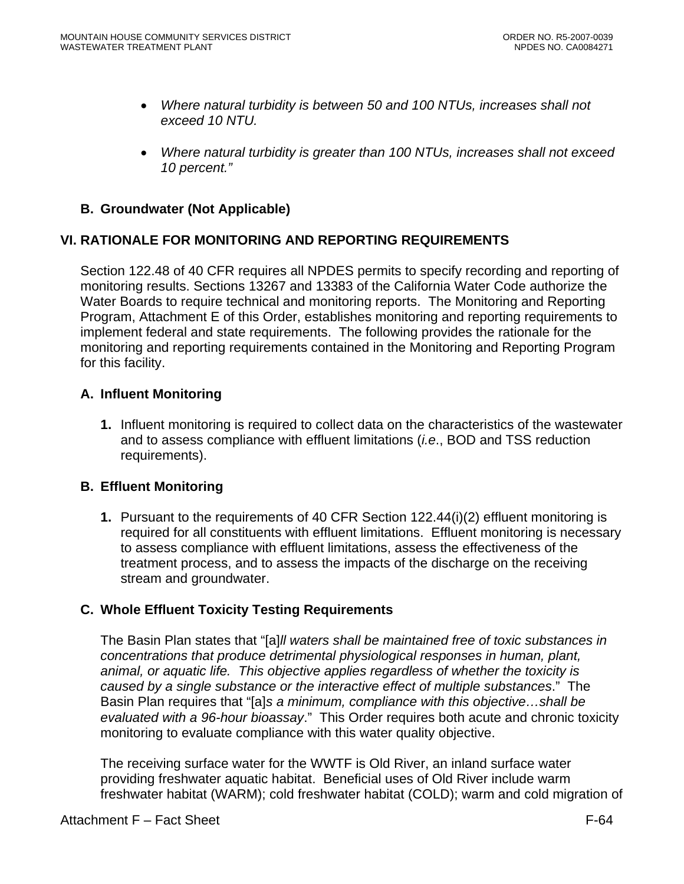- *Where natural turbidity is between 50 and 100 NTUs, increases shall not exceed 10 NTU.*
- *Where natural turbidity is greater than 100 NTUs, increases shall not exceed 10 percent."*

# **B. Groundwater (Not Applicable)**

# **VI. RATIONALE FOR MONITORING AND REPORTING REQUIREMENTS**

Section 122.48 of 40 CFR requires all NPDES permits to specify recording and reporting of monitoring results. Sections 13267 and 13383 of the California Water Code authorize the Water Boards to require technical and monitoring reports. The Monitoring and Reporting Program, Attachment E of this Order, establishes monitoring and reporting requirements to implement federal and state requirements. The following provides the rationale for the monitoring and reporting requirements contained in the Monitoring and Reporting Program for this facility.

## **A. Influent Monitoring**

**1.** Influent monitoring is required to collect data on the characteristics of the wastewater and to assess compliance with effluent limitations (*i.e*., BOD and TSS reduction requirements).

#### **B. Effluent Monitoring**

**1.** Pursuant to the requirements of 40 CFR Section 122.44(i)(2) effluent monitoring is required for all constituents with effluent limitations. Effluent monitoring is necessary to assess compliance with effluent limitations, assess the effectiveness of the treatment process, and to assess the impacts of the discharge on the receiving stream and groundwater.

# **C. Whole Effluent Toxicity Testing Requirements**

The Basin Plan states that "[a]*ll waters shall be maintained free of toxic substances in concentrations that produce detrimental physiological responses in human, plant, animal, or aquatic life. This objective applies regardless of whether the toxicity is caused by a single substance or the interactive effect of multiple substances*." The Basin Plan requires that "[a]*s a minimum, compliance with this objective…shall be evaluated with a 96-hour bioassay*." This Order requires both acute and chronic toxicity monitoring to evaluate compliance with this water quality objective.

The receiving surface water for the WWTF is Old River, an inland surface water providing freshwater aquatic habitat. Beneficial uses of Old River include warm freshwater habitat (WARM); cold freshwater habitat (COLD); warm and cold migration of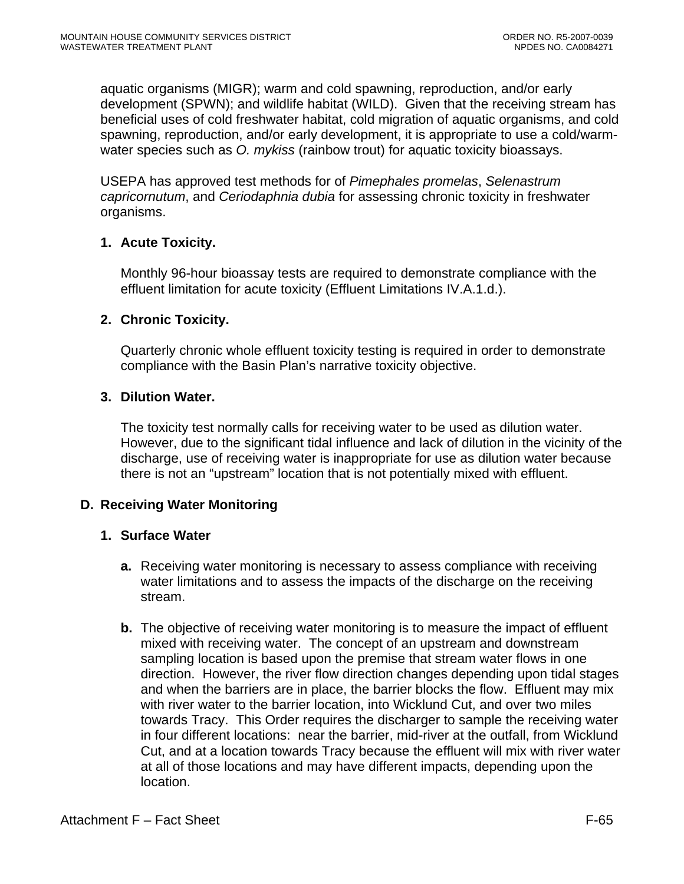aquatic organisms (MIGR); warm and cold spawning, reproduction, and/or early development (SPWN); and wildlife habitat (WILD). Given that the receiving stream has beneficial uses of cold freshwater habitat, cold migration of aquatic organisms, and cold spawning, reproduction, and/or early development, it is appropriate to use a cold/warmwater species such as *O. mykiss* (rainbow trout) for aquatic toxicity bioassays.

USEPA has approved test methods for of *Pimephales promelas*, *Selenastrum capricornutum*, and *Ceriodaphnia dubia* for assessing chronic toxicity in freshwater organisms.

# **1. Acute Toxicity.**

Monthly 96-hour bioassay tests are required to demonstrate compliance with the effluent limitation for acute toxicity (Effluent Limitations IV.A.1.d.).

## **2. Chronic Toxicity.**

Quarterly chronic whole effluent toxicity testing is required in order to demonstrate compliance with the Basin Plan's narrative toxicity objective.

## **3. Dilution Water.**

The toxicity test normally calls for receiving water to be used as dilution water. However, due to the significant tidal influence and lack of dilution in the vicinity of the discharge, use of receiving water is inappropriate for use as dilution water because there is not an "upstream" location that is not potentially mixed with effluent.

# **D. Receiving Water Monitoring**

#### **1. Surface Water**

- **a.** Receiving water monitoring is necessary to assess compliance with receiving water limitations and to assess the impacts of the discharge on the receiving stream.
- **b.** The objective of receiving water monitoring is to measure the impact of effluent mixed with receiving water. The concept of an upstream and downstream sampling location is based upon the premise that stream water flows in one direction. However, the river flow direction changes depending upon tidal stages and when the barriers are in place, the barrier blocks the flow. Effluent may mix with river water to the barrier location, into Wicklund Cut, and over two miles towards Tracy. This Order requires the discharger to sample the receiving water in four different locations: near the barrier, mid-river at the outfall, from Wicklund Cut, and at a location towards Tracy because the effluent will mix with river water at all of those locations and may have different impacts, depending upon the location.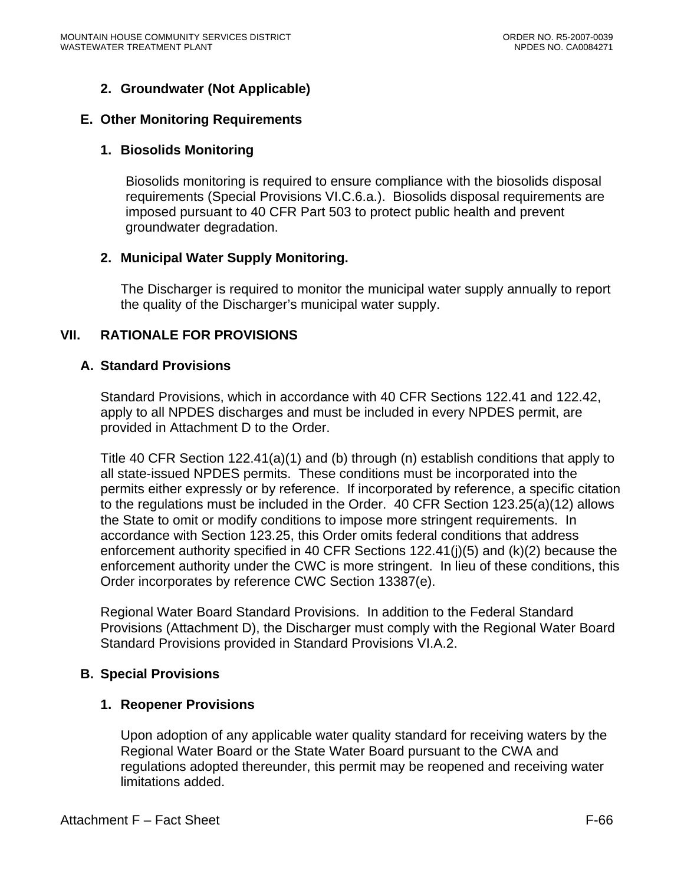# **2. Groundwater (Not Applicable)**

#### **E. Other Monitoring Requirements**

#### **1. Biosolids Monitoring**

Biosolids monitoring is required to ensure compliance with the biosolids disposal requirements ([Special Provisions VI.C.6.a.\)](#page-0-0). Biosolids disposal requirements are imposed pursuant to 40 CFR Part 503 to protect public health and prevent groundwater degradation.

#### **2. Municipal Water Supply Monitoring.**

The Discharger is required to monitor the municipal water supply annually to report the quality of the Discharger's municipal water supply.

#### **VII. RATIONALE FOR PROVISIONS**

#### **A. Standard Provisions**

Standard Provisions, which in accordance with 40 CFR Sections 122.41 and 122.42, apply to all NPDES discharges and must be included in every NPDES permit, are provided in Attachment D to the Order.

Title 40 CFR Section 122.41(a)(1) and (b) through (n) establish conditions that apply to all state-issued NPDES permits. These conditions must be incorporated into the permits either expressly or by reference. If incorporated by reference, a specific citation to the regulations must be included in the Order. 40 CFR Section 123.25(a)(12) allows the State to omit or modify conditions to impose more stringent requirements. In accordance with Section 123.25, this Order omits federal conditions that address enforcement authority specified in 40 CFR Sections 122.41(j)(5) and (k)(2) because the enforcement authority under the CWC is more stringent. In lieu of these conditions, this Order incorporates by reference CWC Section 13387(e).

Regional Water Board Standard Provisions. In addition to the Federal Standard Provisions (Attachment D), the Discharger must comply with the Regional Water Board Standard Provisions provided in Standard Provisions VI.A.2.

#### **B. Special Provisions**

#### **1. Reopener Provisions**

Upon adoption of any applicable water quality standard for receiving waters by the Regional Water Board or the State Water Board pursuant to the CWA and regulations adopted thereunder, this permit may be reopened and receiving water limitations added.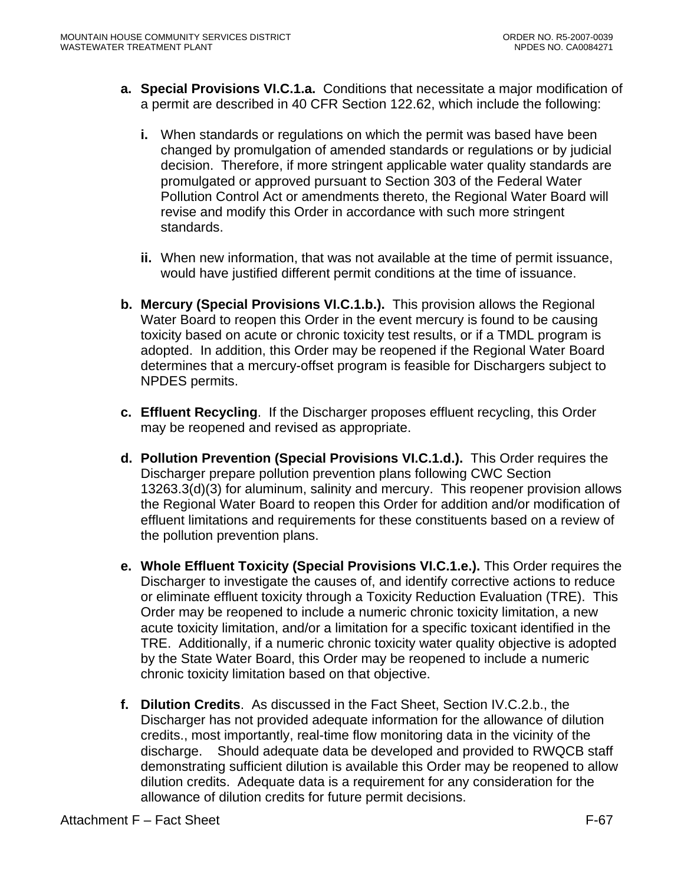- **a. Special Provisions VI.C.1.a.** Conditions that necessitate a major modification of a permit are described in 40 CFR Section 122.62, which include the following:
	- **i.** When standards or regulations on which the permit was based have been changed by promulgation of amended standards or regulations or by judicial decision. Therefore, if more stringent applicable water quality standards are promulgated or approved pursuant to Section 303 of the Federal Water Pollution Control Act or amendments thereto, the Regional Water Board will revise and modify this Order in accordance with such more stringent standards.
	- **ii.** When new information, that was not available at the time of permit issuance, would have justified different permit conditions at the time of issuance.
- **b. Mercury (Special Provisions VI.C.1.b.).** This provision allows the Regional Water Board to reopen this Order in the event mercury is found to be causing toxicity based on acute or chronic toxicity test results, or if a TMDL program is adopted. In addition, this Order may be reopened if the Regional Water Board determines that a mercury-offset program is feasible for Dischargers subject to NPDES permits.
- **c. Effluent Recycling**. If the Discharger proposes effluent recycling, this Order may be reopened and revised as appropriate.
- **d. Pollution Prevention (Special Provisions VI.C.1.d.).** This Order requires the Discharger prepare pollution prevention plans following CWC Section 13263.3(d)(3) for aluminum, salinity and mercury. This reopener provision allows the Regional Water Board to reopen this Order for addition and/or modification of effluent limitations and requirements for these constituents based on a review of the pollution prevention plans.
- **e. Whole Effluent Toxicity (Special Provisions VI.C.1.e.).** This Order requires the Discharger to investigate the causes of, and identify corrective actions to reduce or eliminate effluent toxicity through a Toxicity Reduction Evaluation (TRE). This Order may be reopened to include a numeric chronic toxicity limitation, a new acute toxicity limitation, and/or a limitation for a specific toxicant identified in the TRE. Additionally, if a numeric chronic toxicity water quality objective is adopted by the State Water Board, this Order may be reopened to include a numeric chronic toxicity limitation based on that objective.
- **f. Dilution Credits**. As discussed in the Fact Sheet, Section IV.C.2.b., the Discharger has not provided adequate information for the allowance of dilution credits., most importantly, real-time flow monitoring data in the vicinity of the discharge. Should adequate data be developed and provided to RWQCB staff demonstrating sufficient dilution is available this Order may be reopened to allow dilution credits. Adequate data is a requirement for any consideration for the allowance of dilution credits for future permit decisions.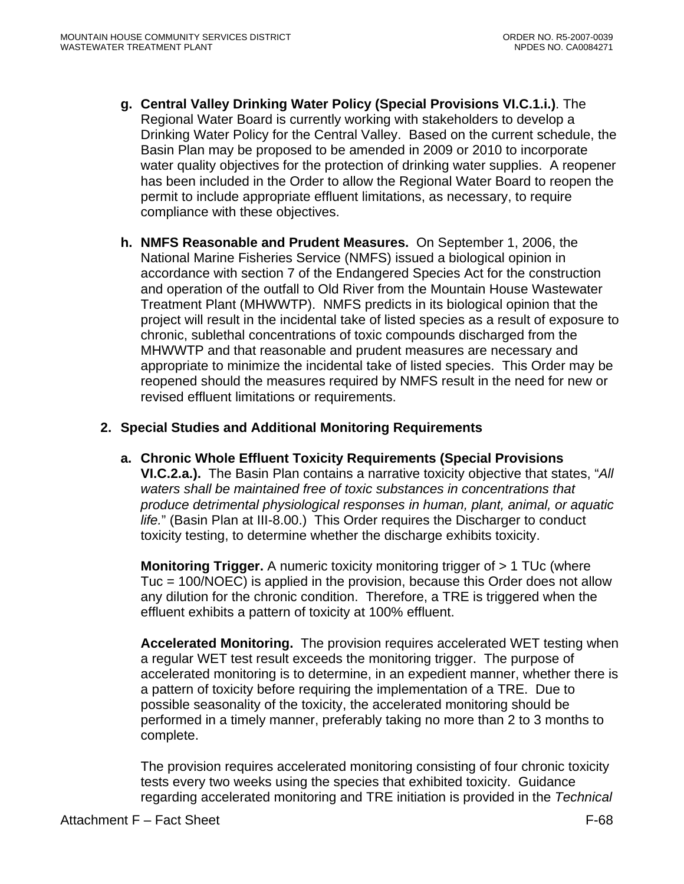- **g. Central Valley Drinking Water Policy (Special Provisions VI.C.1.i.)**. The Regional Water Board is currently working with stakeholders to develop a Drinking Water Policy for the Central Valley. Based on the current schedule, the Basin Plan may be proposed to be amended in 2009 or 2010 to incorporate water quality objectives for the protection of drinking water supplies. A reopener has been included in the Order to allow the Regional Water Board to reopen the permit to include appropriate effluent limitations, as necessary, to require compliance with these objectives.
- **h. NMFS Reasonable and Prudent Measures.** On September 1, 2006, the National Marine Fisheries Service (NMFS) issued a biological opinion in accordance with section 7 of the Endangered Species Act for the construction and operation of the outfall to Old River from the Mountain House Wastewater Treatment Plant (MHWWTP). NMFS predicts in its biological opinion that the project will result in the incidental take of listed species as a result of exposure to chronic, sublethal concentrations of toxic compounds discharged from the MHWWTP and that reasonable and prudent measures are necessary and appropriate to minimize the incidental take of listed species. This Order may be reopened should the measures required by NMFS result in the need for new or revised effluent limitations or requirements.

# **2. Special Studies and Additional Monitoring Requirements**

**a. Chronic Whole Effluent Toxicity Requirements (Special Provisions VI.C.2.a.).** The Basin Plan contains a narrative toxicity objective that states, "*All waters shall be maintained free of toxic substances in concentrations that produce detrimental physiological responses in human, plant, animal, or aquatic life.*" (Basin Plan at III-8.00.) This Order requires the Discharger to conduct toxicity testing, to determine whether the discharge exhibits toxicity.

**Monitoring Trigger.** A numeric toxicity monitoring trigger of > 1 TUc (where Tuc = 100/NOEC) is applied in the provision, because this Order does not allow any dilution for the chronic condition. Therefore, a TRE is triggered when the effluent exhibits a pattern of toxicity at 100% effluent.

**Accelerated Monitoring.** The provision requires accelerated WET testing when a regular WET test result exceeds the monitoring trigger. The purpose of accelerated monitoring is to determine, in an expedient manner, whether there is a pattern of toxicity before requiring the implementation of a TRE. Due to possible seasonality of the toxicity, the accelerated monitoring should be performed in a timely manner, preferably taking no more than 2 to 3 months to complete.

The provision requires accelerated monitoring consisting of four chronic toxicity tests every two weeks using the species that exhibited toxicity. Guidance regarding accelerated monitoring and TRE initiation is provided in the *Technical*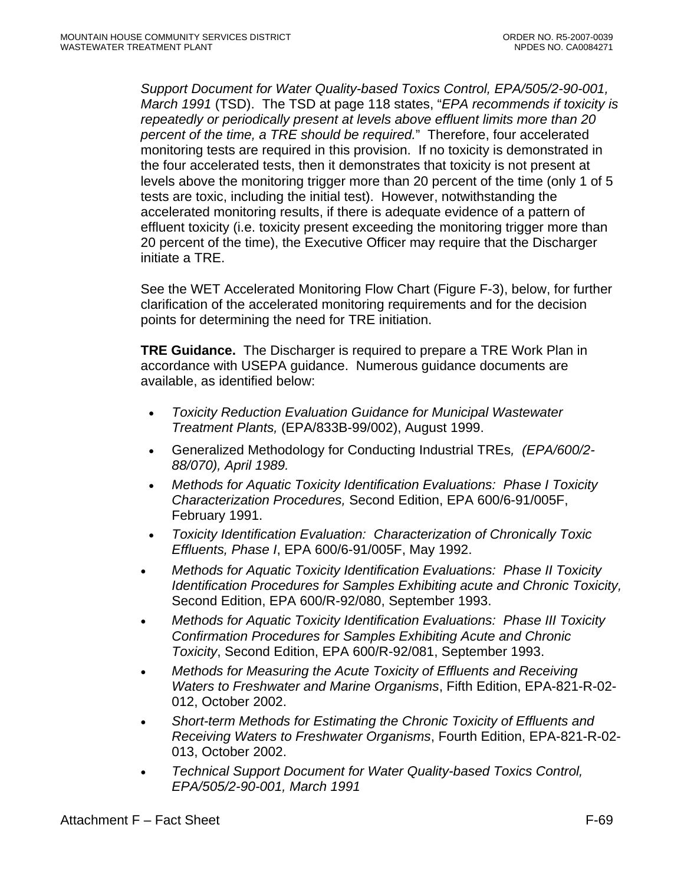*Support Document for Water Quality-based Toxics Control, EPA/505/2-90-001, March 1991* (TSD). The TSD at page 118 states, "*EPA recommends if toxicity is repeatedly or periodically present at levels above effluent limits more than 20 percent of the time, a TRE should be required.*" Therefore, four accelerated monitoring tests are required in this provision. If no toxicity is demonstrated in the four accelerated tests, then it demonstrates that toxicity is not present at levels above the monitoring trigger more than 20 percent of the time (only 1 of 5 tests are toxic, including the initial test). However, notwithstanding the accelerated monitoring results, if there is adequate evidence of a pattern of effluent toxicity (i.e. toxicity present exceeding the monitoring trigger more than 20 percent of the time), the Executive Officer may require that the Discharger initiate a TRE.

See the WET Accelerated Monitoring Flow Chart (Figure F-3), below, for further clarification of the accelerated monitoring requirements and for the decision points for determining the need for TRE initiation.

**TRE Guidance.** The Discharger is required to prepare a TRE Work Plan in accordance with USEPA guidance. Numerous guidance documents are available, as identified below:

- *Toxicity Reduction Evaluation Guidance for Municipal Wastewater Treatment Plants,* (EPA/833B-99/002), August 1999.
- Generalized Methodology for Conducting Industrial TREs*, (EPA/600/2- 88/070), April 1989.*
- *Methods for Aquatic Toxicity Identification Evaluations: Phase I Toxicity Characterization Procedures,* Second Edition, EPA 600/6-91/005F, February 1991.
- *Toxicity Identification Evaluation: Characterization of Chronically Toxic Effluents, Phase I*, EPA 600/6-91/005F, May 1992.
- *Methods for Aquatic Toxicity Identification Evaluations: Phase II Toxicity Identification Procedures for Samples Exhibiting acute and Chronic Toxicity,*  Second Edition, EPA 600/R-92/080, September 1993.
- *Methods for Aquatic Toxicity Identification Evaluations: Phase III Toxicity Confirmation Procedures for Samples Exhibiting Acute and Chronic Toxicity*, Second Edition, EPA 600/R-92/081, September 1993.
- *Methods for Measuring the Acute Toxicity of Effluents and Receiving Waters to Freshwater and Marine Organisms*, Fifth Edition, EPA-821-R-02- 012, October 2002.
- *Short-term Methods for Estimating the Chronic Toxicity of Effluents and Receiving Waters to Freshwater Organisms*, Fourth Edition, EPA-821-R-02- 013, October 2002.
- *Technical Support Document for Water Quality-based Toxics Control, EPA/505/2-90-001, March 1991*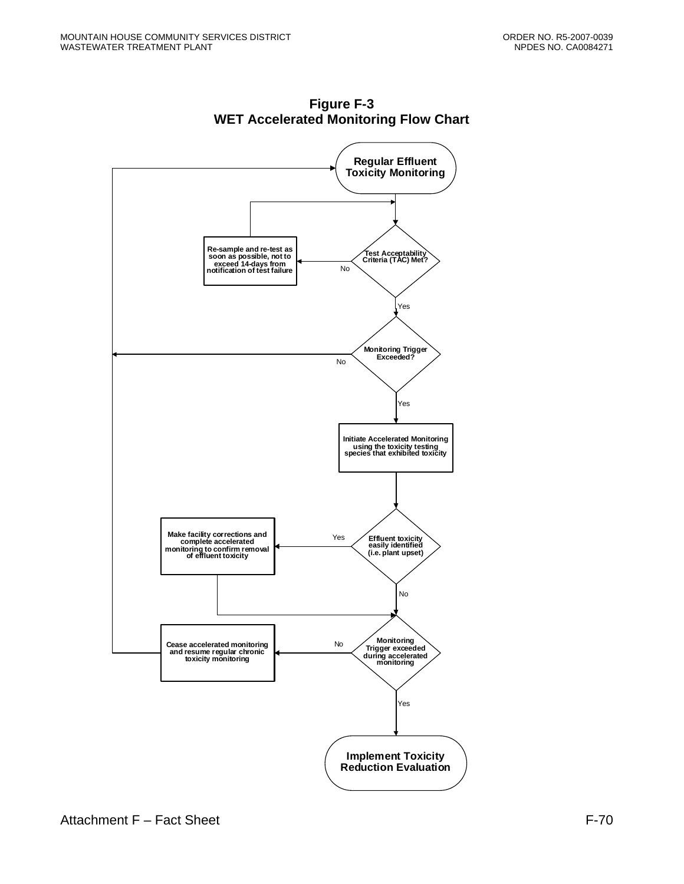

**Figure F-3 WET Accelerated Monitoring Flow Chart**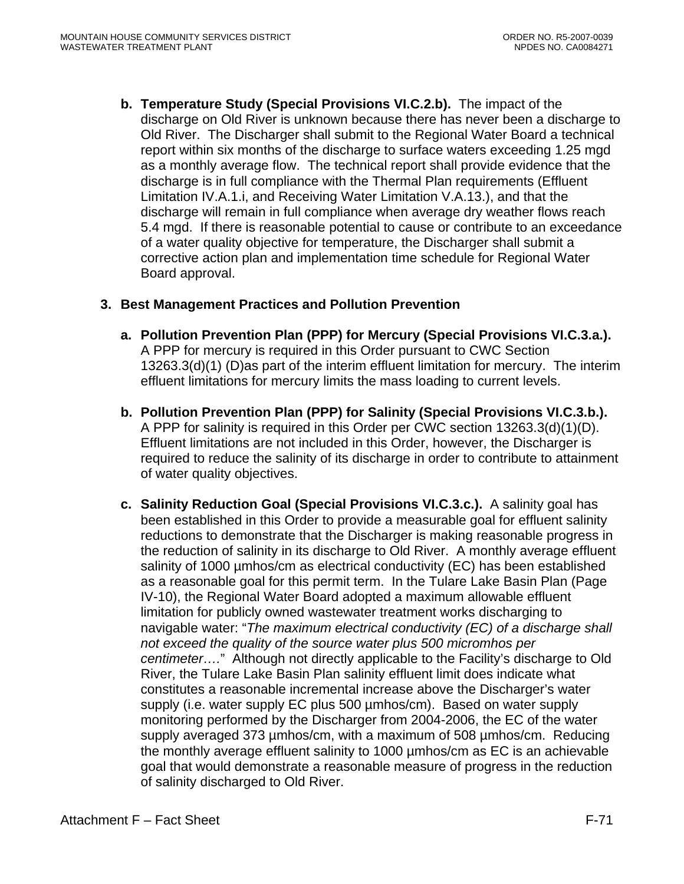**b. Temperature Study (Special Provisions VI.C.2.b).** The impact of the discharge on Old River is unknown because there has never been a discharge to Old River. The Discharger shall submit to the Regional Water Board a technical report within six months of the discharge to surface waters exceeding 1.25 mgd as a monthly average flow. The technical report shall provide evidence that the discharge is in full compliance with the Thermal Plan requirements (Effluent Limitation IV.A.1.i, and Receiving Water Limitation V.A.13.), and that the discharge will remain in full compliance when average dry weather flows reach 5.4 mgd. If there is reasonable potential to cause or contribute to an exceedance of a water quality objective for temperature, the Discharger shall submit a corrective action plan and implementation time schedule for Regional Water Board approval.

## **3. Best Management Practices and Pollution Prevention**

- **a. Pollution Prevention Plan (PPP) for Mercury (Special Provisions VI.C.3.a.).**  A PPP for mercury is required in this Order pursuant to CWC Section 13263.3(d)(1) (D)as part of the interim effluent limitation for mercury. The interim effluent limitations for mercury limits the mass loading to current levels.
- **b. Pollution Prevention Plan (PPP) for Salinity (Special Provisions VI.C.3.b.).** A PPP for salinity is required in this Order per CWC section 13263.3(d)(1)(D). Effluent limitations are not included in this Order, however, the Discharger is required to reduce the salinity of its discharge in order to contribute to attainment of water quality objectives.
- **c. Salinity Reduction Goal (Special Provisions VI.C.3.c.).** A salinity goal has been established in this Order to provide a measurable goal for effluent salinity reductions to demonstrate that the Discharger is making reasonable progress in the reduction of salinity in its discharge to Old River. A monthly average effluent salinity of 1000 umhos/cm as electrical conductivity (EC) has been established as a reasonable goal for this permit term. In the Tulare Lake Basin Plan (Page IV-10), the Regional Water Board adopted a maximum allowable effluent limitation for publicly owned wastewater treatment works discharging to navigable water: "*The maximum electrical conductivity (EC) of a discharge shall not exceed the quality of the source water plus 500 micromhos per centimeter….*" Although not directly applicable to the Facility's discharge to Old River, the Tulare Lake Basin Plan salinity effluent limit does indicate what constitutes a reasonable incremental increase above the Discharger's water supply (i.e. water supply EC plus 500 µmhos/cm). Based on water supply monitoring performed by the Discharger from 2004-2006, the EC of the water supply averaged 373 µmhos/cm, with a maximum of 508 µmhos/cm. Reducing the monthly average effluent salinity to 1000 µmhos/cm as EC is an achievable goal that would demonstrate a reasonable measure of progress in the reduction of salinity discharged to Old River.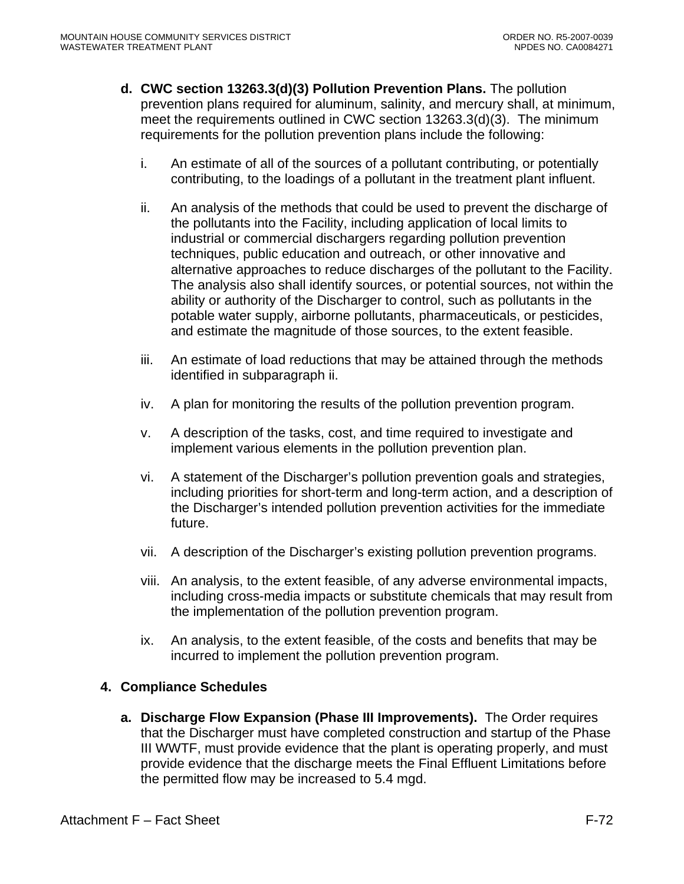- **d. CWC section 13263.3(d)(3) Pollution Prevention Plans.** The pollution prevention plans required for aluminum, salinity, and mercury shall, at minimum, meet the requirements outlined in CWC section 13263.3(d)(3). The minimum requirements for the pollution prevention plans include the following:
	- i. An estimate of all of the sources of a pollutant contributing, or potentially contributing, to the loadings of a pollutant in the treatment plant influent.
	- ii. An analysis of the methods that could be used to prevent the discharge of the pollutants into the Facility, including application of local limits to industrial or commercial dischargers regarding pollution prevention techniques, public education and outreach, or other innovative and alternative approaches to reduce discharges of the pollutant to the Facility. The analysis also shall identify sources, or potential sources, not within the ability or authority of the Discharger to control, such as pollutants in the potable water supply, airborne pollutants, pharmaceuticals, or pesticides, and estimate the magnitude of those sources, to the extent feasible.
	- iii. An estimate of load reductions that may be attained through the methods identified in subparagraph ii.
	- iv. A plan for monitoring the results of the pollution prevention program.
	- v. A description of the tasks, cost, and time required to investigate and implement various elements in the pollution prevention plan.
	- vi. A statement of the Discharger's pollution prevention goals and strategies, including priorities for short-term and long-term action, and a description of the Discharger's intended pollution prevention activities for the immediate future.
	- vii. A description of the Discharger's existing pollution prevention programs.
	- viii. An analysis, to the extent feasible, of any adverse environmental impacts, including cross-media impacts or substitute chemicals that may result from the implementation of the pollution prevention program.
	- ix. An analysis, to the extent feasible, of the costs and benefits that may be incurred to implement the pollution prevention program.

# **4. Compliance Schedules**

**a. Discharge Flow Expansion (Phase III Improvements).** The Order requires that the Discharger must have completed construction and startup of the Phase III WWTF, must provide evidence that the plant is operating properly, and must provide evidence that the discharge meets the Final Effluent Limitations before the permitted flow may be increased to 5.4 mgd.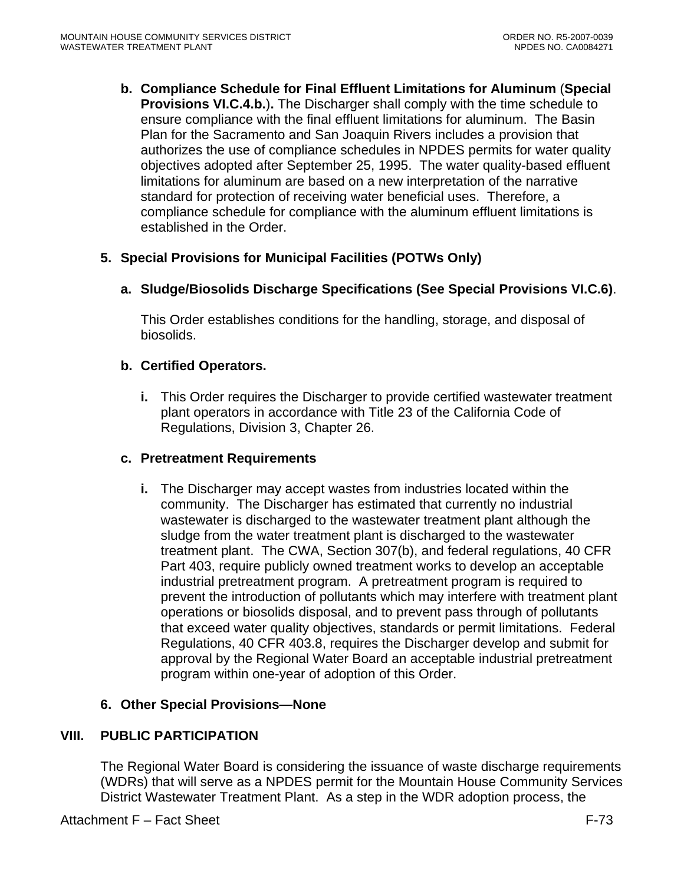**b. Compliance Schedule for Final Effluent Limitations for Aluminum** (**Special Provisions VI.C.4.b.**)**.** The Discharger shall comply with the time schedule to ensure compliance with the final effluent limitations for aluminum. The Basin Plan for the Sacramento and San Joaquin Rivers includes a provision that authorizes the use of compliance schedules in NPDES permits for water quality objectives adopted after September 25, 1995. The water quality-based effluent limitations for aluminum are based on a new interpretation of the narrative standard for protection of receiving water beneficial uses. Therefore, a compliance schedule for compliance with the aluminum effluent limitations is established in the Order.

# **5. Special Provisions for Municipal Facilities (POTWs Only)**

**a. Sludge/Biosolids Discharge Specifications (See Special Provisions VI.C.6)**.

This Order establishes conditions for the handling, storage, and disposal of biosolids.

## **b. Certified Operators.**

**i.** This Order requires the Discharger to provide certified wastewater treatment plant operators in accordance with Title 23 of the California Code of Regulations, Division 3, Chapter 26.

#### **c. Pretreatment Requirements**

**i.** The Discharger may accept wastes from industries located within the community. The Discharger has estimated that currently no industrial wastewater is discharged to the wastewater treatment plant although the sludge from the water treatment plant is discharged to the wastewater treatment plant. The CWA, Section 307(b), and federal regulations, 40 CFR Part 403, require publicly owned treatment works to develop an acceptable industrial pretreatment program. A pretreatment program is required to prevent the introduction of pollutants which may interfere with treatment plant operations or biosolids disposal, and to prevent pass through of pollutants that exceed water quality objectives, standards or permit limitations. Federal Regulations, 40 CFR 403.8, requires the Discharger develop and submit for approval by the Regional Water Board an acceptable industrial pretreatment program within one-year of adoption of this Order.

# **6. Other Special Provisions—None**

# **VIII. PUBLIC PARTICIPATION**

The Regional Water Board is considering the issuance of waste discharge requirements (WDRs) that will serve as a NPDES permit for the Mountain House Community Services District Wastewater Treatment Plant. As a step in the WDR adoption process, the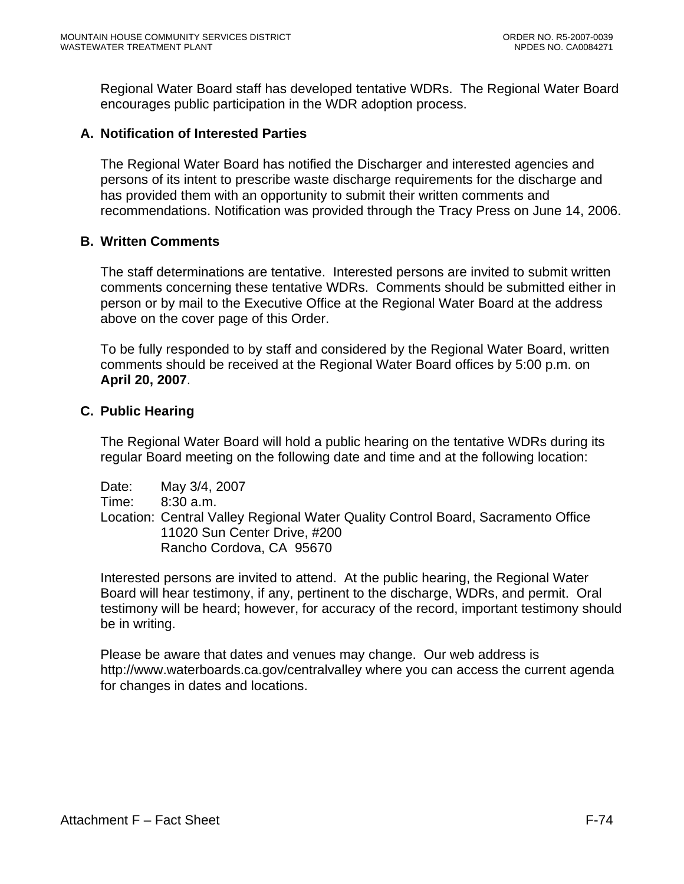Regional Water Board staff has developed tentative WDRs. The Regional Water Board encourages public participation in the WDR adoption process.

## **A. Notification of Interested Parties**

The Regional Water Board has notified the Discharger and interested agencies and persons of its intent to prescribe waste discharge requirements for the discharge and has provided them with an opportunity to submit their written comments and recommendations. Notification was provided through the Tracy Press on June 14, 2006.

#### **B. Written Comments**

The staff determinations are tentative. Interested persons are invited to submit written comments concerning these tentative WDRs. Comments should be submitted either in person or by mail to the Executive Office at the Regional Water Board at the address above on the cover page of this Order.

To be fully responded to by staff and considered by the Regional Water Board, written comments should be received at the Regional Water Board offices by 5:00 p.m. on **April 20, 2007**.

#### **C. Public Hearing**

The Regional Water Board will hold a public hearing on the tentative WDRs during its regular Board meeting on the following date and time and at the following location:

Date: May 3/4, 2007 Time: 8:30 a.m. Location: Central Valley Regional Water Quality Control Board, Sacramento Office 11020 Sun Center Drive, #200 Rancho Cordova, CA 95670

Interested persons are invited to attend. At the public hearing, the Regional Water Board will hear testimony, if any, pertinent to the discharge, WDRs, and permit. Oral testimony will be heard; however, for accuracy of the record, important testimony should be in writing.

Please be aware that dates and venues may change. Our web address is http://www.waterboards.ca.gov/centralvalley where you can access the current agenda for changes in dates and locations.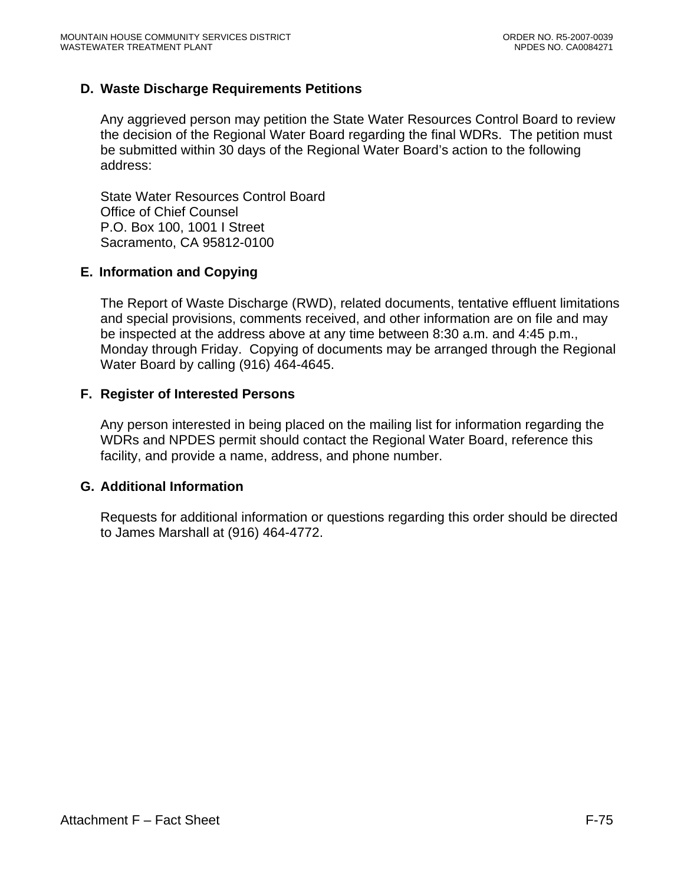## **D. Waste Discharge Requirements Petitions**

Any aggrieved person may petition the State Water Resources Control Board to review the decision of the Regional Water Board regarding the final WDRs. The petition must be submitted within 30 days of the Regional Water Board's action to the following address:

State Water Resources Control Board Office of Chief Counsel P.O. Box 100, 1001 I Street Sacramento, CA 95812-0100

#### **E. Information and Copying**

The Report of Waste Discharge (RWD), related documents, tentative effluent limitations and special provisions, comments received, and other information are on file and may be inspected at the address above at any time between 8:30 a.m. and 4:45 p.m., Monday through Friday. Copying of documents may be arranged through the Regional Water Board by calling (916) 464-4645.

#### **F. Register of Interested Persons**

Any person interested in being placed on the mailing list for information regarding the WDRs and NPDES permit should contact the Regional Water Board, reference this facility, and provide a name, address, and phone number.

#### **G. Additional Information**

Requests for additional information or questions regarding this order should be directed to James Marshall at (916) 464-4772.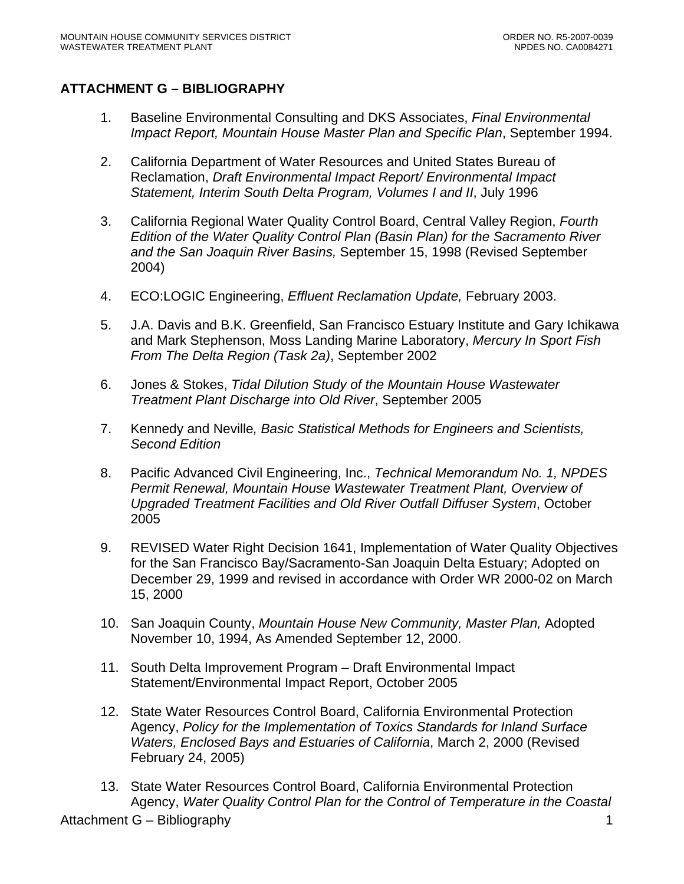## **ATTACHMENT G – BIBLIOGRAPHY**

- 1. Baseline Environmental Consulting and DKS Associates, *Final Environmental Impact Report, Mountain House Master Plan and Specific Plan*, September 1994.
- 2. California Department of Water Resources and United States Bureau of Reclamation, *Draft Environmental Impact Report/ Environmental Impact Statement, Interim South Delta Program, Volumes I and II*, July 1996
- 3. California Regional Water Quality Control Board, Central Valley Region, *Fourth Edition of the Water Quality Control Plan (Basin Plan) for the Sacramento River and the San Joaquin River Basins,* September 15, 1998 (Revised September 2004)
- 4. ECO:LOGIC Engineering, *Effluent Reclamation Update,* February 2003.
- 5. J.A. Davis and B.K. Greenfield, San Francisco Estuary Institute and Gary Ichikawa and Mark Stephenson, Moss Landing Marine Laboratory, *Mercury In Sport Fish From The Delta Region (Task 2a)*, September 2002
- 6. Jones & Stokes, *Tidal Dilution Study of the Mountain House Wastewater Treatment Plant Discharge into Old River*, September 2005
- 7. Kennedy and Neville*, Basic Statistical Methods for Engineers and Scientists, Second Edition*
- 8. Pacific Advanced Civil Engineering, Inc., *Technical Memorandum No. 1, NPDES Permit Renewal, Mountain House Wastewater Treatment Plant, Overview of Upgraded Treatment Facilities and Old River Outfall Diffuser System*, October 2005
- 9. REVISED Water Right Decision 1641, Implementation of Water Quality Objectives for the San Francisco Bay/Sacramento-San Joaquin Delta Estuary; Adopted on December 29, 1999 and revised in accordance with Order WR 2000-02 on March 15, 2000
- 10. San Joaquin County, *Mountain House New Community, Master Plan,* Adopted November 10, 1994, As Amended September 12, 2000.
- 11. South Delta Improvement Program Draft Environmental Impact Statement/Environmental Impact Report, October 2005
- 12. State Water Resources Control Board, California Environmental Protection Agency, *Policy for the Implementation of Toxics Standards for Inland Surface Waters, Enclosed Bays and Estuaries of California*, March 2, 2000 (Revised February 24, 2005)
- 13. State Water Resources Control Board, California Environmental Protection Agency, *Water Quality Control Plan for the Control of Temperature in the Coastal*